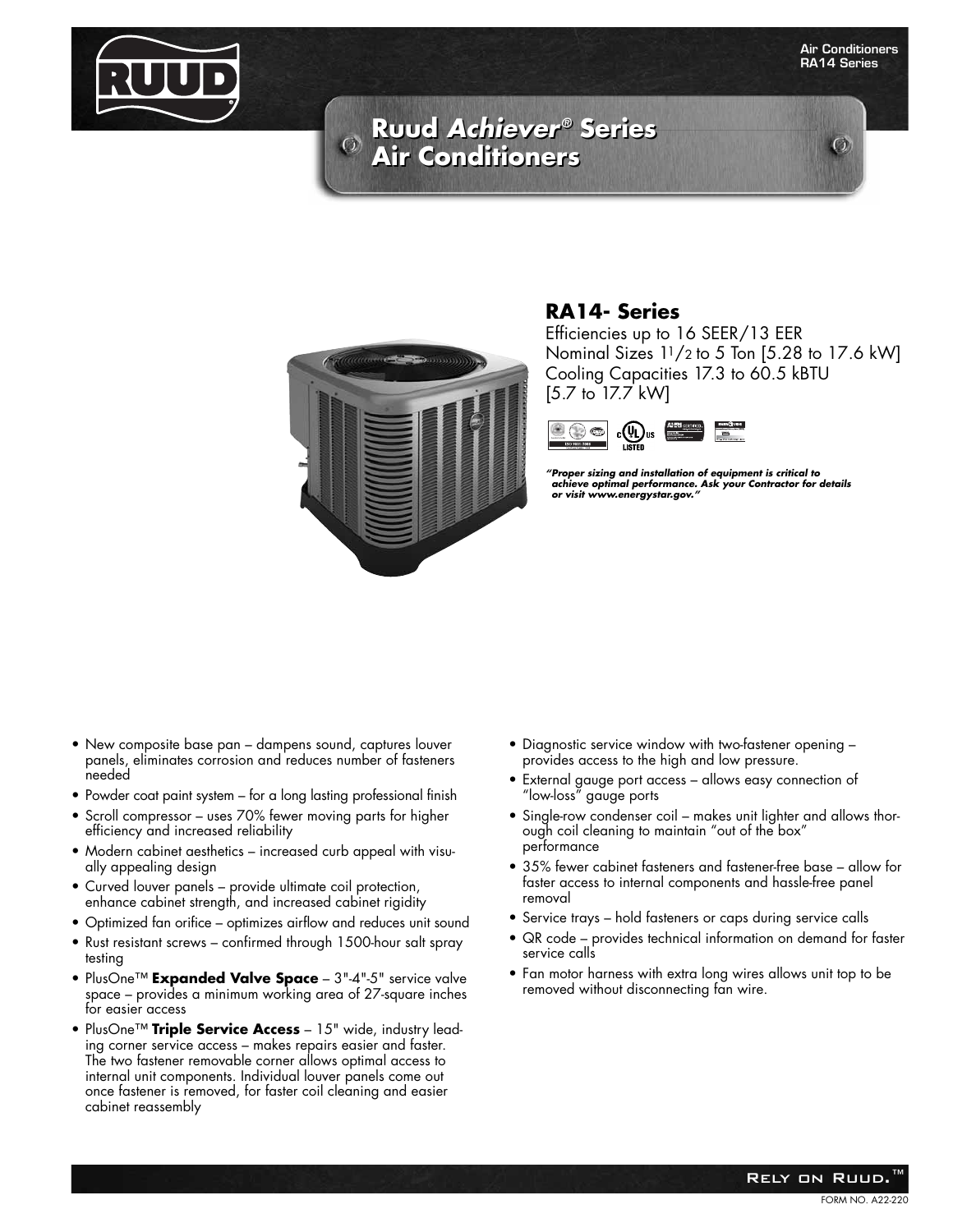

 $\mathcal{O}$ 

# **Ruud Achiever® Series Ruud Achiever® Series Air Conditioners Air Conditioners**



#### **RA14- Series**

Efficiencies up to 16 SEER/13 EER Nominal Sizes 11/2 to 5 Ton [5.28 to 17.6 kW] Cooling Capacities 17.3 to 60.5 kBTU [5.7 to 17.7 kW]



**"Proper sizing and installation of equipment is critical to achieve optimal performance. Ask your Contractor for details or visit www.energystar.gov."**

- New composite base pan dampens sound, captures louver panels, eliminates corrosion and reduces number of fasteners needed
- Powder coat paint system for a long lasting professional finish
- Scroll compressor uses 70% fewer moving parts for higher efficiency and increased reliability
- Modern cabinet aesthetics increased curb appeal with visually appealing design
- Curved louver panels provide ultimate coil protection, enhance cabinet strength, and increased cabinet rigidity
- Optimized fan orifice optimizes airflow and reduces unit sound
- Rust resistant screws confirmed through 1500-hour salt spray testing
- PlusOne™ **Expanded Valve Space** 3"-4"-5" service valve space – provides a minimum working area of 27-square inches for easier access
- PlusOne™ **Triple Service Access** 15" wide, industry leading corner service access – makes repairs easier and faster. The two fastener removable corner allows optimal access to internal unit components. Individual louver panels come out once fastener is removed, for faster coil cleaning and easier cabinet reassembly
- Diagnostic service window with two-fastener opening provides access to the high and low pressure.
- External gauge port access allows easy connection of "low-loss" gauge ports
- Single-row condenser coil makes unit lighter and allows thorough coil cleaning to maintain "out of the box" performance
- 35% fewer cabinet fasteners and fastener-free base allow for faster access to internal components and hassle-free panel removal
- Service trays hold fasteners or caps during service calls
- QR code provides technical information on demand for faster service calls
- Fan motor harness with extra long wires allows unit top to be removed without disconnecting fan wire.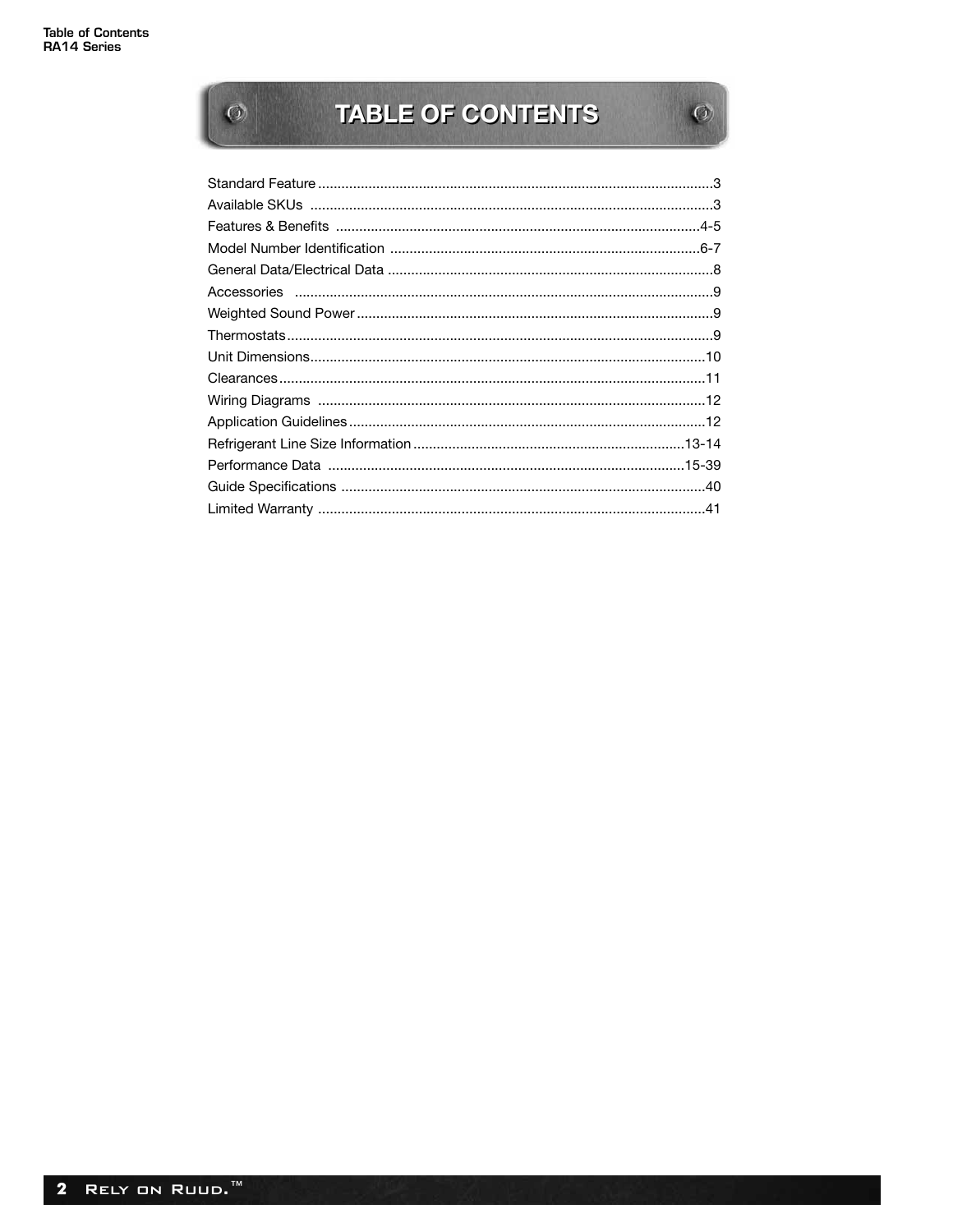$\overline{\textbf{Q}}$ 

# TABLE OF CONTENTS

 $\mathcal{O}$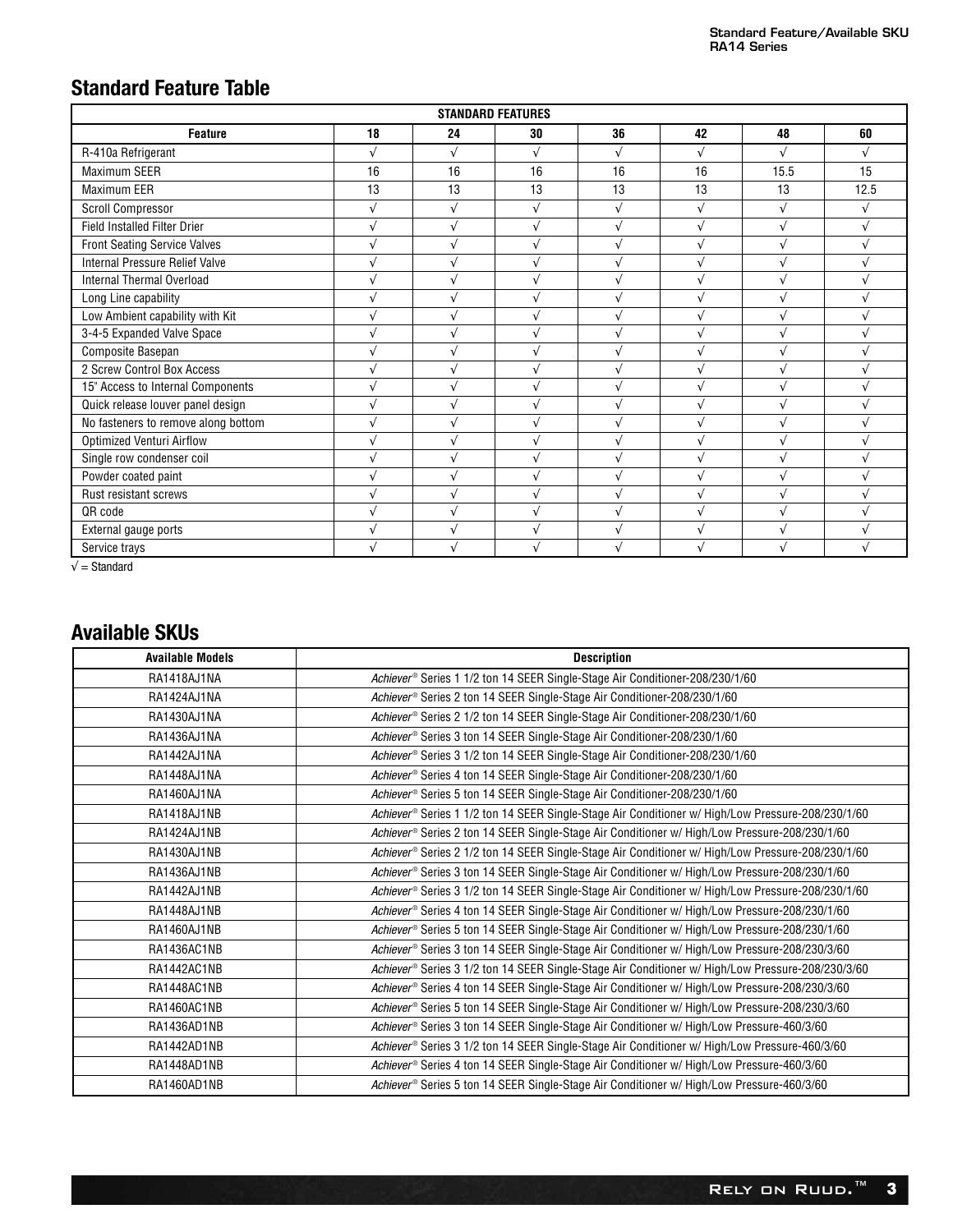## **Standard Feature Table**

|                                     |            | <b>STANDARD FEATURES</b> |            |            |            |            |            |
|-------------------------------------|------------|--------------------------|------------|------------|------------|------------|------------|
| <b>Feature</b>                      | 18         | 24                       | 30         | 36         | 42         | 48         | 60         |
| R-410a Refrigerant                  |            | $\sqrt{ }$               | $\sqrt{ }$ | $\sqrt{ }$ | $\sqrt{ }$ | $\sqrt{}$  |            |
| <b>Maximum SEER</b>                 | 16         | 16                       | 16         | 16         | 16         | 15.5       | 15         |
| Maximum EER                         | 13         | 13                       | 13         | 13         | 13         | 13         | 12.5       |
| <b>Scroll Compressor</b>            | $\sqrt{ }$ | $\sqrt{ }$               | $\sqrt{ }$ | $\sqrt{ }$ | $\sqrt{ }$ | $\sqrt{ }$ | $\sqrt{ }$ |
| <b>Field Installed Filter Drier</b> |            | $\sqrt{ }$               | $\sqrt{ }$ | $\sqrt{ }$ | $\sqrt{ }$ | $\sqrt{ }$ |            |
| <b>Front Seating Service Valves</b> |            | $\sqrt{ }$               |            | $\sqrt{ }$ | $\sqrt{ }$ |            |            |
| Internal Pressure Relief Valve      |            | $\sqrt{ }$               | $\sqrt{ }$ | $\sqrt{ }$ | $\sqrt{ }$ | $\sqrt{ }$ |            |
| <b>Internal Thermal Overload</b>    |            | $\sqrt{ }$               | $\sqrt{ }$ | $\sqrt{ }$ | $\sqrt{ }$ | $\sqrt{ }$ |            |
| Long Line capability                |            | $\sqrt{ }$               | $\sqrt{ }$ | $\sqrt{}$  | $\sqrt{ }$ |            |            |
| Low Ambient capability with Kit     |            | $\sqrt{ }$               | $\sqrt{ }$ | $\sqrt{ }$ | $\sqrt{ }$ | $\sqrt{ }$ |            |
| 3-4-5 Expanded Valve Space          |            | $\sqrt{ }$               |            | $\sqrt{ }$ | $\sqrt{}$  | $\sqrt{ }$ |            |
| Composite Basepan                   |            | $\sqrt{ }$               | $\sqrt{ }$ | $\sqrt{ }$ | $\sqrt{ }$ | $\sqrt{ }$ |            |
| 2 Screw Control Box Access          |            | $\sqrt{ }$               |            | $\sqrt{}$  | $\sqrt{ }$ |            |            |
| 15" Access to Internal Components   |            | $\sqrt{ }$               |            | $\sqrt{2}$ | $\sqrt{ }$ |            |            |
| Quick release louver panel design   |            |                          |            |            | $\sqrt{}$  |            |            |
| No fasteners to remove along bottom |            | $\sqrt{ }$               |            |            | $\sqrt{ }$ |            |            |
| <b>Optimized Venturi Airflow</b>    |            |                          |            |            |            |            |            |
| Single row condenser coil           |            |                          |            |            |            |            |            |
| Powder coated paint                 |            | $\sqrt{ }$               |            | $\sqrt{ }$ | $\sqrt{ }$ |            |            |
| Rust resistant screws               |            | $\sqrt{ }$               |            | $\sqrt{ }$ | $\sqrt{ }$ |            |            |
| QR code                             |            | $\sqrt{ }$               |            | $\sqrt{ }$ | $\sqrt{ }$ |            |            |
| External gauge ports                |            |                          |            |            |            |            |            |
| Service trays                       |            |                          |            |            |            |            |            |

 $\sqrt{\phantom{a}}$  = Standard

## **Available SKUs**

| <b>Available Models</b> | <b>Description</b>                                                                                    |
|-------------------------|-------------------------------------------------------------------------------------------------------|
| RA1418AJ1NA             | Achiever <sup>®</sup> Series 1 1/2 ton 14 SEER Single-Stage Air Conditioner-208/230/1/60              |
| RA1424AJ1NA             | Achiever <sup>®</sup> Series 2 ton 14 SEER Single-Stage Air Conditioner-208/230/1/60                  |
| RA1430AJ1NA             | Achiever <sup>®</sup> Series 2 1/2 ton 14 SEER Single-Stage Air Conditioner-208/230/1/60              |
| RA1436AJ1NA             | Achiever <sup>®</sup> Series 3 ton 14 SEER Single-Stage Air Conditioner-208/230/1/60                  |
| RA1442AJ1NA             | Achiever <sup>®</sup> Series 3 1/2 ton 14 SEER Single-Stage Air Conditioner-208/230/1/60              |
| RA1448AJ1NA             | Achiever <sup>®</sup> Series 4 ton 14 SEER Single-Stage Air Conditioner-208/230/1/60                  |
| RA1460AJ1NA             | Achiever <sup>®</sup> Series 5 ton 14 SEER Single-Stage Air Conditioner-208/230/1/60                  |
| RA1418AJ1NB             | Achiever® Series 1 1/2 ton 14 SEER Single-Stage Air Conditioner w/ High/Low Pressure-208/230/1/60     |
| RA1424AJ1NB             | Achiever® Series 2 ton 14 SEER Single-Stage Air Conditioner w/ High/Low Pressure-208/230/1/60         |
| RA1430AJ1NB             | Achiever® Series 2 1/2 ton 14 SEER Single-Stage Air Conditioner w/ High/Low Pressure-208/230/1/60     |
| RA1436AJ1NB             | Achiever® Series 3 ton 14 SEER Single-Stage Air Conditioner w/ High/Low Pressure-208/230/1/60         |
| RA1442AJ1NB             | Achiever® Series 3 1/2 ton 14 SEER Single-Stage Air Conditioner w/ High/Low Pressure-208/230/1/60     |
| RA1448AJ1NB             | Achiever® Series 4 ton 14 SEER Single-Stage Air Conditioner w/ High/Low Pressure-208/230/1/60         |
| RA1460AJ1NB             | Achiever® Series 5 ton 14 SEER Single-Stage Air Conditioner w/ High/Low Pressure-208/230/1/60         |
| RA1436AC1NB             | Achiever® Series 3 ton 14 SEER Single-Stage Air Conditioner w/ High/Low Pressure-208/230/3/60         |
| RA1442AC1NB             | Achiever® Series 3 1/2 ton 14 SEER Single-Stage Air Conditioner w/ High/Low Pressure-208/230/3/60     |
| RA1448AC1NB             | Achiever® Series 4 ton 14 SEER Single-Stage Air Conditioner w/ High/Low Pressure-208/230/3/60         |
| RA1460AC1NB             | Achiever® Series 5 ton 14 SEER Single-Stage Air Conditioner w/ High/Low Pressure-208/230/3/60         |
| RA1436AD1NB             | Achiever <sup>®</sup> Series 3 ton 14 SEER Single-Stage Air Conditioner w/ High/Low Pressure-460/3/60 |
| RA1442AD1NB             | Achiever® Series 3 1/2 ton 14 SEER Single-Stage Air Conditioner w/ High/Low Pressure-460/3/60         |
| RA1448AD1NB             | Achiever <sup>®</sup> Series 4 ton 14 SEER Single-Stage Air Conditioner w/ High/Low Pressure-460/3/60 |
| RA1460AD1NB             | Achiever® Series 5 ton 14 SEER Single-Stage Air Conditioner w/ High/Low Pressure-460/3/60             |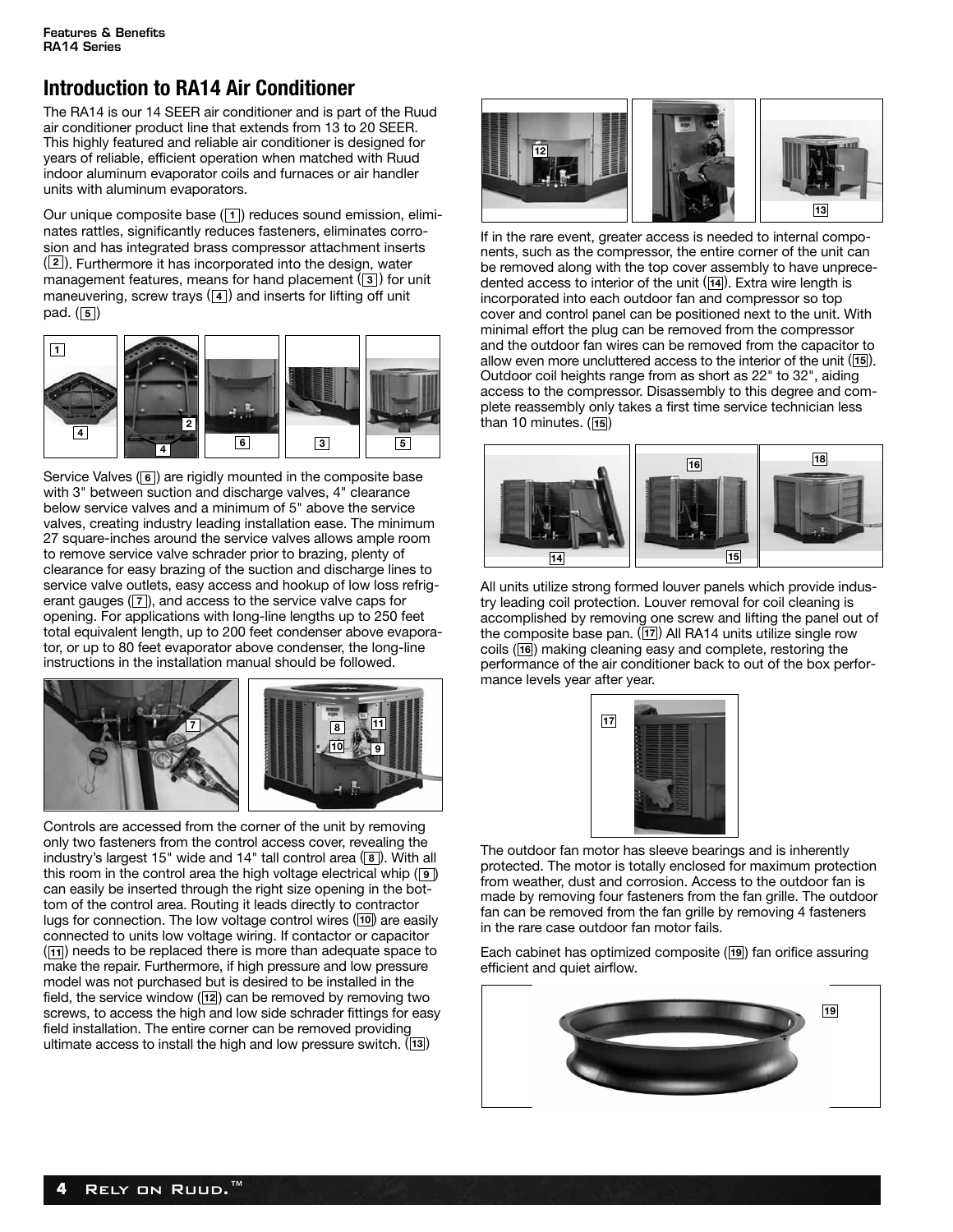## **Introduction to RA14 Air Conditioner**

The RA14 is our 14 SEER air conditioner and is part of the Ruud air conditioner product line that extends from 13 to 20 SEER. This highly featured and reliable air conditioner is designed for years of reliable, efficient operation when matched with Ruud indoor aluminum evaporator coils and furnaces or air handler units with aluminum evaporators.

Our unique composite base (11) reduces sound emission, eliminates rattles, significantly reduces fasteners, eliminates corrosion and has integrated brass compressor attachment inserts (2). Furthermore it has incorporated into the design, water management features, means for hand placement (3) for unit maneuvering, screw trays (4) and inserts for lifting off unit pad. (**5**)



Service Valves (6) are rigidly mounted in the composite base with 3" between suction and discharge valves, 4" clearance below service valves and a minimum of 5" above the service valves, creating industry leading installation ease. The minimum 27 square-inches around the service valves allows ample room to remove service valve schrader prior to brazing, plenty of clearance for easy brazing of the suction and discharge lines to service valve outlets, easy access and hookup of low loss refrigerant gauges (7), and access to the service valve caps for opening. For applications with long-line lengths up to 250 feet total equivalent length, up to 200 feet condenser above evaporator, or up to 80 feet evaporator above condenser, the long-line instructions in the installation manual should be followed.



Controls are accessed from the corner of the unit by removing only two fasteners from the control access cover, revealing the industry's largest 15" wide and 14" tall control area (8). With all this room in the control area the high voltage electrical whip (**9**) can easily be inserted through the right size opening in the bottom of the control area. Routing it leads directly to contractor lugs for connection. The low voltage control wires (10) are easily connected to units low voltage wiring. If contactor or capacitor (11) needs to be replaced there is more than adequate space to make the repair. Furthermore, if high pressure and low pressure model was not purchased but is desired to be installed in the field, the service window (12) can be removed by removing two screws, to access the high and low side schrader fittings for easy field installation. The entire corner can be removed providing ultimate access to install the high and low pressure switch. (13)



If in the rare event, greater access is needed to internal components, such as the compressor, the entire corner of the unit can be removed along with the top cover assembly to have unprecedented access to interior of the unit ([14]). Extra wire length is incorporated into each outdoor fan and compressor so top cover and control panel can be positioned next to the unit. With minimal effort the plug can be removed from the compressor and the outdoor fan wires can be removed from the capacitor to allow even more uncluttered access to the interior of the unit ([15]). Outdoor coil heights range from as short as 22" to 32", aiding access to the compressor. Disassembly to this degree and complete reassembly only takes a first time service technician less than 10 minutes. (**15**)



All units utilize strong formed louver panels which provide industry leading coil protection. Louver removal for coil cleaning is accomplished by removing one screw and lifting the panel out of the composite base pan. (17) All RA14 units utilize single row coils (**16**) making cleaning easy and complete, restoring the performance of the air conditioner back to out of the box performance levels year after year.



The outdoor fan motor has sleeve bearings and is inherently protected. The motor is totally enclosed for maximum protection from weather, dust and corrosion. Access to the outdoor fan is made by removing four fasteners from the fan grille. The outdoor fan can be removed from the fan grille by removing 4 fasteners in the rare case outdoor fan motor fails.

Each cabinet has optimized composite (**19**) fan orifice assuring efficient and quiet airflow.

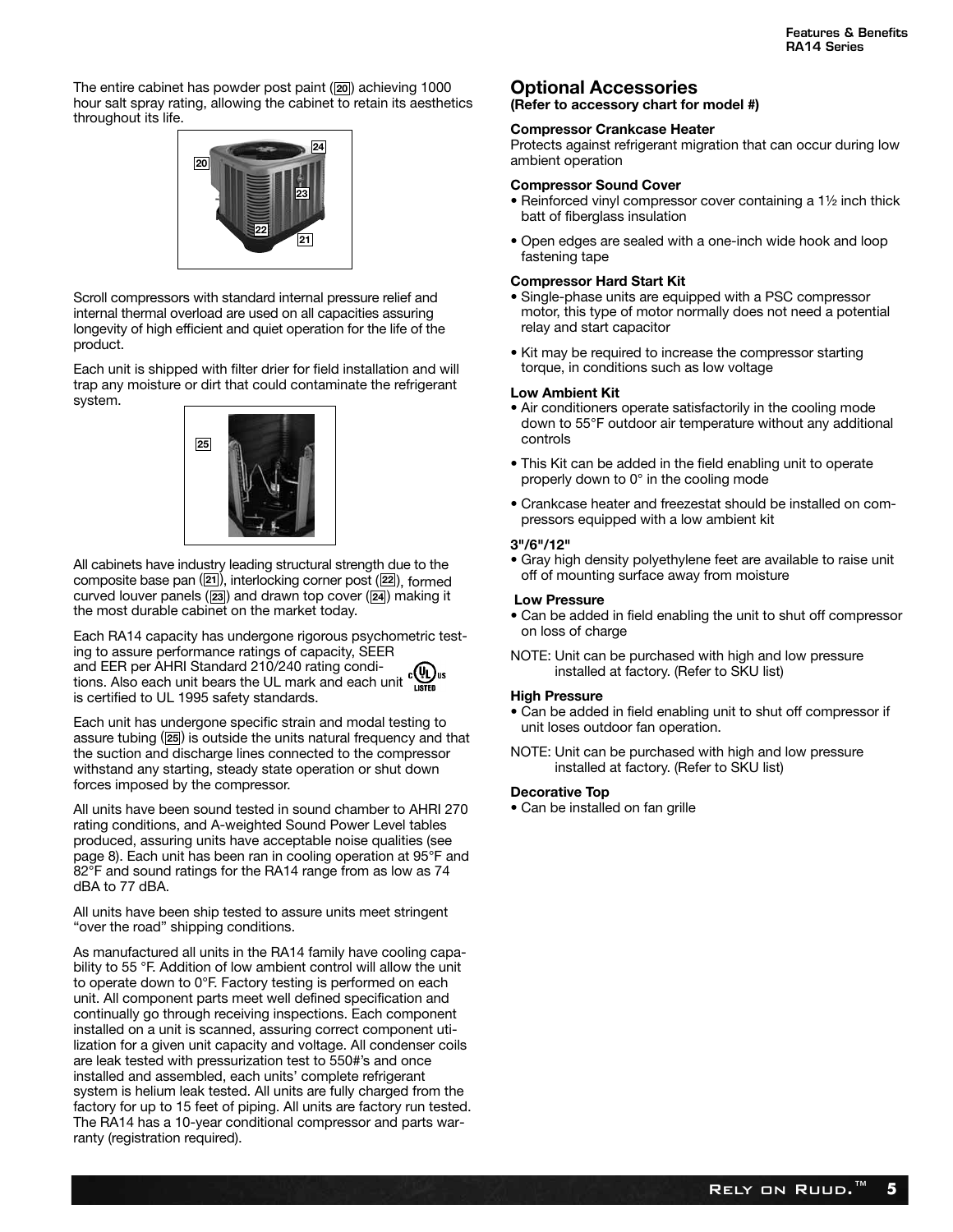The entire cabinet has powder post paint (20) achieving 1000 hour salt spray rating, allowing the cabinet to retain its aesthetics throughout its life.



Scroll compressors with standard internal pressure relief and internal thermal overload are used on all capacities assuring longevity of high efficient and quiet operation for the life of the product.

Each unit is shipped with filter drier for field installation and will trap any moisture or dirt that could contaminate the refrigerant system.



All cabinets have industry leading structural strength due to the composite base pan (21), interlocking corner post (22), formed curved louver panels (23) and drawn top cover (24) making it the most durable cabinet on the market today.

Each RA14 capacity has undergone rigorous psychometric testing to assure performance ratings of capacity, SEER and EER per AHRI Standard 210/240 rating conditions. Also each unit bears the UL mark and each unit  $\sum_{\text{LSTM}}^{\text{U}}$  is certified to LU, 1995 and the UL mark and each unit is certified to UL 1995 safety standards.

Each unit has undergone specific strain and modal testing to assure tubing (25) is outside the units natural frequency and that the suction and discharge lines connected to the compressor withstand any starting, steady state operation or shut down forces imposed by the compressor.

All units have been sound tested in sound chamber to AHRI 270 rating conditions, and A-weighted Sound Power Level tables produced, assuring units have acceptable noise qualities (see page 8). Each unit has been ran in cooling operation at 95°F and 82°F and sound ratings for the RA14 range from as low as 74 dBA to 77 dBA.

All units have been ship tested to assure units meet stringent "over the road" shipping conditions.

As manufactured all units in the RA14 family have cooling capability to 55 °F. Addition of low ambient control will allow the unit to operate down to 0°F. Factory testing is performed on each unit. All component parts meet well defined specification and continually go through receiving inspections. Each component installed on a unit is scanned, assuring correct component utilization for a given unit capacity and voltage. All condenser coils are leak tested with pressurization test to 550#'s and once installed and assembled, each units' complete refrigerant system is helium leak tested. All units are fully charged from the factory for up to 15 feet of piping. All units are factory run tested. The RA14 has a 10-year conditional compressor and parts warranty (registration required).

#### **Optional Accessories**

**(Refer to accessory chart for model #)**

#### **Compressor Crankcase Heater**

Protects against refrigerant migration that can occur during low ambient operation

#### **Compressor Sound Cover**

- Reinforced vinyl compressor cover containing a 1½ inch thick batt of fiberglass insulation
- Open edges are sealed with a one-inch wide hook and loop fastening tape

#### **Compressor Hard Start Kit**

- Single-phase units are equipped with a PSC compressor motor, this type of motor normally does not need a potential relay and start capacitor
- Kit may be required to increase the compressor starting torque, in conditions such as low voltage

#### **Low Ambient Kit**

- Air conditioners operate satisfactorily in the cooling mode down to 55°F outdoor air temperature without any additional controls
- This Kit can be added in the field enabling unit to operate properly down to 0° in the cooling mode
- Crankcase heater and freezestat should be installed on compressors equipped with a low ambient kit

#### **3"/6"/12"**

• Gray high density polyethylene feet are available to raise unit off of mounting surface away from moisture

#### **Low Pressure**

- Can be added in field enabling the unit to shut off compressor on loss of charge
- NOTE: Unit can be purchased with high and low pressure installed at factory. (Refer to SKU list)

#### **High Pressure**

- Can be added in field enabling unit to shut off compressor if unit loses outdoor fan operation.
- NOTE: Unit can be purchased with high and low pressure installed at factory. (Refer to SKU list)

#### **Decorative Top**

• Can be installed on fan grille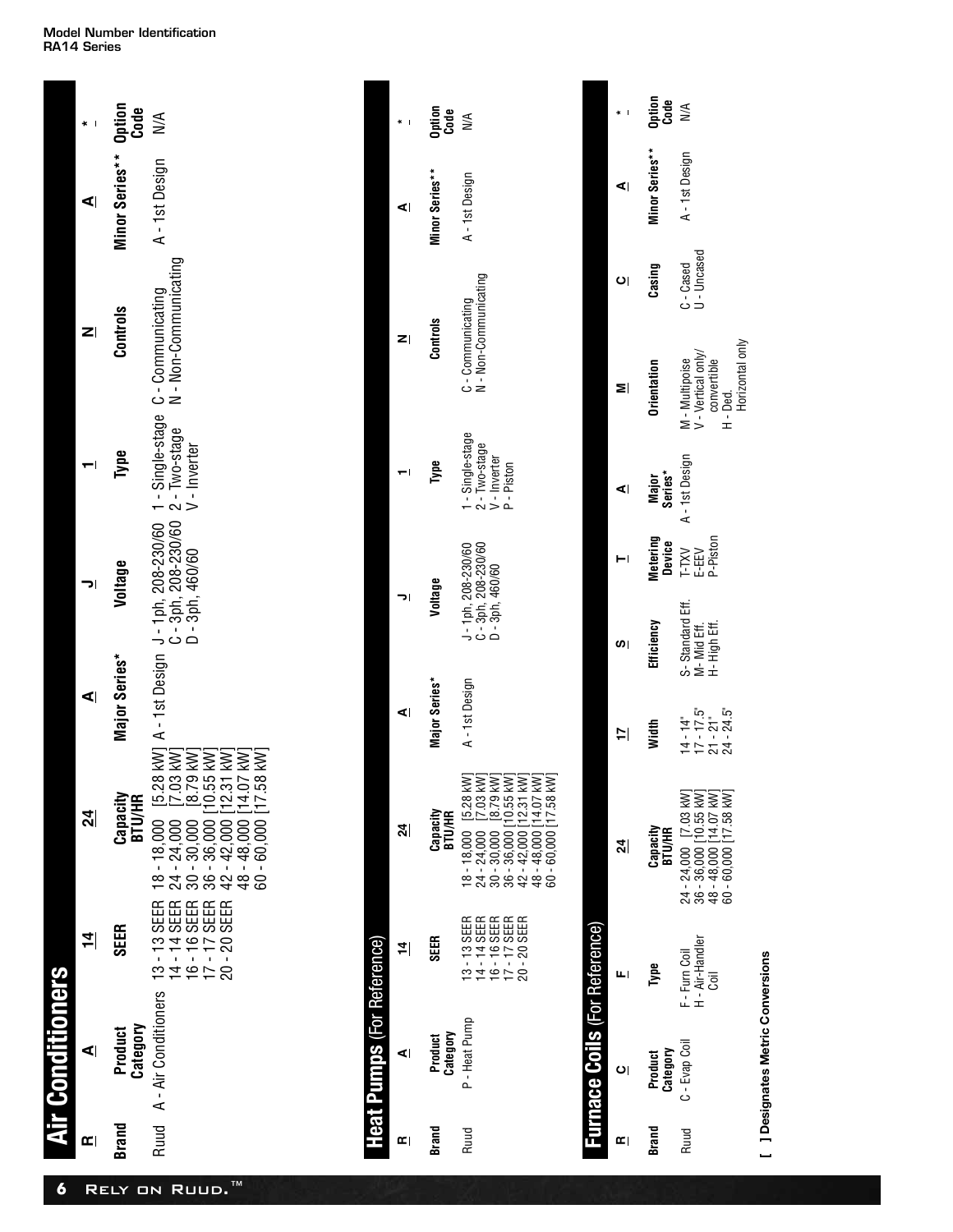#### **Model Number Identification RA14 Series**

| 6                        | <b>ir Conditioners</b>     |                                              |                                                                                                                                    |               |         |      |          |                               |               |
|--------------------------|----------------------------|----------------------------------------------|------------------------------------------------------------------------------------------------------------------------------------|---------------|---------|------|----------|-------------------------------|---------------|
| $\vert \mathbf{r} \vert$ | $\blacktriangleleft$       | $\frac{4}{1}$                                | $\frac{4}{3}$                                                                                                                      | ⋖∣            | יכ      |      | Z        | ⋖                             |               |
| Brand                    | Category<br><b>Product</b> | <b>SEER</b>                                  | Capacity<br><b>BTU/HR</b>                                                                                                          | Major Series* | Voltage | Type | Controls | Minor Series** Option<br>Code |               |
|                          | Ruud A - Air Conditioners  | 16 - 16 SEER<br>17 - 17 SEER<br>20 - 20 SEER | $36 - 36,000 [10.55 \text{ kW}]$<br>$42 - 42,000 [12.31 \text{ kW}]$<br>$48 - 48,000 [14.07 \text{ kW}]$<br>60 - 60,000 [17.58 kW] |               |         |      |          | A-1st Design                  | $\frac{1}{2}$ |

|              | <b>Heat Pumps</b> (For Reference) |                                                                                |                                                                                                                                                                                                                                                                                                     |               |                                                               |                    |                                                               |                                          |                |                |                |
|--------------|-----------------------------------|--------------------------------------------------------------------------------|-----------------------------------------------------------------------------------------------------------------------------------------------------------------------------------------------------------------------------------------------------------------------------------------------------|---------------|---------------------------------------------------------------|--------------------|---------------------------------------------------------------|------------------------------------------|----------------|----------------|----------------|
| $\mathbf{r}$ | ⋖∣                                | $\left  \vec{r} \right $                                                       | ম্ৰ                                                                                                                                                                                                                                                                                                 | ⋖∣            | וכ                                                            |                    |                                                               | z                                        |                | ⋖∣             | I              |
| <b>Brand</b> | Category<br><b>Product</b>        | <b>SEER</b>                                                                    | Capacity<br>BTU/HR                                                                                                                                                                                                                                                                                  | Major Series* | Voltage                                                       |                    | Type                                                          | Controls                                 |                | Minor Series** | Dation<br>Code |
| Ruud         | P - Heat Pump                     | $14 - 14$ SEER<br>16 - 16 SEER<br>17 - 17 SEER<br>17 - 17 SEER<br>13 - 13 SEER | $\begin{array}{ll} 24-24,000 & [7.03\ \text{WV}] \\ 30-30,000 & [8.79\ \text{WV}] \\ 30-36,000 & [10.55\ \text{WV}] \\ 36-36,000 & [12.31\ \text{WV}] \\ 42-42,000 & [12.31\ \text{WV}] \\ 48-48,000 & [14.07\ \text{WV}] \\ 60-60,000 & [17.58\ \text{WV}] \end{array}$<br>$18 - 18,000$ [5.28 kW] | A-1st Design  | J - 1ph, 208-230/60<br>C - 3ph, 208-230/60<br>D - 3ph, 460/60 |                    | - Single-stage<br>2 - Two-stage<br>V - Inverter<br>P - Piston | N - Non-Communicating<br>C-Communicating |                | A-1st Design   | ≫              |
|              |                                   | <b>Eurnace Coils (For Reference)</b>                                           |                                                                                                                                                                                                                                                                                                     |               |                                                               |                    |                                                               |                                          |                |                |                |
| Œ            | $\overline{O}$                    | ш                                                                              | ম্ৰ                                                                                                                                                                                                                                                                                                 | 17            | (၂                                                            |                    | ⋖∣                                                            | ≅                                        | $\overline{c}$ | ⋖∣             | J              |
| Brand        | Product<br>Category               | Type                                                                           | Сарасіty<br>ВТИ/НR                                                                                                                                                                                                                                                                                  | Width         | Efficiency                                                    | Metering<br>Device | Series*<br>Major                                              | Orientation                              | Casing         | Minor Series** | Option<br>Code |
| <b>Ruud</b>  | C - Evap Coil                     | F - Furn Coil                                                                  | 24 - 24,000 [7.03 kW]                                                                                                                                                                                                                                                                               | $14 - 14$ "   | S-Standard Eff.                                               | T-TXV              | A-1st Design                                                  | M - Multipoise                           | C-Cased        | A-1st Design   | NA             |

**Orientation Casing Minor Series\*\* Option** C - Cased<br>U - Uncased U - Uncased Casing M - Multipoise<br>V - Vertical only/<br>convertible<br>Horle -<br>Horizontal only Horizontal only V - Vertical only/ A - 1st Design M - Multipoise convertible A-1st Design **Major Series\* Width Efficiency Metering Device** T-TXV E-EEV P-Piston S-Standard Eff.<br>M- Mid Eff.<br>H- High Eff. S- Standard Eff. Efficiency M- Mid Eff. - 14"<br>17 17 21<br>17 17 24<br>14 24  $24 - 24,000$  [7.03 kW]<br>36 - 36,000 [10.55 kW]<br>48 - 48,000 [14.07 kW]<br>60 - 60,000 [7.7.58 kW] 24 - 24,000 [7.03 kW] 36 - 36,000 [10.55 kW] 48 - 48,000 [14.07 kW] 60 - 60,000 [17.58 kW] **BTU/HR Type Capacity** F - Furn Coil<br>H - Air-Handler<br>Coil H - Air-Handler Ruud C - Evap Coil F - Furn Coil Type C - Evap Coil **Category Brand Product** Ruud Brand

[ ] Designates Metric Conversions **[ ] Designates Metric Conversions**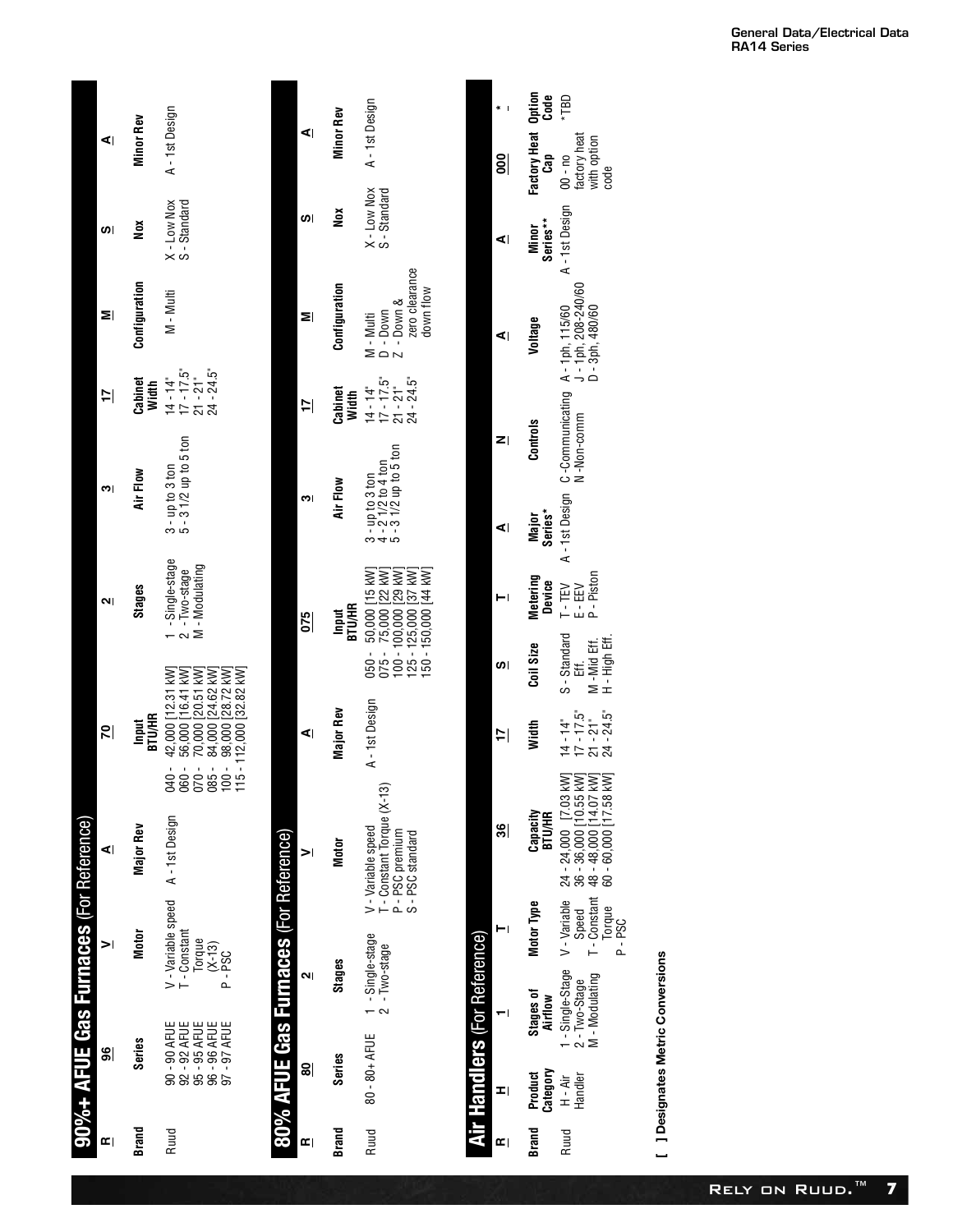|                                        | ⋖∣                       | <b>Minor Rev</b>       | A - 1st Design                                                                                                                                                  |                                       | ⋖∣                       | <b>Minor Rev</b>       | A - 1st Design                                                      |
|----------------------------------------|--------------------------|------------------------|-----------------------------------------------------------------------------------------------------------------------------------------------------------------|---------------------------------------|--------------------------|------------------------|---------------------------------------------------------------------|
|                                        | ဖာ၊                      | š                      | X - Low Nox<br>S - Standard                                                                                                                                     |                                       | (၂                       | ă                      | X - Low Nox<br>S - Standard                                         |
|                                        | Σİ                       | Configuration          | $M - Multi$                                                                                                                                                     |                                       | ≅∣                       | Configuration          | $7 -$ Down $\lambda$<br>$D - Down$<br>M - Multi                     |
|                                        | $\Xi$                    | Cabinet<br>Width       | $17 - 17.5$ "<br>$24 - 24.5$ "<br>$21 - 21$ "<br>$14 - 14$ "                                                                                                    |                                       | $\Xi$                    | Cabinet<br>Width       | $14 - 14$ "<br>$17 - 17.5$ "<br>$21 - 21$ "                         |
|                                        | က၊                       | Air Flow               | $3 - up to 3 ton$<br>$5 - 3$ $1/2$ up to 5 ton                                                                                                                  |                                       | m۱                       | Air Flow               | $3 - 10$ to 3 ton<br>$4 - 21/2$ to 4 ton<br>$5 - 31/2$ up to 5 ton  |
|                                        | וו                       | Stages                 | 1 -Single-stage<br>M - Modulating<br>$2 - Two-stage$                                                                                                            |                                       | $\overline{6}$           | <b>ВТИ/НR</b><br>Input | 050 - 50,000 [15 kW]<br>75,000 [22 kW]<br>TWA PCT 000 000 - 001     |
|                                        | $\overline{\mathcal{Z}}$ | <b>ВТИ/НR</b><br>Input | 040 - 42,000 [12.31 kW]<br>060 - 56,000 [16.41 kW]<br>070 - 70,000 [20.51 kW]<br>085 - 84,000 [24.62 kW]<br>100 - 98,000 [28.72 kW]<br>115 - 112,000 [32.82 kW] |                                       | ⋖∣                       | Major Rev              | $075 -$<br>A-1st Design                                             |
|                                        | ⋖∣                       | <b>Major Rev</b>       |                                                                                                                                                                 |                                       | $\geq$                   | Motor                  | T - Constant Torque (X-13)<br>P - PSC premium<br>V - Variable speed |
| 90%+ AFUE Gas Furnaces (For Reference) | $\geq$                   | Motor                  | V - Variable speed A - 1st Design<br>T - Constant<br>Torque<br>$(X-13)$<br>P-PSC                                                                                | 80% AFUE Gas Furnaces (For Reference) | ווח                      | <b>Stages</b>          |                                                                     |
|                                        | န္တု                     | Series                 | 90 - 90 AFUE<br>92 - 92 AFUE<br>95 - 95 AFUE<br>96 - 96 AFUE<br>97 - 97 AFUE                                                                                    |                                       | 읾                        | Series                 | 80 - 80+ AFUE 1 - Single-stage<br>2 - Two-stage                     |
|                                        | $\mathbf{r}$             | <b>Brand</b>           | Ruud                                                                                                                                                            |                                       | $\vert \mathbf{r} \vert$ | <b>Brand</b>           | Ruud                                                                |

|                                                                                                                           |                                     |                |                                 | *TBD                                                                                                    |  |
|---------------------------------------------------------------------------------------------------------------------------|-------------------------------------|----------------|---------------------------------|---------------------------------------------------------------------------------------------------------|--|
|                                                                                                                           |                                     | $\frac{8}{2}$  | Factory Heat Option<br>Cap Code | factory heat<br>with option                                                                             |  |
| $X - Low Nox$ $A - 1st$ Design<br>S-Standard                                                                              |                                     | ⋖∣             | Series**<br>Minor               | A-1st Design 00-no                                                                                      |  |
| zero clearance<br>down flow<br>14 - 14" M - Multi<br>17 - 17.5" D - Down<br>21 - 21" Z - Down &<br>24 - 24.5" zero cleara |                                     | ⋖∣             | Voltage                         |                                                                                                         |  |
|                                                                                                                           |                                     | zı             | Controls                        | A - 1st Design C -Communicating A - 1ph, 115/60<br>N -Non-comm   J - 1ph, 208-240/60<br>D - 3ph, 480/60 |  |
| 3 - up to 3 ton<br>4 - 2 1/2 to 4 ton<br>5 - 3 1/2 up to 5 ton                                                            |                                     | ⋖∣             | Series*<br>Major                |                                                                                                         |  |
| 050 - 50,000 [15 kW]<br>075 - 75,000 [22 kW]<br>100 - 100,000 [29 kW]<br>150 - 150,000 [44 KW]<br>125 - 125,000 [37 KW]   |                                     |                | <b>Metering</b><br>Device       |                                                                                                         |  |
|                                                                                                                           |                                     | ဖာ             | Coil Size                       | 14 - 14" S - Standard T - TEV<br>17 - 17.5" Eff.<br>21 - 21" M - Mid Eff. P - Piston                    |  |
| A-1st Design                                                                                                              |                                     | $\overline{=}$ | Width                           |                                                                                                         |  |
| T - Constant Torque (X-13)<br>P - PSC premium<br>S - PSC standard                                                         |                                     | \$             | Capacity<br>BTU/HR              |                                                                                                         |  |
|                                                                                                                           |                                     |                | Motor Type                      |                                                                                                         |  |
| Ruud 80 - 80 - 80 + AFUE 1 - Single-stage V - V - Yariable speed<br>$2 - Two-state$                                       | <b>Air Handlers</b> (For Reference) |                | Stages of<br>Airflow            |                                                                                                         |  |
|                                                                                                                           |                                     |                | Category<br>Product             | H - Air<br>Handler                                                                                      |  |
|                                                                                                                           |                                     |                | Brand                           | Ruud                                                                                                    |  |

[ ] Designates Metric Conversions **[ ] Designates Metric Conversions**

24 - 24,000 [7.03 kW] 36 - 36,000 [10.55 kW] 48 - 48,000 [14.07 kW] 60 - 60,000 [17.58 kW]

S - Standard Eff. M -Mid Eff. H - High Eff.

factory heat with option code

- 14"<br>17 17 21<br>17 - 24<br>24 - 24

Speed<br>T - Consta<br>Torque<br>P - PSC<br>P - PSC T - Constant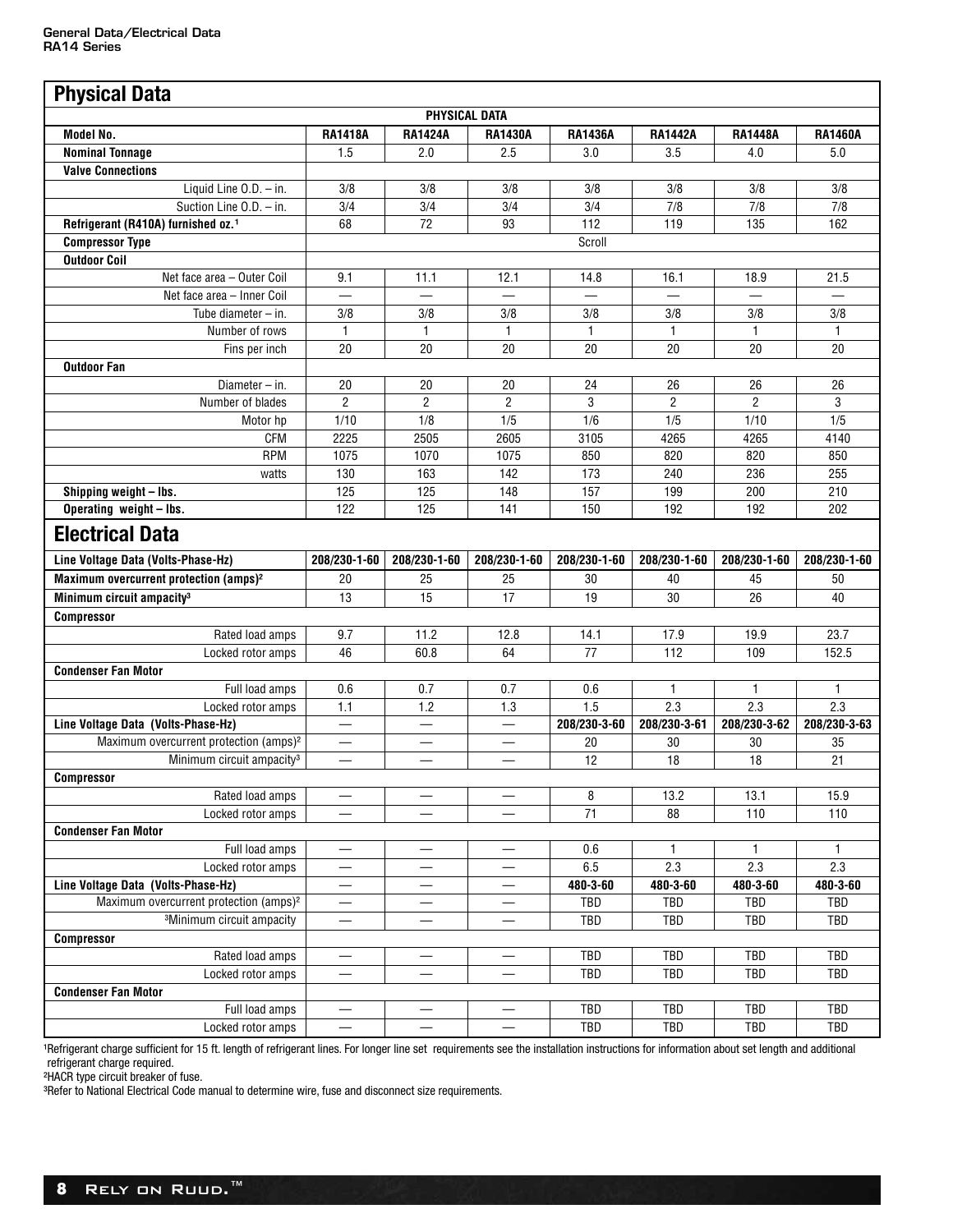| <b>Physical Data</b>                               |                          |                          |                          |                  |                |                |                |
|----------------------------------------------------|--------------------------|--------------------------|--------------------------|------------------|----------------|----------------|----------------|
|                                                    |                          | PHYSICAL DATA            |                          |                  |                |                |                |
| <b>Model No.</b>                                   | <b>RA1418A</b>           | <b>RA1424A</b>           | <b>RA1430A</b>           | <b>RA1436A</b>   | <b>RA1442A</b> | <b>RA1448A</b> | <b>RA1460A</b> |
| <b>Nominal Tonnage</b>                             | 1.5                      | 2.0                      | 2.5                      | 3.0              | 3.5            | 4.0            | 5.0            |
| <b>Valve Connections</b>                           |                          |                          |                          |                  |                |                |                |
| Liquid Line $0.D. - in.$                           | 3/8                      | 3/8                      | 3/8                      | 3/8              | 3/8            | 3/8            | 3/8            |
| Suction Line O.D. - in.                            | 3/4                      | 3/4                      | 3/4                      | 3/4              | 7/8            | 7/8            | 7/8            |
| Refrigerant (R410A) furnished oz. <sup>1</sup>     | 68                       | 72                       | 93                       | 112              | 119            | 135            | 162            |
| <b>Compressor Type</b>                             |                          |                          |                          | Scroll           |                |                |                |
| <b>Outdoor Coil</b>                                |                          |                          |                          |                  |                |                |                |
| Net face area - Outer Coil                         | 9.1                      | 11.1                     | 12.1                     | 14.8             | 16.1           | 18.9           | 21.5           |
| Net face area - Inner Coil                         |                          |                          |                          |                  |                |                |                |
| Tube diameter $-$ in.                              | 3/8                      | 3/8                      | 3/8                      | 3/8              | 3/8            | 3/8            | 3/8            |
| Number of rows                                     | $\mathbf{1}$             | 1                        | 1                        | 1                | 1              | 1              | 1              |
| Fins per inch                                      | 20                       | 20                       | 20                       | 20               | 20             | 20             | 20             |
| <b>Outdoor Fan</b>                                 |                          |                          |                          |                  |                |                |                |
| Diameter $-$ in.                                   | 20                       | 20                       | 20                       | 24               | 26             | 26             | 26             |
| Number of blades                                   | $\overline{2}$           | $\overline{2}$           | $\overline{2}$           | 3                | $\overline{2}$ | $\overline{2}$ | 3              |
| Motor hp                                           | 1/10                     | 1/8                      | 1/5                      | 1/6              | 1/5            | 1/10           | 1/5            |
| <b>CFM</b>                                         | 2225                     | 2505                     | 2605                     | 3105             | 4265           | 4265           | 4140           |
| <b>RPM</b>                                         | 1075                     | 1070                     | 1075                     | 850              | 820            | 820            | 850            |
| watts                                              | 130                      | 163                      | 142                      | 173              | 240            | 236            | 255            |
| Shipping weight - Ibs.                             | 125                      | 125                      | 148                      | 157              | 199            | 200            | 210            |
| Operating weight - lbs.                            | 122                      | 125                      | 141                      | 150              | 192            | 192            | 202            |
|                                                    |                          |                          |                          |                  |                |                |                |
| <b>Electrical Data</b>                             |                          |                          |                          |                  |                |                |                |
| Line Voltage Data (Volts-Phase-Hz)                 | 208/230-1-60             | 208/230-1-60             | 208/230-1-60             | 208/230-1-60     | 208/230-1-60   | 208/230-1-60   | 208/230-1-60   |
| Maximum overcurrent protection (amps) <sup>2</sup> | 20                       | 25                       | 25                       | 30               | 40             | 45             | 50             |
| Minimum circuit ampacity <sup>3</sup>              | 13                       | 15                       | 17                       | 19               | 30             | 26             | 40             |
| <b>Compressor</b>                                  |                          |                          |                          |                  |                |                |                |
| Rated load amps                                    | 9.7                      | 11.2                     | 12.8                     | 14.1             | 17.9           | 19.9           | 23.7           |
| Locked rotor amps                                  | 46                       | 60.8                     | 64                       | 77               | 112            | 109            | 152.5          |
| <b>Condenser Fan Motor</b>                         |                          |                          |                          |                  |                |                |                |
| Full load amps                                     | 0.6                      | 0.7                      | 0.7                      | 0.6              | $\mathbf{1}$   | $\mathbf{1}$   | $\mathbf{1}$   |
| Locked rotor amps                                  | 1.1                      | 1.2                      | 1.3                      | $\overline{1.5}$ | 2.3            | 2.3            | 2.3            |
| Line Voltage Data (Volts-Phase-Hz)                 |                          |                          |                          | 208/230-3-60     | 208/230-3-61   | 208/230-3-62   | 208/230-3-63   |
| Maximum overcurrent protection (amps) <sup>2</sup> | $\overline{\phantom{0}}$ |                          | $\overline{\phantom{0}}$ | 20               | 30             | 30             | 35             |
| Minimum circuit ampacity <sup>3</sup>              |                          | $\overline{\phantom{0}}$ | $\overline{\phantom{0}}$ | 12               | 18             | 18             | 21             |
| Compressor                                         |                          |                          |                          |                  |                |                |                |
| Rated load amps                                    |                          |                          | $\overline{\phantom{0}}$ | 8                | 13.2           | 13.1           | 15.9           |
| Locked rotor amps                                  |                          |                          |                          | 71               | 88             | 110            | 110            |
| <b>Condenser Fan Motor</b>                         |                          |                          |                          |                  |                |                |                |
| Full load amps                                     |                          |                          |                          | 0.6              | 1              | 1              | 1              |
| Locked rotor amps                                  |                          |                          |                          | 6.5              | 2.3            | 2.3            | 2.3            |
| Line Voltage Data (Volts-Phase-Hz)                 |                          |                          |                          | 480-3-60         | 480-3-60       | 480-3-60       | 480-3-60       |
| Maximum overcurrent protection (amps) <sup>2</sup> |                          |                          |                          | TBD              | TBD            | TBD            | TBD            |
| <sup>3</sup> Minimum circuit ampacity              |                          |                          |                          | TBD              | TBD            | TBD            | TBD            |
| <b>Compressor</b>                                  |                          |                          |                          |                  |                |                |                |
| Rated load amps                                    | $\overline{\phantom{0}}$ |                          | $\overline{\phantom{0}}$ | TBD              | TBD            | <b>TBD</b>     | TBD            |
| Locked rotor amps                                  |                          | —                        |                          | TBD              | TBD            | TBD            | TBD            |
| <b>Condenser Fan Motor</b>                         |                          |                          |                          |                  |                |                |                |
| Full load amps                                     |                          |                          |                          | TBD              | TBD            | TBD            | TBD            |
|                                                    |                          |                          |                          | <b>TBD</b>       | TBD            | <b>TBD</b>     | TBD            |

1Refrigerant charge sufficient for 15 ft. length of refrigerant lines. For longer line set requirements see the installation instructions for information about set length and additional refrigerant charge required.

²HACR type circuit breaker of fuse.

<sup>3</sup>Refer to National Electrical Code manual to determine wire, fuse and disconnect size requirements.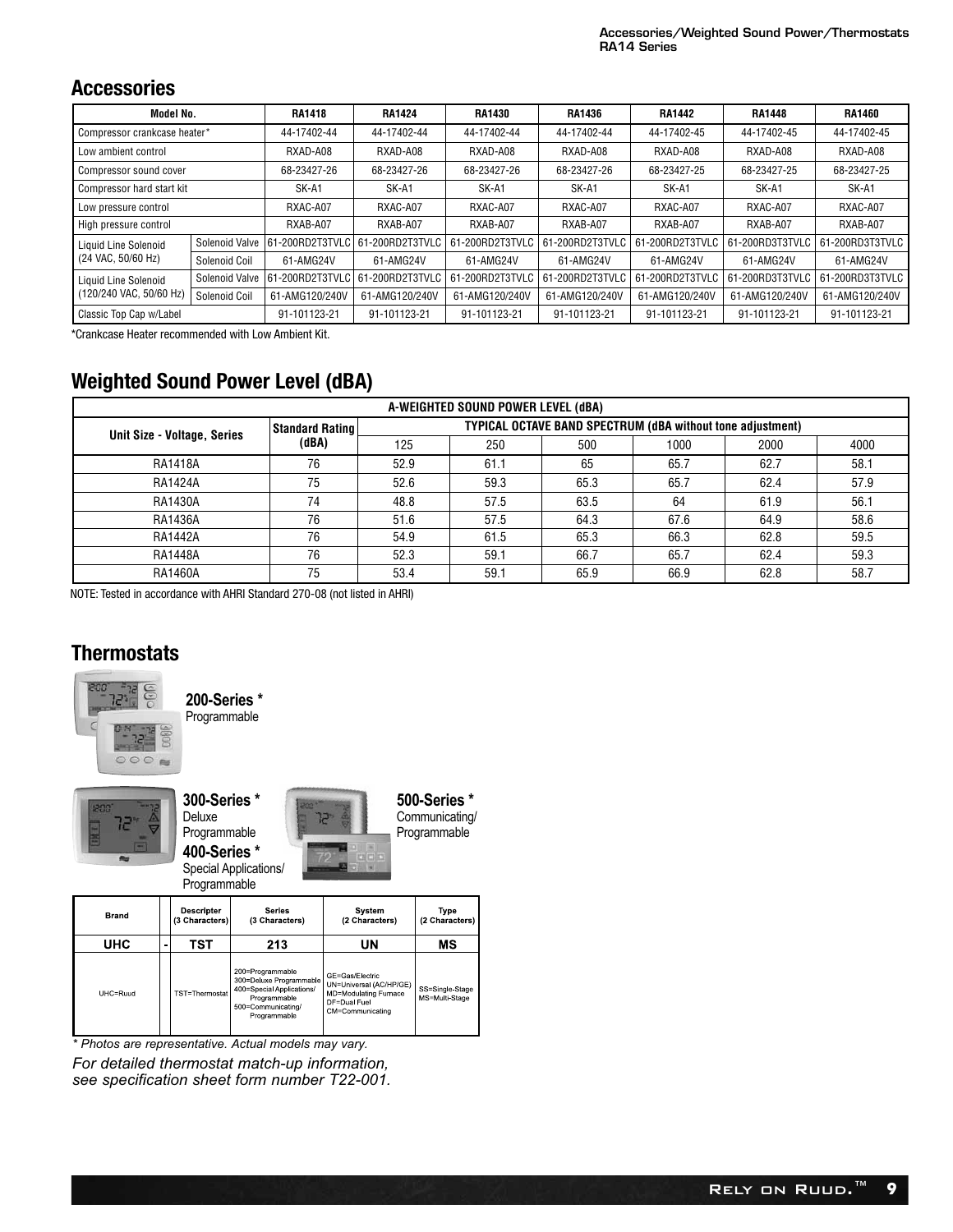#### **Accessories**

| Model No.                    |                | <b>RA1418</b>    | <b>RA1424</b>   | <b>RA1430</b>   | <b>RA1436</b>   | <b>RA1442</b>   | <b>RA1448</b>   | <b>RA1460</b>   |
|------------------------------|----------------|------------------|-----------------|-----------------|-----------------|-----------------|-----------------|-----------------|
| Compressor crankcase heater* |                | 44-17402-44      | 44-17402-44     | 44-17402-44     | 44-17402-44     | 44-17402-45     | 44-17402-45     | 44-17402-45     |
| Low ambient control          |                | RXAD-A08         | RXAD-A08        | RXAD-A08        | RXAD-A08        | RXAD-A08        | RXAD-A08        | RXAD-A08        |
| Compressor sound cover       |                | 68-23427-26      | 68-23427-26     | 68-23427-26     | 68-23427-26     | 68-23427-25     | 68-23427-25     | 68-23427-25     |
| Compressor hard start kit    |                | SK-A1            | SK-A1           | SK-A1           | SK-A1           | SK-A1           | SK-A1           | SK-A1           |
| Low pressure control         |                | RXAC-A07         | RXAC-A07        | RXAC-A07        | RXAC-A07        | RXAC-A07        | RXAC-A07        | RXAC-A07        |
| High pressure control        |                | RXAB-A07         | RXAB-A07        | RXAB-A07        | RXAB-A07        | RXAB-A07        | RXAB-A07        | RXAB-A07        |
| Liquid Line Solenoid         | Solenoid Valve | 61-200RD2T3TVLC  | 61-200RD2T3TVLC | 61-200RD2T3TVLC | 61-200RD2T3TVLC | 61-200RD2T3TVLC | 61-200RD3T3TVLC | 61-200RD3T3TVLC |
| (24 VAC, 50/60 Hz)           | Solenoid Coil  | 61-AMG24V        | 61-AMG24V       | 61-AMG24V       | 61-AMG24V       | 61-AMG24V       | 61-AMG24V       | 61-AMG24V       |
| Liquid Line Solenoid         | Solenoid Valve | 161-200RD2T3TVLC | 61-200RD2T3TVLC | 61-200RD2T3TVLC | 61-200RD2T3TVLC | 61-200RD2T3TVLC | 61-200RD3T3TVLC | 61-200RD3T3TVLC |
| (120/240 VAC, 50/60 Hz)      | Solenoid Coil  | 61-AMG120/240V   | 61-AMG120/240V  | 61-AMG120/240V  | 61-AMG120/240V  | 61-AMG120/240V  | 61-AMG120/240V  | 61-AMG120/240V  |
| Classic Top Cap w/Label      |                | 91-101123-21     | 91-101123-21    | 91-101123-21    | 91-101123-21    | 91-101123-21    | 91-101123-21    | 91-101123-21    |

\*Crankcase Heater recommended with Low Ambient Kit.

## **Weighted Sound Power Level (dBA)**

|                             |                 |      | A-WEIGHTED SOUND POWER LEVEL (dBA) |                                                                   |      |      |      |
|-----------------------------|-----------------|------|------------------------------------|-------------------------------------------------------------------|------|------|------|
|                             | Standard Rating |      |                                    | <b>TYPICAL OCTAVE BAND SPECTRUM (dBA without tone adjustment)</b> |      |      |      |
| Unit Size - Voltage, Series | (dBA)           | 125  | 250                                | 500                                                               | 1000 | 2000 | 4000 |
| <b>RA1418A</b>              | 76              | 52.9 | 61.1                               | 65                                                                | 65.7 | 62.7 | 58.1 |
| <b>RA1424A</b>              | 75              | 52.6 | 59.3                               | 65.3                                                              | 65.7 | 62.4 | 57.9 |
| <b>RA1430A</b>              | 74              | 48.8 | 57.5                               | 63.5                                                              | 64   | 61.9 | 56.1 |
| <b>RA1436A</b>              | 76              | 51.6 | 57.5                               | 64.3                                                              | 67.6 | 64.9 | 58.6 |
| <b>RA1442A</b>              | 76              | 54.9 | 61.5                               | 65.3                                                              | 66.3 | 62.8 | 59.5 |
| <b>RA1448A</b>              | 76              | 52.3 | 59.1                               | 66.7                                                              | 65.7 | 62.4 | 59.3 |
| <b>RA1460A</b>              | 75              | 53.4 | 59.1                               | 65.9                                                              | 66.9 | 62.8 | 58.7 |

NOTE: Tested in accordance with AHRI Standard 270-08 (not listed in AHRI)

## **Thermostats**



*\* Photos are representative. Actual models may vary.*

*For detailed thermostat match-up information,* 

*see specification sheet form number T22-001.*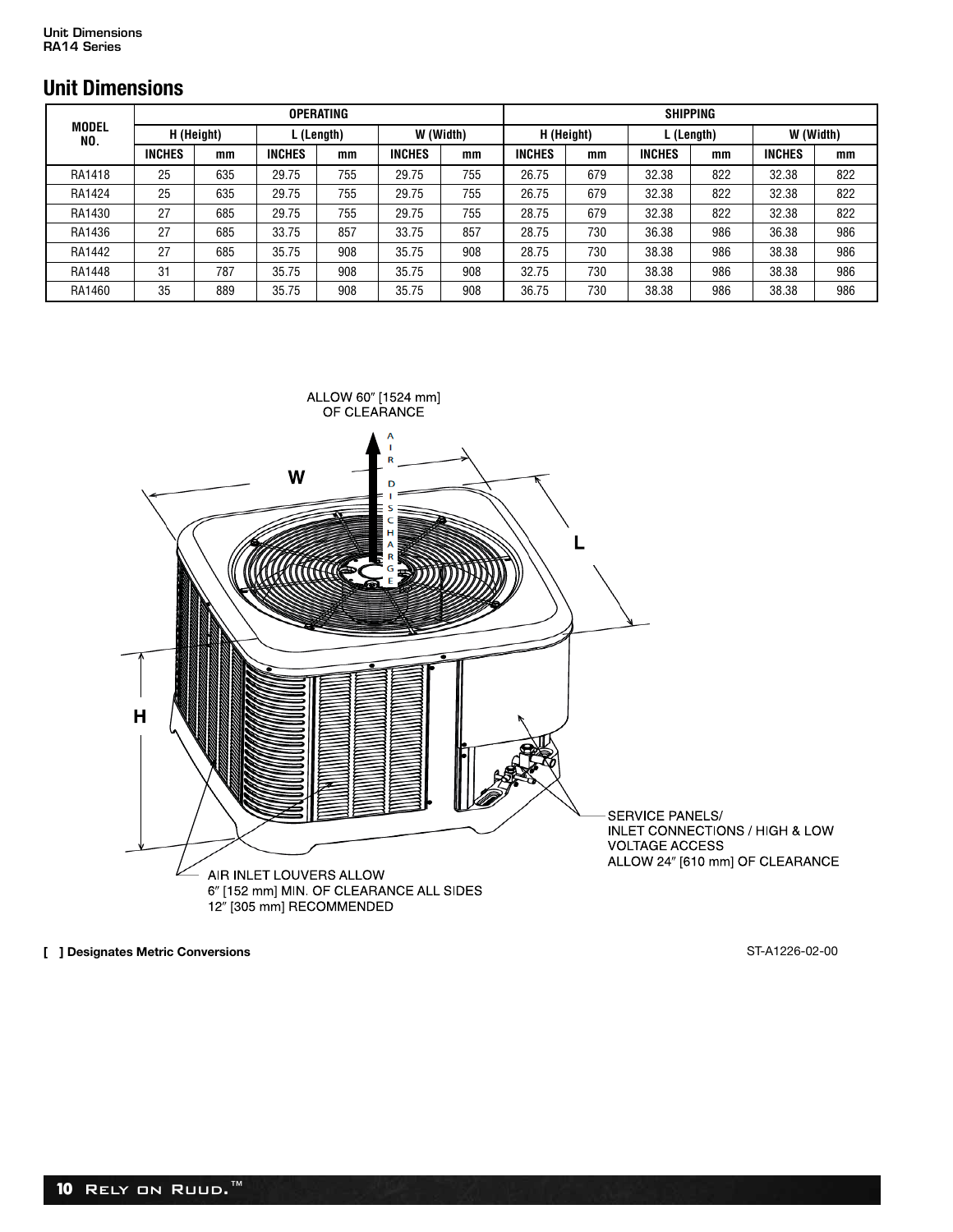## **Unit Dimensions**

|                     |               |            |               | <b>OPERATING</b> |               |           |               |            |               | <b>SHIPPING</b> |               |           |
|---------------------|---------------|------------|---------------|------------------|---------------|-----------|---------------|------------|---------------|-----------------|---------------|-----------|
| <b>MODEL</b><br>NO. |               | H (Height) |               | L (Length)       |               | W (Width) |               | H (Height) |               | L (Length)      |               | W (Width) |
|                     | <b>INCHES</b> | mm         | <b>INCHES</b> | mm               | <b>INCHES</b> | mm        | <b>INCHES</b> | mm         | <b>INCHES</b> | mm              | <b>INCHES</b> | mm        |
| RA1418              | 25            | 635        | 29.75         | 755              | 29.75         | 755       | 26.75         | 679        | 32.38         | 822             | 32.38         | 822       |
| RA1424              | 25            | 635        | 29.75         | 755              | 29.75         | 755       | 26.75         | 679        | 32.38         | 822             | 32.38         | 822       |
| RA1430              | 27            | 685        | 29.75         | 755              | 29.75         | 755       | 28.75         | 679        | 32.38         | 822             | 32.38         | 822       |
| RA1436              | 27            | 685        | 33.75         | 857              | 33.75         | 857       | 28.75         | 730        | 36.38         | 986             | 36.38         | 986       |
| RA1442              | 27            | 685        | 35.75         | 908              | 35.75         | 908       | 28.75         | 730        | 38.38         | 986             | 38.38         | 986       |
| RA1448              | 31            | 787        | 35.75         | 908              | 35.75         | 908       | 32.75         | 730        | 38.38         | 986             | 38.38         | 986       |
| RA1460              | 35            | 889        | 35.75         | 908              | 35.75         | 908       | 36.75         | 730        | 38.38         | 986             | 38.38         | 986       |



**[ ] Designates Metric Conversions** ST-A1226-02-00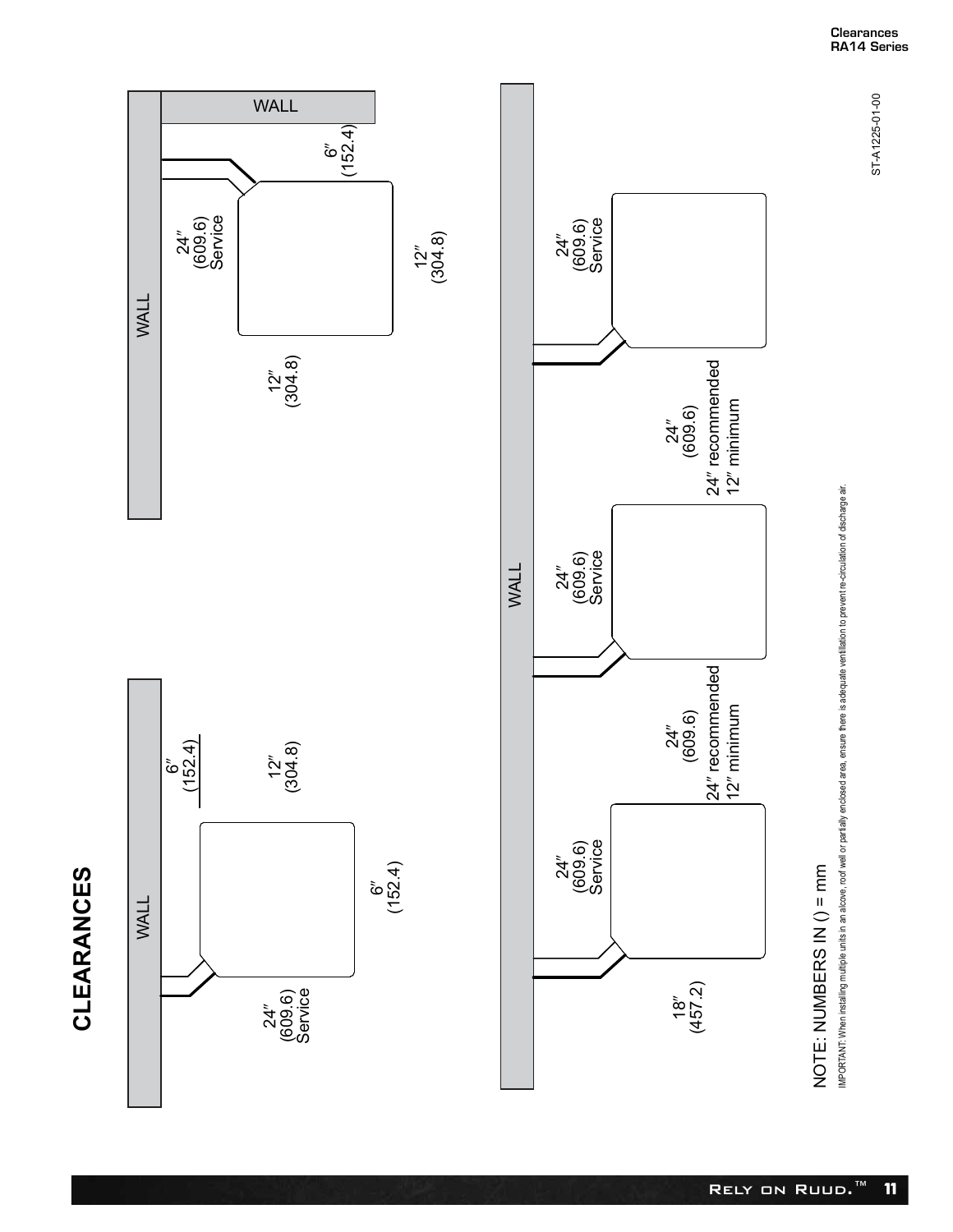



6- (152.4)

WALL



# NOTE: NUMBERS IN  $() = mm$ NOTE: NUMBERS IN () = mm

IMPORTANT: When installing multiple units in an alcove, roof well or partially enclosed area, ensure there is adequate verifilation to prevent re-circulation of discharge air. IMPORTANT: When installing multiple units in an alcove, roof well or partially enclosed area, ensure there is adequate ventillation to prevent re-circulation of discharge air.

ST-A1225-01-00

ST-A1225-01-00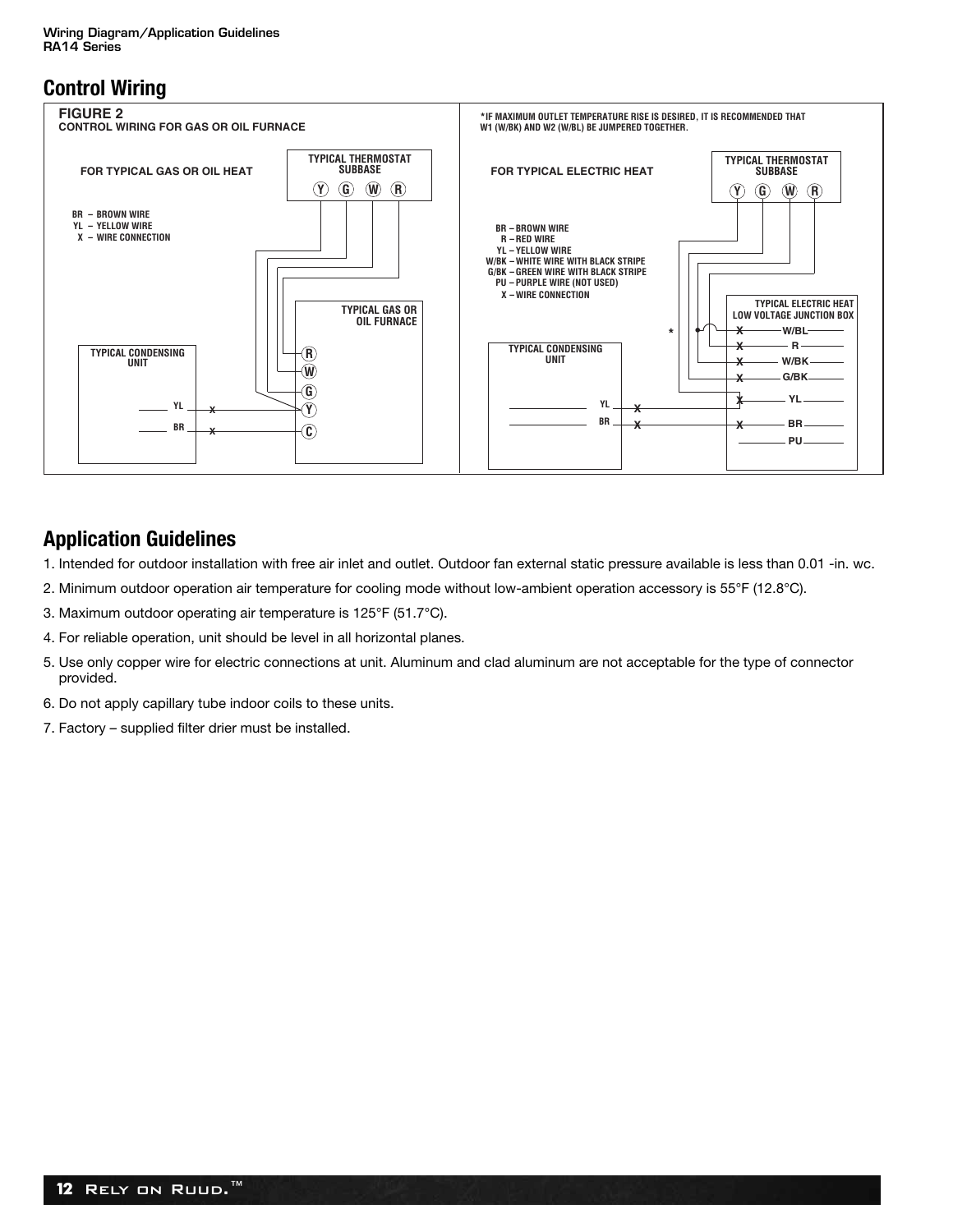## **Control Wiring**



#### **Application Guidelines**

- 1. Intended for outdoor installation with free air inlet and outlet. Outdoor fan external static pressure available is less than 0.01 -in. wc.
- 2. Minimum outdoor operation air temperature for cooling mode without low-ambient operation accessory is 55°F (12.8°C).
- 3. Maximum outdoor operating air temperature is 125°F (51.7°C).
- 4. For reliable operation, unit should be level in all horizontal planes.
- 5. Use only copper wire for electric connections at unit. Aluminum and clad aluminum are not acceptable for the type of connector provided.
- 6. Do not apply capillary tube indoor coils to these units.
- 7. Factory supplied filter drier must be installed.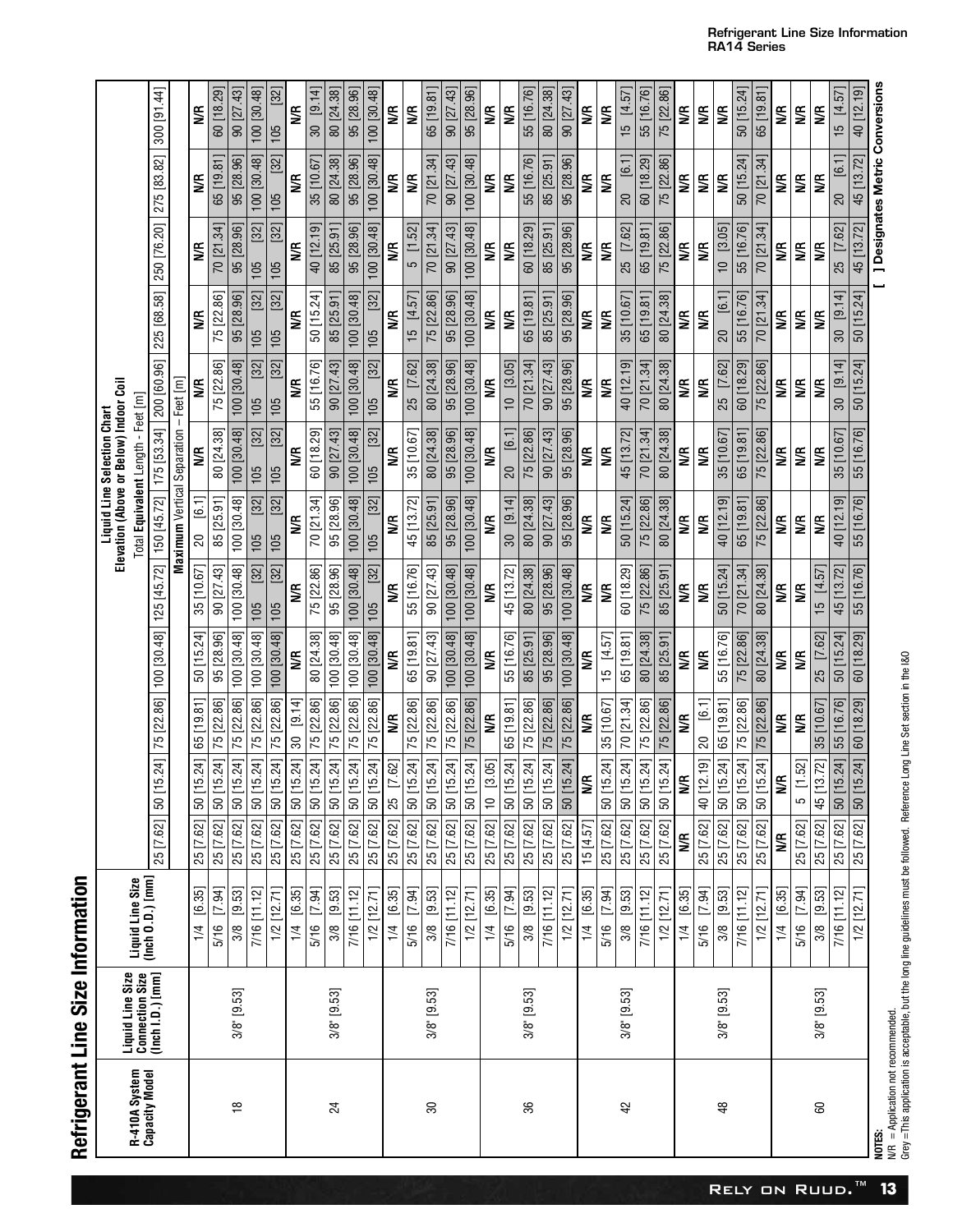Refrigerant Line Size Information **Refrigerant Line Size Information** 

|                                 |                                                         |                                      |                  |                            |                               |                         |               |                             | Elevation (Above or Below) Indoor Coil<br><b>Liquid Line Selection Chart</b> |                         |                                           |                |                                        |             |
|---------------------------------|---------------------------------------------------------|--------------------------------------|------------------|----------------------------|-------------------------------|-------------------------|---------------|-----------------------------|------------------------------------------------------------------------------|-------------------------|-------------------------------------------|----------------|----------------------------------------|-------------|
| R-410A System<br>Capacity Model | Liquid Line Size<br>Connection Size<br>(Inch I.D.) [mm] | Liquid Line Size<br>(Inch 0.D.) [mm] |                  |                            |                               |                         |               |                             | Total Equivalent Length - Feet [m]                                           |                         |                                           |                |                                        |             |
|                                 |                                                         |                                      | 25 [7.62]        | 24<br>50   15.             |                               | 75 [22.86] 100 [30.48]  | 125 [45.72]   | 150 [45.72]                 | 175 [53.34]                                                                  | 200 [60.96]             | 225 [68.58]                               | 250 [76.20]    | 275 [83.82]                            | 300 [91.44] |
|                                 |                                                         |                                      |                  |                            |                               |                         |               | Maximum Vertical Separation |                                                                              | – Feet im               |                                           |                |                                        |             |
|                                 |                                                         | [6.35]<br>$\frac{1}{4}$              | 25 [7.62]        | $^{24}$<br> 50 15          | 65 [19.81]                    | 50 [15.24]              | 35 [10.67]    | $\frac{1}{6}$<br>S)         | ⋚                                                                            | ⋚                       | S                                         | S              | S                                      | ⋚           |
|                                 |                                                         | 5/16 [7.94]                          | 25 [7.62] 50 [15 | 24]                        | 75 [22.86]                    | 95 [28.96]              | 90 [27.43]    | 85 [25.91]                  | 80 [24.38]                                                                   | 75 [22.86]              | 75 [22.86]                                | 70 [21.34]     | 65 [19.81]                             | 60 [18.29]  |
| $\frac{8}{1}$                   | 3/8" [9.53]                                             | 3/8 [9.53]                           | 25 [7.62]        | 24]<br>50[15]              | 75 [22.86]                    | 100 [30.48]             | 100 [30.48]   | 100 [30.48]                 | 100 [30.48]                                                                  | 100 [30.48]             | 95 [28.96]                                | 95 [28.96]     | 95 [28.96]                             | 90 [27.43]  |
|                                 |                                                         | 7/16 [11.12]                         | 25 [7.62]        | $^{24}$<br>50[15]          | 75 [22.86]                    | 100 [30.48]             | $[32]$<br>105 | [32]<br>105                 | $[32]$<br>105                                                                | $[32]$<br>105           | $[32]$<br>105                             | $[32]$<br>105  | 100 [30.48]                            | 100 [30.48] |
|                                 |                                                         | $1/2$ $[12.71]$                      | 25 [7.62]        | 24]<br>$\frac{1}{150}$     | 75 [22.86]                    | 100 [30.48]             | $[32]$<br>105 | $[32]$<br>105               | [32]<br>105                                                                  | $[32]$<br>105           | $[32]$<br>105                             | $[32]$<br>105  | $[32]$<br>105                          | [32]<br>105 |
|                                 |                                                         | [6.35]<br>1/4                        | 25 [7.62]        | $24$ ]<br>$50$ [15         | [9.14]<br>$\pmb{\mathcal{S}}$ | S                       | ⋚             | S                           | S                                                                            | ⋚                       | S                                         | S              | S                                      | S           |
|                                 |                                                         | 5/16 [7.94]                          | 25 [7.62] 50 [15 | 24]                        | 75 [22.86]                    | 80 [24.38]              | 75 [22.86]    | 70 [21.34]                  | 60 [18.29]                                                                   | 55 [16.76]              | 50 [15.24]                                | 40 [12.19]     | 35 [10.67]                             | 30 [9.14]   |
| $^{24}$                         | 3/8" [9.53]                                             | 3/8 [9.53]                           | 25 [7.62] 50 [15 | 24]                        | 75 [22.86]                    | 100 [30.48]             | 95 [28.96]    | 95 [28.96]                  | 90[27.43]                                                                    | 90 [27.43]              | 85 [25.91                                 | 85 [25.91]     | 80 [24.38]                             | 80 [24.38]  |
|                                 |                                                         | 7/16 [11.12]                         | 25 [7.62]        | 24]<br>50 [15.             | 75 [22.86]                    | 100 [30.48]             | 100 [30.48]   | 100 [30.48]                 | 100 [30.48]                                                                  | 100 [30.48]             | 100 [30.48]                               | 95 [28.96]     | 95 [28.96]                             | 95 [28.96]  |
|                                 |                                                         | $1/2$ $[12.71]$                      | 25 [7.62]        | 24]<br>$50$ [15            | 75 [22.86]                    | 100 [30.48]             | $[32]$<br>105 | $[32]$<br>105               | $[32]$<br>105                                                                | $[32]$<br>105           | $\begin{bmatrix} 32 \end{bmatrix}$<br>105 | 100 [30.48]    | 100 [30.48]                            | 100 [30.48] |
|                                 |                                                         | [6.35]<br>1/4                        | 25 [7.62]        | .621<br>$\frac{1}{25}$ [7] | S                             | S                       | S             | S                           | S                                                                            | S                       | S                                         | S              | €                                      | €           |
|                                 |                                                         | 5/16 [7.94]                          | 25 [7.62]        | 24]<br>50[15]              | 75 [22.86]                    | 65 [19.81]              | 55 [16.76]    | 45 [13.72]                  | 35 [10.67]                                                                   | 25 [7.62]               | 15 [4.57]                                 | 5 [1.52]       | S                                      | S           |
| $\overline{30}$                 | 3/8" [9.53]                                             | 3/8 [9.53]                           | 25 [7.62] 50 [15 | 24]                        | 75 [22.86]                    | 90 [27.43]              | 90 [27.43]    | 85 [25.91]                  | 80 [24.38]                                                                   | 80 [24.38]              | 75 [22.86]                                | 70 [21.34]     | 70 [21.34]                             | 65 [19.81]  |
|                                 |                                                         | 7/16 [11.12]                         | 25 [7.62]        | 24<br>50 [15               | 75 [22.86]                    | 100 [30.48]             | 100 [30.48]   | 95 [28.96]                  | 95 [28.96]                                                                   | 95 [28.96]              | 95 [28.96]                                | 90 [27.43]     | 90 [27.43]                             | 90 [27.43]  |
|                                 |                                                         | $1/2$ $[12.71]$                      | 25 [7.62]        | $24$ ]<br>50 [15           | 75 [22.86]                    | 100 [30.48]             | 100 [30.48]   | 100 [30.48]                 | 100 [30.48]                                                                  | 100 [30.48]             | 100 [30.48]                               | 100 [30.48]    | 100 [30.48]                            | 95 [28.96]  |
|                                 |                                                         | [6.35]<br>$\frac{1}{4}$              | 25 [7.62]        | [60]<br>$\frac{13}{15}$    | l€                            | S                       | l€            | S                           | l€                                                                           | ¶∕k                     | S                                         | S              | S€                                     | l€          |
|                                 |                                                         | [7.94]<br>5/16                       | 25 [7.62]        | 24<br>50 [15               | 65 [19.81]                    | 55 [16.76]              | 45 [13.72]    | [9.14]<br>30                | [6.1]<br>$\overline{20}$                                                     | [3.05]<br>$\Rightarrow$ | S                                         | S              | S                                      | ¶∕          |
| 36                              | 3/8" [9.53]                                             | 3/8 [9.53]                           | 25 [7.62]        | $24$ ]<br>$50$ [15.        | 75 [22.86]                    | 85 [25.91]              | 80 [24.38]    | 80 [24.38]                  | 75 [22.86]                                                                   | 70 [21.34]              | 65 [19.81                                 | 60 [18.29]     | 55 [16.76]                             | 55 [16.76]  |
|                                 |                                                         | 7/16 [11.12]                         | 25 [7.62] 50 [15 | $24$ ]                     | 75 [22.86]                    | 95 [28.96]              | 95 [28.96]    | 90 [27.43]                  | 90 [27.43]                                                                   | 90 [27.43]              | 85 [25.91                                 | 85 [25.91]     | 85 [25.91                              | 80 [24.38]  |
|                                 |                                                         | $1/2$ $[12.71]$                      | 25 [7.62]        | .24]<br>50 [15             | 75 [22.86]                    | 100 [30.48]             | 100 [30.48]   | 95 [28.96]                  | 95 [28.96]                                                                   | 95 [28.96]              | 95 [28.96]                                | 95 [28.96]     | 95 [28.96]                             | 90 [27.43]  |
|                                 |                                                         | [6.35]<br>$\frac{1}{4}$              | 15 [4.57]        | Ş                          | S                             | S                       | S             | S                           | S                                                                            | S                       | S                                         | S              | ≸                                      | ≸           |
|                                 |                                                         | [7.94]<br>5/16                       | 25 [7.62]        | .24]<br>50 [15             | 35 [10.67]                    | [4.57]<br>$\frac{5}{1}$ | S             | S                           | S                                                                            | S                       | S                                         | S              | S                                      | S           |
| 42                              | 3/8" [9.53]                                             | 3/8 [9.53]                           | 25 [7.62]        | 24]<br>$50$ [15            | 70 [21.34]                    | 65 [19.81]              | 60 [18.29]    | 50 [15.24]                  | 45 [13.72]                                                                   | 40 [12.19]              | 35 [10.67]                                | $[7.62]$<br>25 | [6.1]                                  | 15 [4.57]   |
|                                 |                                                         | 7/16 [11.12]                         | 25 [7.62] 50 [15 | $24$ ]                     | 75 [22.86]                    | 80 [24.38]              | 75 [22.86]    | 75 [22.86]                  | 70 [21.34]                                                                   | 70 [21.34]              | 65 [19.81]                                | 65 [19.81]     | 60 [18.29]                             | 55 [16.76]  |
|                                 |                                                         | $1/2$ $[12.71]$                      | 25 [7.62]        | 24]<br> 50 15              | 75 [22.86]                    | 85 [25.91]              | 85 [25.91]    | 80 [24.38]                  | 80 [24.38]                                                                   | 80 [24.38]              | 80 [24.38]                                | 75 [22.86]     | 75 [22.86]                             | 75 [22.86]  |
|                                 |                                                         | 1/4 [6.35]                           | S                | S                          | WR                            | S                       | S             | ⋚                           | S                                                                            | S                       | ⋚                                         | S              | S                                      | S           |
|                                 |                                                         | 5/16 [7.94]                          | 25 [7.62]        | 40 [12.19]                 | [6.1]<br>ධි                   | S                       | ⋚             | ⋚                           | S                                                                            | S                       | S                                         | WR             | S                                      | ⋚           |
| $\frac{8}{3}$                   | $3/8$ " [9.53]                                          | [9.53]<br>3/8                        | 25 [7.62]        | 24]<br>50 [15              | 65 [19.81                     | 55 [16.76]              | 50 [15.24]    | 40 [12.19]                  | 35 [10.67]                                                                   | 25 [7.62]               | $\overline{16}$<br>$\Omega$               | 10 [3.05]      | S                                      | ⋚           |
|                                 |                                                         | 7/16 [11.12]                         | 25 [7.62]        | 24]<br> 50 15              | 75 [22.86]                    | 75 [22.86]              | 70 [21.34]    | 65 [19.81]                  | 65 [19.81]                                                                   | 60 [18.29]              | 55 [16.76]                                | 55 [16.76]     | 50 [15.24]                             | 50 [15.24]  |
|                                 |                                                         | $1/2$ $[12.71]$                      | 25 [7.62]        | 24]<br>$\sqrt{50}$ [15.    | 75 [22.86]                    | 80 [24.38]              | 80 [24.38]    | 75 [22.86]                  | 75 [22.86]                                                                   | 75 [22.86]              | 70 [21.34]                                | 70 [21.34]     | 70 [21.34]                             | 65 [19.81]  |
|                                 |                                                         | 1/4 [6.35]                           | S                | Ş                          | ₹                             | S                       | ⋚             | S                           | S                                                                            | S                       | S                                         | S              | S                                      | Ş           |
|                                 |                                                         | 5/16 [7.94]                          | 25 [7.62]        | 52]<br>$\frac{1}{2}$       | l€                            | ¶€                      | S             | Ş                           | l€                                                                           | ₩R                      | Ş                                         | S              | Ş                                      | ≸           |
| 60                              | 3/8" [9.53]                                             | [9.53]<br>3/8                        | 25 [7.62]        | .72]<br>45 [13             | 35 [10.67]                    | [7.62]<br>25            | 15 [4.57]     | S                           | <b>SE</b>                                                                    | <b>SP</b>               | <b>SE</b>                                 | S              | <b>SE</b>                              | S           |
|                                 |                                                         | 7/16 [11.12]                         | 25 [7.62]        | $.24$ ]<br>$50$ [15.       | 55 [16.76]                    | 50 [15.24]              | 45 [13.72]    | 40 [12.19]                  | 35 [10.67]                                                                   | 30 [9.14]               | 30 [9.14]                                 | 25 [7.62]      | [6.1]                                  | 15 [4.57]   |
|                                 |                                                         | $1/2$ [12.71]                        | 25 [7.62]        | .24]<br>$50$ [15           | 60 [18.29]                    | 60 [18.29]              | 55 [16.76]    | 55 [16.76]                  | 55 [16.76]                                                                   | $50$ [15.24]            | 50 [15.24]                                | 45 [13.72]     | 45 [13.72]                             | 40 [12.19]  |
| NOTES:                          |                                                         |                                      |                  |                            |                               |                         |               |                             |                                                                              |                         |                                           |                | <b>] Designates Metric Conversions</b> |             |

**Refrigerant Line Size Information RA14 Series**

> N/R = Application not recommended.<br>Grey =This application is acceptable, but the long line guidelines must be followed. Reference Long Line Set section in the I&O Grey =This application is acceptable, but the long line guidelines must be followed. Reference Long Line Set section in the I&O N/R = Application not recommended.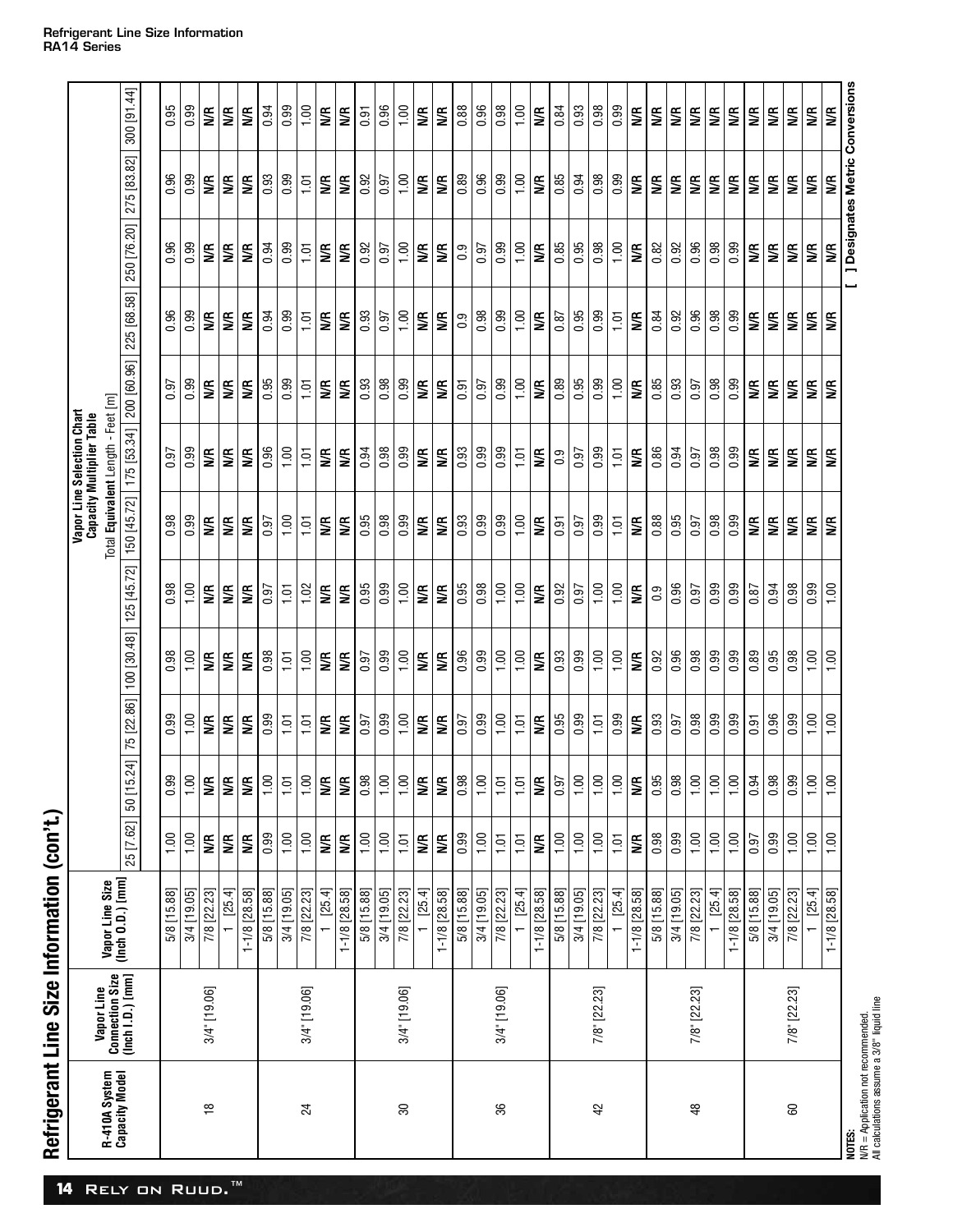| R-410A System<br>Capacity Model | Vapor Line                          | Vapor Line Size<br>(Inch O.D.) [mm] |                    |                |                 |                            |                   |                  | Total Equivalent Length - Feet [m]<br>Vapor Line Selection Chart<br><b>Capacity Multiplier Table</b> |                                                             |                |                    |                         |              |
|---------------------------------|-------------------------------------|-------------------------------------|--------------------|----------------|-----------------|----------------------------|-------------------|------------------|------------------------------------------------------------------------------------------------------|-------------------------------------------------------------|----------------|--------------------|-------------------------|--------------|
|                                 | Connection Size<br>(Inch I.D.) [mm] |                                     | 25 [7.62]          | 50 [15.        |                 | 24] 75 [22.86] 100 [30.48] | 125 [45.72]       |                  |                                                                                                      | 150 [45.72] 175 [53.34] 200 [60.96] 225 [68.58] 250 [76.20] |                |                    | 275 [83.82] 300 [91.44] |              |
|                                 |                                     | 5/8 [15.88]                         | 1,00               | 0.99           | $\frac{66}{10}$ | $\frac{86}{10}$            | 0.98              | $\frac{8}{0.98}$ | 0.97                                                                                                 | 0.97                                                        | $\frac{96}{0}$ | 0.96               | $\frac{96}{0}$          | 0.95         |
|                                 |                                     | 3/4 [19.05]                         | 1.00               | $\frac{50}{1}$ | 1,00            | 1.00                       | 1.00              | 0.99             | 0.99                                                                                                 | 0.99                                                        | 0.99           | 0.99               | 0.99                    | 0.99         |
| ₽                               | 3/4" [19.06]                        | 7/8 [22.23]                         | S                  | S              | S               | ¶∕k                        | <b>S</b>          | S                | <b>S</b>                                                                                             | S                                                           | S              | S                  | S                       | S            |
|                                 |                                     | [25.4]                              | S                  | S              | S               | WR                         | <b>SE</b>         | S                | S                                                                                                    | S                                                           | S              | S                  | S                       | S            |
|                                 |                                     | $1 - 1/8$ [28.58]                   | S                  | ⋚              | S               | ¶∕R                        | S                 | S                | S                                                                                                    | S                                                           | S              | S                  | S                       | S            |
|                                 |                                     | 5/8 [15.88]                         | 0.99               | $-1.00$        | 0.99            | 0.98                       | 0.97              | 0.97             | 0.96                                                                                                 | 0.95                                                        | 0.94           | 0.94               | 0.93                    | 0.94         |
|                                 |                                     | 3/4 [19.05]                         | 1.00               | $\frac{5}{1}$  | $\frac{5}{1}$   | 1.01                       | $\overline{1.01}$ | 1.00             | 1.00                                                                                                 | 0.99                                                        | 0.99           | 0.99               | 0.99                    | 0.99         |
| $^{24}$                         | 3/4" [19.06]                        | 7/8 [22.23]                         | 1.00               | $\frac{50}{1}$ | $\frac{5}{1}$   | 1.00                       | 1.02              | 1.01             | $\overline{1}$ .01                                                                                   | 1.01                                                        | 1.01           | 1.01               | 1.01                    | 1.00         |
|                                 |                                     | $\frac{1}{1}$ [25.4]                | S                  | Ş              | S               | ŊΚ                         | S                 | S                | S                                                                                                    | S                                                           | £              | S                  | S                       | S            |
|                                 |                                     | $1 - 1/8$ [28.58]                   | S                  | Ş              | S               | ₽                          | $\mathbb S$       | S                | S                                                                                                    | $\mathbb S$                                                 | S              | S                  | S                       | S            |
|                                 |                                     | 5/8 [15.88]                         | 1.00               | 0.98           | 0.97            | 0.97                       | 0.95              | 0.95             | 0.94                                                                                                 | 0.93                                                        | 0.93           | 0.92               | 0.92                    | 0.91         |
|                                 |                                     | 3/4 [19.05]                         | 1.00               | $rac{00}{1}$   | 0.99            | 0.99                       | 0.99              | 0.98             | 0.98                                                                                                 | 0.98                                                        | 0.97           | 0.97               | 0.97                    | 0.96         |
| $\overline{30}$                 | 3/4" [19.06]                        | 7/8 [22.23]                         | $\overline{1}$ .01 | $\frac{50}{1}$ | 1.00            | 1.00                       | 1.00              | 0.99             | 0.99                                                                                                 | 0.99                                                        | 1.00           | 1.00               | 1.00                    | 1.00         |
|                                 |                                     | [25.4]                              | $\mathbb S$        | S              | S               | Ş                          | $\lessgtr$        | $\lessgtr$       | S                                                                                                    | $\pmb{\mathbb{S}}$                                          | $\lessgtr$     | $\pmb{\mathbb{S}}$ | S                       | S            |
|                                 |                                     | $1 - 1/8$ [28.58]                   | WR                 | Ş              | S               | <b>SE</b>                  | <b>SE</b>         | S                | S                                                                                                    | S                                                           | УR             | S                  | S                       | S            |
|                                 |                                     | $\frac{1}{5/8}$ [15.88]             | 0.99               | 0.98           | 0.97            | 0.96                       | 0.95              | 0.93             | 0.93                                                                                                 | 0.91                                                        | 0.9            | 0.9                | 0.89                    | 0.88         |
|                                 |                                     | 3/4 [19.05]                         | 1.00               | $rac{100}{1}$  | 0.99            | 0.99                       | 0.98              | 0.99             | 0.99                                                                                                 | 0.97                                                        | 0.98           | 0.97               | 0.96                    | 0.96         |
| 36                              | 3/4" [19.06]                        | 7/8 [22.23]                         | 1.01               | $\frac{5}{1}$  | 1.00            | 1.00                       | 1.00              | 0.99             | 0.99                                                                                                 | 0.99                                                        | 0.99           | 0.99               | 0.99                    | 0.98         |
|                                 |                                     | [25.4]<br>$\overline{ }$            | 1.01               | $\frac{5}{1}$  | 1.01            | 1.00                       | 1.00              | 1.00             | 1.01                                                                                                 | 1.00                                                        | 1.00           | 1.00               | 1.00                    | 1.00         |
|                                 |                                     | $1 - 1/8$ [28.58]                   | S                  | S              | S               | WR                         | S                 | S                | S                                                                                                    | S                                                           | S              | S                  | S                       | S            |
|                                 |                                     | 5/8 [15.88]                         | 1.00               | 0.97           | 0.95            | 0.93                       | 0.92              | 0.91             | 0.9                                                                                                  | 0.89                                                        | 0.87           | 0.85               | 0.85                    | 0.84         |
|                                 |                                     | 3/4 [19.05]                         | 1.00               | $rac{100}{1}$  | 0.99            | 0.99                       | 0.97              | 0.97             | 0.97                                                                                                 | 0.95                                                        | 0.95           | 0.95               | 0.94                    | 0.93         |
| 42                              | 7/8" [22.23]                        | 7/8 [22.23]                         | $\frac{1}{1.00}$   | $rac{100}{1}$  | $\frac{5}{1}$   | $\frac{100}{1}$            | 1.00              | 0.99             | 0.99                                                                                                 | 0.99                                                        | 0.99           | $\frac{86}{10}$    | 0.98                    | 0.98         |
|                                 |                                     | 1 [25.4]                            | 1.01               | $rac{00}{1}$   | 0.99            | 1.00                       | 1.00              | 1.01             | 1.01                                                                                                 | 1.00                                                        | $\frac{5}{1}$  | 1.00               | 0.99                    | 0.99         |
|                                 |                                     | $1 - 1/8$ [28.58]                   | I€                 | S              | S               | $\mathbb S$                | S                 | S                | S                                                                                                    | $\lessgtr$                                                  | S              | $\mathbb S$        | S                       | $\mathbf{S}$ |
|                                 |                                     | 5/8 [15.88]                         | 0.98               | 0.95           | 0.93            | 0.92                       | $\overline{0}$ .  | 0.88             | 0.86                                                                                                 | 0.85                                                        | 0.84           | 0.82               | S                       | S            |
|                                 |                                     | 3/4 [19.05]                         | 0.99               | 0.98           | 0.97            | 0.96                       | 0.96              | 0.95             | 0.94                                                                                                 | 0.93                                                        | 0.92           | 0.92               | S                       | S            |
| 48                              | 7/8" [22.23]                        | 7/8 [22.23]                         | 1.00               | $rac{100}{1}$  | 0.98            | 0.98                       | 0.97              | 0.97             | 0.97                                                                                                 | 0.97                                                        | 0.96           | 0.96               | £                       | S            |
|                                 |                                     | [25.4]                              | 1.00               | $\frac{50}{1}$ | 0.99            | 0.99                       | 0.99              | 0.98             | 0.98                                                                                                 | 0.98                                                        | 0.98           | 0.98               | S                       | S            |
|                                 |                                     | $1 - 1/8$ [28.58]                   | $\frac{1}{1.00}$   | $rac{100}{1}$  | 0.99            | 0.99                       | 0.99              | 0.99             | 0.99                                                                                                 | 0.99                                                        | 0.99           | 0.99               | S                       | S            |
|                                 |                                     | 5/8 [15.88]                         | 0.97               | 0.94           | 0.91            | 0.89                       | 0.87              | S                | S                                                                                                    | S                                                           | S              | S                  | S                       | <b>S</b>     |
|                                 |                                     | 3/4 [19.05]                         | 0.99               | 0.98           | 0.96            | 0.95                       | 0.94              | $\lessgtr$       | <b>S</b>                                                                                             | S                                                           | l€             | S                  | S                       | <b>IS</b>    |
| 8                               | 7/8" [22.23]                        | 7/8 [22.23]                         | 1.00               | 0.99           | 0.99            | 0.98                       | 0.98              | S                | S                                                                                                    | S                                                           | S              | S                  | S                       | $\lessgtr$   |
|                                 |                                     | 1 [25.4]                            | 1.00               | $\frac{50}{1}$ | 1.00            | 1.00                       | 0.99              | S                | S                                                                                                    | £                                                           | S              | S                  | S                       | S            |
|                                 |                                     | $1 - 1/8$ [28.58]                   | 1.00               | $rac{100}{ }$  | 1.00            | 1,00                       | 1.00              | S                | S                                                                                                    | S                                                           | S              | S                  | S                       | S            |

#### **Refrigerant Line Size Information RA14 Series**

14 RELY ON RUUD.<sup>™</sup>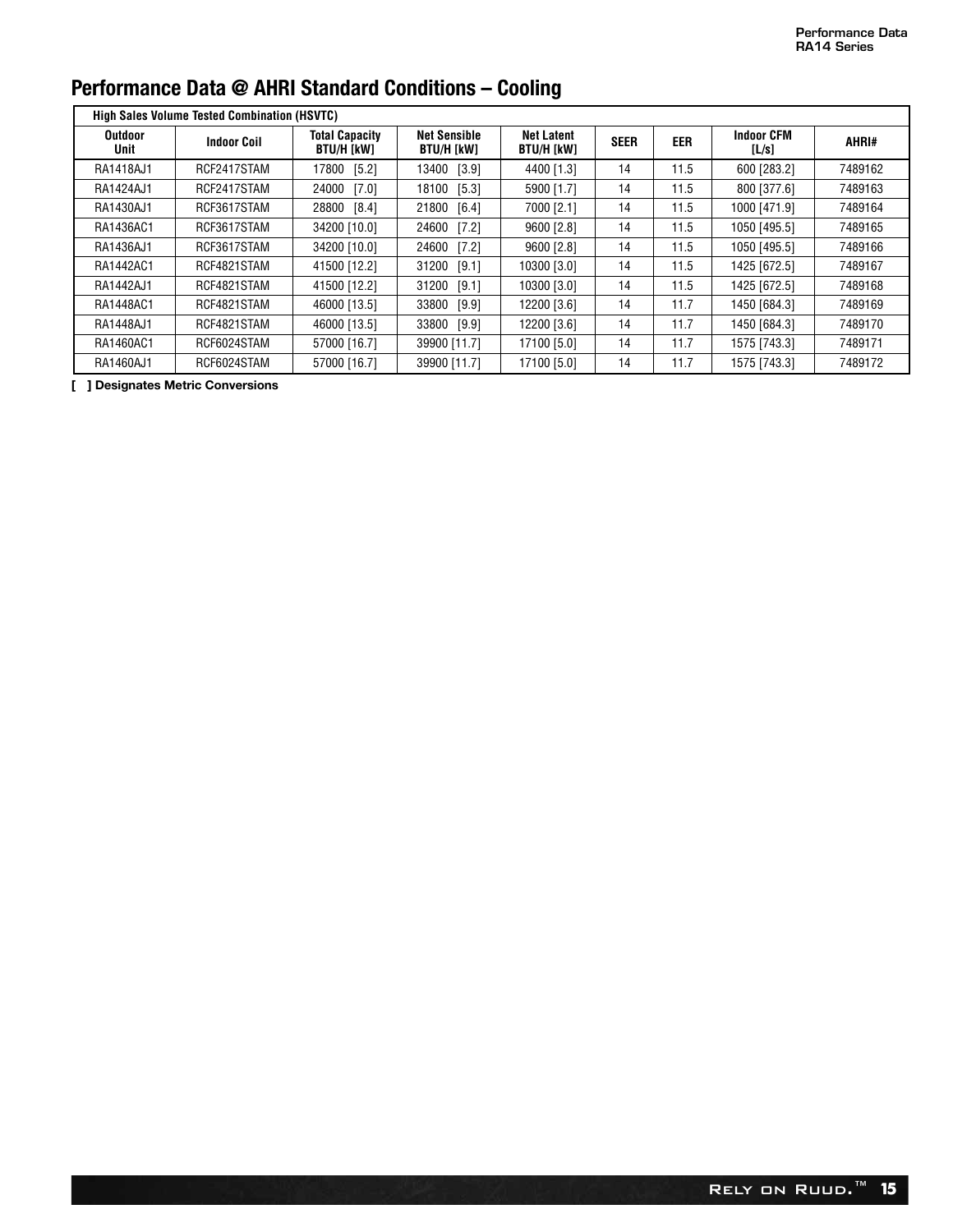|                        | <b>High Sales Volume Tested Combination (HSVTC)</b> |                                     |                                   |                                 |             |      |                            |         |
|------------------------|-----------------------------------------------------|-------------------------------------|-----------------------------------|---------------------------------|-------------|------|----------------------------|---------|
| <b>Outdoor</b><br>Unit | <b>Indoor Coil</b>                                  | <b>Total Capacity</b><br>BTU/H [kW] | <b>Net Sensible</b><br>BTU/H [kW] | <b>Net Latent</b><br>BTU/H [kW] | <b>SEER</b> | EER  | <b>Indoor CFM</b><br>[L/s] | AHRI#   |
| RA1418AJ1              | RCF2417STAM                                         | 17800 [5.2]                         | 13400 [3.9]                       | 4400 [1.3]                      | 14          | 11.5 | 600 [283.2]                | 7489162 |
| RA1424AJ1              | RCF2417STAM                                         | 24000 [7.0]                         | 18100 [5.3]                       | 5900 [1.7]                      | 14          | 11.5 | 800 [377.6]                | 7489163 |
| RA1430AJ1              | RCF3617STAM                                         | 28800 [8.4]                         | 21800 [6.4]                       | 7000 [2.1]                      | 14          | 11.5 | 1000 [471.9]               | 7489164 |
| RA1436AC1              | RCF3617STAM                                         | 34200 [10.0]                        | 24600 [7.2]                       | 9600 [2.8]                      | 14          | 11.5 | 1050 [495.5]               | 7489165 |
| RA1436AJ1              | RCF3617STAM                                         | 34200 [10.0]                        | 24600 [7.2]                       | 9600 [2.8]                      | 14          | 11.5 | 1050 [495.5]               | 7489166 |
| RA1442AC1              | RCF4821STAM                                         | 41500 [12.2]                        | [9.1]<br>31200                    | 10300 [3.0]                     | 14          | 11.5 | 1425 [672.5]               | 7489167 |
| RA1442AJ1              | RCF4821STAM                                         | 41500 [12.2]                        | 31200 [9.1]                       | 10300 [3.0]                     | 14          | 11.5 | 1425 [672.5]               | 7489168 |
| RA1448AC1              | RCF4821STAM                                         | 46000 [13.5]                        | 33800 [9.9]                       | 12200 [3.6]                     | 14          | 11.7 | 1450 [684.3]               | 7489169 |
| RA1448AJ1              | RCF4821STAM                                         | 46000 [13.5]                        | 33800 [9.9]                       | 12200 [3.6]                     | 14          | 11.7 | 1450 [684.3]               | 7489170 |
| RA1460AC1              | RCF6024STAM                                         | 57000 [16.7]                        | 39900 [11.7]                      | 17100 [5.0]                     | 14          | 11.7 | 1575 [743.3]               | 7489171 |
| RA1460AJ1              | RCF6024STAM                                         | 57000 [16.7]                        | 39900 [11.7]                      | 17100 [5.0]                     | 14          | 11.7 | 1575 [743.3]               | 7489172 |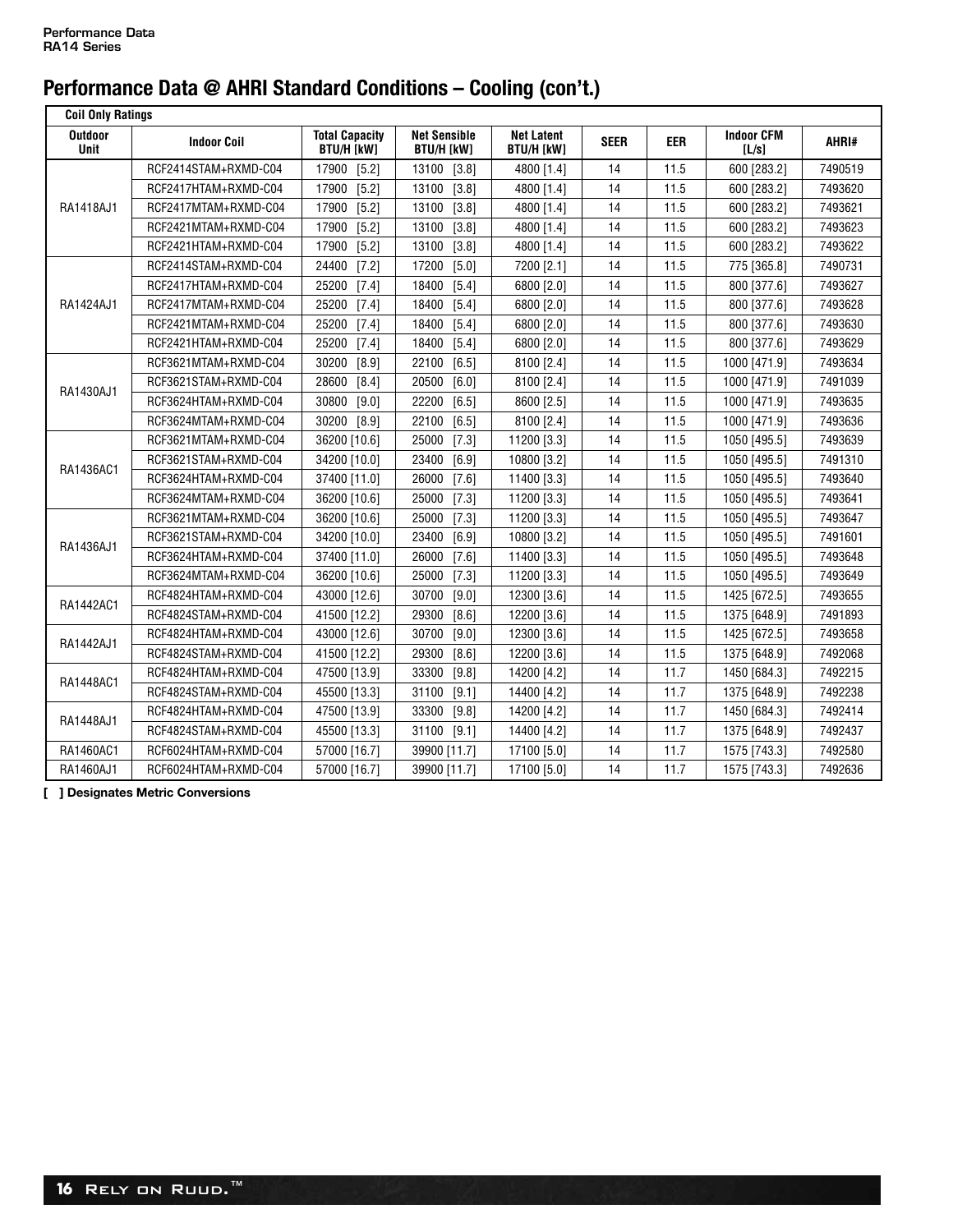| <b>Coil Only Ratings</b>      |                      |                                            |                                          |                                        |             |            |                            |         |
|-------------------------------|----------------------|--------------------------------------------|------------------------------------------|----------------------------------------|-------------|------------|----------------------------|---------|
| <b>Outdoor</b><br><b>Unit</b> | <b>Indoor Coil</b>   | <b>Total Capacity</b><br><b>BTU/H [kW]</b> | <b>Net Sensible</b><br><b>BTU/H [kW]</b> | <b>Net Latent</b><br><b>BTU/H [kW]</b> | <b>SEER</b> | <b>EER</b> | <b>Indoor CFM</b><br>[L/s] | AHRI#   |
|                               | RCF2414STAM+RXMD-C04 | 17900<br>[5.2]                             | 13100<br>[3.8]                           | 4800 [1.4]                             | 14          | 11.5       | 600 [283.2]                | 7490519 |
|                               | RCF2417HTAM+RXMD-C04 | 17900<br>$[5.2]$                           | [3.8]<br>13100                           | 4800 [1.4]                             | 14          | 11.5       | 600 [283.2]                | 7493620 |
| RA1418AJ1                     | RCF2417MTAM+RXMD-C04 | 17900<br>$[5.2]$                           | 13100<br>[3.8]                           | 4800 [1.4]                             | 14          | 11.5       | 600 [283.2]                | 7493621 |
|                               | RCF2421MTAM+RXMD-C04 | $[5.2]$<br>17900                           | 13100<br>[3.8]                           | 4800 [1.4]                             | 14          | 11.5       | 600 [283.2]                | 7493623 |
|                               | RCF2421HTAM+RXMD-C04 | 17900<br>$[5.2]$                           | 13100<br>[3.8]                           | 4800 [1.4]                             | 14          | 11.5       | 600 [283.2]                | 7493622 |
|                               | RCF2414STAM+RXMD-C04 | 24400<br>[7.2]                             | 17200<br>$[5.0]$                         | 7200 [2.1]                             | 14          | 11.5       | 775 [365.8]                | 7490731 |
|                               | RCF2417HTAM+RXMD-C04 | 25200<br>$[7.4]$                           | 18400<br>$[5.4]$                         | 6800 [2.0]                             | 14          | 11.5       | 800 [377.6]                | 7493627 |
| RA1424AJ1                     | RCF2417MTAM+RXMD-C04 | 25200<br>$[7.4]$                           | 18400<br>$[5.4]$                         | 6800 [2.0]                             | 14          | 11.5       | 800 [377.6]                | 7493628 |
|                               | RCF2421MTAM+RXMD-C04 | 25200<br>[7.4]                             | $[5.4]$<br>18400                         | 6800 [2.0]                             | 14          | 11.5       | 800 [377.6]                | 7493630 |
|                               | RCF2421HTAM+RXMD-C04 | 25200<br>$[7.4]$                           | 18400<br>$[5.4]$                         | 6800 [2.0]                             | 14          | 11.5       | 800 [377.6]                | 7493629 |
|                               | RCF3621MTAM+RXMD-C04 | 30200<br>[8.9]                             | 22100<br>[6.5]                           | 8100 [2.4]                             | 14          | 11.5       | 1000 [471.9]               | 7493634 |
| RA1430AJ1                     | RCF3621STAM+RXMD-C04 | 28600<br>[8.4]                             | 20500<br>[6.0]                           | 8100 [2.4]                             | 14          | 11.5       | 1000 [471.9]               | 7491039 |
|                               | RCF3624HTAM+RXMD-C04 | 30800<br>$[9.0]$                           | 22200<br>$[6.5]$                         | 8600 [2.5]                             | 14          | 11.5       | 1000 [471.9]               | 7493635 |
|                               | RCF3624MTAM+RXMD-C04 | 30200<br>[8.9]                             | 22100<br>[6.5]                           | 8100 [2.4]                             | 14          | 11.5       | 1000 [471.9]               | 7493636 |
|                               | RCF3621MTAM+RXMD-C04 | 36200 [10.6]                               | [7.3]<br>25000                           | 11200 [3.3]                            | 14          | 11.5       | 1050 [495.5]               | 7493639 |
| RA1436AC1                     | RCF3621STAM+RXMD-C04 | 34200 [10.0]                               | 23400<br>[6.9]                           | 10800 [3.2]                            | 14          | 11.5       | 1050 [495.5]               | 7491310 |
|                               | RCF3624HTAM+RXMD-C04 | 37400 [11.0]                               | 26000<br>[7.6]                           | 11400 [3.3]                            | 14          | 11.5       | 1050 [495.5]               | 7493640 |
|                               | RCF3624MTAM+RXMD-C04 | 36200 [10.6]                               | 25000<br>[7.3]                           | 11200 [3.3]                            | 14          | 11.5       | 1050 [495.5]               | 7493641 |
|                               | RCF3621MTAM+RXMD-C04 | 36200 [10.6]                               | 25000<br>[7.3]                           | 11200 [3.3]                            | 14          | 11.5       | 1050 [495.5]               | 7493647 |
| RA1436AJ1                     | RCF3621STAM+RXMD-C04 | 34200 [10.0]                               | 23400<br>[6.9]                           | 10800 [3.2]                            | 14          | 11.5       | 1050 [495.5]               | 7491601 |
|                               | RCF3624HTAM+RXMD-C04 | 37400 [11.0]                               | 26000<br>$[7.6]$                         | 11400 [3.3]                            | 14          | 11.5       | 1050 [495.5]               | 7493648 |
|                               | RCF3624MTAM+RXMD-C04 | 36200 [10.6]                               | 25000<br>$[7.3]$                         | 11200 [3.3]                            | 14          | 11.5       | 1050 [495.5]               | 7493649 |
| RA1442AC1                     | RCF4824HTAM+RXMD-C04 | 43000 [12.6]                               | 30700<br>$[9.0]$                         | 12300 [3.6]                            | 14          | 11.5       | 1425 [672.5]               | 7493655 |
|                               | RCF4824STAM+RXMD-C04 | 41500 [12.2]                               | 29300<br>[8.6]                           | 12200 [3.6]                            | 14          | 11.5       | 1375 [648.9]               | 7491893 |
| RA1442AJ1                     | RCF4824HTAM+RXMD-C04 | 43000 [12.6]                               | 30700<br>$[9.0]$                         | 12300 [3.6]                            | 14          | 11.5       | 1425 [672.5]               | 7493658 |
|                               | RCF4824STAM+RXMD-C04 | 41500 [12.2]                               | [8.6]<br>29300                           | 12200 [3.6]                            | 14          | 11.5       | 1375 [648.9]               | 7492068 |
| RA1448AC1                     | RCF4824HTAM+RXMD-C04 | 47500 [13.9]                               | 33300<br>[9.8]                           | 14200 [4.2]                            | 14          | 11.7       | 1450 [684.3]               | 7492215 |
|                               | RCF4824STAM+RXMD-C04 | 45500 [13.3]                               | 31100<br>[9.1]                           | 14400 [4.2]                            | 14          | 11.7       | 1375 [648.9]               | 7492238 |
| RA1448AJ1                     | RCF4824HTAM+RXMD-C04 | 47500 [13.9]                               | 33300<br>[9.8]                           | 14200 [4.2]                            | 14          | 11.7       | 1450 [684.3]               | 7492414 |
|                               | RCF4824STAM+RXMD-C04 | 45500 [13.3]                               | 31100<br>[9.1]                           | 14400 [4.2]                            | 14          | 11.7       | 1375 [648.9]               | 7492437 |
| RA1460AC1                     | RCF6024HTAM+RXMD-C04 | 57000 [16.7]                               | 39900 [11.7]                             | 17100 [5.0]                            | 14          | 11.7       | 1575 [743.3]               | 7492580 |
| RA1460AJ1                     | RCF6024HTAM+RXMD-C04 | 57000 [16.7]                               | 39900 [11.7]                             | 17100 [5.0]                            | 14          | 11.7       | 1575 [743.3]               | 7492636 |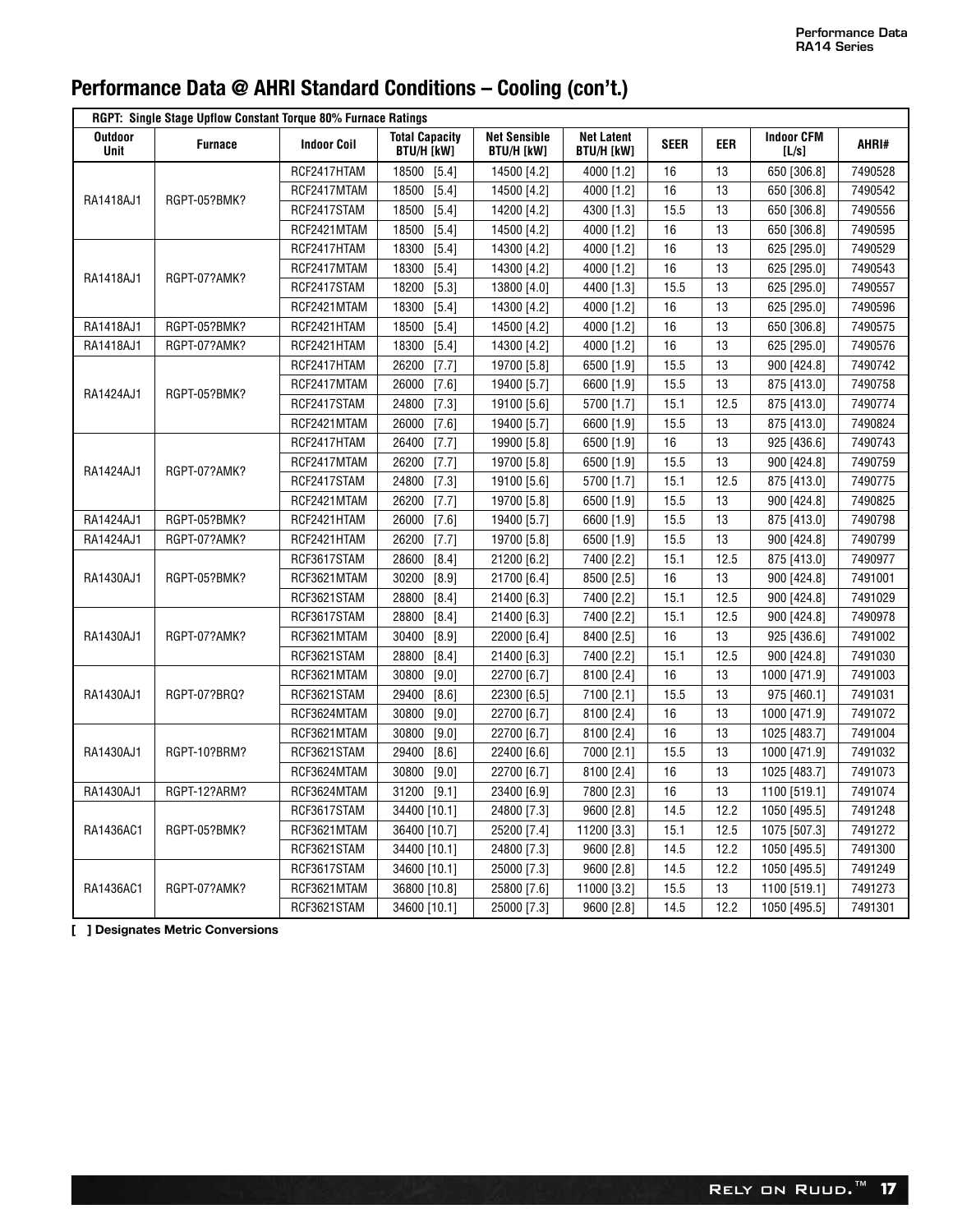|                               | RGPT: Single Stage Upflow Constant Torque 80% Furnace Ratings |                    |                                            |                                          |                                        |             |      |                            |         |
|-------------------------------|---------------------------------------------------------------|--------------------|--------------------------------------------|------------------------------------------|----------------------------------------|-------------|------|----------------------------|---------|
| <b>Outdoor</b><br><b>Unit</b> | <b>Furnace</b>                                                | <b>Indoor Coil</b> | <b>Total Capacity</b><br><b>BTU/H [kW]</b> | <b>Net Sensible</b><br><b>BTU/H [kW]</b> | <b>Net Latent</b><br><b>BTU/H [kW]</b> | <b>SEER</b> | eer  | <b>Indoor CFM</b><br>[L/s] | AHRI#   |
|                               |                                                               | RCF2417HTAM        | 18500<br>$[5.4]$                           | 14500 [4.2]                              | 4000 [1.2]                             | 16          | 13   | 650 [306.8]                | 7490528 |
|                               |                                                               | RCF2417MTAM        | 18500<br>$[5.4]$                           | 14500 [4.2]                              | 4000 [1.2]                             | 16          | 13   | 650 [306.8]                | 7490542 |
| RA1418AJ1                     | RGPT-05?BMK?                                                  | RCF2417STAM        | 18500<br>$[5.4]$                           | 14200 [4.2]                              | 4300 [1.3]                             | 15.5        | 13   | 650 [306.8]                | 7490556 |
|                               |                                                               | RCF2421MTAM        | 18500<br>$[5.4]$                           | 14500 [4.2]                              | 4000 [1.2]                             | 16          | 13   | 650 [306.8]                | 7490595 |
|                               |                                                               | RCF2417HTAM        | 18300<br>$[5.4]$                           | 14300 [4.2]                              | 4000 [1.2]                             | 16          | 13   | 625 [295.0]                | 7490529 |
|                               |                                                               | RCF2417MTAM        | 18300<br>$[5.4]$                           | 14300 [4.2]                              | 4000 [1.2]                             | 16          | 13   | 625 [295.0]                | 7490543 |
| RA1418AJ1                     | RGPT-07?AMK?                                                  | RCF2417STAM        | $[5.3]$<br>18200                           | 13800 [4.0]                              | 4400 [1.3]                             | 15.5        | 13   | 625 [295.0]                | 7490557 |
|                               |                                                               | RCF2421MTAM        | 18300<br>$[5.4]$                           | 14300 [4.2]                              | 4000 [1.2]                             | 16          | 13   | 625 [295.0]                | 7490596 |
| RA1418AJ1                     | RGPT-05?BMK?                                                  | RCF2421HTAM        | 18500<br>$[5.4]$                           | 14500 [4.2]                              | 4000 [1.2]                             | 16          | 13   | 650 [306.8]                | 7490575 |
| RA1418AJ1                     | RGPT-07?AMK?                                                  | RCF2421HTAM        | 18300<br>$[5.4]$                           | 14300 [4.2]                              | 4000 [1.2]                             | 16          | 13   | 625 [295.0]                | 7490576 |
|                               |                                                               | RCF2417HTAM        | 26200<br>[7.7]                             | 19700 [5.8]                              | 6500 [1.9]                             | 15.5        | 13   | 900 [424.8]                | 7490742 |
|                               | RGPT-05?BMK?                                                  | RCF2417MTAM        | 26000<br>[7.6]                             | 19400 [5.7]                              | 6600 [1.9]                             | 15.5        | 13   | 875 [413.0]                | 7490758 |
| RA1424AJ1                     |                                                               | RCF2417STAM        | 24800<br>$[7.3]$                           | 19100 [5.6]                              | 5700 [1.7]                             | 15.1        | 12.5 | 875 [413.0]                | 7490774 |
|                               |                                                               | RCF2421MTAM        | 26000<br>$[7.6]$                           | 19400 [5.7]                              | 6600 [1.9]                             | 15.5        | 13   | 875 [413.0]                | 7490824 |
|                               |                                                               | RCF2417HTAM        | 26400<br>[7.7]                             | 19900 [5.8]                              | 6500 [1.9]                             | 16          | 13   | 925 [436.6]                | 7490743 |
|                               |                                                               | RCF2417MTAM        | 26200<br>[7.7]                             | 19700 [5.8]                              | 6500 [1.9]                             | 15.5        | 13   | 900 [424.8]                | 7490759 |
| RA1424AJ1                     | RGPT-07?AMK?                                                  | RCF2417STAM        | 24800<br>$[7.3]$                           | 19100 [5.6]                              | 5700 [1.7]                             | 15.1        | 12.5 | 875 [413.0]                | 7490775 |
|                               |                                                               | RCF2421MTAM        | 26200<br>[7.7]                             | 19700 [5.8]                              | 6500 [1.9]                             | 15.5        | 13   | 900 [424.8]                | 7490825 |
| RA1424AJ1                     | RGPT-05?BMK?                                                  | RCF2421HTAM        | 26000<br>$[7.6]$                           | 19400 [5.7]                              | 6600 [1.9]                             | 15.5        | 13   | 875 [413.0]                | 7490798 |
| RA1424AJ1                     | RGPT-07?AMK?                                                  | RCF2421HTAM        | 26200<br>[7.7]                             | 19700 [5.8]                              | 6500 [1.9]                             | 15.5        | 13   | 900 [424.8]                | 7490799 |
|                               |                                                               | RCF3617STAM        | 28600<br>$[8.4]$                           | 21200 [6.2]                              | 7400 [2.2]                             | 15.1        | 12.5 | 875 [413.0]                | 7490977 |
| RA1430AJ1                     | RGPT-05?BMK?                                                  | RCF3621MTAM        | 30200<br>[8.9]                             | 21700 [6.4]                              | 8500 [2.5]                             | 16          | 13   | 900 [424.8]                | 7491001 |
|                               |                                                               | RCF3621STAM        | 28800<br>$[8.4]$                           | 21400 [6.3]                              | 7400 [2.2]                             | 15.1        | 12.5 | 900 [424.8]                | 7491029 |
|                               |                                                               | RCF3617STAM        | 28800<br>$[8.4]$                           | 21400 [6.3]                              | 7400 [2.2]                             | 15.1        | 12.5 | 900 [424.8]                | 7490978 |
| RA1430AJ1                     | RGPT-07?AMK?                                                  | RCF3621MTAM        | 30400<br>$[8.9]$                           | 22000 [6.4]                              | 8400 [2.5]                             | 16          | 13   | 925 [436.6]                | 7491002 |
|                               |                                                               | RCF3621STAM        | 28800<br>[8.4]                             | 21400 [6.3]                              | 7400 [2.2]                             | 15.1        | 12.5 | 900 [424.8]                | 7491030 |
|                               |                                                               | RCF3621MTAM        | 30800<br>$[9.0]$                           | 22700 [6.7]                              | 8100 [2.4]                             | 16          | 13   | 1000 [471.9]               | 7491003 |
| RA1430AJ1                     | RGPT-07?BRQ?                                                  | RCF3621STAM        | 29400<br>[8.6]                             | 22300 [6.5]                              | 7100 [2.1]                             | 15.5        | 13   | 975 [460.1]                | 7491031 |
|                               |                                                               | RCF3624MTAM        | 30800<br>[9.0]                             | 22700 [6.7]                              | 8100 [2.4]                             | 16          | 13   | 1000 [471.9]               | 7491072 |
|                               |                                                               | RCF3621MTAM        | 30800<br>$[9.0]$                           | 22700 [6.7]                              | 8100 [2.4]                             | 16          | 13   | 1025 [483.7]               | 7491004 |
| RA1430AJ1                     | RGPT-10?BRM?                                                  | RCF3621STAM        | 29400<br>[8.6]                             | 22400 [6.6]                              | 7000 [2.1]                             | 15.5        | 13   | 1000 [471.9]               | 7491032 |
|                               |                                                               | RCF3624MTAM        | 30800<br>$[9.0]$                           | 22700 [6.7]                              | 8100 [2.4]                             | 16          | 13   | 1025 [483.7]               | 7491073 |
| RA1430AJ1                     | RGPT-12?ARM?                                                  | RCF3624MTAM        | 31200<br>$[9.1]$                           | 23400 [6.9]                              | 7800 [2.3]                             | 16          | 13   | 1100 [519.1]               | 7491074 |
|                               |                                                               | RCF3617STAM        | 34400 [10.1]                               | 24800 [7.3]                              | 9600 [2.8]                             | 14.5        | 12.2 | 1050 [495.5]               | 7491248 |
| RA1436AC1                     | RGPT-05?BMK?                                                  | RCF3621MTAM        | 36400 [10.7]                               | 25200 [7.4]                              | 11200 [3.3]                            | 15.1        | 12.5 | 1075 [507.3]               | 7491272 |
|                               |                                                               | RCF3621STAM        | 34400 [10.1]                               | 24800 [7.3]                              | 9600 [2.8]                             | 14.5        | 12.2 | 1050 [495.5]               | 7491300 |
|                               |                                                               | RCF3617STAM        | 34600 [10.1]                               | 25000 [7.3]                              | 9600 [2.8]                             | 14.5        | 12.2 | 1050 [495.5]               | 7491249 |
| RA1436AC1                     | RGPT-07?AMK?                                                  | RCF3621MTAM        | 36800 [10.8]                               | 25800 [7.6]                              | 11000 [3.2]                            | 15.5        | 13   | 1100 [519.1]               | 7491273 |
|                               |                                                               | RCF3621STAM        | 34600 [10.1]                               | 25000 [7.3]                              | 9600 [2.8]                             | 14.5        | 12.2 | 1050 [495.5]               | 7491301 |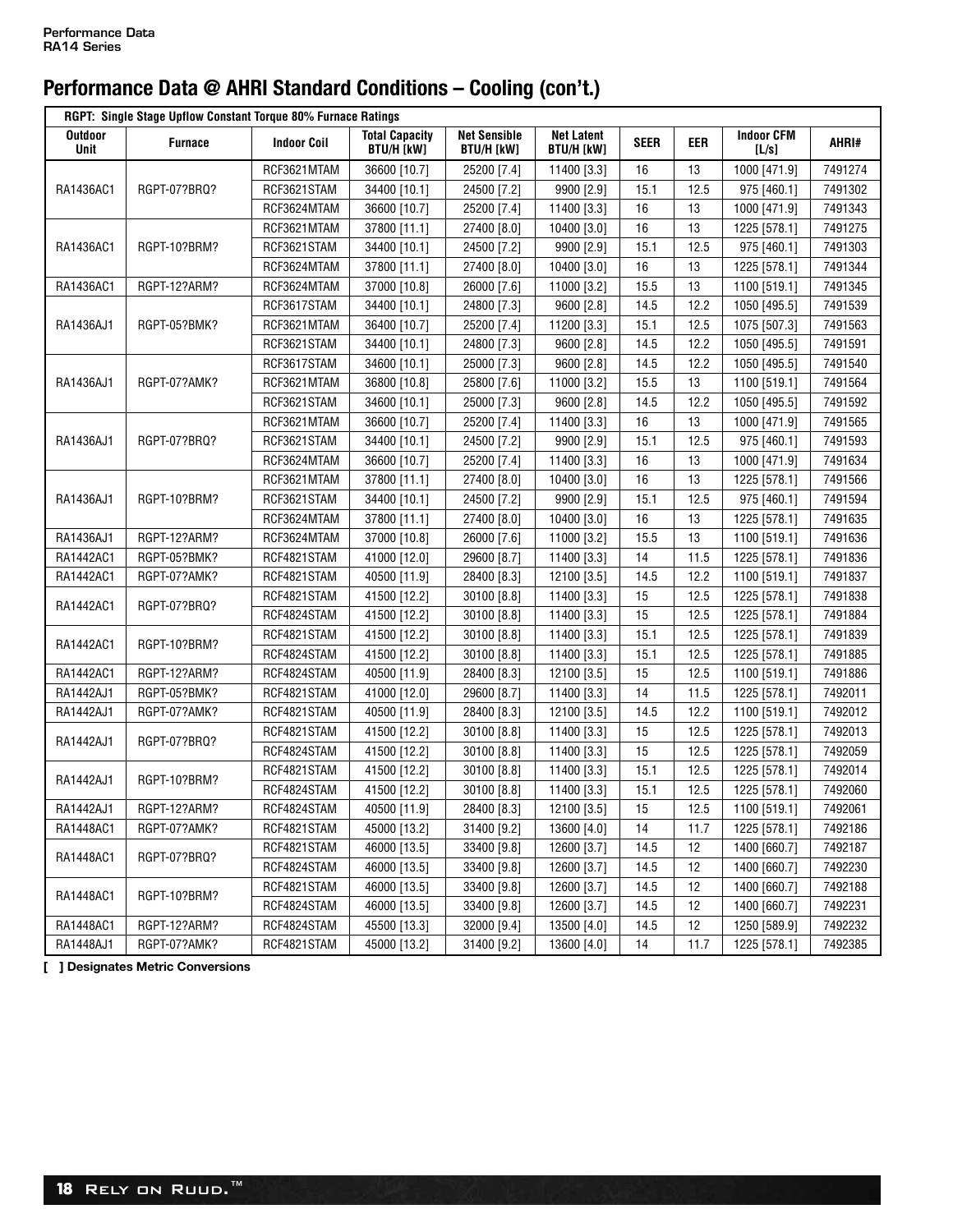|                 | RGPT: Single Stage Upflow Constant Torque 80% Furnace Ratings |                    |                                            |                                          |                                        |             |      |                            |         |
|-----------------|---------------------------------------------------------------|--------------------|--------------------------------------------|------------------------------------------|----------------------------------------|-------------|------|----------------------------|---------|
| Outdoor<br>Unit | <b>Furnace</b>                                                | <b>Indoor Coil</b> | <b>Total Capacity</b><br><b>BTU/H [kW]</b> | <b>Net Sensible</b><br><b>BTU/H [kW]</b> | <b>Net Latent</b><br><b>BTU/H [kW]</b> | <b>SEER</b> | EER  | <b>Indoor CFM</b><br>[L/s] | AHRI#   |
|                 |                                                               | RCF3621MTAM        | 36600 [10.7]                               | 25200 [7.4]                              | 11400 [3.3]                            | 16          | 13   | 1000 [471.9]               | 7491274 |
| RA1436AC1       | RGPT-07?BRQ?                                                  | RCF3621STAM        | 34400 [10.1]                               | 24500 [7.2]                              | 9900 [2.9]                             | 15.1        | 12.5 | 975 [460.1]                | 7491302 |
|                 |                                                               | RCF3624MTAM        | 36600 [10.7]                               | 25200 [7.4]                              | 11400 [3.3]                            | 16          | 13   | 1000 [471.9]               | 7491343 |
|                 |                                                               | RCF3621MTAM        | 37800 [11.1]                               | 27400 [8.0]                              | 10400 [3.0]                            | 16          | 13   | 1225 [578.1]               | 7491275 |
| RA1436AC1       | RGPT-10?BRM?                                                  | RCF3621STAM        | 34400 [10.1]                               | 24500 [7.2]                              | 9900 [2.9]                             | 15.1        | 12.5 | 975 [460.1]                | 7491303 |
|                 |                                                               | RCF3624MTAM        | 37800 [11.1]                               | 27400 [8.0]                              | 10400 [3.0]                            | 16          | 13   | 1225 [578.1]               | 7491344 |
| RA1436AC1       | RGPT-12?ARM?                                                  | RCF3624MTAM        | 37000 [10.8]                               | 26000 [7.6]                              | 11000 [3.2]                            | 15.5        | 13   | 1100 [519.1]               | 7491345 |
|                 |                                                               | RCF3617STAM        | 34400 [10.1]                               | 24800 [7.3]                              | 9600 [2.8]                             | 14.5        | 12.2 | 1050 [495.5]               | 7491539 |
| RA1436AJ1       | RGPT-05?BMK?                                                  | RCF3621MTAM        | 36400 [10.7]                               | 25200 [7.4]                              | 11200 [3.3]                            | 15.1        | 12.5 | 1075 [507.3]               | 7491563 |
|                 |                                                               | RCF3621STAM        | 34400 [10.1]                               | 24800 [7.3]                              | 9600 [2.8]                             | 14.5        | 12.2 | 1050 [495.5]               | 7491591 |
|                 |                                                               | RCF3617STAM        | 34600 [10.1]                               | 25000 [7.3]                              | 9600 [2.8]                             | 14.5        | 12.2 | 1050 [495.5]               | 7491540 |
| RA1436AJ1       | RGPT-07?AMK?                                                  | RCF3621MTAM        | 36800 [10.8]                               | 25800 [7.6]                              | 11000 [3.2]                            | 15.5        | 13   | 1100 [519.1]               | 7491564 |
|                 |                                                               | RCF3621STAM        | 34600 [10.1]                               | 25000 [7.3]                              | 9600 [2.8]                             | 14.5        | 12.2 | 1050 [495.5]               | 7491592 |
|                 |                                                               | RCF3621MTAM        | 36600 [10.7]                               | 25200 [7.4]                              | 11400 [3.3]                            | 16          | 13   | 1000 [471.9]               | 7491565 |
| RA1436AJ1       | RGPT-07?BRQ?                                                  | RCF3621STAM        | 34400 [10.1]                               | 24500 [7.2]                              | 9900 [2.9]                             | 15.1        | 12.5 | 975 [460.1]                | 7491593 |
|                 |                                                               | RCF3624MTAM        | 36600 [10.7]                               | 25200 [7.4]                              | 11400 [3.3]                            | 16          | 13   | 1000 [471.9]               | 7491634 |
|                 |                                                               | RCF3621MTAM        | 37800 [11.1]                               | 27400 [8.0]                              | 10400 [3.0]                            | 16          | 13   | 1225 [578.1]               | 7491566 |
| RA1436AJ1       | RGPT-10?BRM?                                                  | RCF3621STAM        | 34400 [10.1]                               | 24500 [7.2]                              | 9900 [2.9]                             | 15.1        | 12.5 | 975 [460.1]                | 7491594 |
|                 |                                                               | RCF3624MTAM        | 37800 [11.1]                               | 27400 [8.0]                              | 10400 [3.0]                            | 16          | 13   | 1225 [578.1]               | 7491635 |
| RA1436AJ1       | RGPT-12?ARM?                                                  | RCF3624MTAM        | 37000 [10.8]                               | 26000 [7.6]                              | 11000 [3.2]                            | 15.5        | 13   | 1100 [519.1]               | 7491636 |
| RA1442AC1       | RGPT-05?BMK?                                                  | RCF4821STAM        | 41000 [12.0]                               | 29600 [8.7]                              | 11400 [3.3]                            | 14          | 11.5 | 1225 [578.1]               | 7491836 |
| RA1442AC1       | RGPT-07?AMK?                                                  | RCF4821STAM        | 40500 [11.9]                               | 28400 [8.3]                              | 12100 [3.5]                            | 14.5        | 12.2 | 1100 [519.1]               | 7491837 |
|                 |                                                               | RCF4821STAM        | 41500 [12.2]                               | 30100 [8.8]                              | 11400 [3.3]                            | 15          | 12.5 | 1225 [578.1]               | 7491838 |
| RA1442AC1       | RGPT-07?BRQ?                                                  | RCF4824STAM        | 41500 [12.2]                               | 30100 [8.8]                              | 11400 [3.3]                            | 15          | 12.5 | 1225 [578.1]               | 7491884 |
|                 |                                                               | RCF4821STAM        | 41500 [12.2]                               | 30100 [8.8]                              | 11400 [3.3]                            | 15.1        | 12.5 | 1225 [578.1]               | 7491839 |
| RA1442AC1       | RGPT-10?BRM?                                                  | RCF4824STAM        | 41500 [12.2]                               | 30100 [8.8]                              | 11400 [3.3]                            | 15.1        | 12.5 | 1225 [578.1]               | 7491885 |
| RA1442AC1       | RGPT-12?ARM?                                                  | RCF4824STAM        | 40500 [11.9]                               | 28400 [8.3]                              | 12100 [3.5]                            | 15          | 12.5 | 1100 [519.1]               | 7491886 |
| RA1442AJ1       | RGPT-05?BMK?                                                  | RCF4821STAM        | 41000 [12.0]                               | 29600 [8.7]                              | 11400 [3.3]                            | 14          | 11.5 | 1225 [578.1]               | 7492011 |
| RA1442AJ1       | RGPT-07?AMK?                                                  | RCF4821STAM        | 40500 [11.9]                               | 28400 [8.3]                              | 12100 [3.5]                            | 14.5        | 12.2 | 1100 [519.1]               | 7492012 |
|                 |                                                               | RCF4821STAM        | 41500 [12.2]                               | 30100 [8.8]                              | 11400 [3.3]                            | 15          | 12.5 | 1225 [578.1]               | 7492013 |
| RA1442AJ1       | RGPT-07?BRQ?                                                  | RCF4824STAM        | 41500 [12.2]                               | 30100 [8.8]                              | 11400 [3.3]                            | 15          | 12.5 | 1225 [578.1]               | 7492059 |
|                 |                                                               | RCF4821STAM        | 41500 [12.2]                               | 30100 [8.8]                              | 11400 [3.3]                            | 15.1        | 12.5 | 1225 [578.1]               | 7492014 |
| RA1442AJ1       | RGPT-10?BRM?                                                  | RCF4824STAM        | 41500 [12.2]                               | 30100 [8.8]                              | 11400 [3.3]                            | 15.1        | 12.5 | 1225 [578.1]               | 7492060 |
| RA1442AJ1       | RGPT-12?ARM?                                                  | RCF4824STAM        | 40500 [11.9]                               | 28400 [8.3]                              | 12100 [3.5]                            | 15          | 12.5 | 1100 [519.1]               | 7492061 |
| RA1448AC1       | RGPT-07?AMK?                                                  | RCF4821STAM        | 45000 [13.2]                               | 31400 [9.2]                              | 13600 [4.0]                            | 14          | 11.7 | 1225 [578.1]               | 7492186 |
|                 |                                                               | RCF4821STAM        | 46000 [13.5]                               | 33400 [9.8]                              | 12600 [3.7]                            | 14.5        | 12   | 1400 [660.7]               | 7492187 |
| RA1448AC1       | RGPT-07?BRQ?                                                  | RCF4824STAM        | 46000 [13.5]                               | 33400 [9.8]                              | 12600 [3.7]                            | 14.5        | 12   | 1400 [660.7]               | 7492230 |
|                 |                                                               | RCF4821STAM        | 46000 [13.5]                               | 33400 [9.8]                              | 12600 [3.7]                            | 14.5        | 12   | 1400 [660.7]               | 7492188 |
| RA1448AC1       | RGPT-10?BRM?                                                  | RCF4824STAM        | 46000 [13.5]                               | 33400 [9.8]                              | 12600 [3.7]                            | 14.5        | 12   | 1400 [660.7]               | 7492231 |
| RA1448AC1       | RGPT-12?ARM?                                                  | RCF4824STAM        | 45500 [13.3]                               | 32000 [9.4]                              | 13500 [4.0]                            | 14.5        | 12   | 1250 [589.9]               | 7492232 |
| RA1448AJ1       | RGPT-07?AMK?                                                  | RCF4821STAM        | 45000 [13.2]                               | 31400 [9.2]                              | 13600 [4.0]                            | 14          | 11.7 | 1225 [578.1]               | 7492385 |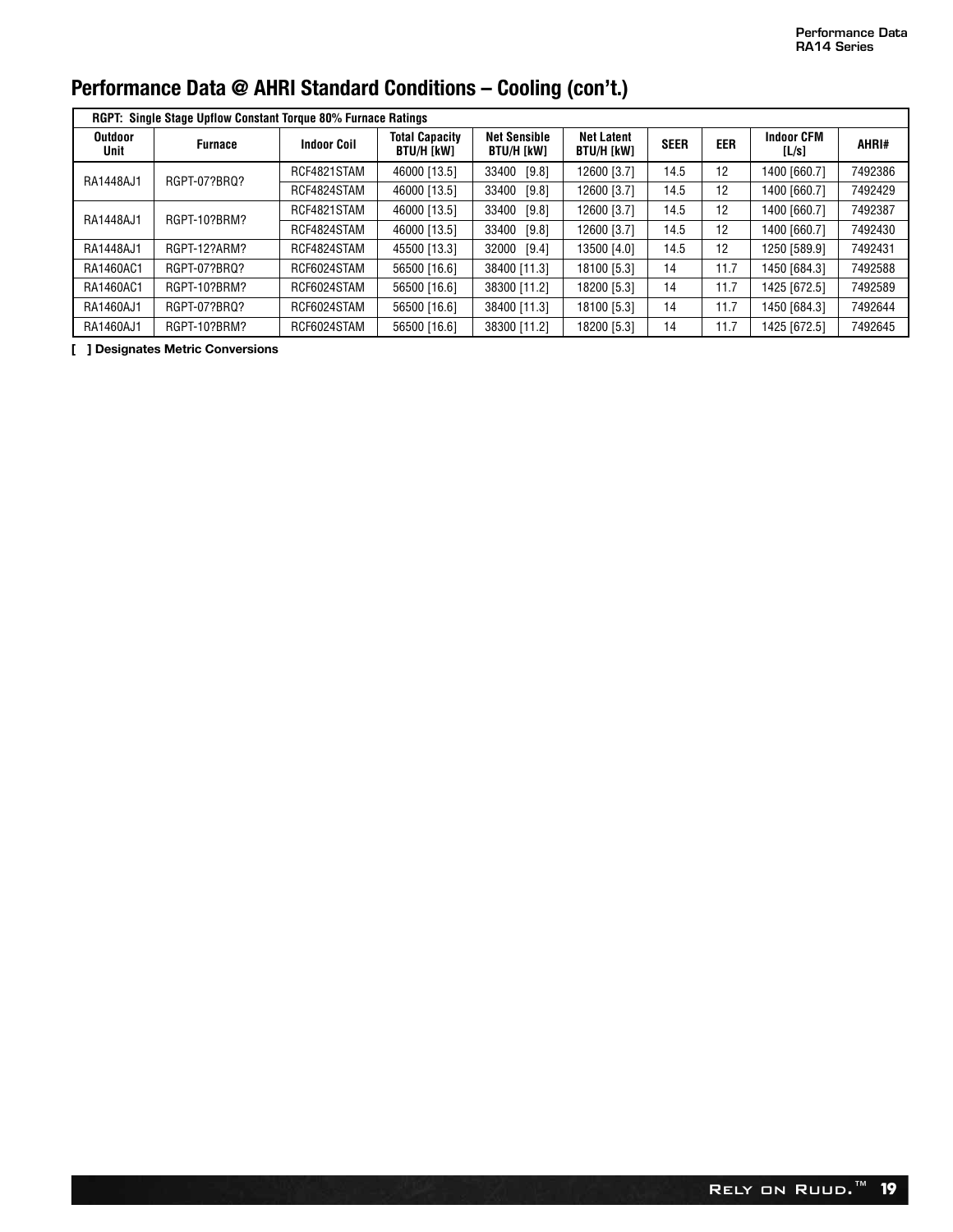|                        | <b>RGPT: Single Stage Upflow Constant Torque 80% Furnace Ratings</b> |                    |                                            |                                   |                                        |             |            |                            |         |
|------------------------|----------------------------------------------------------------------|--------------------|--------------------------------------------|-----------------------------------|----------------------------------------|-------------|------------|----------------------------|---------|
| <b>Outdoor</b><br>Unit | <b>Furnace</b>                                                       | <b>Indoor Coil</b> | <b>Total Capacity</b><br><b>BTU/H [kW]</b> | <b>Net Sensible</b><br>BTU/H [kW] | <b>Net Latent</b><br><b>BTU/H [kW]</b> | <b>SEER</b> | <b>EER</b> | <b>Indoor CFM</b><br>[L/s] | AHRI#   |
| RA1448AJ1              | RGPT-07?BRQ?                                                         | RCF4821STAM        | 46000 [13.5]                               | 33400<br>[9.8]                    | 12600 [3.7]                            | 14.5        | 12         | 1400 [660.7]               | 7492386 |
|                        |                                                                      | RCF4824STAM        | 46000 [13.5]                               | 33400<br>[9.8]                    | 12600 [3.7]                            | 14.5        | 12         | 1400 [660.7]               | 7492429 |
| RA1448AJ1              | RGPT-10?BRM?                                                         | RCF4821STAM        | 46000 [13.5]                               | 33400<br>[9.8]                    | 12600 [3.7]                            | 14.5        | 12         | 1400 [660.7]               | 7492387 |
|                        |                                                                      | RCF4824STAM        | 46000 [13.5]                               | 33400<br>[9.8]                    | 12600 [3.7]                            | 14.5        | 12         | 1400 [660.7]               | 7492430 |
| RA1448AJ1              | RGPT-12?ARM?                                                         | RCF4824STAM        | 45500 [13.3]                               | 32000<br>[9.4]                    | 13500 [4.0]                            | 14.5        | 12         | 1250 [589.9]               | 7492431 |
| RA1460AC1              | RGPT-07?BRQ?                                                         | RCF6024STAM        | 56500 [16.6]                               | 38400 [11.3]                      | 18100 [5.3]                            | 14          | 11.7       | 1450 [684.3]               | 7492588 |
| RA1460AC1              | RGPT-10?BRM?                                                         | RCF6024STAM        | 56500 [16.6]                               | 38300 [11.2]                      | 18200 [5.3]                            | 14          | 11.7       | 1425 [672.5]               | 7492589 |
| RA1460AJ1              | RGPT-07?BRQ?                                                         | RCF6024STAM        | 56500 [16.6]                               | 38400 [11.3]                      | 18100 [5.3]                            | 14          | 11.7       | 1450 [684.3]               | 7492644 |
| RA1460AJ1              | RGPT-10?BRM?                                                         | RCF6024STAM        | 56500 [16.6]                               | 38300 [11.2]                      | 18200 [5.3]                            | 14          | 11.7       | 1425 [672.5]               | 7492645 |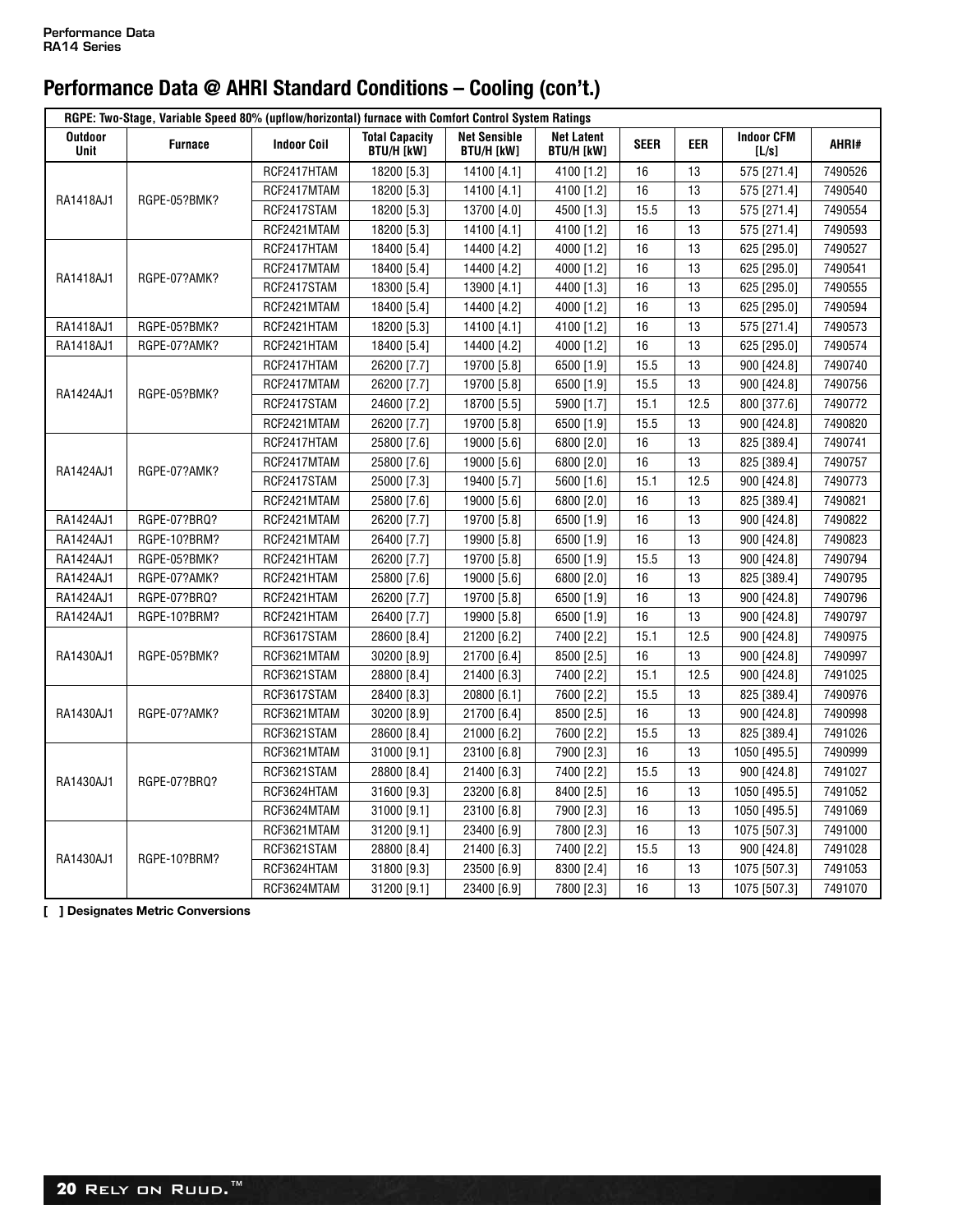|                        | RGPE: Two-Stage, Variable Speed 80% (upflow/horizontal) furnace with Comfort Control System Ratings |                    |                                            |                                          |                                        |             |            |                            |         |
|------------------------|-----------------------------------------------------------------------------------------------------|--------------------|--------------------------------------------|------------------------------------------|----------------------------------------|-------------|------------|----------------------------|---------|
| <b>Outdoor</b><br>Unit | <b>Furnace</b>                                                                                      | <b>Indoor Coil</b> | <b>Total Capacity</b><br><b>BTU/H [kW]</b> | <b>Net Sensible</b><br><b>BTU/H [kW]</b> | <b>Net Latent</b><br><b>BTU/H [kW]</b> | <b>SEER</b> | <b>EER</b> | <b>Indoor CFM</b><br>[L/s] | AHRI#   |
|                        |                                                                                                     | RCF2417HTAM        | 18200 [5.3]                                | 14100 [4.1]                              | 4100 [1.2]                             | 16          | 13         | 575 [271.4]                | 7490526 |
| RA1418AJ1              | RGPE-05?BMK?                                                                                        | RCF2417MTAM        | 18200 [5.3]                                | 14100 [4.1]                              | 4100 [1.2]                             | 16          | 13         | 575 [271.4]                | 7490540 |
|                        |                                                                                                     | RCF2417STAM        | 18200 [5.3]                                | 13700 [4.0]                              | 4500 [1.3]                             | 15.5        | 13         | 575 [271.4]                | 7490554 |
|                        |                                                                                                     | RCF2421MTAM        | 18200 [5.3]                                | 14100 [4.1]                              | 4100 [1.2]                             | 16          | 13         | 575 [271.4]                | 7490593 |
|                        |                                                                                                     | RCF2417HTAM        | 18400 [5.4]                                | 14400 [4.2]                              | 4000 [1.2]                             | 16          | 13         | 625 [295.0]                | 7490527 |
|                        |                                                                                                     | RCF2417MTAM        | 18400 [5.4]                                | 14400 [4.2]                              | 4000 [1.2]                             | 16          | 13         | 625 [295.0]                | 7490541 |
| RA1418AJ1              | RGPE-07?AMK?                                                                                        | RCF2417STAM        | 18300 [5.4]                                | 13900 [4.1]                              | 4400 [1.3]                             | 16          | 13         | 625 [295.0]                | 7490555 |
|                        |                                                                                                     | RCF2421MTAM        | 18400 [5.4]                                | 14400 [4.2]                              | 4000 [1.2]                             | 16          | 13         | 625 [295.0]                | 7490594 |
| RA1418AJ1              | RGPE-05?BMK?                                                                                        | RCF2421HTAM        | 18200 [5.3]                                | 14100 [4.1]                              | 4100 [1.2]                             | 16          | 13         | 575 [271.4]                | 7490573 |
| RA1418AJ1              | RGPE-07?AMK?                                                                                        | RCF2421HTAM        | 18400 [5.4]                                | 14400 [4.2]                              | 4000 [1.2]                             | 16          | 13         | 625 [295.0]                | 7490574 |
|                        |                                                                                                     | RCF2417HTAM        | 26200 [7.7]                                | 19700 [5.8]                              | 6500 [1.9]                             | 15.5        | 13         | 900 [424.8]                | 7490740 |
|                        |                                                                                                     | RCF2417MTAM        | 26200 [7.7]                                | 19700 [5.8]                              | 6500 [1.9]                             | 15.5        | 13         | 900 [424.8]                | 7490756 |
| RA1424AJ1              | RGPE-05?BMK?                                                                                        | RCF2417STAM        | 24600 [7.2]                                | 18700 [5.5]                              | 5900 [1.7]                             | 15.1        | 12.5       | 800 [377.6]                | 7490772 |
|                        |                                                                                                     | RCF2421MTAM        | 26200 [7.7]                                | 19700 [5.8]                              | 6500 [1.9]                             | 15.5        | 13         | 900 [424.8]                | 7490820 |
|                        |                                                                                                     | RCF2417HTAM        | 25800 [7.6]                                | 19000 [5.6]                              | 6800 [2.0]                             | 16          | 13         | 825 [389.4]                | 7490741 |
|                        |                                                                                                     | RCF2417MTAM        | 25800 [7.6]                                | 19000 [5.6]                              | 6800 [2.0]                             | 16          | 13         | 825 [389.4]                | 7490757 |
| RA1424AJ1              | RGPE-07?AMK?                                                                                        | RCF2417STAM        | 25000 [7.3]                                | 19400 [5.7]                              | 5600 [1.6]                             | 15.1        | 12.5       | 900 [424.8]                | 7490773 |
|                        |                                                                                                     | RCF2421MTAM        | 25800 [7.6]                                | 19000 [5.6]                              | 6800 [2.0]                             | 16          | 13         | 825 [389.4]                | 7490821 |
| RA1424AJ1              | RGPE-07?BRQ?                                                                                        | RCF2421MTAM        | 26200 [7.7]                                | 19700 [5.8]                              | 6500 [1.9]                             | 16          | 13         | 900 [424.8]                | 7490822 |
| RA1424AJ1              | RGPE-10?BRM?                                                                                        | RCF2421MTAM        | 26400 [7.7]                                | 19900 [5.8]                              | 6500 [1.9]                             | 16          | 13         | 900 [424.8]                | 7490823 |
| RA1424AJ1              | RGPE-05?BMK?                                                                                        | RCF2421HTAM        | 26200 [7.7]                                | 19700 [5.8]                              | 6500 [1.9]                             | 15.5        | 13         | 900 [424.8]                | 7490794 |
| RA1424AJ1              | RGPE-07?AMK?                                                                                        | RCF2421HTAM        | 25800 [7.6]                                | 19000 [5.6]                              | 6800 [2.0]                             | 16          | 13         | 825 [389.4]                | 7490795 |
| RA1424AJ1              | RGPE-07?BRQ?                                                                                        | RCF2421HTAM        | 26200 [7.7]                                | 19700 [5.8]                              | 6500 [1.9]                             | 16          | 13         | 900 [424.8]                | 7490796 |
| RA1424AJ1              | RGPE-10?BRM?                                                                                        | RCF2421HTAM        | 26400 [7.7]                                | 19900 [5.8]                              | 6500 [1.9]                             | 16          | 13         | 900 [424.8]                | 7490797 |
|                        |                                                                                                     | RCF3617STAM        | 28600 [8.4]                                | 21200 [6.2]                              | 7400 [2.2]                             | 15.1        | 12.5       | 900 [424.8]                | 7490975 |
| RA1430AJ1              | RGPE-05?BMK?                                                                                        | RCF3621MTAM        | 30200 [8.9]                                | 21700 [6.4]                              | 8500 [2.5]                             | 16          | 13         | 900 [424.8]                | 7490997 |
|                        |                                                                                                     | RCF3621STAM        | 28800 [8.4]                                | 21400 [6.3]                              | 7400 [2.2]                             | 15.1        | 12.5       | 900 [424.8]                | 7491025 |
|                        |                                                                                                     | RCF3617STAM        | 28400 [8.3]                                | 20800 [6.1]                              | 7600 [2.2]                             | 15.5        | 13         | 825 [389.4]                | 7490976 |
| RA1430AJ1              | RGPE-07?AMK?                                                                                        | RCF3621MTAM        | 30200 [8.9]                                | 21700 [6.4]                              | 8500 [2.5]                             | 16          | 13         | 900 [424.8]                | 7490998 |
|                        |                                                                                                     | RCF3621STAM        | 28600 [8.4]                                | 21000 [6.2]                              | 7600 [2.2]                             | 15.5        | 13         | 825 [389.4]                | 7491026 |
|                        |                                                                                                     | RCF3621MTAM        | 31000 [9.1]                                | 23100 [6.8]                              | 7900 [2.3]                             | 16          | 13         | 1050 [495.5]               | 7490999 |
| RA1430AJ1              | RGPE-07?BRQ?                                                                                        | RCF3621STAM        | 28800 [8.4]                                | 21400 [6.3]                              | 7400 [2.2]                             | 15.5        | 13         | 900 [424.8]                | 7491027 |
|                        |                                                                                                     | RCF3624HTAM        | 31600 [9.3]                                | 23200 [6.8]                              | 8400 [2.5]                             | 16          | 13         | 1050 [495.5]               | 7491052 |
|                        |                                                                                                     | RCF3624MTAM        | 31000 [9.1]                                | 23100 [6.8]                              | 7900 [2.3]                             | 16          | 13         | 1050 [495.5]               | 7491069 |
|                        |                                                                                                     | RCF3621MTAM        | 31200 [9.1]                                | 23400 [6.9]                              | 7800 [2.3]                             | 16          | 13         | 1075 [507.3]               | 7491000 |
| RA1430AJ1              | RGPE-10?BRM?                                                                                        | RCF3621STAM        | 28800 [8.4]                                | 21400 [6.3]                              | 7400 [2.2]                             | 15.5        | 13         | 900 [424.8]                | 7491028 |
|                        |                                                                                                     | RCF3624HTAM        | 31800 [9.3]                                | 23500 [6.9]                              | 8300 [2.4]                             | 16          | 13         | 1075 [507.3]               | 7491053 |
|                        |                                                                                                     | RCF3624MTAM        | 31200 [9.1]                                | 23400 [6.9]                              | 7800 [2.3]                             | 16          | 13         | 1075 [507.3]               | 7491070 |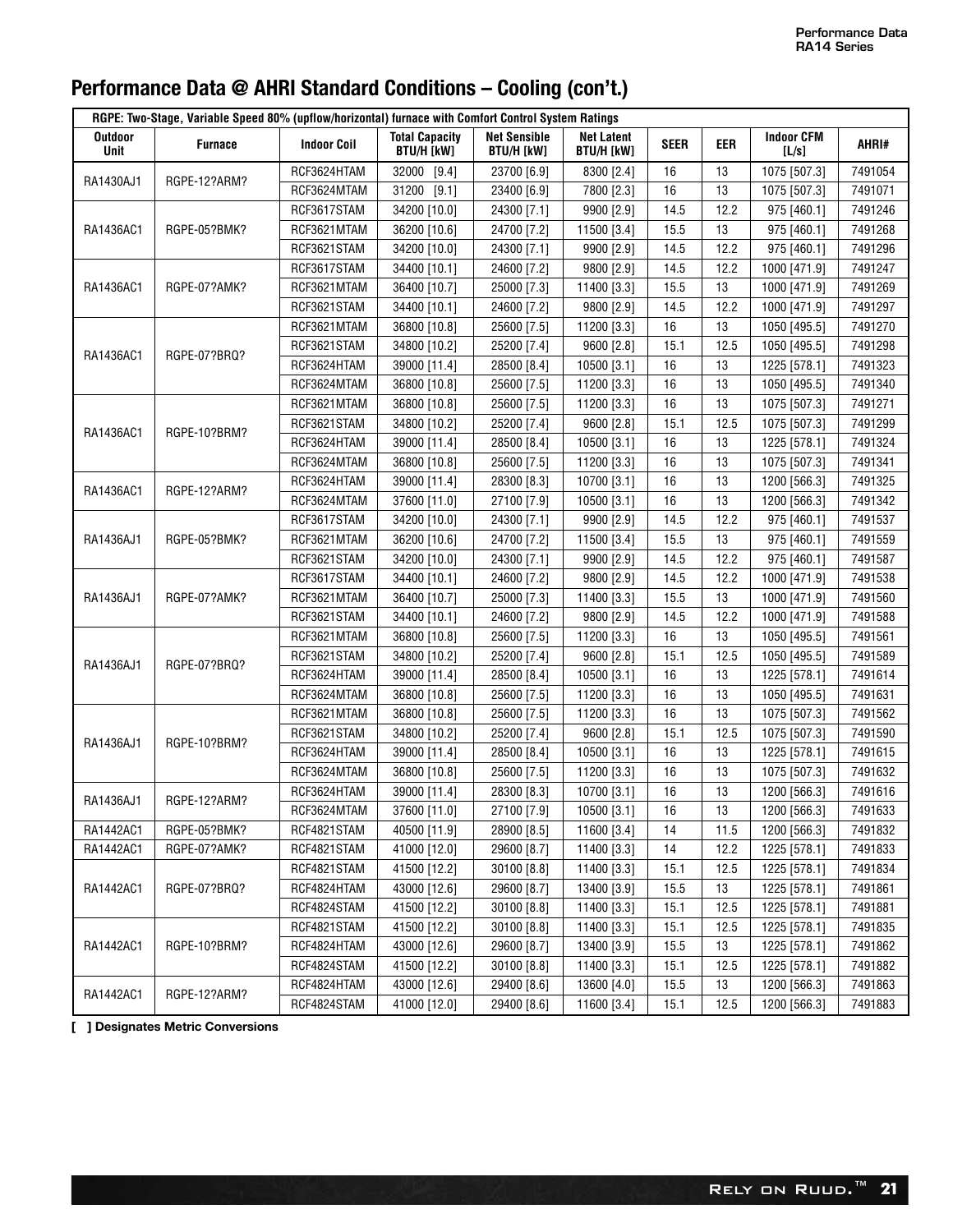|                        | RGPE: Two-Stage, Variable Speed 80% (upflow/horizontal) furnace with Comfort Control System Ratings |                    |                                            |                                          |                                        |             |            |                            |         |
|------------------------|-----------------------------------------------------------------------------------------------------|--------------------|--------------------------------------------|------------------------------------------|----------------------------------------|-------------|------------|----------------------------|---------|
| <b>Outdoor</b><br>Unit | <b>Furnace</b>                                                                                      | <b>Indoor Coil</b> | <b>Total Capacity</b><br><b>BTU/H [kW]</b> | <b>Net Sensible</b><br><b>BTU/H [kW]</b> | <b>Net Latent</b><br><b>BTU/H [kW]</b> | <b>SEER</b> | <b>EER</b> | <b>Indoor CFM</b><br>[L/s] | AHRI#   |
| RA1430AJ1              | RGPE-12?ARM?                                                                                        | RCF3624HTAM        | 32000 [9.4]                                | 23700 [6.9]                              | 8300 [2.4]                             | 16          | 13         | 1075 [507.3]               | 7491054 |
|                        |                                                                                                     | RCF3624MTAM        | 31200 [9.1]                                | 23400 [6.9]                              | 7800 [2.3]                             | 16          | 13         | 1075 [507.3]               | 7491071 |
|                        |                                                                                                     | RCF3617STAM        | 34200 [10.0]                               | 24300 [7.1]                              | 9900 [2.9]                             | 14.5        | 12.2       | 975 [460.1]                | 7491246 |
| RA1436AC1              | RGPE-05?BMK?                                                                                        | RCF3621MTAM        | 36200 [10.6]                               | 24700 [7.2]                              | 11500 [3.4]                            | 15.5        | 13         | 975 [460.1]                | 7491268 |
|                        |                                                                                                     | RCF3621STAM        | 34200 [10.0]                               | 24300 [7.1]                              | 9900 [2.9]                             | 14.5        | 12.2       | 975 [460.1]                | 7491296 |
|                        |                                                                                                     | RCF3617STAM        | 34400 [10.1]                               | 24600 [7.2]                              | 9800 [2.9]                             | 14.5        | 12.2       | 1000 [471.9]               | 7491247 |
| RA1436AC1              | RGPE-07?AMK?                                                                                        | RCF3621MTAM        | 36400 [10.7]                               | 25000 [7.3]                              | 11400 [3.3]                            | 15.5        | 13         | 1000 [471.9]               | 7491269 |
|                        |                                                                                                     | RCF3621STAM        | 34400 [10.1]                               | 24600 [7.2]                              | 9800 [2.9]                             | 14.5        | 12.2       | 1000 [471.9]               | 7491297 |
|                        |                                                                                                     | RCF3621MTAM        | 36800 [10.8]                               | 25600 [7.5]                              | 11200 [3.3]                            | 16          | 13         | 1050 [495.5]               | 7491270 |
| RA1436AC1              | RGPE-07?BRQ?                                                                                        | RCF3621STAM        | 34800 [10.2]                               | 25200 [7.4]                              | 9600 [2.8]                             | 15.1        | 12.5       | 1050 [495.5]               | 7491298 |
|                        |                                                                                                     | RCF3624HTAM        | 39000 [11.4]                               | 28500 [8.4]                              | 10500 [3.1]                            | 16          | 13         | 1225 [578.1]               | 7491323 |
|                        |                                                                                                     | RCF3624MTAM        | 36800 [10.8]                               | 25600 [7.5]                              | 11200 [3.3]                            | 16          | 13         | 1050 [495.5]               | 7491340 |
|                        |                                                                                                     | RCF3621MTAM        | 36800 [10.8]                               | 25600 [7.5]                              | 11200 [3.3]                            | 16          | 13         | 1075 [507.3]               | 7491271 |
| RA1436AC1              | RGPE-10?BRM?                                                                                        | RCF3621STAM        | 34800 [10.2]                               | 25200 [7.4]                              | 9600 [2.8]                             | 15.1        | 12.5       | 1075 [507.3]               | 7491299 |
|                        |                                                                                                     | RCF3624HTAM        | 39000 [11.4]                               | 28500 [8.4]                              | 10500 [3.1]                            | 16          | 13         | 1225 [578.1]               | 7491324 |
|                        |                                                                                                     | RCF3624MTAM        | 36800 [10.8]                               | 25600 [7.5]                              | 11200 [3.3]                            | 16          | 13         | 1075 [507.3]               | 7491341 |
| RA1436AC1              | RGPE-12?ARM?                                                                                        | RCF3624HTAM        | 39000 [11.4]                               | 28300 [8.3]                              | 10700 [3.1]                            | 16          | 13         | 1200 [566.3]               | 7491325 |
|                        |                                                                                                     | RCF3624MTAM        | 37600 [11.0]                               | 27100 [7.9]                              | 10500 [3.1]                            | 16          | 13         | 1200 [566.3]               | 7491342 |
|                        |                                                                                                     | RCF3617STAM        | 34200 [10.0]                               | 24300 [7.1]                              | 9900 [2.9]                             | 14.5        | 12.2       | 975 [460.1]                | 7491537 |
| RA1436AJ1              | RGPE-05?BMK?                                                                                        | RCF3621MTAM        | 36200 [10.6]                               | 24700 [7.2]                              | 11500 [3.4]                            | 15.5        | 13         | 975 [460.1]                | 7491559 |
|                        |                                                                                                     | RCF3621STAM        | 34200 [10.0]                               | 24300 [7.1]                              | 9900 [2.9]                             | 14.5        | 12.2       | 975 [460.1]                | 7491587 |
|                        |                                                                                                     | RCF3617STAM        | 34400 [10.1]                               | 24600 [7.2]                              | 9800 [2.9]                             | 14.5        | 12.2       | 1000 [471.9]               | 7491538 |
| RA1436AJ1              | RGPE-07?AMK?                                                                                        | RCF3621MTAM        | 36400 [10.7]                               | 25000 [7.3]                              | 11400 [3.3]                            | 15.5        | 13         | 1000 [471.9]               | 7491560 |
|                        |                                                                                                     | RCF3621STAM        | 34400 [10.1]                               | 24600 [7.2]                              | 9800 [2.9]                             | 14.5        | 12.2       | 1000 [471.9]               | 7491588 |
|                        |                                                                                                     | RCF3621MTAM        | 36800 [10.8]                               | 25600 [7.5]                              | 11200 [3.3]                            | 16          | 13         | 1050 [495.5]               | 7491561 |
| RA1436AJ1              | RGPE-07?BRQ?                                                                                        | RCF3621STAM        | 34800 [10.2]                               | 25200 [7.4]                              | 9600 [2.8]                             | 15.1        | 12.5       | 1050 [495.5]               | 7491589 |
|                        |                                                                                                     | RCF3624HTAM        | 39000 [11.4]                               | 28500 [8.4]                              | 10500 [3.1]                            | 16          | 13         | 1225 [578.1]               | 7491614 |
|                        |                                                                                                     | RCF3624MTAM        | 36800 [10.8]                               | 25600 [7.5]                              | 11200 [3.3]                            | 16          | 13         | 1050 [495.5]               | 7491631 |
|                        |                                                                                                     | RCF3621MTAM        | 36800 [10.8]                               | 25600 [7.5]                              | 11200 [3.3]                            | 16          | 13         | 1075 [507.3]               | 7491562 |
| RA1436AJ1              | RGPE-10?BRM?                                                                                        | RCF3621STAM        | 34800 [10.2]                               | 25200 [7.4]                              | 9600 [2.8]                             | 15.1        | 12.5       | 1075 [507.3]               | 7491590 |
|                        |                                                                                                     | RCF3624HTAM        | 39000 [11.4]                               | 28500 [8.4]                              | 10500 [3.1]                            | 16          | 13         | 1225 [578.1]               | 7491615 |
|                        |                                                                                                     | RCF3624MTAM        | 36800 [10.8]                               | 25600 [7.5]                              | 11200 [3.3]                            | 16          | 13         | 1075 [507.3]               | 7491632 |
| RA1436AJ1              | RGPE-12?ARM?                                                                                        | RCF3624HTAM        | 39000 [11.4]                               | 28300 [8.3]                              | 10700 [3.1]                            | 16          | 13         | 1200 [566.3]               | 7491616 |
|                        |                                                                                                     | RCF3624MTAM        | 37600 [11.0]                               | 27100 [7.9]                              | 10500 [3.1]                            | 16          | 13         | 1200 [566.3]               | 7491633 |
| RA1442AC1              | RGPE-05?BMK?                                                                                        | RCF4821STAM        | 40500 [11.9]                               | 28900 [8.5]                              | 11600 [3.4]                            | 14          | 11.5       | 1200 [566.3]               | 7491832 |
| RA1442AC1              | RGPE-07?AMK?                                                                                        | RCF4821STAM        | 41000 [12.0]                               | 29600 [8.7]                              | 11400 [3.3]                            | 14          | 12.2       | 1225 [578.1]               | 7491833 |
|                        |                                                                                                     | RCF4821STAM        | 41500 [12.2]                               | 30100 [8.8]                              | 11400 [3.3]                            | 15.1        | 12.5       | 1225 [578.1]               | 7491834 |
| RA1442AC1              | RGPE-07?BRQ?                                                                                        | RCF4824HTAM        | 43000 [12.6]                               | 29600 [8.7]                              | 13400 [3.9]                            | 15.5        | 13         | 1225 [578.1]               | 7491861 |
|                        |                                                                                                     | RCF4824STAM        | 41500 [12.2]                               | 30100 [8.8]                              | 11400 [3.3]                            | 15.1        | 12.5       | 1225 [578.1]               | 7491881 |
|                        |                                                                                                     | RCF4821STAM        | 41500 [12.2]                               | 30100 [8.8]                              | 11400 [3.3]                            | 15.1        | 12.5       | 1225 [578.1]               | 7491835 |
| RA1442AC1              | RGPE-10?BRM?                                                                                        | RCF4824HTAM        | 43000 [12.6]                               | 29600 [8.7]                              | 13400 [3.9]                            | 15.5        | 13         | 1225 [578.1]               | 7491862 |
|                        |                                                                                                     | RCF4824STAM        | 41500 [12.2]                               | 30100 [8.8]                              | 11400 [3.3]                            | 15.1        | 12.5       | 1225 [578.1]               | 7491882 |
| RA1442AC1              | RGPE-12?ARM?                                                                                        | RCF4824HTAM        | 43000 [12.6]                               | 29400 [8.6]                              | 13600 [4.0]                            | 15.5        | 13         | 1200 [566.3]               | 7491863 |
|                        |                                                                                                     | RCF4824STAM        | 41000 [12.0]                               | 29400 [8.6]                              | 11600 [3.4]                            | 15.1        | 12.5       | 1200 [566.3]               | 7491883 |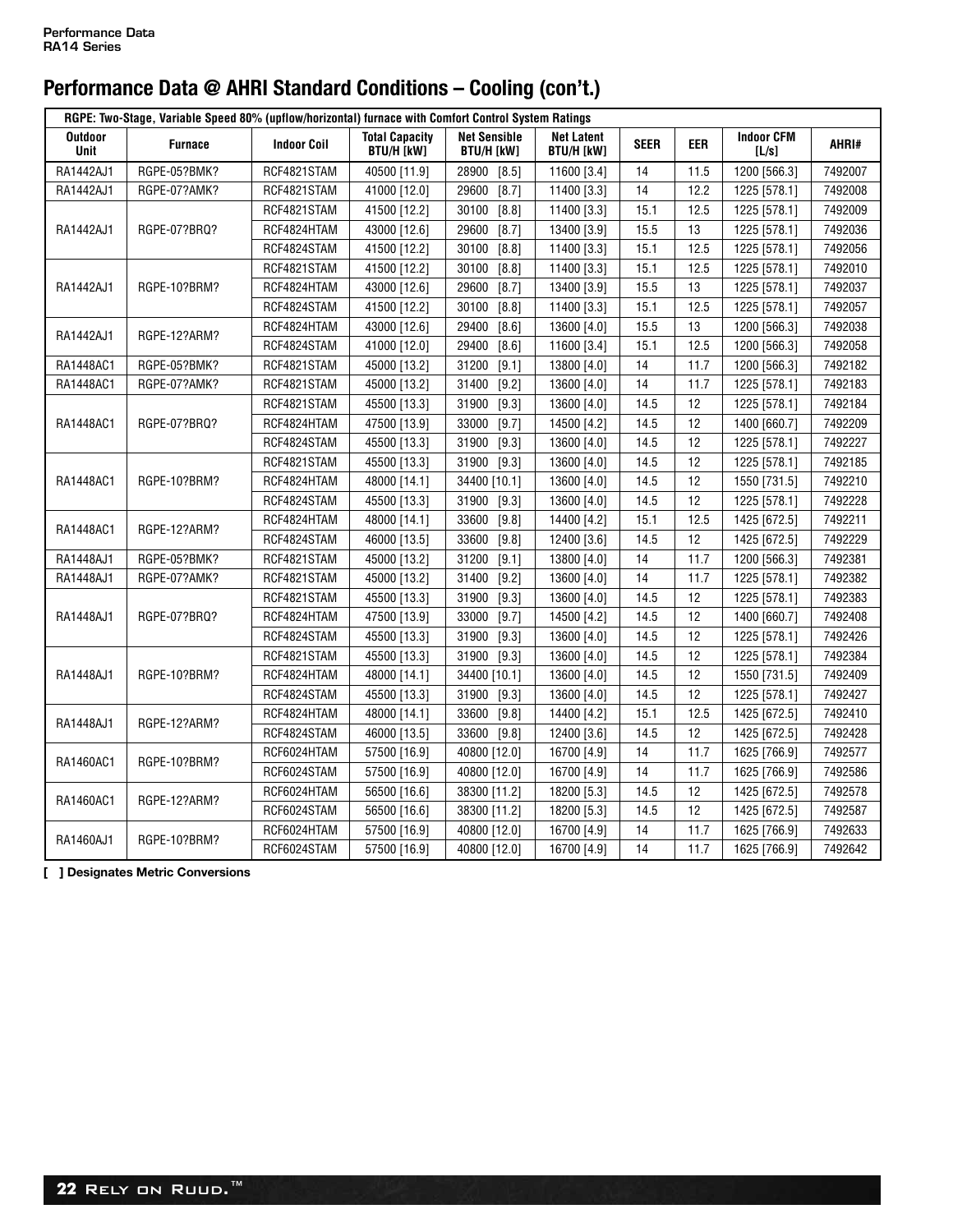|                        | RGPE: Two-Stage, Variable Speed 80% (upflow/horizontal) furnace with Comfort Control System Ratings |                    |                                            |                                          |                                        |             |      |                            |         |
|------------------------|-----------------------------------------------------------------------------------------------------|--------------------|--------------------------------------------|------------------------------------------|----------------------------------------|-------------|------|----------------------------|---------|
| <b>Outdoor</b><br>Unit | <b>Furnace</b>                                                                                      | <b>Indoor Coil</b> | <b>Total Capacity</b><br><b>BTU/H [kW]</b> | <b>Net Sensible</b><br><b>BTU/H [kW]</b> | <b>Net Latent</b><br><b>BTU/H [kW]</b> | <b>SEER</b> | EER  | <b>Indoor CFM</b><br>[L/s] | AHRI#   |
| RA1442AJ1              | RGPE-05?BMK?                                                                                        | RCF4821STAM        | 40500 [11.9]                               | 28900<br>$[8.5]$                         | 11600 [3.4]                            | 14          | 11.5 | 1200 [566.3]               | 7492007 |
| RA1442AJ1              | RGPE-07?AMK?                                                                                        | RCF4821STAM        | 41000 [12.0]                               | 29600<br>[8.7]                           | 11400 [3.3]                            | 14          | 12.2 | 1225 [578.1]               | 7492008 |
|                        |                                                                                                     | RCF4821STAM        | 41500 [12.2]                               | 30100<br>[8.8]                           | 11400 [3.3]                            | 15.1        | 12.5 | 1225 [578.1]               | 7492009 |
| RA1442AJ1              | RGPE-07?BRQ?                                                                                        | RCF4824HTAM        | 43000 [12.6]                               | 29600<br>$[8.7]$                         | 13400 [3.9]                            | 15.5        | 13   | 1225 [578.1]               | 7492036 |
|                        |                                                                                                     | RCF4824STAM        | 41500 [12.2]                               | [8.8]<br>30100                           | 11400 [3.3]                            | 15.1        | 12.5 | 1225 [578.1]               | 7492056 |
|                        |                                                                                                     | RCF4821STAM        | 41500 [12.2]                               | [8.8]<br>30100                           | 11400 [3.3]                            | 15.1        | 12.5 | 1225 [578.1]               | 7492010 |
| RA1442AJ1              | RGPE-10?BRM?                                                                                        | RCF4824HTAM        | 43000 [12.6]                               | [8.7]<br>29600                           | 13400 [3.9]                            | 15.5        | 13   | 1225 [578.1]               | 7492037 |
|                        |                                                                                                     | RCF4824STAM        | 41500 [12.2]                               | [8.8]<br>30100                           | 11400 [3.3]                            | 15.1        | 12.5 | 1225 [578.1]               | 7492057 |
|                        |                                                                                                     | RCF4824HTAM        | 43000 [12.6]                               | $[8.6]$<br>29400                         | 13600 [4.0]                            | 15.5        | 13   | 1200 [566.3]               | 7492038 |
| RA1442AJ1              | RGPE-12?ARM?                                                                                        | RCF4824STAM        | 41000 [12.0]                               | [8.6]<br>29400                           | 11600 [3.4]                            | 15.1        | 12.5 | 1200 [566.3]               | 7492058 |
| RA1448AC1              | RGPE-05?BMK?                                                                                        | RCF4821STAM        | 45000 [13.2]                               | 31200<br>[9.1]                           | 13800 [4.0]                            | 14          | 11.7 | 1200 [566.3]               | 7492182 |
| RA1448AC1              | RGPE-07?AMK?                                                                                        | RCF4821STAM        | 45000 [13.2]                               | 31400<br>[9.2]                           | 13600 [4.0]                            | 14          | 11.7 | 1225 [578.1]               | 7492183 |
|                        |                                                                                                     | RCF4821STAM        | 45500 [13.3]                               | 31900<br>$[9.3]$                         | 13600 [4.0]                            | 14.5        | 12   | 1225 [578.1]               | 7492184 |
| RA1448AC1              | RGPE-07?BRQ?                                                                                        | RCF4824HTAM        | 47500 [13.9]                               | 33000<br>[9.7]                           | 14500 [4.2]                            | 14.5        | 12   | 1400 [660.7]               | 7492209 |
|                        |                                                                                                     | RCF4824STAM        | 45500 [13.3]                               | 31900<br>$[9.3]$                         | 13600 [4.0]                            | 14.5        | 12   | 1225 [578.1]               | 7492227 |
|                        |                                                                                                     | RCF4821STAM        | 45500 [13.3]                               | 31900<br>$[9.3]$                         | 13600 [4.0]                            | 14.5        | 12   | 1225 [578.1]               | 7492185 |
| RA1448AC1              | RGPE-10?BRM?                                                                                        | RCF4824HTAM        | 48000 [14.1]                               | 34400 [10.1]                             | 13600 [4.0]                            | 14.5        | 12   | 1550 [731.5]               | 7492210 |
|                        |                                                                                                     | RCF4824STAM        | 45500 [13.3]                               | 31900<br>$[9.3]$                         | 13600 [4.0]                            | 14.5        | 12   | 1225 [578.1]               | 7492228 |
|                        |                                                                                                     | RCF4824HTAM        | 48000 [14.1]                               | [9.8]<br>33600                           | 14400 [4.2]                            | 15.1        | 12.5 | 1425 [672.5]               | 7492211 |
| RA1448AC1              | RGPE-12?ARM?                                                                                        | RCF4824STAM        | 46000 [13.5]                               | [9.8]<br>33600                           | 12400 [3.6]                            | 14.5        | 12   | 1425 [672.5]               | 7492229 |
| RA1448AJ1              | RGPE-05?BMK?                                                                                        | RCF4821STAM        | 45000 [13.2]                               | 31200<br>[9.1]                           | 13800 [4.0]                            | 14          | 11.7 | 1200 [566.3]               | 7492381 |
| RA1448AJ1              | RGPE-07?AMK?                                                                                        | RCF4821STAM        | 45000 [13.2]                               | 31400<br>$[9.2]$                         | 13600 [4.0]                            | 14          | 11.7 | 1225 [578.1]               | 7492382 |
|                        |                                                                                                     | RCF4821STAM        | 45500 [13.3]                               | 31900<br>[9.3]                           | 13600 [4.0]                            | 14.5        | 12   | 1225 [578.1]               | 7492383 |
| RA1448AJ1              | RGPE-07?BRQ?                                                                                        | RCF4824HTAM        | 47500 [13.9]                               | 33000<br>[9.7]                           | 14500 [4.2]                            | 14.5        | 12   | 1400 [660.7]               | 7492408 |
|                        |                                                                                                     | RCF4824STAM        | 45500 [13.3]                               | $[9.3]$<br>31900                         | 13600 [4.0]                            | 14.5        | 12   | 1225 [578.1]               | 7492426 |
|                        |                                                                                                     | RCF4821STAM        | 45500 [13.3]                               | $[9.3]$<br>31900                         | 13600 [4.0]                            | 14.5        | 12   | 1225 [578.1]               | 7492384 |
| RA1448AJ1              | RGPE-10?BRM?                                                                                        | RCF4824HTAM        | 48000 [14.1]                               | 34400 [10.1]                             | 13600 [4.0]                            | 14.5        | 12   | 1550 [731.5]               | 7492409 |
|                        |                                                                                                     | RCF4824STAM        | 45500 [13.3]                               | 31900<br>$[9.3]$                         | 13600 [4.0]                            | 14.5        | 12   | 1225 [578.1]               | 7492427 |
|                        |                                                                                                     | RCF4824HTAM        | 48000 [14.1]                               | 33600<br>[9.8]                           | 14400 [4.2]                            | 15.1        | 12.5 | 1425 [672.5]               | 7492410 |
| RA1448AJ1              | RGPE-12?ARM?                                                                                        | RCF4824STAM        | 46000 [13.5]                               | 33600<br>[9.8]                           | 12400 [3.6]                            | 14.5        | 12   | 1425 [672.5]               | 7492428 |
|                        |                                                                                                     | RCF6024HTAM        | 57500 [16.9]                               | 40800 [12.0]                             | 16700 [4.9]                            | 14          | 11.7 | 1625 [766.9]               | 7492577 |
| RA1460AC1              | RGPE-10?BRM?                                                                                        | RCF6024STAM        | 57500 [16.9]                               | 40800 [12.0]                             | 16700 [4.9]                            | 14          | 11.7 | 1625 [766.9]               | 7492586 |
|                        |                                                                                                     | RCF6024HTAM        | 56500 [16.6]                               | 38300 [11.2]                             | 18200 [5.3]                            | 14.5        | 12   | 1425 [672.5]               | 7492578 |
| RA1460AC1              | RGPE-12?ARM?                                                                                        | RCF6024STAM        | 56500 [16.6]                               | 38300 [11.2]                             | 18200 [5.3]                            | 14.5        | 12   | 1425 [672.5]               | 7492587 |
|                        |                                                                                                     | RCF6024HTAM        | 57500 [16.9]                               | 40800 [12.0]                             | 16700 [4.9]                            | 14          | 11.7 | 1625 [766.9]               | 7492633 |
| RA1460AJ1              | RGPE-10?BRM?                                                                                        | RCF6024STAM        | 57500 [16.9]                               | 40800 [12.0]                             | 16700 [4.9]                            | 14          | 11.7 | 1625 [766.9]               | 7492642 |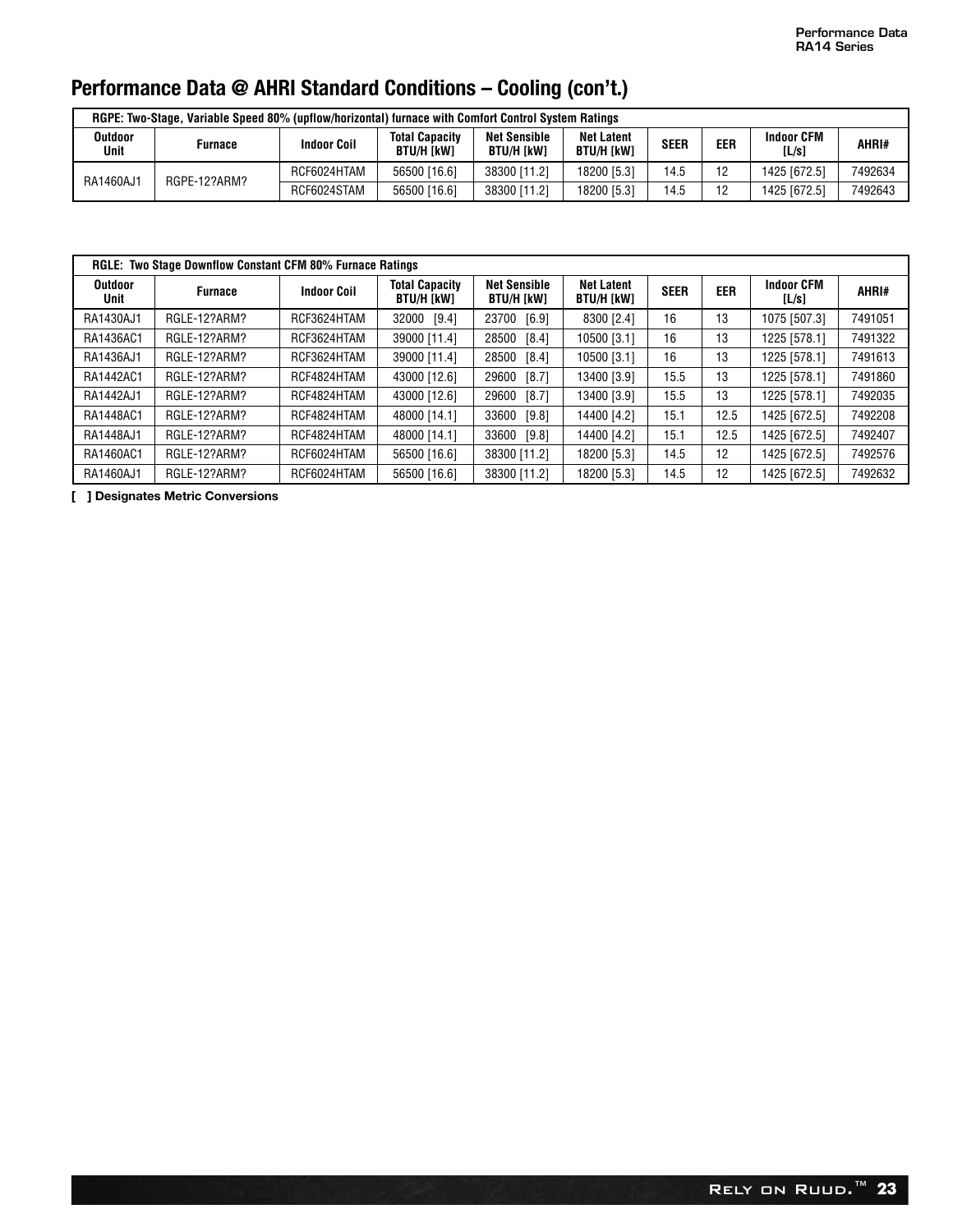|                 | RGPE: Two-Stage, Variable Speed 80% (upflow/horizontal) furnace with Comfort Control System Ratings |                    |                                     |                                          |                                        |             |     |                            |         |
|-----------------|-----------------------------------------------------------------------------------------------------|--------------------|-------------------------------------|------------------------------------------|----------------------------------------|-------------|-----|----------------------------|---------|
| Outdoor<br>Unit | Furnace                                                                                             | <b>Indoor Coil</b> | <b>Total Capacity</b><br>BTU/H [kW] | <b>Net Sensible</b><br><b>BTU/H [kW]</b> | <b>Net Latent</b><br><b>BTU/H [kW]</b> | <b>SEER</b> | EER | <b>Indoor CFM</b><br>[L/s] | AHRI#   |
| RA1460AJ1       | RGPE-12?ARM?                                                                                        | RCF6024HTAM        | 56500 [16.6]                        | 38300 [11.2]                             | 18200 [5.3]                            | 14.5        | 12  | 1425 [672.5]               | 7492634 |
|                 |                                                                                                     | RCF6024STAM        | 56500 [16.6]                        | 38300 [11.2]                             | 18200 [5.3]                            | 14.5        | 12  | 1425 [672.5]               | 7492643 |

|                        | <b>RGLE: Two Stage Downflow Constant CFM 80% Furnace Ratings</b> |                    |                                            |                                          |                                        |             |            |                            |         |
|------------------------|------------------------------------------------------------------|--------------------|--------------------------------------------|------------------------------------------|----------------------------------------|-------------|------------|----------------------------|---------|
| <b>Outdoor</b><br>Unit | <b>Furnace</b>                                                   | <b>Indoor Coil</b> | <b>Total Capacity</b><br><b>BTU/H [kW]</b> | <b>Net Sensible</b><br><b>BTU/H [kW]</b> | <b>Net Latent</b><br><b>BTU/H [kW]</b> | <b>SEER</b> | <b>EER</b> | <b>Indoor CFM</b><br>[L/s] | AHRI#   |
| RA1430AJ1              | RGLE-12?ARM?                                                     | RCF3624HTAM        | 32000 [9.4]                                | 23700 [6.9]                              | 8300 [2.4]                             | 16          | 13         | 1075 [507.3]               | 7491051 |
| RA1436AC1              | RGLE-12?ARM?                                                     | RCF3624HTAM        | 39000 [11.4]                               | 28500 [8.4]                              | 10500 [3.1]                            | 16          | 13         | 1225 [578.1]               | 7491322 |
| RA1436AJ1              | RGLE-12?ARM?                                                     | RCF3624HTAM        | 39000 [11.4]                               | 28500<br>[8.4]                           | 10500 [3.1]                            | 16          | 13         | 1225 [578.1]               | 7491613 |
| RA1442AC1              | RGLE-12?ARM?                                                     | RCF4824HTAM        | 43000 [12.6]                               | 29600<br>[8.7]                           | 13400 [3.9]                            | 15.5        | 13         | 1225 [578.1]               | 7491860 |
| RA1442AJ1              | RGLE-12?ARM?                                                     | RCF4824HTAM        | 43000 [12.6]                               | 29600<br>$[8.7]$                         | 13400 [3.9]                            | 15.5        | 13         | 1225 [578.1]               | 7492035 |
| RA1448AC1              | RGLE-12?ARM?                                                     | RCF4824HTAM        | 48000 [14.1]                               | 33600<br>[9.8]                           | 14400 [4.2]                            | 15.1        | 12.5       | 1425 [672.5]               | 7492208 |
| RA1448AJ1              | RGLE-12?ARM?                                                     | RCF4824HTAM        | 48000 [14.1]                               | 33600<br>[9.8]                           | 14400 [4.2]                            | 15.1        | 12.5       | 1425 [672.5]               | 7492407 |
| RA1460AC1              | RGLE-12?ARM?                                                     | RCF6024HTAM        | 56500 [16.6]                               | 38300 [11.2]                             | 18200 [5.3]                            | 14.5        | 12         | 1425 [672.5]               | 7492576 |
| RA1460AJ1              | RGLE-12?ARM?                                                     | RCF6024HTAM        | 56500 [16.6]                               | 38300 [11.2]                             | 18200 [5.3]                            | 14.5        | 12         | 1425 [672.5]               | 7492632 |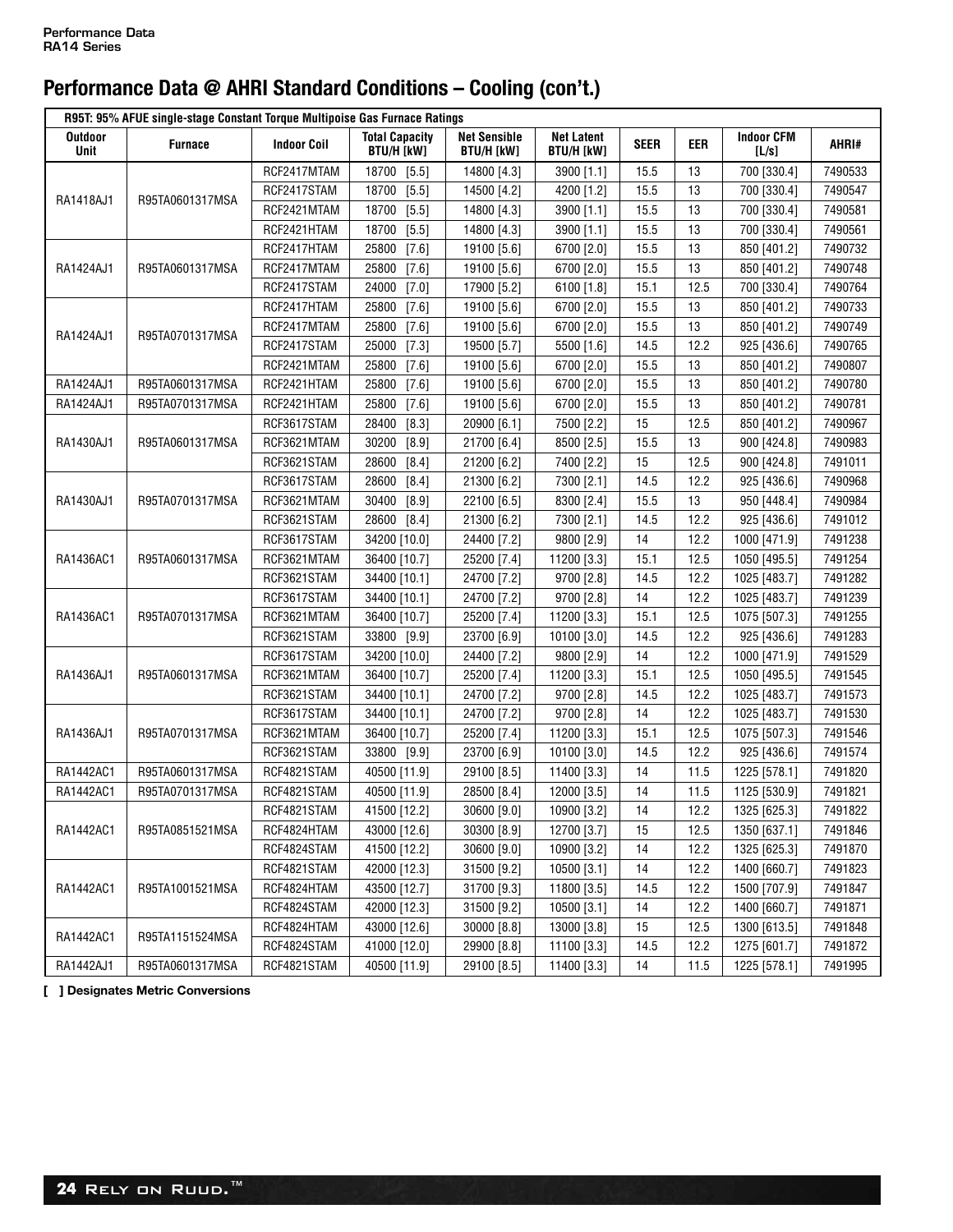|                        | R95T: 95% AFUE single-stage Constant Torque Multipoise Gas Furnace Ratings |                    |                                     |                                          |                                        |             |            |                            |         |
|------------------------|----------------------------------------------------------------------------|--------------------|-------------------------------------|------------------------------------------|----------------------------------------|-------------|------------|----------------------------|---------|
| <b>Outdoor</b><br>Unit | <b>Furnace</b>                                                             | <b>Indoor Coil</b> | <b>Total Capacity</b><br>BTU/H [kW] | <b>Net Sensible</b><br><b>BTU/H [kW]</b> | <b>Net Latent</b><br><b>BTU/H [kW]</b> | <b>SEER</b> | <b>EER</b> | <b>Indoor CFM</b><br>[L/s] | AHRI#   |
|                        |                                                                            | RCF2417MTAM        | 18700<br>$[5.5]$                    | 14800 [4.3]                              | 3900 [1.1]                             | 15.5        | 13         | 700 [330.4]                | 7490533 |
| RA1418AJ1              | R95TA0601317MSA                                                            | RCF2417STAM        | $[5.5]$<br>18700                    | 14500 [4.2]                              | 4200 [1.2]                             | 15.5        | 13         | 700 [330.4]                | 7490547 |
|                        |                                                                            | RCF2421MTAM        | 18700<br>$[5.5]$                    | 14800 [4.3]                              | 3900 [1.1]                             | 15.5        | 13         | 700 [330.4]                | 7490581 |
|                        |                                                                            | RCF2421HTAM        | $[5.5]$<br>18700                    | 14800 [4.3]                              | 3900 [1.1]                             | 15.5        | 13         | 700 [330.4]                | 7490561 |
|                        |                                                                            | RCF2417HTAM        | [7.6]<br>25800                      | 19100 [5.6]                              | 6700 [2.0]                             | 15.5        | 13         | 850 [401.2]                | 7490732 |
| RA1424AJ1              | R95TA0601317MSA                                                            | RCF2417MTAM        | $[7.6]$<br>25800                    | 19100 [5.6]                              | 6700 [2.0]                             | 15.5        | 13         | 850 [401.2]                | 7490748 |
|                        |                                                                            | RCF2417STAM        | $[7.0]$<br>24000                    | 17900 [5.2]                              | 6100 [1.8]                             | 15.1        | 12.5       | 700 [330.4]                | 7490764 |
|                        |                                                                            | RCF2417HTAM        | 25800<br>$[7.6]$                    | 19100 [5.6]                              | 6700 [2.0]                             | 15.5        | 13         | 850 [401.2]                | 7490733 |
|                        |                                                                            | RCF2417MTAM        | 25800<br>$[7.6]$                    | 19100 [5.6]                              | 6700 [2.0]                             | 15.5        | 13         | 850 [401.2]                | 7490749 |
| RA1424AJ1              | R95TA0701317MSA                                                            | RCF2417STAM        | 25000<br>[7.3]                      | 19500 [5.7]                              | 5500 [1.6]                             | 14.5        | 12.2       | 925 [436.6]                | 7490765 |
|                        |                                                                            | RCF2421MTAM        | 25800<br>$[7.6]$                    | 19100 [5.6]                              | 6700 [2.0]                             | 15.5        | 13         | 850 [401.2]                | 7490807 |
| RA1424AJ1              | R95TA0601317MSA                                                            | RCF2421HTAM        | $[7.6]$<br>25800                    | 19100 [5.6]                              | 6700 [2.0]                             | 15.5        | 13         | 850 [401.2]                | 7490780 |
| RA1424AJ1              | R95TA0701317MSA                                                            | RCF2421HTAM        | 25800<br>$[7.6]$                    | 19100 [5.6]                              | 6700 [2.0]                             | 15.5        | 13         | 850 [401.2]                | 7490781 |
|                        |                                                                            | RCF3617STAM        | 28400<br>$[8.3]$                    | 20900 [6.1]                              | 7500 [2.2]                             | 15          | 12.5       | 850 [401.2]                | 7490967 |
| RA1430AJ1              | R95TA0601317MSA                                                            | RCF3621MTAM        | $[8.9]$<br>30200                    | 21700 [6.4]                              | 8500 [2.5]                             | 15.5        | 13         | 900 [424.8]                | 7490983 |
|                        |                                                                            | RCF3621STAM        | 28600<br>$[8.4]$                    | 21200 [6.2]                              | 7400 [2.2]                             | 15          | 12.5       | 900 [424.8]                | 7491011 |
|                        |                                                                            | RCF3617STAM        | 28600<br>$[8.4]$                    | 21300 [6.2]                              | 7300 [2.1]                             | 14.5        | 12.2       | 925 [436.6]                | 7490968 |
| RA1430AJ1              | R95TA0701317MSA                                                            | RCF3621MTAM        | 30400<br>$[8.9]$                    | 22100 [6.5]                              | 8300 [2.4]                             | 15.5        | 13         | 950 [448.4]                | 7490984 |
|                        |                                                                            | RCF3621STAM        | $[8.4]$<br>28600                    | 21300 [6.2]                              | 7300 [2.1]                             | 14.5        | 12.2       | 925 [436.6]                | 7491012 |
|                        |                                                                            | RCF3617STAM        | 34200 [10.0]                        | 24400 [7.2]                              | 9800 [2.9]                             | 14          | 12.2       | 1000 [471.9]               | 7491238 |
| RA1436AC1              | R95TA0601317MSA                                                            | RCF3621MTAM        | 36400 [10.7]                        | 25200 [7.4]                              | 11200 [3.3]                            | 15.1        | 12.5       | 1050 [495.5]               | 7491254 |
|                        |                                                                            | RCF3621STAM        | 34400 [10.1]                        | 24700 [7.2]                              | 9700 [2.8]                             | 14.5        | 12.2       | 1025 [483.7]               | 7491282 |
|                        |                                                                            | RCF3617STAM        | 34400 [10.1]                        | 24700 [7.2]                              | 9700 [2.8]                             | 14          | 12.2       | 1025 [483.7]               | 7491239 |
| RA1436AC1              | R95TA0701317MSA                                                            | RCF3621MTAM        | 36400 [10.7]                        | 25200 [7.4]                              | 11200 [3.3]                            | 15.1        | 12.5       | 1075 [507.3]               | 7491255 |
|                        |                                                                            | RCF3621STAM        | 33800 [9.9]                         | 23700 [6.9]                              | 10100 [3.0]                            | 14.5        | 12.2       | 925 [436.6]                | 7491283 |
|                        |                                                                            | RCF3617STAM        | 34200 [10.0]                        | 24400 [7.2]                              | 9800 [2.9]                             | 14          | 12.2       | 1000 [471.9]               | 7491529 |
| RA1436AJ1              | R95TA0601317MSA                                                            | RCF3621MTAM        | 36400 [10.7]                        | 25200 [7.4]                              | 11200 [3.3]                            | 15.1        | 12.5       | 1050 [495.5]               | 7491545 |
|                        |                                                                            | RCF3621STAM        | 34400 [10.1]                        | 24700 [7.2]                              | 9700 [2.8]                             | 14.5        | 12.2       | 1025 [483.7]               | 7491573 |
|                        |                                                                            | RCF3617STAM        | 34400 [10.1]                        | 24700 [7.2]                              | 9700 [2.8]                             | 14          | 12.2       | 1025 [483.7]               | 7491530 |
| RA1436AJ1              | R95TA0701317MSA                                                            | RCF3621MTAM        | 36400 [10.7]                        | 25200 [7.4]                              | 11200 [3.3]                            | 15.1        | 12.5       | 1075 [507.3]               | 7491546 |
|                        |                                                                            | RCF3621STAM        | 33800 [9.9]                         | 23700 [6.9]                              | 10100 [3.0]                            | 14.5        | 12.2       | 925 [436.6]                | 7491574 |
| RA1442AC1              | R95TA0601317MSA                                                            | RCF4821STAM        | 40500 [11.9]                        | 29100 [8.5]                              | 11400 [3.3]                            | 14          | 11.5       | 1225 [578.1]               | 7491820 |
| RA1442AC1              | R95TA0701317MSA                                                            | RCF4821STAM        | 40500 [11.9]                        | 28500 [8.4]                              | 12000 [3.5]                            | 14          | 11.5       | 1125 [530.9]               | 7491821 |
|                        |                                                                            | RCF4821STAM        | 41500 [12.2]                        | 30600 [9.0]                              | 10900 [3.2]                            | 14          | 12.2       | 1325 [625.3]               | 7491822 |
| RA1442AC1              | R95TA0851521MSA                                                            | RCF4824HTAM        | 43000 [12.6]                        | 30300 [8.9]                              | 12700 [3.7]                            | 15          | 12.5       | 1350 [637.1]               | 7491846 |
|                        |                                                                            | RCF4824STAM        | 41500 [12.2]                        | 30600 [9.0]                              | 10900 [3.2]                            | 14          | 12.2       | 1325 [625.3]               | 7491870 |
|                        |                                                                            | RCF4821STAM        | 42000 [12.3]                        | 31500 [9.2]                              | 10500 [3.1]                            | 14          | 12.2       | 1400 [660.7]               | 7491823 |
| RA1442AC1              | R95TA1001521MSA                                                            | RCF4824HTAM        | 43500 [12.7]                        | 31700 [9.3]                              | 11800 [3.5]                            | 14.5        | 12.2       | 1500 [707.9]               | 7491847 |
|                        |                                                                            | RCF4824STAM        | 42000 [12.3]                        | 31500 [9.2]                              | 10500 [3.1]                            | 14          | 12.2       | 1400 [660.7]               | 7491871 |
|                        |                                                                            | RCF4824HTAM        | 43000 [12.6]                        | 30000 [8.8]                              | 13000 [3.8]                            | 15          | 12.5       | 1300 [613.5]               | 7491848 |
| RA1442AC1              | R95TA1151524MSA                                                            | RCF4824STAM        | 41000 [12.0]                        | 29900 [8.8]                              | 11100 [3.3]                            | 14.5        | 12.2       | 1275 [601.7]               | 7491872 |
| RA1442AJ1              | R95TA0601317MSA                                                            | RCF4821STAM        | 40500 [11.9]                        | 29100 [8.5]                              | 11400 [3.3]                            | 14          | 11.5       | 1225 [578.1]               | 7491995 |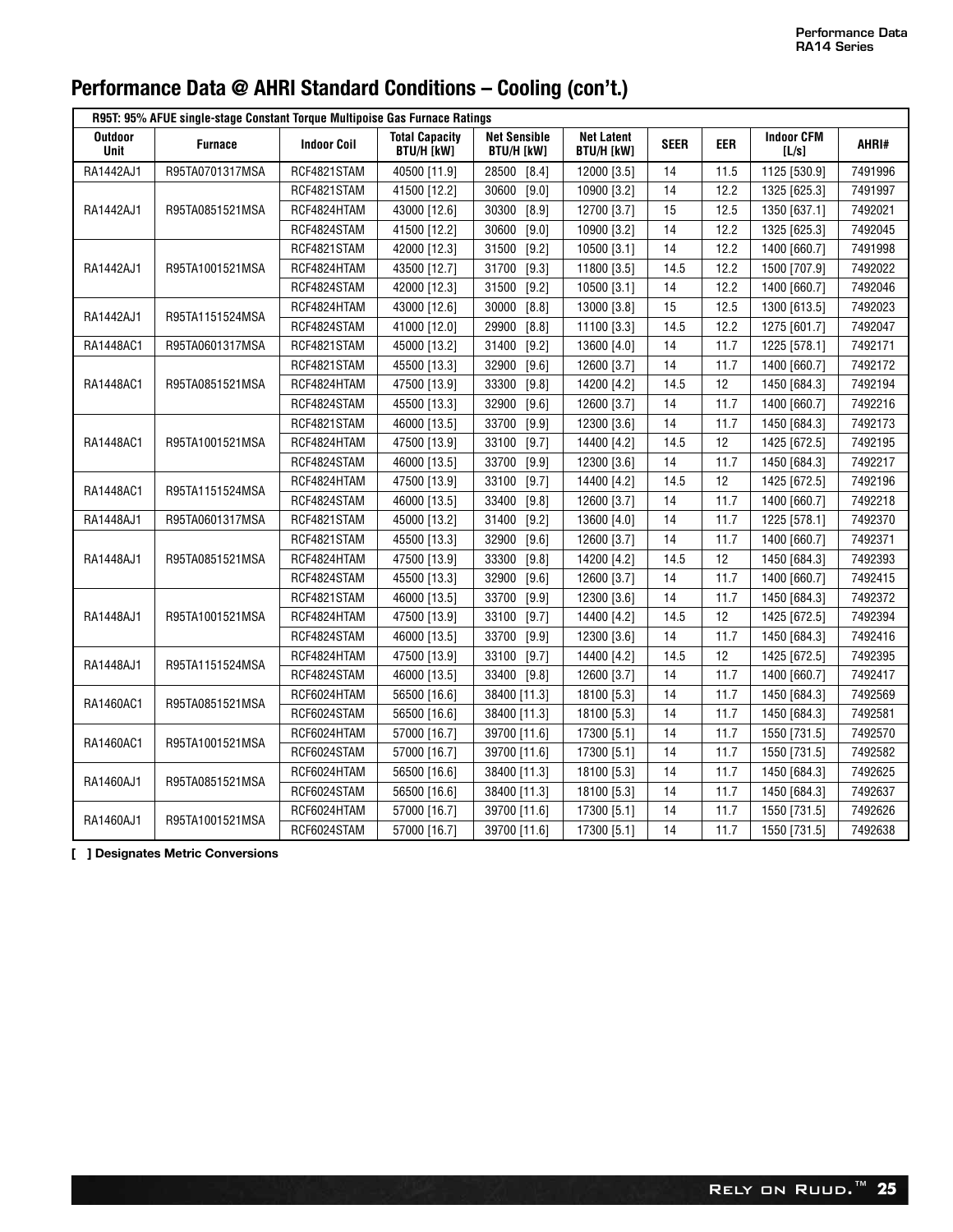| R95T: 95% AFUE single-stage Constant Torque Multipoise Gas Furnace Ratings |                 |                    |                                            |                                          |                                        |             |                   |                            |         |  |  |
|----------------------------------------------------------------------------|-----------------|--------------------|--------------------------------------------|------------------------------------------|----------------------------------------|-------------|-------------------|----------------------------|---------|--|--|
| <b>Outdoor</b><br>Unit                                                     | <b>Furnace</b>  | <b>Indoor Coil</b> | <b>Total Capacity</b><br><b>BTU/H [kW]</b> | <b>Net Sensible</b><br><b>BTU/H [kW]</b> | <b>Net Latent</b><br><b>BTU/H [kW]</b> | <b>SEER</b> | <b>EER</b>        | <b>Indoor CFM</b><br>[L/s] | AHRI#   |  |  |
| RA1442AJ1                                                                  | R95TA0701317MSA | RCF4821STAM        | 40500 [11.9]                               | 28500<br>$[8.4]$                         | 12000 [3.5]                            | 14          | 11.5              | 1125 [530.9]               | 7491996 |  |  |
|                                                                            |                 | RCF4821STAM        | 41500 [12.2]                               | $[9.0]$<br>30600                         | 10900 [3.2]                            | 14          | 12.2              | 1325 [625.3]               | 7491997 |  |  |
| RA1442AJ1                                                                  | R95TA0851521MSA | RCF4824HTAM        | 43000 [12.6]                               | 30300<br>$[8.9]$                         | 12700 [3.7]                            | 15          | 12.5              | 1350 [637.1]               | 7492021 |  |  |
|                                                                            |                 | RCF4824STAM        | 41500 [12.2]                               | $[9.0]$<br>30600                         | 10900 [3.2]                            | 14          | 12.2              | 1325 [625.3]               | 7492045 |  |  |
|                                                                            |                 | RCF4821STAM        | 42000 [12.3]                               | 31500<br>$[9.2]$                         | 10500 [3.1]                            | 14          | 12.2              | 1400 [660.7]               | 7491998 |  |  |
| RA1442AJ1                                                                  | R95TA1001521MSA | RCF4824HTAM        | 43500 [12.7]                               | [9.3]<br>31700                           | 11800 [3.5]                            | 14.5        | 12.2              | 1500 [707.9]               | 7492022 |  |  |
|                                                                            |                 | RCF4824STAM        | 42000 [12.3]                               | $[9.2]$<br>31500                         | 10500 [3.1]                            | 14          | 12.2              | 1400 [660.7]               | 7492046 |  |  |
| RA1442AJ1                                                                  | R95TA1151524MSA | RCF4824HTAM        | 43000 [12.6]                               | [8.8]<br>30000                           | 13000 [3.8]                            | 15          | 12.5              | 1300 [613.5]               | 7492023 |  |  |
|                                                                            |                 | RCF4824STAM        | 41000 [12.0]                               | [8.8]<br>29900                           | 11100 [3.3]                            | 14.5        | 12.2              | 1275 [601.7]               | 7492047 |  |  |
| RA1448AC1                                                                  | R95TA0601317MSA | RCF4821STAM        | 45000 [13.2]                               | 31400<br>$[9.2]$                         | 13600 [4.0]                            | 14          | 11.7              | 1225 [578.1]               | 7492171 |  |  |
|                                                                            |                 | RCF4821STAM        | 45500 [13.3]                               | $[9.6]$<br>32900                         | 12600 [3.7]                            | 14          | 11.7              | 1400 [660.7]               | 7492172 |  |  |
| RA1448AC1                                                                  | R95TA0851521MSA | RCF4824HTAM        | 47500 [13.9]                               | [9.8]<br>33300                           | 14200 [4.2]                            | 14.5        | 12                | 1450 [684.3]               | 7492194 |  |  |
|                                                                            |                 | RCF4824STAM        | 45500 [13.3]                               | 32900<br>$[9.6]$                         | 12600 [3.7]                            | 14          | 11.7              | 1400 [660.7]               | 7492216 |  |  |
|                                                                            |                 | RCF4821STAM        | 46000 [13.5]                               | $[9.9]$<br>33700                         | 12300 [3.6]                            | 14          | 11.7              | 1450 [684.3]               | 7492173 |  |  |
| RA1448AC1                                                                  | R95TA1001521MSA | RCF4824HTAM        | 47500 [13.9]                               | 33100<br>$[9.7]$                         | 14400 [4.2]                            | 14.5        | 12                | 1425 [672.5]               | 7492195 |  |  |
|                                                                            |                 | RCF4824STAM        | 46000 [13.5]                               | $[9.9]$<br>33700                         | 12300 [3.6]                            | 14          | 11.7              | 1450 [684.3]               | 7492217 |  |  |
| RA1448AC1                                                                  | R95TA1151524MSA | RCF4824HTAM        | 47500 [13.9]                               | [9.7]<br>33100                           | 14400 [4.2]                            | 14.5        | $12 \overline{ }$ | 1425 [672.5]               | 7492196 |  |  |
|                                                                            |                 | RCF4824STAM        | 46000 [13.5]                               | [9.8]<br>33400                           | 12600 [3.7]                            | 14          | 11.7              | 1400 [660.7]               | 7492218 |  |  |
| RA1448AJ1                                                                  | R95TA0601317MSA | RCF4821STAM        | 45000 [13.2]                               | 31400<br>$[9.2]$                         | 13600 [4.0]                            | 14          | 11.7              | 1225 [578.1]               | 7492370 |  |  |
|                                                                            |                 | RCF4821STAM        | 45500 [13.3]                               | $[9.6]$<br>32900                         | 12600 [3.7]                            | 14          | 11.7              | 1400 [660.7]               | 7492371 |  |  |
| RA1448AJ1                                                                  | R95TA0851521MSA | RCF4824HTAM        | 47500 [13.9]                               | [9.8]<br>33300                           | 14200 [4.2]                            | 14.5        | 12                | 1450 [684.3]               | 7492393 |  |  |
|                                                                            |                 | RCF4824STAM        | 45500 [13.3]                               | 32900<br>$[9.6]$                         | 12600 [3.7]                            | 14          | 11.7              | 1400 [660.7]               | 7492415 |  |  |
|                                                                            |                 | RCF4821STAM        | 46000 [13.5]                               | $[9.9]$<br>33700                         | 12300 [3.6]                            | 14          | 11.7              | 1450 [684.3]               | 7492372 |  |  |
| RA1448AJ1                                                                  | R95TA1001521MSA | RCF4824HTAM        | 47500 [13.9]                               | [9.7]<br>33100                           | 14400 [4.2]                            | 14.5        | 12                | 1425 [672.5]               | 7492394 |  |  |
|                                                                            |                 | RCF4824STAM        | 46000 [13.5]                               | $[9.9]$<br>33700                         | 12300 [3.6]                            | 14          | 11.7              | 1450 [684.3]               | 7492416 |  |  |
| RA1448AJ1                                                                  | R95TA1151524MSA | RCF4824HTAM        | 47500 [13.9]                               | 33100<br>$[9.7]$                         | 14400 [4.2]                            | 14.5        | 12                | 1425 [672.5]               | 7492395 |  |  |
|                                                                            |                 | RCF4824STAM        | 46000 [13.5]                               | 33400 [9.8]                              | 12600 [3.7]                            | 14          | 11.7              | 1400 [660.7]               | 7492417 |  |  |
| RA1460AC1                                                                  | R95TA0851521MSA | RCF6024HTAM        | 56500 [16.6]                               | 38400 [11.3]                             | 18100 [5.3]                            | 14          | 11.7              | 1450 [684.3]               | 7492569 |  |  |
|                                                                            |                 | RCF6024STAM        | 56500 [16.6]                               | 38400 [11.3]                             | 18100 [5.3]                            | 14          | 11.7              | 1450 [684.3]               | 7492581 |  |  |
|                                                                            |                 | RCF6024HTAM        | 57000 [16.7]                               | 39700 [11.6]                             | 17300 [5.1]                            | 14          | 11.7              | 1550 [731.5]               | 7492570 |  |  |
| RA1460AC1                                                                  | R95TA1001521MSA | RCF6024STAM        | 57000 [16.7]                               | 39700 [11.6]                             | 17300 [5.1]                            | 14          | 11.7              | 1550 [731.5]               | 7492582 |  |  |
|                                                                            |                 | RCF6024HTAM        | 56500 [16.6]                               | 38400 [11.3]                             | 18100 [5.3]                            | 14          | 11.7              | 1450 [684.3]               | 7492625 |  |  |
| RA1460AJ1                                                                  | R95TA0851521MSA | RCF6024STAM        | 56500 [16.6]                               | 38400 [11.3]                             | 18100 [5.3]                            | 14          | 11.7              | 1450 [684.3]               | 7492637 |  |  |
|                                                                            |                 | RCF6024HTAM        | 57000 [16.7]                               | 39700 [11.6]                             | 17300 [5.1]                            | 14          | 11.7              | 1550 [731.5]               | 7492626 |  |  |
| RA1460AJ1                                                                  | R95TA1001521MSA | RCF6024STAM        | 57000 [16.7]                               | 39700 [11.6]                             | 17300 [5.1]                            | 14          | 11.7              | 1550 [731.5]               | 7492638 |  |  |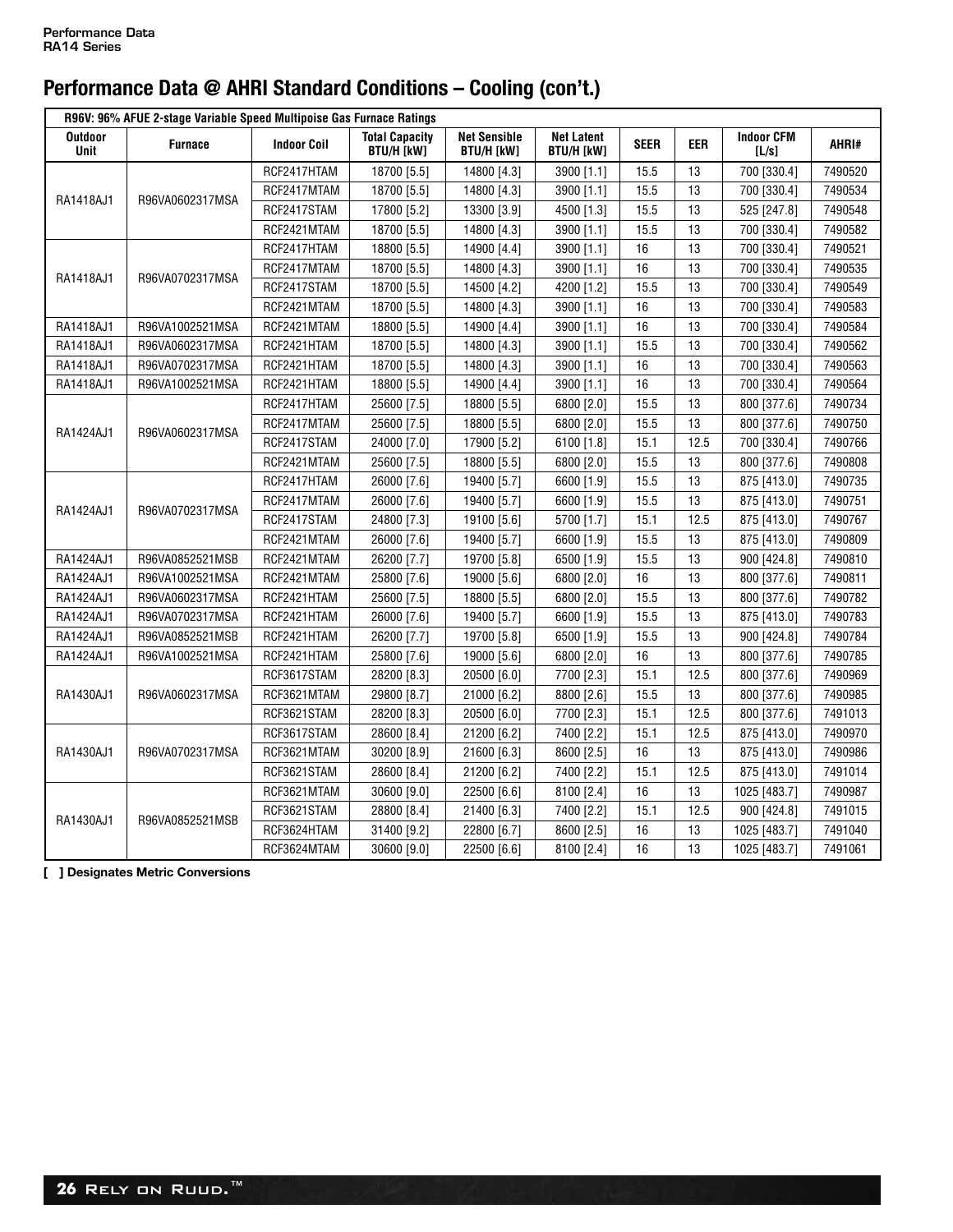|                        | R96V: 96% AFUE 2-stage Variable Speed Multipoise Gas Furnace Ratings |                    |                                            |                                          |                                        |             |      |                            |         |  |  |  |
|------------------------|----------------------------------------------------------------------|--------------------|--------------------------------------------|------------------------------------------|----------------------------------------|-------------|------|----------------------------|---------|--|--|--|
| <b>Outdoor</b><br>Unit | <b>Furnace</b>                                                       | <b>Indoor Coil</b> | <b>Total Capacity</b><br><b>BTU/H [kW]</b> | <b>Net Sensible</b><br><b>BTU/H [kW]</b> | <b>Net Latent</b><br><b>BTU/H [kW]</b> | <b>SEER</b> | EER  | <b>Indoor CFM</b><br>[L/s] | AHRI#   |  |  |  |
|                        |                                                                      | RCF2417HTAM        | 18700 [5.5]                                | 14800 [4.3]                              | 3900 [1.1]                             | 15.5        | 13   | 700 [330.4]                | 7490520 |  |  |  |
| RA1418AJ1              | R96VA0602317MSA                                                      | RCF2417MTAM        | 18700 [5.5]                                | 14800 [4.3]                              | 3900 [1.1]                             | 15.5        | 13   | 700 [330.4]                | 7490534 |  |  |  |
|                        |                                                                      | RCF2417STAM        | 17800 [5.2]                                | 13300 [3.9]                              | 4500 [1.3]                             | 15.5        | 13   | 525 [247.8]                | 7490548 |  |  |  |
|                        |                                                                      | RCF2421MTAM        | 18700 [5.5]                                | 14800 [4.3]                              | 3900 [1.1]                             | 15.5        | 13   | 700 [330.4]                | 7490582 |  |  |  |
|                        |                                                                      | RCF2417HTAM        | 18800 [5.5]                                | 14900 [4.4]                              | 3900 [1.1]                             | 16          | 13   | 700 [330.4]                | 7490521 |  |  |  |
|                        |                                                                      | RCF2417MTAM        | 18700 [5.5]                                | 14800 [4.3]                              | 3900 [1.1]                             | 16          | 13   | 700 [330.4]                | 7490535 |  |  |  |
| RA1418AJ1              | R96VA0702317MSA                                                      | RCF2417STAM        | 18700 [5.5]                                | 14500 [4.2]                              | 4200 [1.2]                             | 15.5        | 13   | 700 [330.4]                | 7490549 |  |  |  |
|                        |                                                                      | RCF2421MTAM        | 18700 [5.5]                                | 14800 [4.3]                              | 3900 [1.1]                             | 16          | 13   | 700 [330.4]                | 7490583 |  |  |  |
| RA1418AJ1              | R96VA1002521MSA                                                      | RCF2421MTAM        | 18800 [5.5]                                | 14900 [4.4]                              | 3900 [1.1]                             | 16          | 13   | 700 [330.4]                | 7490584 |  |  |  |
| RA1418AJ1              | R96VA0602317MSA                                                      | RCF2421HTAM        | 18700 [5.5]                                | 14800 [4.3]                              | 3900 [1.1]                             | 15.5        | 13   | 700 [330.4]                | 7490562 |  |  |  |
| RA1418AJ1              | R96VA0702317MSA                                                      | RCF2421HTAM        | 18700 [5.5]                                | 14800 [4.3]                              | 3900 [1.1]                             | 16          | 13   | 700 [330.4]                | 7490563 |  |  |  |
| RA1418AJ1              | R96VA1002521MSA                                                      | RCF2421HTAM        | 18800 [5.5]                                | 14900 [4.4]                              | 3900 [1.1]                             | 16          | 13   | 700 [330.4]                | 7490564 |  |  |  |
|                        |                                                                      | RCF2417HTAM        | 25600 [7.5]                                | 18800 [5.5]                              | 6800 [2.0]                             | 15.5        | 13   | 800 [377.6]                | 7490734 |  |  |  |
| RA1424AJ1              |                                                                      | RCF2417MTAM        | 25600 [7.5]                                | 18800 [5.5]                              | 6800 [2.0]                             | 15.5        | 13   | 800 [377.6]                | 7490750 |  |  |  |
|                        | R96VA0602317MSA                                                      | RCF2417STAM        | 24000 [7.0]                                | 17900 [5.2]                              | 6100 [1.8]                             | 15.1        | 12.5 | 700 [330.4]                | 7490766 |  |  |  |
|                        |                                                                      | RCF2421MTAM        | 25600 [7.5]                                | 18800 [5.5]                              | 6800 [2.0]                             | 15.5        | 13   | 800 [377.6]                | 7490808 |  |  |  |
|                        |                                                                      | RCF2417HTAM        | 26000 [7.6]                                | 19400 [5.7]                              | 6600 [1.9]                             | 15.5        | 13   | 875 [413.0]                | 7490735 |  |  |  |
| RA1424AJ1              | R96VA0702317MSA                                                      | RCF2417MTAM        | 26000 [7.6]                                | 19400 [5.7]                              | 6600 [1.9]                             | 15.5        | 13   | 875 [413.0]                | 7490751 |  |  |  |
|                        |                                                                      | RCF2417STAM        | 24800 [7.3]                                | 19100 [5.6]                              | 5700 [1.7]                             | 15.1        | 12.5 | 875 [413.0]                | 7490767 |  |  |  |
|                        |                                                                      | RCF2421MTAM        | 26000 [7.6]                                | 19400 [5.7]                              | 6600 [1.9]                             | 15.5        | 13   | 875 [413.0]                | 7490809 |  |  |  |
| RA1424AJ1              | R96VA0852521MSB                                                      | RCF2421MTAM        | 26200 [7.7]                                | 19700 [5.8]                              | 6500 [1.9]                             | 15.5        | 13   | 900 [424.8]                | 7490810 |  |  |  |
| RA1424AJ1              | R96VA1002521MSA                                                      | RCF2421MTAM        | 25800 [7.6]                                | 19000 [5.6]                              | 6800 [2.0]                             | 16          | 13   | 800 [377.6]                | 7490811 |  |  |  |
| RA1424AJ1              | R96VA0602317MSA                                                      | RCF2421HTAM        | 25600 [7.5]                                | 18800 [5.5]                              | 6800 [2.0]                             | 15.5        | 13   | 800 [377.6]                | 7490782 |  |  |  |
| RA1424AJ1              | R96VA0702317MSA                                                      | RCF2421HTAM        | 26000 [7.6]                                | 19400 [5.7]                              | 6600 [1.9]                             | 15.5        | 13   | 875 [413.0]                | 7490783 |  |  |  |
| RA1424AJ1              | R96VA0852521MSB                                                      | RCF2421HTAM        | 26200 [7.7]                                | 19700 [5.8]                              | 6500 [1.9]                             | 15.5        | 13   | 900 [424.8]                | 7490784 |  |  |  |
| RA1424AJ1              | R96VA1002521MSA                                                      | RCF2421HTAM        | 25800 [7.6]                                | 19000 [5.6]                              | 6800 [2.0]                             | 16          | 13   | 800 [377.6]                | 7490785 |  |  |  |
|                        |                                                                      | RCF3617STAM        | 28200 [8.3]                                | 20500 [6.0]                              | 7700 [2.3]                             | 15.1        | 12.5 | 800 [377.6]                | 7490969 |  |  |  |
| RA1430AJ1              | R96VA0602317MSA                                                      | RCF3621MTAM        | 29800 [8.7]                                | 21000 [6.2]                              | 8800 [2.6]                             | 15.5        | 13   | 800 [377.6]                | 7490985 |  |  |  |
|                        |                                                                      | RCF3621STAM        | 28200 [8.3]                                | 20500 [6.0]                              | 7700 [2.3]                             | 15.1        | 12.5 | 800 [377.6]                | 7491013 |  |  |  |
|                        |                                                                      | RCF3617STAM        | 28600 [8.4]                                | 21200 [6.2]                              | 7400 [2.2]                             | 15.1        | 12.5 | 875 [413.0]                | 7490970 |  |  |  |
| RA1430AJ1              | R96VA0702317MSA                                                      | RCF3621MTAM        | 30200 [8.9]                                | 21600 [6.3]                              | 8600 [2.5]                             | 16          | 13   | 875 [413.0]                | 7490986 |  |  |  |
|                        |                                                                      | RCF3621STAM        | 28600 [8.4]                                | 21200 [6.2]                              | 7400 [2.2]                             | 15.1        | 12.5 | 875 [413.0]                | 7491014 |  |  |  |
|                        |                                                                      | RCF3621MTAM        | 30600 [9.0]                                | 22500 [6.6]                              | 8100 [2.4]                             | 16          | 13   | 1025 [483.7]               | 7490987 |  |  |  |
|                        |                                                                      | RCF3621STAM        | 28800 [8.4]                                | 21400 [6.3]                              | 7400 [2.2]                             | 15.1        | 12.5 | 900 [424.8]                | 7491015 |  |  |  |
| RA1430AJ1              | R96VA0852521MSB                                                      | RCF3624HTAM        | 31400 [9.2]                                | 22800 [6.7]                              | 8600 [2.5]                             | 16          | 13   | 1025 [483.7]               | 7491040 |  |  |  |
|                        |                                                                      | RCF3624MTAM        | 30600 [9.0]                                | 22500 [6.6]                              | 8100 [2.4]                             | 16          | 13   | 1025 [483.7]               | 7491061 |  |  |  |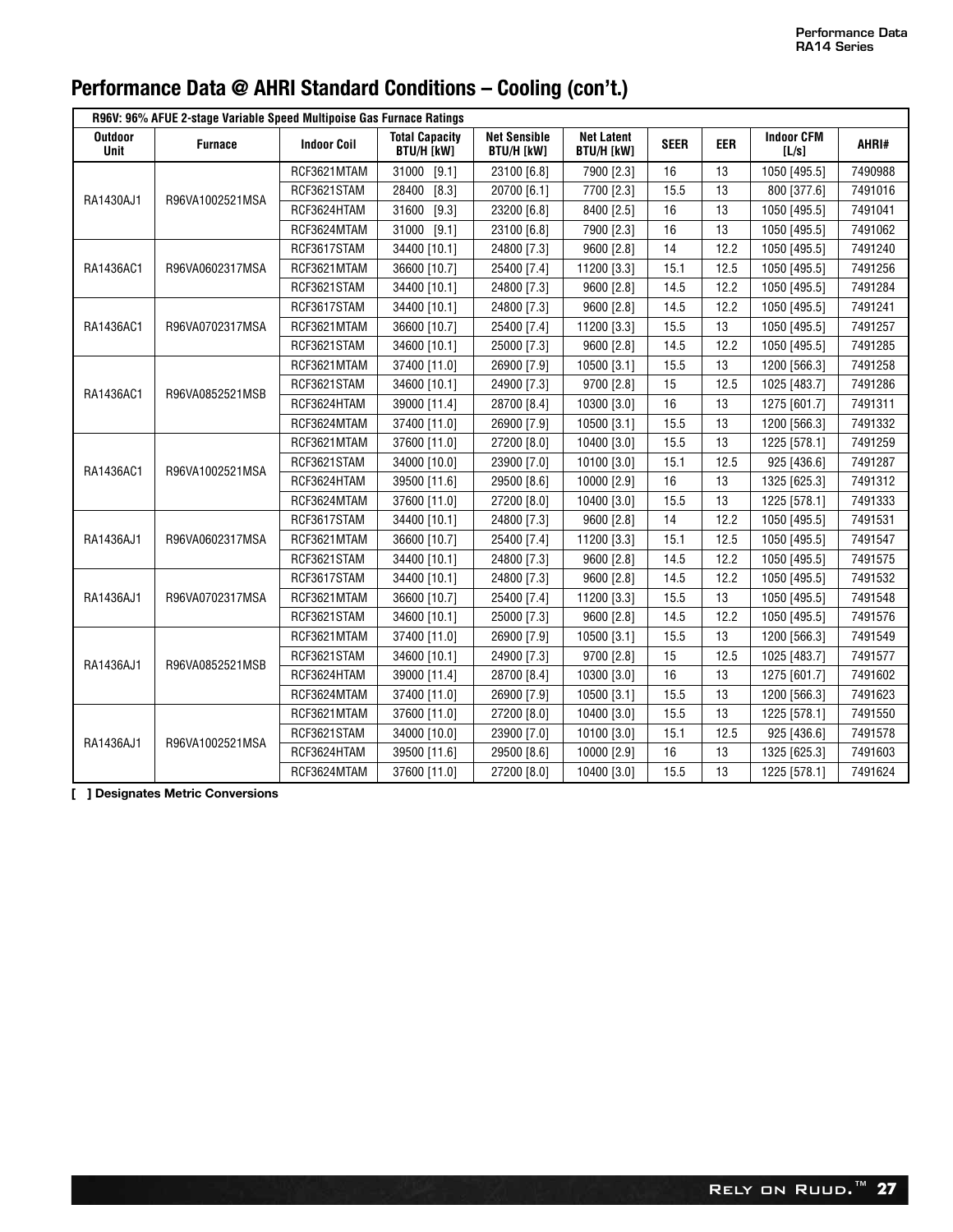| R96V: 96% AFUE 2-stage Variable Speed Multipoise Gas Furnace Ratings |                 |                    |                                            |                                          |                                        |             |            |                            |         |  |
|----------------------------------------------------------------------|-----------------|--------------------|--------------------------------------------|------------------------------------------|----------------------------------------|-------------|------------|----------------------------|---------|--|
| Outdoor<br><b>Unit</b>                                               | <b>Furnace</b>  | <b>Indoor Coil</b> | <b>Total Capacity</b><br><b>BTU/H [kW]</b> | <b>Net Sensible</b><br><b>BTU/H [kW]</b> | <b>Net Latent</b><br><b>BTU/H [kW]</b> | <b>SEER</b> | <b>EER</b> | <b>Indoor CFM</b><br>[L/s] | AHRI#   |  |
|                                                                      |                 | RCF3621MTAM        | 31000<br>[9.1]                             | 23100 [6.8]                              | 7900 [2.3]                             | 16          | 13         | 1050 [495.5]               | 7490988 |  |
| RA1430AJ1                                                            | R96VA1002521MSA | RCF3621STAM        | 28400<br>$[8.3]$                           | 20700 [6.1]                              | 7700 [2.3]                             | 15.5        | 13         | 800 [377.6]                | 7491016 |  |
|                                                                      |                 | RCF3624HTAM        | 31600<br>$[9.3]$                           | 23200 [6.8]                              | 8400 [2.5]                             | 16          | 13         | 1050 [495.5]               | 7491041 |  |
|                                                                      |                 | RCF3624MTAM        | [9.1]<br>31000                             | 23100 [6.8]                              | 7900 [2.3]                             | 16          | 13         | 1050 [495.5]               | 7491062 |  |
|                                                                      |                 | RCF3617STAM        | 34400 [10.1]                               | 24800 [7.3]                              | 9600 [2.8]                             | 14          | 12.2       | 1050 [495.5]               | 7491240 |  |
| RA1436AC1                                                            | R96VA0602317MSA | RCF3621MTAM        | 36600 [10.7]                               | 25400 [7.4]                              | 11200 [3.3]                            | 15.1        | 12.5       | 1050 [495.5]               | 7491256 |  |
|                                                                      |                 | RCF3621STAM        | 34400 [10.1]                               | 24800 [7.3]                              | 9600 [2.8]                             | 14.5        | 12.2       | 1050 [495.5]               | 7491284 |  |
|                                                                      |                 | RCF3617STAM        | 34400 [10.1]                               | 24800 [7.3]                              | 9600 [2.8]                             | 14.5        | 12.2       | 1050 [495.5]               | 7491241 |  |
| RA1436AC1                                                            | R96VA0702317MSA | RCF3621MTAM        | 36600 [10.7]                               | 25400 [7.4]                              | 11200 [3.3]                            | 15.5        | 13         | 1050 [495.5]               | 7491257 |  |
|                                                                      |                 | RCF3621STAM        | 34600 [10.1]                               | 25000 [7.3]                              | 9600 [2.8]                             | 14.5        | 12.2       | 1050 [495.5]               | 7491285 |  |
|                                                                      |                 | RCF3621MTAM        | 37400 [11.0]                               | 26900 [7.9]                              | 10500 [3.1]                            | 15.5        | 13         | 1200 [566.3]               | 7491258 |  |
| RA1436AC1                                                            | R96VA0852521MSB | RCF3621STAM        | 34600 [10.1]                               | 24900 [7.3]                              | 9700 [2.8]                             | 15          | 12.5       | 1025 [483.7]               | 7491286 |  |
|                                                                      |                 | RCF3624HTAM        | 39000 [11.4]                               | 28700 [8.4]                              | 10300 [3.0]                            | 16          | 13         | 1275 [601.7]               | 7491311 |  |
|                                                                      |                 | RCF3624MTAM        | 37400 [11.0]                               | 26900 [7.9]                              | 10500 [3.1]                            | 15.5        | 13         | 1200 [566.3]               | 7491332 |  |
|                                                                      |                 | RCF3621MTAM        | 37600 [11.0]                               | 27200 [8.0]                              | 10400 [3.0]                            | 15.5        | 13         | 1225 [578.1]               | 7491259 |  |
| RA1436AC1                                                            | R96VA1002521MSA | RCF3621STAM        | 34000 [10.0]                               | 23900 [7.0]                              | 10100 [3.0]                            | 15.1        | 12.5       | 925 [436.6]                | 7491287 |  |
|                                                                      |                 | RCF3624HTAM        | 39500 [11.6]                               | 29500 [8.6]                              | 10000 [2.9]                            | 16          | 13         | 1325 [625.3]               | 7491312 |  |
|                                                                      |                 | RCF3624MTAM        | 37600 [11.0]                               | 27200 [8.0]                              | 10400 [3.0]                            | 15.5        | 13         | 1225 [578.1]               | 7491333 |  |
|                                                                      |                 | RCF3617STAM        | 34400 [10.1]                               | 24800 [7.3]                              | 9600 [2.8]                             | 14          | 12.2       | 1050 [495.5]               | 7491531 |  |
| RA1436AJ1                                                            | R96VA0602317MSA | RCF3621MTAM        | 36600 [10.7]                               | 25400 [7.4]                              | 11200 [3.3]                            | 15.1        | 12.5       | 1050 [495.5]               | 7491547 |  |
|                                                                      |                 | RCF3621STAM        | 34400 [10.1]                               | 24800 [7.3]                              | 9600 [2.8]                             | 14.5        | 12.2       | 1050 [495.5]               | 7491575 |  |
|                                                                      |                 | RCF3617STAM        | 34400 [10.1]                               | 24800 [7.3]                              | 9600 [2.8]                             | 14.5        | 12.2       | 1050 [495.5]               | 7491532 |  |
| RA1436AJ1                                                            | R96VA0702317MSA | RCF3621MTAM        | 36600 [10.7]                               | 25400 [7.4]                              | 11200 [3.3]                            | 15.5        | 13         | 1050 [495.5]               | 7491548 |  |
|                                                                      |                 | RCF3621STAM        | 34600 [10.1]                               | 25000 [7.3]                              | 9600 [2.8]                             | 14.5        | 12.2       | 1050 [495.5]               | 7491576 |  |
|                                                                      |                 | RCF3621MTAM        | 37400 [11.0]                               | 26900 [7.9]                              | 10500 [3.1]                            | 15.5        | 13         | 1200 [566.3]               | 7491549 |  |
| RA1436AJ1                                                            | R96VA0852521MSB | RCF3621STAM        | 34600 [10.1]                               | 24900 [7.3]                              | 9700 [2.8]                             | 15          | 12.5       | 1025 [483.7]               | 7491577 |  |
|                                                                      |                 | RCF3624HTAM        | 39000 [11.4]                               | 28700 [8.4]                              | 10300 [3.0]                            | 16          | 13         | 1275 [601.7]               | 7491602 |  |
|                                                                      |                 | RCF3624MTAM        | 37400 [11.0]                               | 26900 [7.9]                              | 10500 [3.1]                            | 15.5        | 13         | 1200 [566.3]               | 7491623 |  |
|                                                                      |                 | RCF3621MTAM        | 37600 [11.0]                               | 27200 [8.0]                              | 10400 [3.0]                            | 15.5        | 13         | 1225 [578.1]               | 7491550 |  |
| RA1436AJ1                                                            | R96VA1002521MSA | RCF3621STAM        | 34000 [10.0]                               | 23900 [7.0]                              | 10100 [3.0]                            | 15.1        | 12.5       | 925 [436.6]                | 7491578 |  |
|                                                                      |                 | RCF3624HTAM        | 39500 [11.6]                               | 29500 [8.6]                              | 10000 [2.9]                            | 16          | 13         | 1325 [625.3]               | 7491603 |  |
|                                                                      |                 | RCF3624MTAM        | 37600 [11.0]                               | 27200 [8.0]                              | 10400 [3.0]                            | 15.5        | 13         | 1225 [578.1]               | 7491624 |  |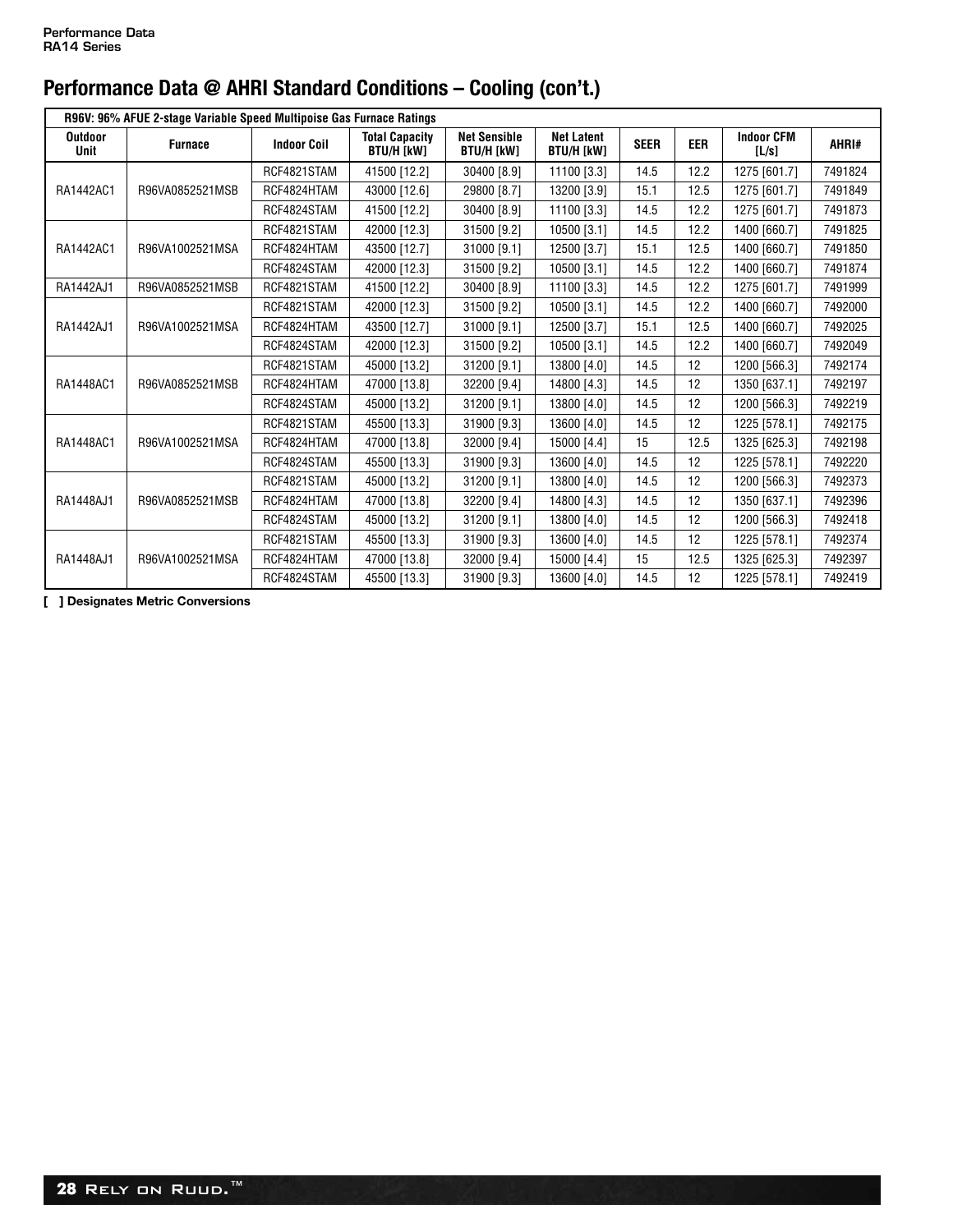|                        | R96V: 96% AFUE 2-stage Variable Speed Multipoise Gas Furnace Ratings |                    |                                            |                                          |                                        |             |            |                            |         |  |  |  |  |
|------------------------|----------------------------------------------------------------------|--------------------|--------------------------------------------|------------------------------------------|----------------------------------------|-------------|------------|----------------------------|---------|--|--|--|--|
| Outdoor<br><b>Unit</b> | <b>Furnace</b>                                                       | <b>Indoor Coil</b> | <b>Total Capacity</b><br><b>BTU/H [kW]</b> | <b>Net Sensible</b><br><b>BTU/H [kW]</b> | <b>Net Latent</b><br><b>BTU/H [kW]</b> | <b>SEER</b> | <b>EER</b> | <b>Indoor CFM</b><br>[L/s] | AHRI#   |  |  |  |  |
|                        |                                                                      | RCF4821STAM        | 41500 [12.2]                               | 30400 [8.9]                              | 11100 [3.3]                            | 14.5        | 12.2       | 1275 [601.7]               | 7491824 |  |  |  |  |
| RA1442AC1              | R96VA0852521MSB                                                      | RCF4824HTAM        | 43000 [12.6]                               | 29800 [8.7]                              | 13200 [3.9]                            | 15.1        | 12.5       | 1275 [601.7]               | 7491849 |  |  |  |  |
|                        |                                                                      | RCF4824STAM        | 41500 [12.2]                               | 30400 [8.9]                              | 11100 [3.3]                            | 14.5        | 12.2       | 1275 [601.7]               | 7491873 |  |  |  |  |
|                        |                                                                      | RCF4821STAM        | 42000 [12.3]                               | 31500 [9.2]                              | 10500 [3.1]                            | 14.5        | 12.2       | 1400 [660.7]               | 7491825 |  |  |  |  |
| RA1442AC1              | R96VA1002521MSA                                                      | RCF4824HTAM        | 43500 [12.7]                               | 31000 [9.1]                              | 12500 [3.7]                            | 15.1        | 12.5       | 1400 [660.7]               | 7491850 |  |  |  |  |
|                        |                                                                      | RCF4824STAM        | 42000 [12.3]                               | 31500 [9.2]                              | 10500 [3.1]                            | 14.5        | 12.2       | 1400 [660.7]               | 7491874 |  |  |  |  |
| RA1442AJ1              | R96VA0852521MSB                                                      | RCF4821STAM        | 41500 [12.2]                               | 30400 [8.9]                              | 11100 [3.3]                            | 14.5        | 12.2       | 1275 [601.7]               | 7491999 |  |  |  |  |
|                        |                                                                      | RCF4821STAM        | 42000 [12.3]                               | 31500 [9.2]                              | 10500 [3.1]                            | 14.5        | 12.2       | 1400 [660.7]               | 7492000 |  |  |  |  |
| RA1442AJ1              | R96VA1002521MSA                                                      | RCF4824HTAM        | 43500 [12.7]                               | 31000 [9.1]                              | 12500 [3.7]                            | 15.1        | 12.5       | 1400 [660.7]               | 7492025 |  |  |  |  |
|                        |                                                                      | RCF4824STAM        | 42000 [12.3]                               | 31500 [9.2]                              | 10500 [3.1]                            | 14.5        | 12.2       | 1400 [660.7]               | 7492049 |  |  |  |  |
|                        |                                                                      | RCF4821STAM        | 45000 [13.2]                               | 31200 [9.1]                              | 13800 [4.0]                            | 14.5        | 12         | 1200 [566.3]               | 7492174 |  |  |  |  |
| RA1448AC1              | R96VA0852521MSB                                                      | RCF4824HTAM        | 47000 [13.8]                               | 32200 [9.4]                              | 14800 [4.3]                            | 14.5        | 12         | 1350 [637.1]               | 7492197 |  |  |  |  |
|                        |                                                                      | RCF4824STAM        | 45000 [13.2]                               | 31200 [9.1]                              | 13800 [4.0]                            | 14.5        | 12         | 1200 [566.3]               | 7492219 |  |  |  |  |
|                        |                                                                      | RCF4821STAM        | 45500 [13.3]                               | 31900 [9.3]                              | 13600 [4.0]                            | 14.5        | 12         | 1225 [578.1]               | 7492175 |  |  |  |  |
| RA1448AC1              | R96VA1002521MSA                                                      | RCF4824HTAM        | 47000 [13.8]                               | 32000 [9.4]                              | 15000 [4.4]                            | 15          | 12.5       | 1325 [625.3]               | 7492198 |  |  |  |  |
|                        |                                                                      | RCF4824STAM        | 45500 [13.3]                               | 31900 [9.3]                              | 13600 [4.0]                            | 14.5        | 12         | 1225 [578.1]               | 7492220 |  |  |  |  |
|                        |                                                                      | RCF4821STAM        | 45000 [13.2]                               | 31200 [9.1]                              | 13800 [4.0]                            | 14.5        | 12         | 1200 [566.3]               | 7492373 |  |  |  |  |
| RA1448AJ1              | R96VA0852521MSB                                                      | RCF4824HTAM        | 47000 [13.8]                               | 32200 [9.4]                              | 14800 [4.3]                            | 14.5        | 12         | 1350 [637.1]               | 7492396 |  |  |  |  |
|                        |                                                                      | RCF4824STAM        | 45000 [13.2]                               | 31200 [9.1]                              | 13800 [4.0]                            | 14.5        | 12         | 1200 [566.3]               | 7492418 |  |  |  |  |
|                        |                                                                      | RCF4821STAM        | 45500 [13.3]                               | 31900 [9.3]                              | 13600 [4.0]                            | 14.5        | 12         | 1225 [578.1]               | 7492374 |  |  |  |  |
| RA1448AJ1              | R96VA1002521MSA                                                      | RCF4824HTAM        | 47000 [13.8]                               | 32000 [9.4]                              | 15000 [4.4]                            | 15          | 12.5       | 1325 [625.3]               | 7492397 |  |  |  |  |
|                        |                                                                      | RCF4824STAM        | 45500 [13.3]                               | 31900 [9.3]                              | 13600 [4.0]                            | 14.5        | 12         | 1225 [578.1]               | 7492419 |  |  |  |  |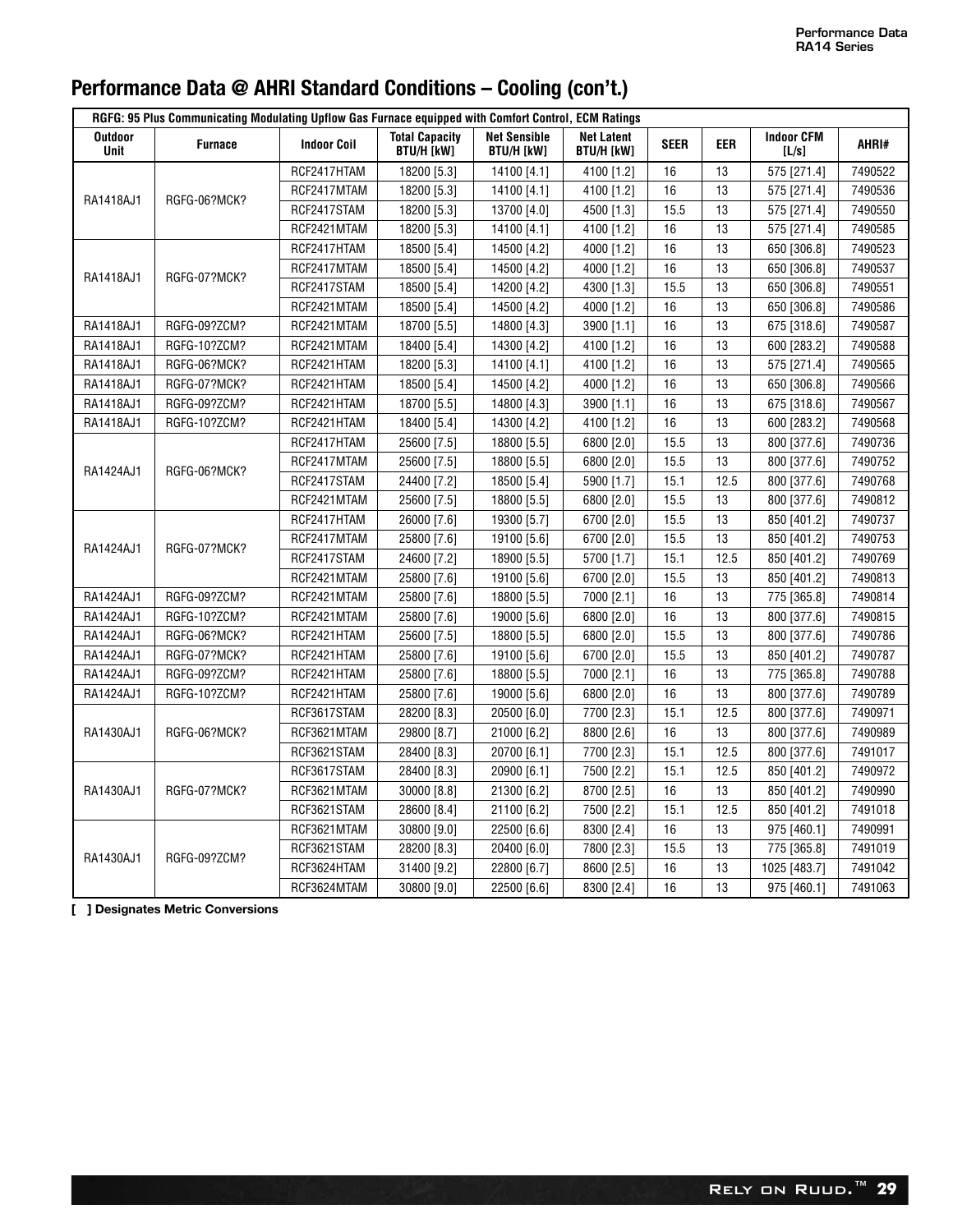|                               | RGFG: 95 Plus Communicating Modulating Upflow Gas Furnace equipped with Comfort Control, ECM Ratings |                    |                                            |                                          |                                        |             |            |                            |         |  |  |
|-------------------------------|------------------------------------------------------------------------------------------------------|--------------------|--------------------------------------------|------------------------------------------|----------------------------------------|-------------|------------|----------------------------|---------|--|--|
| <b>Outdoor</b><br><b>Unit</b> | <b>Furnace</b>                                                                                       | <b>Indoor Coil</b> | <b>Total Capacity</b><br><b>BTU/H [kW]</b> | <b>Net Sensible</b><br><b>BTU/H [kW]</b> | <b>Net Latent</b><br><b>BTU/H [kW]</b> | <b>SEER</b> | <b>EER</b> | <b>Indoor CFM</b><br>[L/s] | AHRI#   |  |  |
|                               |                                                                                                      | RCF2417HTAM        | 18200 [5.3]                                | 14100 [4.1]                              | 4100 [1.2]                             | 16          | 13         | 575 [271.4]                | 7490522 |  |  |
| RA1418AJ1                     | RGFG-06?MCK?                                                                                         | RCF2417MTAM        | 18200 [5.3]                                | 14100 [4.1]                              | 4100 [1.2]                             | 16          | 13         | 575 [271.4]                | 7490536 |  |  |
|                               |                                                                                                      | RCF2417STAM        | 18200 [5.3]                                | 13700 [4.0]                              | 4500 [1.3]                             | 15.5        | 13         | 575 [271.4]                | 7490550 |  |  |
|                               |                                                                                                      | RCF2421MTAM        | 18200 [5.3]                                | 14100 [4.1]                              | 4100 [1.2]                             | 16          | 13         | 575 [271.4]                | 7490585 |  |  |
|                               |                                                                                                      | RCF2417HTAM        | 18500 [5.4]                                | 14500 [4.2]                              | 4000 [1.2]                             | 16          | 13         | 650 [306.8]                | 7490523 |  |  |
| RA1418AJ1                     | RGFG-07?MCK?                                                                                         | RCF2417MTAM        | 18500 [5.4]                                | 14500 [4.2]                              | 4000 [1.2]                             | 16          | 13         | 650 [306.8]                | 7490537 |  |  |
|                               |                                                                                                      | RCF2417STAM        | 18500 [5.4]                                | 14200 [4.2]                              | 4300 [1.3]                             | 15.5        | 13         | 650 [306.8]                | 7490551 |  |  |
|                               |                                                                                                      | RCF2421MTAM        | 18500 [5.4]                                | 14500 [4.2]                              | 4000 [1.2]                             | 16          | 13         | 650 [306.8]                | 7490586 |  |  |
| RA1418AJ1                     | RGFG-09?ZCM?                                                                                         | RCF2421MTAM        | 18700 [5.5]                                | 14800 [4.3]                              | 3900 [1.1]                             | 16          | 13         | 675 [318.6]                | 7490587 |  |  |
| RA1418AJ1                     | RGFG-10?ZCM?                                                                                         | RCF2421MTAM        | 18400 [5.4]                                | 14300 [4.2]                              | 4100 [1.2]                             | 16          | 13         | 600 [283.2]                | 7490588 |  |  |
| RA1418AJ1                     | RGFG-06?MCK?                                                                                         | RCF2421HTAM        | 18200 [5.3]                                | 14100 [4.1]                              | 4100 [1.2]                             | 16          | 13         | 575 [271.4]                | 7490565 |  |  |
| RA1418AJ1                     | RGFG-07?MCK?                                                                                         | RCF2421HTAM        | 18500 [5.4]                                | 14500 [4.2]                              | 4000 [1.2]                             | 16          | 13         | 650 [306.8]                | 7490566 |  |  |
| RA1418AJ1                     | RGFG-09?ZCM?                                                                                         | RCF2421HTAM        | 18700 [5.5]                                | 14800 [4.3]                              | 3900 [1.1]                             | 16          | 13         | 675 [318.6]                | 7490567 |  |  |
| RA1418AJ1                     | RGFG-10?ZCM?                                                                                         | RCF2421HTAM        | 18400 [5.4]                                | 14300 [4.2]                              | 4100 [1.2]                             | 16          | 13         | 600 [283.2]                | 7490568 |  |  |
|                               |                                                                                                      | RCF2417HTAM        | 25600 [7.5]                                | 18800 [5.5]                              | 6800 [2.0]                             | 15.5        | 13         | 800 [377.6]                | 7490736 |  |  |
| RA1424AJ1                     |                                                                                                      | RCF2417MTAM        | 25600 [7.5]                                | 18800 [5.5]                              | 6800 [2.0]                             | 15.5        | 13         | 800 [377.6]                | 7490752 |  |  |
|                               | RGFG-06?MCK?                                                                                         | RCF2417STAM        | 24400 [7.2]                                | 18500 [5.4]                              | 5900 [1.7]                             | 15.1        | 12.5       | 800 [377.6]                | 7490768 |  |  |
|                               |                                                                                                      | RCF2421MTAM        | 25600 [7.5]                                | 18800 [5.5]                              | 6800 [2.0]                             | 15.5        | 13         | 800 [377.6]                | 7490812 |  |  |
|                               |                                                                                                      | RCF2417HTAM        | 26000 [7.6]                                | 19300 [5.7]                              | 6700 [2.0]                             | 15.5        | 13         | 850 [401.2]                | 7490737 |  |  |
|                               |                                                                                                      | RCF2417MTAM        | 25800 [7.6]                                | 19100 [5.6]                              | 6700 [2.0]                             | 15.5        | 13         | 850 [401.2]                | 7490753 |  |  |
| RA1424AJ1                     | RGFG-07?MCK?                                                                                         | RCF2417STAM        | 24600 [7.2]                                | 18900 [5.5]                              | 5700 [1.7]                             | 15.1        | 12.5       | 850 [401.2]                | 7490769 |  |  |
|                               |                                                                                                      | RCF2421MTAM        | 25800 [7.6]                                | 19100 [5.6]                              | 6700 [2.0]                             | 15.5        | 13         | 850 [401.2]                | 7490813 |  |  |
| RA1424AJ1                     | RGFG-09?ZCM?                                                                                         | RCF2421MTAM        | 25800 [7.6]                                | 18800 [5.5]                              | 7000 [2.1]                             | 16          | 13         | 775 [365.8]                | 7490814 |  |  |
| RA1424AJ1                     | RGFG-10?ZCM?                                                                                         | RCF2421MTAM        | 25800 [7.6]                                | 19000 [5.6]                              | 6800 [2.0]                             | 16          | 13         | 800 [377.6]                | 7490815 |  |  |
| RA1424AJ1                     | RGFG-06?MCK?                                                                                         | RCF2421HTAM        | 25600 [7.5]                                | 18800 [5.5]                              | 6800 [2.0]                             | 15.5        | 13         | 800 [377.6]                | 7490786 |  |  |
| RA1424AJ1                     | RGFG-07?MCK?                                                                                         | RCF2421HTAM        | 25800 [7.6]                                | 19100 [5.6]                              | 6700 [2.0]                             | 15.5        | 13         | 850 [401.2]                | 7490787 |  |  |
| RA1424AJ1                     | RGFG-09?ZCM?                                                                                         | RCF2421HTAM        | 25800 [7.6]                                | 18800 [5.5]                              | 7000 [2.1]                             | 16          | 13         | 775 [365.8]                | 7490788 |  |  |
| RA1424AJ1                     | RGFG-10?ZCM?                                                                                         | RCF2421HTAM        | 25800 [7.6]                                | 19000 [5.6]                              | 6800 [2.0]                             | 16          | 13         | 800 [377.6]                | 7490789 |  |  |
|                               |                                                                                                      | RCF3617STAM        | 28200 [8.3]                                | 20500 [6.0]                              | 7700 [2.3]                             | 15.1        | 12.5       | 800 [377.6]                | 7490971 |  |  |
| RA1430AJ1                     | RGFG-06?MCK?                                                                                         | RCF3621MTAM        | 29800 [8.7]                                | 21000 [6.2]                              | 8800 [2.6]                             | 16          | 13         | 800 [377.6]                | 7490989 |  |  |
|                               |                                                                                                      | RCF3621STAM        | 28400 [8.3]                                | 20700 [6.1]                              | 7700 [2.3]                             | 15.1        | 12.5       | 800 [377.6]                | 7491017 |  |  |
|                               |                                                                                                      | RCF3617STAM        | 28400 [8.3]                                | 20900 [6.1]                              | 7500 [2.2]                             | 15.1        | 12.5       | 850 [401.2]                | 7490972 |  |  |
| RA1430AJ1                     | RGFG-07?MCK?                                                                                         | RCF3621MTAM        | 30000 [8.8]                                | 21300 [6.2]                              | 8700 [2.5]                             | 16          | 13         | 850 [401.2]                | 7490990 |  |  |
|                               |                                                                                                      | RCF3621STAM        | 28600 [8.4]                                | 21100 [6.2]                              | 7500 [2.2]                             | 15.1        | 12.5       | 850 [401.2]                | 7491018 |  |  |
|                               |                                                                                                      | RCF3621MTAM        | 30800 [9.0]                                | 22500 [6.6]                              | 8300 [2.4]                             | 16          | 13         | 975 [460.1]                | 7490991 |  |  |
|                               |                                                                                                      | RCF3621STAM        | 28200 [8.3]                                | 20400 [6.0]                              | 7800 [2.3]                             | 15.5        | 13         | 775 [365.8]                | 7491019 |  |  |
| RA1430AJ1                     | RGFG-09?ZCM?                                                                                         | RCF3624HTAM        | 31400 [9.2]                                | 22800 [6.7]                              | 8600 [2.5]                             | 16          | 13         | 1025 [483.7]               | 7491042 |  |  |
|                               |                                                                                                      | RCF3624MTAM        | 30800 [9.0]                                | 22500 [6.6]                              | 8300 [2.4]                             | 16          | 13         | 975 [460.1]                | 7491063 |  |  |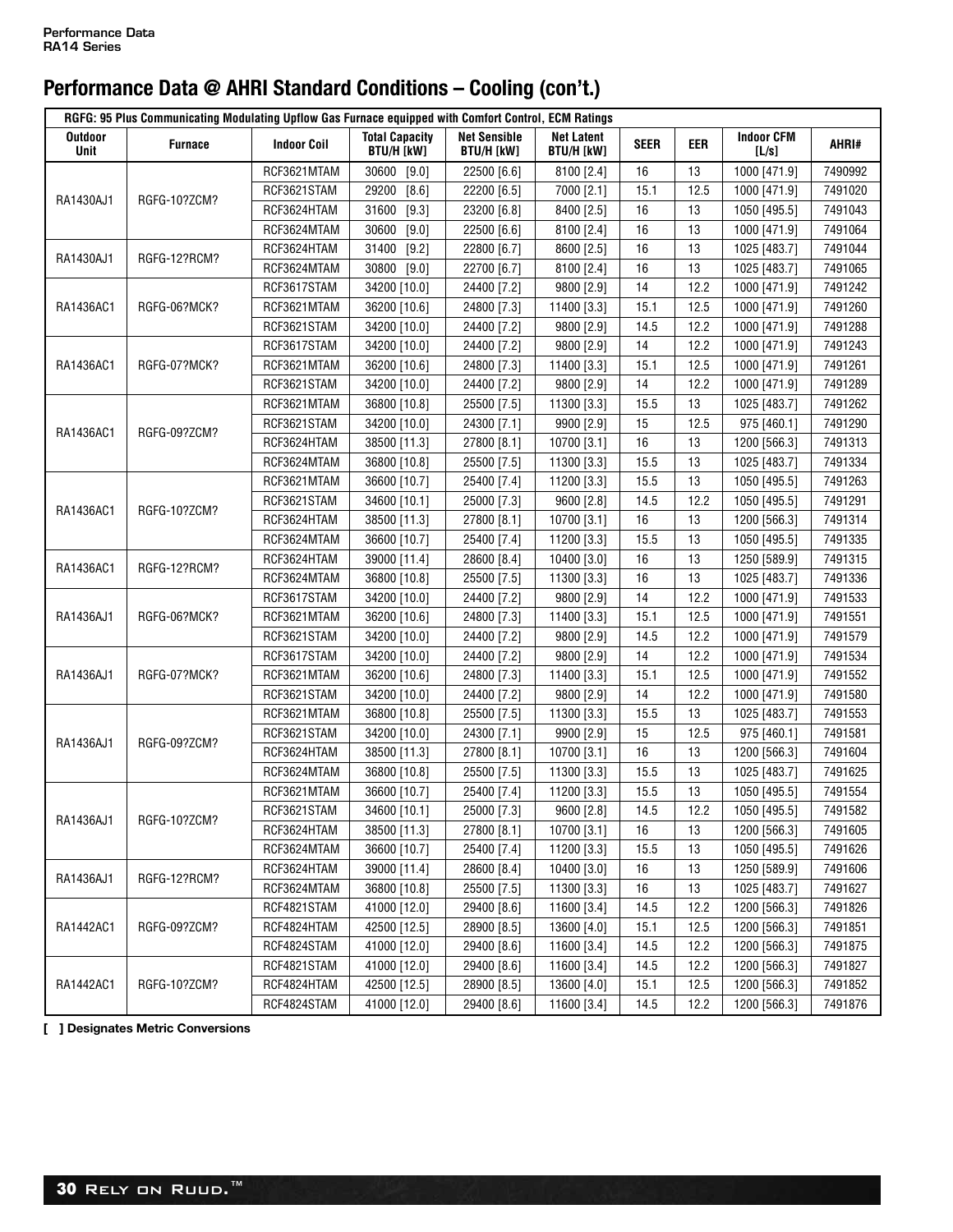| RGFG: 95 Plus Communicating Modulating Upflow Gas Furnace equipped with Comfort Control, ECM Ratings |              |                    |                                            |                                          |                                        |             |      |                            |         |  |
|------------------------------------------------------------------------------------------------------|--------------|--------------------|--------------------------------------------|------------------------------------------|----------------------------------------|-------------|------|----------------------------|---------|--|
| Outdoor<br><b>Unit</b>                                                                               | Furnace      | <b>Indoor Coil</b> | <b>Total Capacity</b><br><b>BTU/H [kW]</b> | <b>Net Sensible</b><br><b>BTU/H [kW]</b> | <b>Net Latent</b><br><b>BTU/H [kW]</b> | <b>SEER</b> | eer  | <b>Indoor CFM</b><br>[L/s] | AHRI#   |  |
|                                                                                                      |              | RCF3621MTAM        | 30600<br>$[9.0]$                           | 22500 [6.6]                              | 8100 [2.4]                             | 16          | 13   | 1000 [471.9]               | 7490992 |  |
| RA1430AJ1                                                                                            | RGFG-10?ZCM? | RCF3621STAM        | 29200<br>[8.6]                             | 22200 [6.5]                              | 7000 [2.1]                             | 15.1        | 12.5 | 1000 [471.9]               | 7491020 |  |
|                                                                                                      |              | RCF3624HTAM        | $[9.3]$<br>31600                           | 23200 [6.8]                              | 8400 [2.5]                             | 16          | 13   | 1050 [495.5]               | 7491043 |  |
|                                                                                                      |              | RCF3624MTAM        | 30600<br>$[9.0]$                           | 22500 [6.6]                              | 8100 [2.4]                             | 16          | 13   | 1000 [471.9]               | 7491064 |  |
| RA1430AJ1                                                                                            | RGFG-12?RCM? | RCF3624HTAM        | 31400<br>$[9.2]$                           | 22800 [6.7]                              | 8600 [2.5]                             | 16          | 13   | 1025 [483.7]               | 7491044 |  |
|                                                                                                      |              | RCF3624MTAM        | $[9.0]$<br>30800                           | 22700 [6.7]                              | 8100 [2.4]                             | 16          | 13   | 1025 [483.7]               | 7491065 |  |
|                                                                                                      |              | RCF3617STAM        | 34200 [10.0]                               | 24400 [7.2]                              | 9800 [2.9]                             | 14          | 12.2 | 1000 [471.9]               | 7491242 |  |
| RA1436AC1                                                                                            | RGFG-06?MCK? | RCF3621MTAM        | 36200 [10.6]                               | 24800 [7.3]                              | 11400 [3.3]                            | 15.1        | 12.5 | 1000 [471.9]               | 7491260 |  |
|                                                                                                      |              | RCF3621STAM        | 34200 [10.0]                               | 24400 [7.2]                              | 9800 [2.9]                             | 14.5        | 12.2 | 1000 [471.9]               | 7491288 |  |
|                                                                                                      |              | RCF3617STAM        | 34200 [10.0]                               | 24400 [7.2]                              | 9800 [2.9]                             | 14          | 12.2 | 1000 [471.9]               | 7491243 |  |
| RA1436AC1                                                                                            | RGFG-07?MCK? | RCF3621MTAM        | 36200 [10.6]                               | 24800 [7.3]                              | 11400 [3.3]                            | 15.1        | 12.5 | 1000 [471.9]               | 7491261 |  |
|                                                                                                      |              | RCF3621STAM        | 34200 [10.0]                               | 24400 [7.2]                              | 9800 [2.9]                             | 14          | 12.2 | 1000 [471.9]               | 7491289 |  |
|                                                                                                      |              | RCF3621MTAM        | 36800 [10.8]                               | 25500 [7.5]                              | 11300 [3.3]                            | 15.5        | 13   | 1025 [483.7]               | 7491262 |  |
| RA1436AC1                                                                                            | RGFG-09?ZCM? | RCF3621STAM        | 34200 [10.0]                               | 24300 [7.1]                              | 9900 [2.9]                             | 15          | 12.5 | 975 [460.1]                | 7491290 |  |
|                                                                                                      |              | RCF3624HTAM        | 38500 [11.3]                               | 27800 [8.1]                              | 10700 [3.1]                            | 16          | 13   | 1200 [566.3]               | 7491313 |  |
|                                                                                                      |              | RCF3624MTAM        | 36800 [10.8]                               | 25500 [7.5]                              | 11300 [3.3]                            | 15.5        | 13   | 1025 [483.7]               | 7491334 |  |
|                                                                                                      |              | RCF3621MTAM        | 36600 [10.7]                               | 25400 [7.4]                              | 11200 [3.3]                            | 15.5        | 13   | 1050 [495.5]               | 7491263 |  |
| RA1436AC1                                                                                            |              | RCF3621STAM        | 34600 [10.1]                               | 25000 [7.3]                              | 9600 [2.8]                             | 14.5        | 12.2 | 1050 [495.5]               | 7491291 |  |
|                                                                                                      | RGFG-10?ZCM? | RCF3624HTAM        | 38500 [11.3]                               | 27800 [8.1]                              | 10700 [3.1]                            | 16          | 13   | 1200 [566.3]               | 7491314 |  |
|                                                                                                      |              | RCF3624MTAM        | 36600 [10.7]                               | 25400 [7.4]                              | 11200 [3.3]                            | 15.5        | 13   | 1050 [495.5]               | 7491335 |  |
| RA1436AC1                                                                                            | RGFG-12?RCM? | RCF3624HTAM        | 39000 [11.4]                               | 28600 [8.4]                              | 10400 [3.0]                            | 16          | 13   | 1250 [589.9]               | 7491315 |  |
|                                                                                                      |              | RCF3624MTAM        | 36800 [10.8]                               | 25500 [7.5]                              | 11300 [3.3]                            | 16          | 13   | 1025 [483.7]               | 7491336 |  |
|                                                                                                      |              | RCF3617STAM        | 34200 [10.0]                               | 24400 [7.2]                              | 9800 [2.9]                             | 14          | 12.2 | 1000 [471.9]               | 7491533 |  |
| RA1436AJ1                                                                                            | RGFG-06?MCK? | RCF3621MTAM        | 36200 [10.6]                               | 24800 [7.3]                              | 11400 [3.3]                            | 15.1        | 12.5 | 1000 [471.9]               | 7491551 |  |
|                                                                                                      |              | RCF3621STAM        | 34200 [10.0]                               | 24400 [7.2]                              | 9800 [2.9]                             | 14.5        | 12.2 | 1000 [471.9]               | 7491579 |  |
|                                                                                                      |              | RCF3617STAM        | 34200 [10.0]                               | 24400 [7.2]                              | 9800 [2.9]                             | 14          | 12.2 | 1000 [471.9]               | 7491534 |  |
| RA1436AJ1                                                                                            | RGFG-07?MCK? | RCF3621MTAM        | 36200 [10.6]                               | 24800 [7.3]                              | 11400 [3.3]                            | 15.1        | 12.5 | 1000 [471.9]               | 7491552 |  |
|                                                                                                      |              | RCF3621STAM        | 34200 [10.0]                               | 24400 [7.2]                              | 9800 [2.9]                             | 14          | 12.2 | 1000 [471.9]               | 7491580 |  |
|                                                                                                      |              | RCF3621MTAM        | 36800 [10.8]                               | 25500 [7.5]                              | 11300 [3.3]                            | 15.5        | 13   | 1025 [483.7]               | 7491553 |  |
| RA1436AJ1                                                                                            | RGFG-09?ZCM? | RCF3621STAM        | 34200 [10.0]                               | 24300 [7.1]                              | 9900 [2.9]                             | 15          | 12.5 | 975 [460.1]                | 7491581 |  |
|                                                                                                      |              | RCF3624HTAM        | 38500 [11.3]                               | 27800 [8.1]                              | 10700 [3.1]                            | 16          | 13   | 1200 [566.3]               | 7491604 |  |
|                                                                                                      |              | RCF3624MTAM        | 36800 [10.8]                               | 25500 [7.5]                              | 11300 [3.3]                            | 15.5        | 13   | 1025 [483.7]               | 7491625 |  |
|                                                                                                      |              | RCF3621MTAM        | 36600 [10.7]                               | 25400 [7.4]                              | 11200 [3.3]                            | 15.5        | 13   | 1050 [495.5]               | 7491554 |  |
| RA1436AJ1                                                                                            | RGFG-10?ZCM? | RCF3621STAM        | 34600 [10.1]                               | 25000 [7.3]                              | 9600 [2.8]                             | 14.5        | 12.2 | 1050 [495.5]               | 7491582 |  |
|                                                                                                      |              | RCF3624HTAM        | 38500 [11.3]                               | 27800 [8.1]                              | 10700 [3.1]                            | 16          | 13   | 1200 [566.3]               | 7491605 |  |
|                                                                                                      |              | RCF3624MTAM        | 36600 [10.7]                               | 25400 [7.4]                              | 11200 [3.3]                            | 15.5        | 13   | 1050 [495.5]               | 7491626 |  |
| RA1436AJ1                                                                                            | RGFG-12?RCM? | RCF3624HTAM        | 39000 [11.4]                               | 28600 [8.4]                              | 10400 [3.0]                            | 16          | 13   | 1250 [589.9]               | 7491606 |  |
|                                                                                                      |              | RCF3624MTAM        | 36800 [10.8]                               | 25500 [7.5]                              | 11300 [3.3]                            | 16          | 13   | 1025 [483.7]               | 7491627 |  |
|                                                                                                      |              | RCF4821STAM        | 41000 [12.0]                               | 29400 [8.6]                              | 11600 [3.4]                            | 14.5        | 12.2 | 1200 [566.3]               | 7491826 |  |
| RA1442AC1                                                                                            | RGFG-09?ZCM? | RCF4824HTAM        | 42500 [12.5]                               | 28900 [8.5]                              | 13600 [4.0]                            | 15.1        | 12.5 | 1200 [566.3]               | 7491851 |  |
|                                                                                                      |              | RCF4824STAM        | 41000 [12.0]                               | 29400 [8.6]                              | 11600 [3.4]                            | 14.5        | 12.2 | 1200 [566.3]               | 7491875 |  |
|                                                                                                      |              | RCF4821STAM        | 41000 [12.0]                               | 29400 [8.6]                              | 11600 [3.4]                            | 14.5        | 12.2 | 1200 [566.3]               | 7491827 |  |
| RA1442AC1                                                                                            | RGFG-10?ZCM? | RCF4824HTAM        | 42500 [12.5]                               | 28900 [8.5]                              | 13600 [4.0]                            | 15.1        | 12.5 | 1200 [566.3]               | 7491852 |  |
|                                                                                                      |              | RCF4824STAM        | 41000 [12.0]                               | 29400 [8.6]                              | 11600 [3.4]                            | 14.5        | 12.2 | 1200 [566.3]               | 7491876 |  |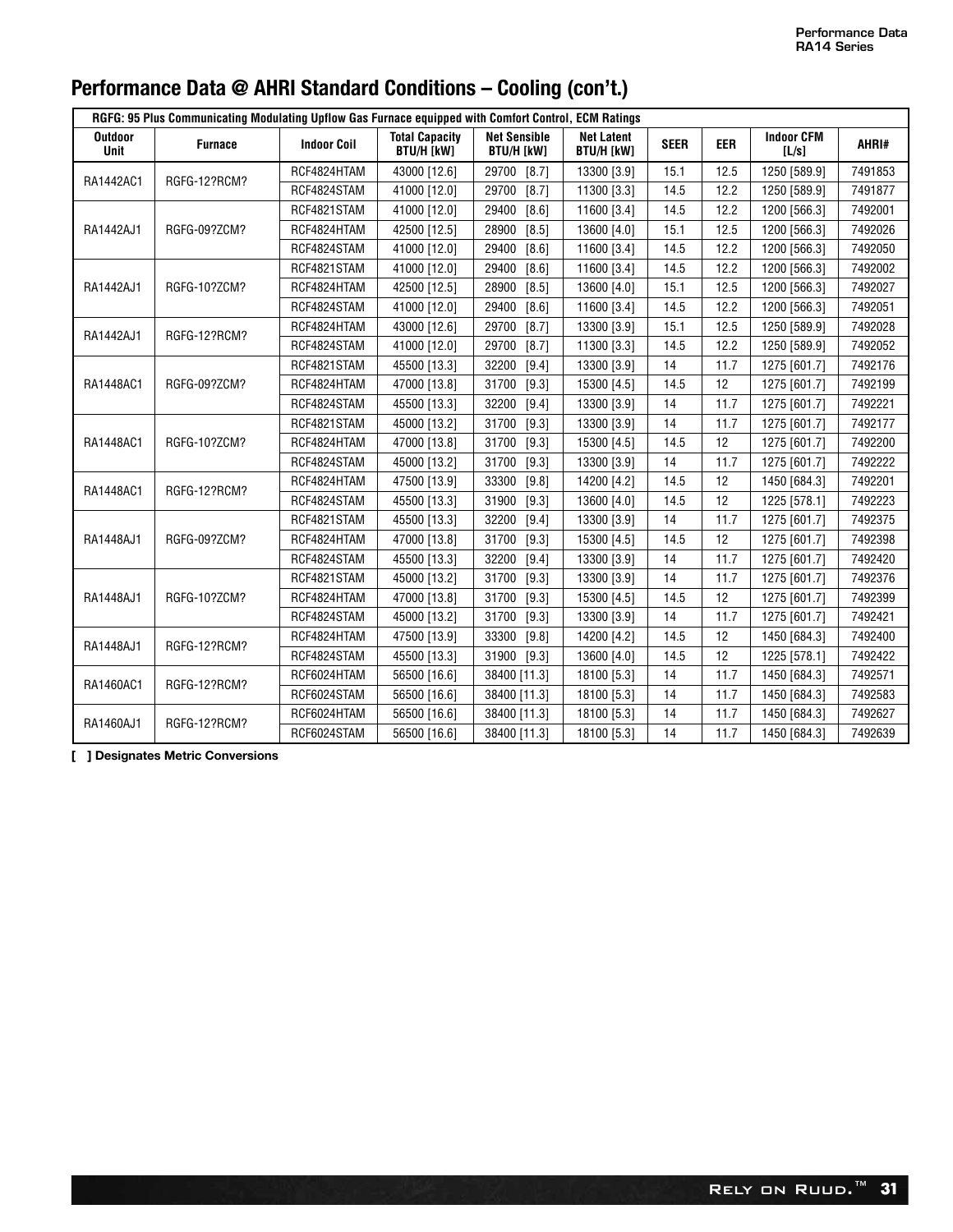| Performance Data @ AHRI Standard Conditions - Cooling (con't.) |  |  |  |  |  |  |
|----------------------------------------------------------------|--|--|--|--|--|--|
|----------------------------------------------------------------|--|--|--|--|--|--|

| RGFG: 95 Plus Communicating Modulating Upflow Gas Furnace equipped with Comfort Control, ECM Ratings |                |                    |                                            |                                          |                                        |             |            |                            |         |  |  |
|------------------------------------------------------------------------------------------------------|----------------|--------------------|--------------------------------------------|------------------------------------------|----------------------------------------|-------------|------------|----------------------------|---------|--|--|
| Outdoor<br>Unit                                                                                      | <b>Furnace</b> | <b>Indoor Coil</b> | <b>Total Capacity</b><br><b>BTU/H [kW]</b> | <b>Net Sensible</b><br><b>BTU/H [kW]</b> | <b>Net Latent</b><br><b>BTU/H [kW]</b> | <b>SEER</b> | <b>EER</b> | <b>Indoor CFM</b><br>[L/s] | AHRI#   |  |  |
| RA1442AC1                                                                                            | RGFG-12?RCM?   | RCF4824HTAM        | 43000 [12.6]                               | 29700<br>$[8.7]$                         | 13300 [3.9]                            | 15.1        | 12.5       | 1250 [589.9]               | 7491853 |  |  |
|                                                                                                      |                | RCF4824STAM        | 41000 [12.0]                               | 29700<br>[8.7]                           | 11300 [3.3]                            | 14.5        | 12.2       | 1250 [589.9]               | 7491877 |  |  |
|                                                                                                      |                | RCF4821STAM        | 41000 [12.0]                               | [8.6]<br>29400                           | 11600 [3.4]                            | 14.5        | 12.2       | 1200 [566.3]               | 7492001 |  |  |
| RA1442AJ1                                                                                            | RGFG-09?ZCM?   | RCF4824HTAM        | 42500 [12.5]                               | 28900<br>[8.5]                           | 13600 [4.0]                            | 15.1        | 12.5       | 1200 [566.3]               | 7492026 |  |  |
|                                                                                                      |                | RCF4824STAM        | 41000 [12.0]                               | 29400<br>[8.6]                           | 11600 [3.4]                            | 14.5        | 12.2       | 1200 [566.3]               | 7492050 |  |  |
|                                                                                                      |                | RCF4821STAM        | 41000 [12.0]                               | 29400<br>[8.6]                           | 11600 [3.4]                            | 14.5        | 12.2       | 1200 [566.3]               | 7492002 |  |  |
| RA1442AJ1                                                                                            | RGFG-10?ZCM?   | RCF4824HTAM        | 42500 [12.5]                               | $[8.5]$<br>28900                         | 13600 [4.0]                            | 15.1        | 12.5       | 1200 [566.3]               | 7492027 |  |  |
|                                                                                                      |                | RCF4824STAM        | 41000 [12.0]                               | [8.6]<br>29400                           | 11600 [3.4]                            | 14.5        | 12.2       | 1200 [566.3]               | 7492051 |  |  |
| RA1442AJ1                                                                                            | RGFG-12?RCM?   | RCF4824HTAM        | 43000 [12.6]                               | 29700<br>[8.7]                           | 13300 [3.9]                            | 15.1        | 12.5       | 1250 [589.9]               | 7492028 |  |  |
|                                                                                                      |                | RCF4824STAM        | 41000 [12.0]                               | 29700<br>[8.7]                           | 11300 [3.3]                            | 14.5        | 12.2       | 1250 [589.9]               | 7492052 |  |  |
|                                                                                                      |                | RCF4821STAM        | 45500 [13.3]                               | 32200<br>$[9.4]$                         | 13300 [3.9]                            | 14          | 11.7       | 1275 [601.7]               | 7492176 |  |  |
| RA1448AC1                                                                                            | RGFG-09?ZCM?   | RCF4824HTAM        | 47000 [13.8]                               | [9.3]<br>31700                           | 15300 [4.5]                            | 14.5        | 12         | 1275 [601.7]               | 7492199 |  |  |
|                                                                                                      |                | RCF4824STAM        | 45500 [13.3]                               | 32200<br>$[9.4]$                         | 13300 [3.9]                            | 14          | 11.7       | 1275 [601.7]               | 7492221 |  |  |
|                                                                                                      |                | RCF4821STAM        | 45000 [13.2]                               | 31700<br>[9.3]                           | 13300 [3.9]                            | 14          | 11.7       | 1275 [601.7]               | 7492177 |  |  |
| RA1448AC1                                                                                            | RGFG-10?ZCM?   | RCF4824HTAM        | 47000 [13.8]                               | [9.3]<br>31700                           | 15300 [4.5]                            | 14.5        | 12         | 1275 [601.7]               | 7492200 |  |  |
|                                                                                                      |                | RCF4824STAM        | 45000 [13.2]                               | 31700<br>[9.3]                           | 13300 [3.9]                            | 14          | 11.7       | 1275 [601.7]               | 7492222 |  |  |
| RA1448AC1                                                                                            | RGFG-12?RCM?   | RCF4824HTAM        | 47500 [13.9]                               | 33300<br>[9.8]                           | 14200 [4.2]                            | 14.5        | 12         | 1450 [684.3]               | 7492201 |  |  |
|                                                                                                      |                | RCF4824STAM        | 45500 [13.3]                               | 31900<br>[9.3]                           | 13600 [4.0]                            | 14.5        | 12         | 1225 [578.1]               | 7492223 |  |  |
|                                                                                                      |                | RCF4821STAM        | 45500 [13.3]                               | 32200<br>[9.4]                           | 13300 [3.9]                            | 14          | 11.7       | 1275 [601.7]               | 7492375 |  |  |
| RA1448AJ1                                                                                            | RGFG-09?ZCM?   | RCF4824HTAM        | 47000 [13.8]                               | 31700<br>[9.3]                           | 15300 [4.5]                            | 14.5        | 12         | 1275 [601.7]               | 7492398 |  |  |
|                                                                                                      |                | RCF4824STAM        | 45500 [13.3]                               | $[9.4]$<br>32200                         | 13300 [3.9]                            | 14          | 11.7       | 1275 [601.7]               | 7492420 |  |  |
|                                                                                                      |                | RCF4821STAM        | 45000 [13.2]                               | $[9.3]$<br>31700                         | 13300 [3.9]                            | 14          | 11.7       | 1275 [601.7]               | 7492376 |  |  |
| RA1448AJ1                                                                                            | RGFG-10?ZCM?   | RCF4824HTAM        | 47000 [13.8]                               | [9.3]<br>31700                           | 15300 [4.5]                            | 14.5        | 12         | 1275 [601.7]               | 7492399 |  |  |
|                                                                                                      |                | RCF4824STAM        | 45000 [13.2]                               | 31700<br>[9.3]                           | 13300 [3.9]                            | 14          | 11.7       | 1275 [601.7]               | 7492421 |  |  |
| RA1448AJ1                                                                                            | RGFG-12?RCM?   | RCF4824HTAM        | 47500 [13.9]                               | [9.8]<br>33300                           | 14200 [4.2]                            | 14.5        | 12         | 1450 [684.3]               | 7492400 |  |  |
|                                                                                                      |                | RCF4824STAM        | 45500 [13.3]                               | $[9.3]$<br>31900                         | 13600 [4.0]                            | 14.5        | 12         | 1225 [578.1]               | 7492422 |  |  |
| RA1460AC1                                                                                            | RGFG-12?RCM?   | RCF6024HTAM        | 56500 [16.6]                               | 38400 [11.3]                             | 18100 [5.3]                            | 14          | 11.7       | 1450 [684.3]               | 7492571 |  |  |
|                                                                                                      |                | RCF6024STAM        | 56500 [16.6]                               | 38400 [11.3]                             | 18100 [5.3]                            | 14          | 11.7       | 1450 [684.3]               | 7492583 |  |  |
| RA1460AJ1                                                                                            | RGFG-12?RCM?   | RCF6024HTAM        | 56500 [16.6]                               | 38400 [11.3]                             | 18100 [5.3]                            | 14          | 11.7       | 1450 [684.3]               | 7492627 |  |  |
|                                                                                                      |                | RCF6024STAM        | 56500 [16.6]                               | 38400 [11.3]                             | 18100 [5.3]                            | 14          | 11.7       | 1450 [684.3]               | 7492639 |  |  |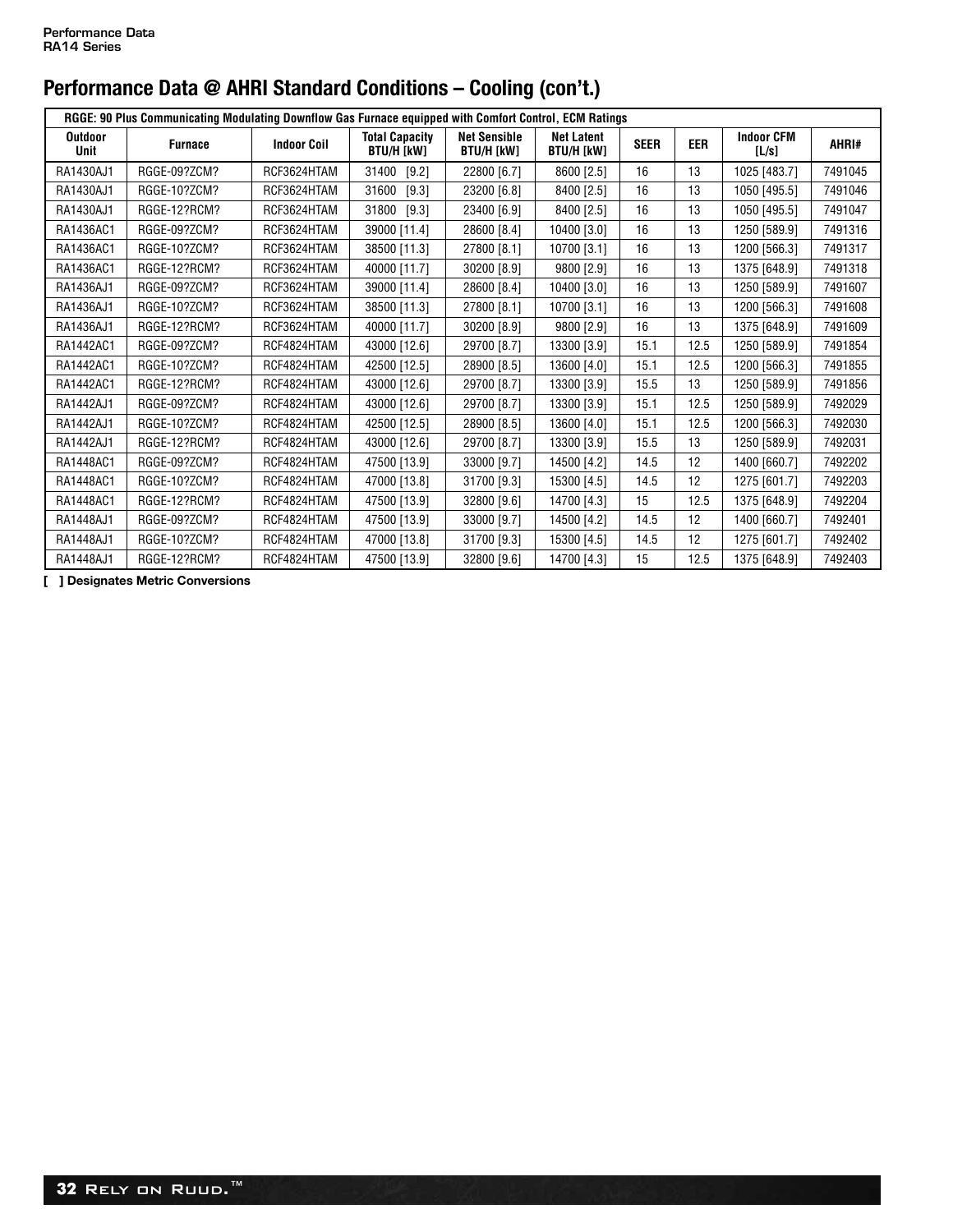| RGGE: 90 Plus Communicating Modulating Downflow Gas Furnace equipped with Comfort Control, ECM Ratings |                |                    |                                            |                                          |                                        |             |            |                            |         |  |  |
|--------------------------------------------------------------------------------------------------------|----------------|--------------------|--------------------------------------------|------------------------------------------|----------------------------------------|-------------|------------|----------------------------|---------|--|--|
| <b>Outdoor</b><br>Unit                                                                                 | <b>Furnace</b> | <b>Indoor Coil</b> | <b>Total Capacity</b><br><b>BTU/H [kW]</b> | <b>Net Sensible</b><br><b>BTU/H [kW]</b> | <b>Net Latent</b><br><b>BTU/H [kW]</b> | <b>SEER</b> | <b>EER</b> | <b>Indoor CFM</b><br>[L/s] | AHRI#   |  |  |
| RA1430AJ1                                                                                              | RGGE-09?ZCM?   | RCF3624HTAM        | 31400<br>$[9.2]$                           | 22800 [6.7]                              | 8600 [2.5]                             | 16          | 13         | 1025 [483.7]               | 7491045 |  |  |
| RA1430AJ1                                                                                              | RGGE-10?ZCM?   | RCF3624HTAM        | 31600<br>$[9.3]$                           | 23200 [6.8]                              | 8400 [2.5]                             | 16          | 13         | 1050 [495.5]               | 7491046 |  |  |
| RA1430AJ1                                                                                              | RGGE-12?RCM?   | RCF3624HTAM        | 31800<br>$[9.3]$                           | 23400 [6.9]                              | 8400 [2.5]                             | 16          | 13         | 1050 [495.5]               | 7491047 |  |  |
| RA1436AC1                                                                                              | RGGE-09?ZCM?   | RCF3624HTAM        | 39000 [11.4]                               | 28600 [8.4]                              | 10400 [3.0]                            | 16          | 13         | 1250 [589.9]               | 7491316 |  |  |
| RA1436AC1                                                                                              | RGGE-10?ZCM?   | RCF3624HTAM        | 38500 [11.3]                               | 27800 [8.1]                              | 10700 [3.1]                            | 16          | 13         | 1200 [566.3]               | 7491317 |  |  |
| RA1436AC1                                                                                              | RGGE-12?RCM?   | RCF3624HTAM        | 40000 [11.7]                               | 30200 [8.9]                              | 9800 [2.9]                             | 16          | 13         | 1375 [648.9]               | 7491318 |  |  |
| RA1436AJ1                                                                                              | RGGE-09?ZCM?   | RCF3624HTAM        | 39000 [11.4]                               | 28600 [8.4]                              | 10400 [3.0]                            | 16          | 13         | 1250 [589.9]               | 7491607 |  |  |
| RA1436AJ1                                                                                              | RGGE-10?ZCM?   | RCF3624HTAM        | 38500 [11.3]                               | 27800 [8.1]                              | 10700 [3.1]                            | 16          | 13         | 1200 [566.3]               | 7491608 |  |  |
| RA1436AJ1                                                                                              | RGGE-12?RCM?   | RCF3624HTAM        | 40000 [11.7]                               | 30200 [8.9]                              | 9800 [2.9]                             | 16          | 13         | 1375 [648.9]               | 7491609 |  |  |
| RA1442AC1                                                                                              | RGGE-09?ZCM?   | RCF4824HTAM        | 43000 [12.6]                               | 29700 [8.7]                              | 13300 [3.9]                            | 15.1        | 12.5       | 1250 [589.9]               | 7491854 |  |  |
| RA1442AC1                                                                                              | RGGE-10?ZCM?   | RCF4824HTAM        | 42500 [12.5]                               | 28900 [8.5]                              | 13600 [4.0]                            | 15.1        | 12.5       | 1200 [566.3]               | 7491855 |  |  |
| RA1442AC1                                                                                              | RGGE-12?RCM?   | RCF4824HTAM        | 43000 [12.6]                               | 29700 [8.7]                              | 13300 [3.9]                            | 15.5        | 13         | 1250 [589.9]               | 7491856 |  |  |
| RA1442AJ1                                                                                              | RGGE-09?ZCM?   | RCF4824HTAM        | 43000 [12.6]                               | 29700 [8.7]                              | 13300 [3.9]                            | 15.1        | 12.5       | 1250 [589.9]               | 7492029 |  |  |
| RA1442AJ1                                                                                              | RGGE-10?ZCM?   | RCF4824HTAM        | 42500 [12.5]                               | 28900 [8.5]                              | 13600 [4.0]                            | 15.1        | 12.5       | 1200 [566.3]               | 7492030 |  |  |
| RA1442AJ1                                                                                              | RGGE-12?RCM?   | RCF4824HTAM        | 43000 [12.6]                               | 29700 [8.7]                              | 13300 [3.9]                            | 15.5        | 13         | 1250 [589.9]               | 7492031 |  |  |
| RA1448AC1                                                                                              | RGGE-09?ZCM?   | RCF4824HTAM        | 47500 [13.9]                               | 33000 [9.7]                              | 14500 [4.2]                            | 14.5        | 12         | 1400 [660.7]               | 7492202 |  |  |
| RA1448AC1                                                                                              | RGGE-10?ZCM?   | RCF4824HTAM        | 47000 [13.8]                               | 31700 [9.3]                              | 15300 [4.5]                            | 14.5        | 12         | 1275 [601.7]               | 7492203 |  |  |
| RA1448AC1                                                                                              | RGGE-12?RCM?   | RCF4824HTAM        | 47500 [13.9]                               | 32800 [9.6]                              | 14700 [4.3]                            | 15          | 12.5       | 1375 [648.9]               | 7492204 |  |  |
| RA1448AJ1                                                                                              | RGGE-09?ZCM?   | RCF4824HTAM        | 47500 [13.9]                               | 33000 [9.7]                              | 14500 [4.2]                            | 14.5        | 12         | 1400 [660.7]               | 7492401 |  |  |
| RA1448AJ1                                                                                              | RGGE-10?ZCM?   | RCF4824HTAM        | 47000 [13.8]                               | 31700 [9.3]                              | 15300 [4.5]                            | 14.5        | 12         | 1275 [601.7]               | 7492402 |  |  |
| RA1448AJ1                                                                                              | RGGE-12?RCM?   | RCF4824HTAM        | 47500 [13.9]                               | 32800 [9.6]                              | 14700 [4.3]                            | 15          | 12.5       | 1375 [648.9]               | 7492403 |  |  |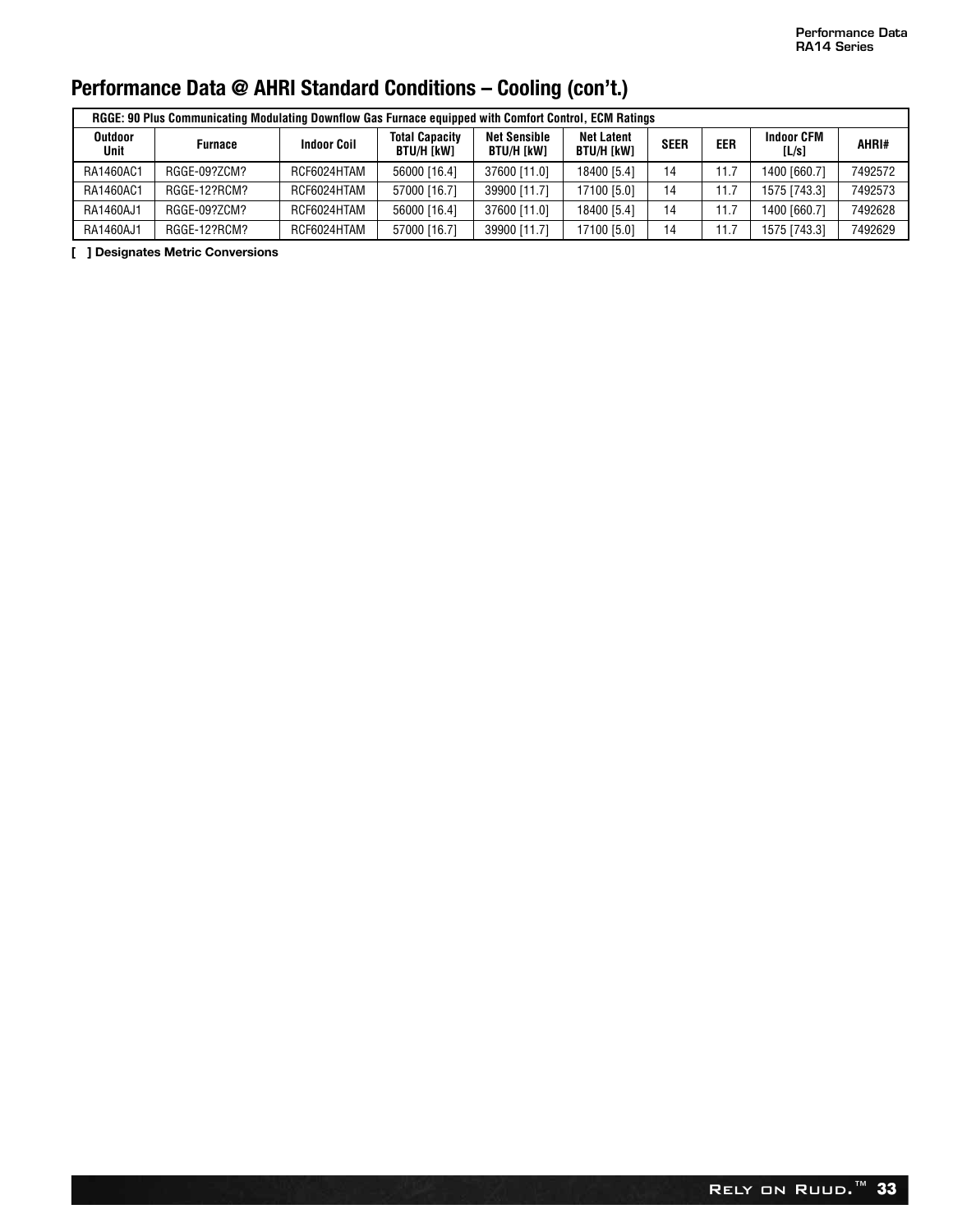| RGGE: 90 Plus Communicating Modulating Downflow Gas Furnace equipped with Comfort Control, ECM Ratings |                |                    |                                     |                                   |                                        |             |            |                            |         |  |  |  |
|--------------------------------------------------------------------------------------------------------|----------------|--------------------|-------------------------------------|-----------------------------------|----------------------------------------|-------------|------------|----------------------------|---------|--|--|--|
| <b>Outdoor</b><br>Unit                                                                                 | <b>Furnace</b> | <b>Indoor Coil</b> | <b>Total Capacity</b><br>BTU/H [kW] | <b>Net Sensible</b><br>BTU/H [kW] | <b>Net Latent</b><br><b>BTU/H [kW]</b> | <b>SEER</b> | <b>EER</b> | <b>Indoor CFM</b><br>[L/s] | AHRI#   |  |  |  |
| RA1460AC1                                                                                              | RGGE-09?ZCM?   | RCF6024HTAM        | 56000 [16.4]                        | 37600 [11.0]                      | 18400 [5.4]                            | 14          | 11.7       | 1400 [660.7]               | 7492572 |  |  |  |
| RA1460AC1                                                                                              | RGGE-12?RCM?   | RCF6024HTAM        | 57000 [16.7]                        | 39900 [11.7]                      | 17100 [5.0]                            | 14          | 11.7       | 1575 [743.3]               | 7492573 |  |  |  |
| RA1460AJ1                                                                                              | RGGE-09?ZCM?   | RCF6024HTAM        | 56000 [16.4]                        | 37600 [11.0]                      | 18400 [5.4]                            | 14          | 11.7       | 1400 [660.7]               | 7492628 |  |  |  |
| RA1460AJ1                                                                                              | RGGE-12?RCM?   | RCF6024HTAM        | 57000 [16.7]                        | 39900 [11.7]                      | 17100 [5.0]                            | 14          | 11.7       | 1575 [743.3]               | 7492629 |  |  |  |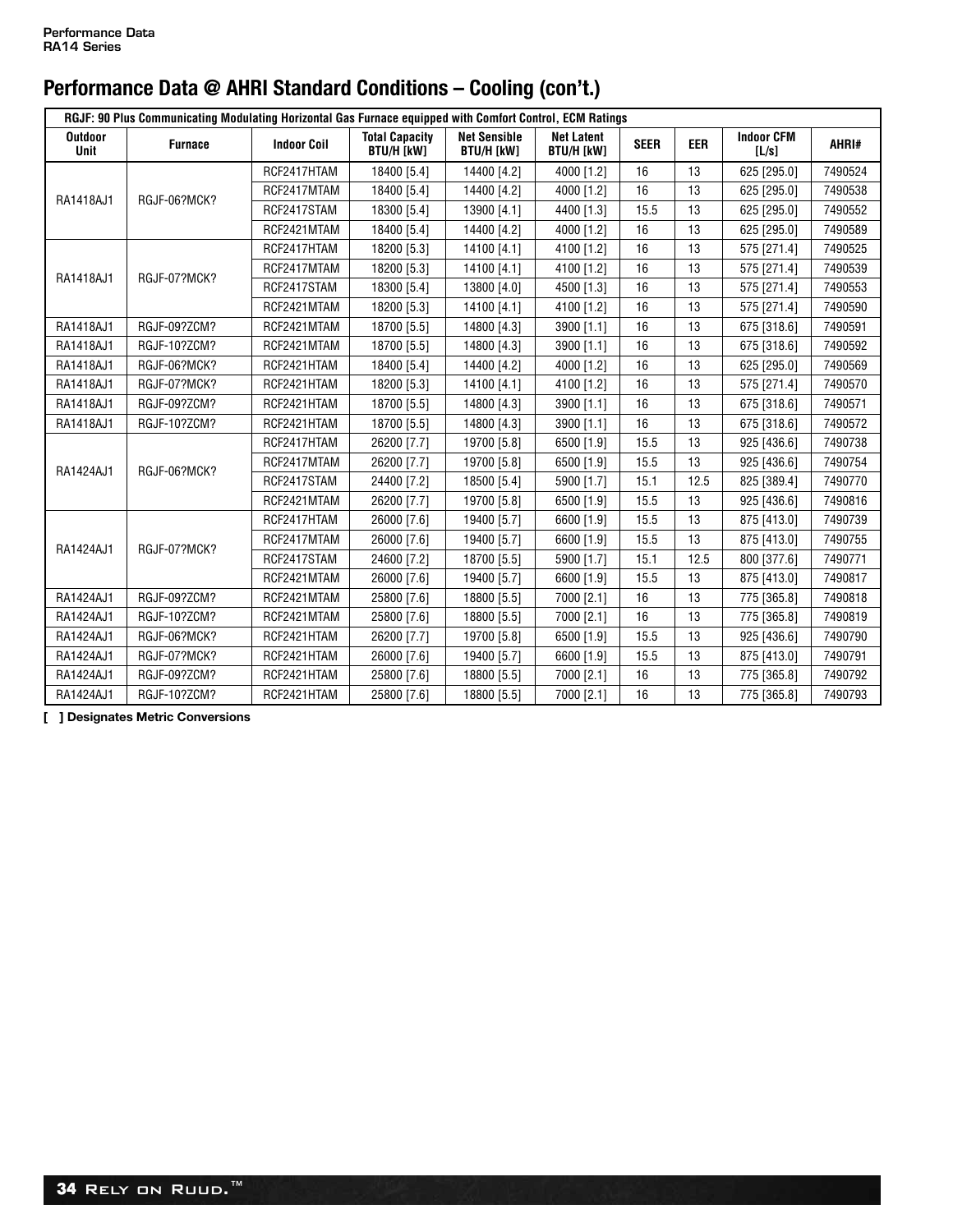|                               | RGJF: 90 Plus Communicating Modulating Horizontal Gas Furnace equipped with Comfort Control, ECM Ratings |                    |                                            |                                          |                                        |             |            |                            |         |  |  |
|-------------------------------|----------------------------------------------------------------------------------------------------------|--------------------|--------------------------------------------|------------------------------------------|----------------------------------------|-------------|------------|----------------------------|---------|--|--|
| <b>Outdoor</b><br><b>Unit</b> | <b>Furnace</b>                                                                                           | <b>Indoor Coil</b> | <b>Total Capacity</b><br><b>BTU/H [kW]</b> | <b>Net Sensible</b><br><b>BTU/H [kW]</b> | <b>Net Latent</b><br><b>BTU/H [kW]</b> | <b>SEER</b> | <b>EER</b> | <b>Indoor CFM</b><br>[L/s] | AHRI#   |  |  |
|                               |                                                                                                          | RCF2417HTAM        | 18400 [5.4]                                | 14400 [4.2]                              | 4000 [1.2]                             | 16          | 13         | 625 [295.0]                | 7490524 |  |  |
| RA1418AJ1                     | RGJF-06?MCK?                                                                                             | RCF2417MTAM        | 18400 [5.4]                                | 14400 [4.2]                              | 4000 [1.2]                             | 16          | 13         | 625 [295.0]                | 7490538 |  |  |
|                               |                                                                                                          | RCF2417STAM        | 18300 [5.4]                                | 13900 [4.1]                              | 4400 [1.3]                             | 15.5        | 13         | 625 [295.0]                | 7490552 |  |  |
|                               |                                                                                                          | RCF2421MTAM        | 18400 [5.4]                                | 14400 [4.2]                              | 4000 [1.2]                             | 16          | 13         | 625 [295.0]                | 7490589 |  |  |
|                               |                                                                                                          | RCF2417HTAM        | 18200 [5.3]                                | 14100 [4.1]                              | 4100 [1.2]                             | 16          | 13         | 575 [271.4]                | 7490525 |  |  |
| RA1418AJ1                     |                                                                                                          | RCF2417MTAM        | 18200 [5.3]                                | 14100 [4.1]                              | 4100 [1.2]                             | 16          | 13         | 575 [271.4]                | 7490539 |  |  |
|                               | RGJF-07?MCK?                                                                                             | RCF2417STAM        | 18300 [5.4]                                | 13800 [4.0]                              | 4500 [1.3]                             | 16          | 13         | 575 [271.4]                | 7490553 |  |  |
|                               |                                                                                                          | RCF2421MTAM        | 18200 [5.3]                                | 14100 [4.1]                              | 4100 [1.2]                             | 16          | 13         | 575 [271.4]                | 7490590 |  |  |
| RA1418AJ1                     | RGJF-09?ZCM?                                                                                             | RCF2421MTAM        | 18700 [5.5]                                | 14800 [4.3]                              | 3900 [1.1]                             | 16          | 13         | 675 [318.6]                | 7490591 |  |  |
| RA1418AJ1                     | RGJF-10?ZCM?                                                                                             | RCF2421MTAM        | 18700 [5.5]                                | 14800 [4.3]                              | 3900 [1.1]                             | 16          | 13         | 675 [318.6]                | 7490592 |  |  |
| RA1418AJ1                     | <b>RGJF-06?MCK?</b>                                                                                      | RCF2421HTAM        | 18400 [5.4]                                | 14400 [4.2]                              | 4000 [1.2]                             | 16          | 13         | 625 [295.0]                | 7490569 |  |  |
| RA1418AJ1                     | <b>RGJF-07?MCK?</b>                                                                                      | RCF2421HTAM        | 18200 [5.3]                                | 14100 [4.1]                              | 4100 [1.2]                             | 16          | 13         | 575 [271.4]                | 7490570 |  |  |
| RA1418AJ1                     | RGJF-09?ZCM?                                                                                             | RCF2421HTAM        | 18700 [5.5]                                | 14800 [4.3]                              | 3900 [1.1]                             | 16          | 13         | 675 [318.6]                | 7490571 |  |  |
| RA1418AJ1                     | RGJF-10?ZCM?                                                                                             | RCF2421HTAM        | 18700 [5.5]                                | 14800 [4.3]                              | 3900 [1.1]                             | 16          | 13         | 675 [318.6]                | 7490572 |  |  |
|                               |                                                                                                          | RCF2417HTAM        | 26200 [7.7]                                | 19700 [5.8]                              | 6500 [1.9]                             | 15.5        | 13         | 925 [436.6]                | 7490738 |  |  |
| RA1424AJ1                     | RGJF-06?MCK?                                                                                             | RCF2417MTAM        | 26200 [7.7]                                | 19700 [5.8]                              | 6500 [1.9]                             | 15.5        | 13         | 925 [436.6]                | 7490754 |  |  |
|                               |                                                                                                          | RCF2417STAM        | 24400 [7.2]                                | 18500 [5.4]                              | 5900 [1.7]                             | 15.1        | 12.5       | 825 [389.4]                | 7490770 |  |  |
|                               |                                                                                                          | RCF2421MTAM        | 26200 [7.7]                                | 19700 [5.8]                              | 6500 [1.9]                             | 15.5        | 13         | 925 [436.6]                | 7490816 |  |  |
|                               |                                                                                                          | RCF2417HTAM        | 26000 [7.6]                                | 19400 [5.7]                              | 6600 [1.9]                             | 15.5        | 13         | 875 [413.0]                | 7490739 |  |  |
| RA1424AJ1                     | <b>RGJF-07?MCK?</b>                                                                                      | RCF2417MTAM        | 26000 [7.6]                                | 19400 [5.7]                              | 6600 [1.9]                             | 15.5        | 13         | 875 [413.0]                | 7490755 |  |  |
|                               |                                                                                                          | RCF2417STAM        | 24600 [7.2]                                | 18700 [5.5]                              | 5900 [1.7]                             | 15.1        | 12.5       | 800 [377.6]                | 7490771 |  |  |
|                               |                                                                                                          | RCF2421MTAM        | 26000 [7.6]                                | 19400 [5.7]                              | 6600 [1.9]                             | 15.5        | 13         | 875 [413.0]                | 7490817 |  |  |
| RA1424AJ1                     | RGJF-09?ZCM?                                                                                             | RCF2421MTAM        | 25800 [7.6]                                | 18800 [5.5]                              | 7000 [2.1]                             | 16          | 13         | 775 [365.8]                | 7490818 |  |  |
| RA1424AJ1                     | RGJF-10?ZCM?                                                                                             | RCF2421MTAM        | 25800 [7.6]                                | 18800 [5.5]                              | 7000 [2.1]                             | 16          | 13         | 775 [365.8]                | 7490819 |  |  |
| RA1424AJ1                     | RGJF-06?MCK?                                                                                             | RCF2421HTAM        | 26200 [7.7]                                | 19700 [5.8]                              | 6500 [1.9]                             | 15.5        | 13         | 925 [436.6]                | 7490790 |  |  |
| RA1424AJ1                     | RGJF-07?MCK?                                                                                             | RCF2421HTAM        | 26000 [7.6]                                | 19400 [5.7]                              | 6600 [1.9]                             | 15.5        | 13         | 875 [413.0]                | 7490791 |  |  |
| RA1424AJ1                     | RGJF-09?ZCM?                                                                                             | RCF2421HTAM        | 25800 [7.6]                                | 18800 [5.5]                              | 7000 [2.1]                             | 16          | 13         | 775 [365.8]                | 7490792 |  |  |
| RA1424AJ1                     | RGJF-10?ZCM?                                                                                             | RCF2421HTAM        | 25800 [7.6]                                | 18800 [5.5]                              | 7000 [2.1]                             | 16          | 13         | 775 [365.8]                | 7490793 |  |  |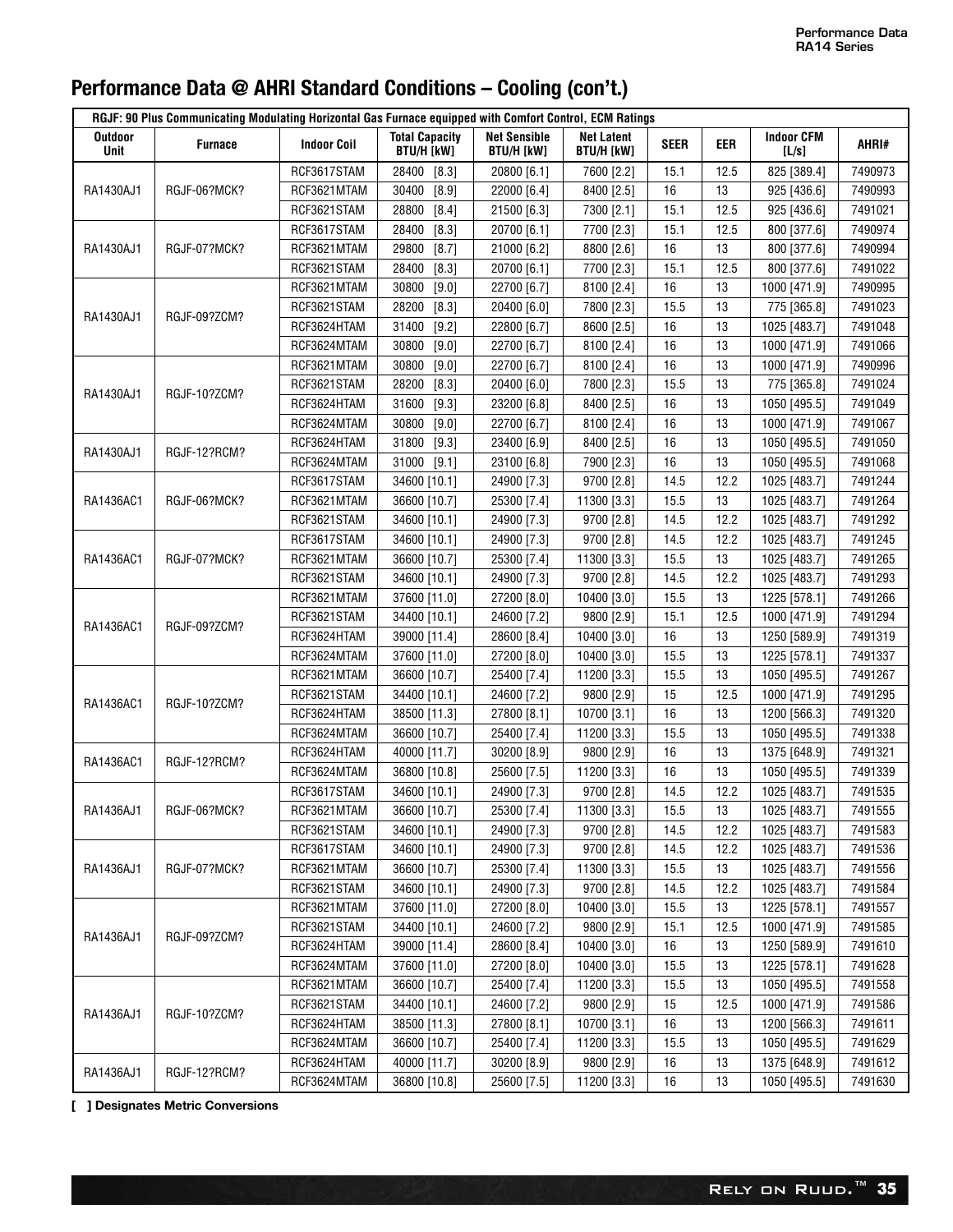| <b>Outdoor</b><br><b>Net Sensible</b><br><b>Indoor CFM</b><br><b>Total Capacity</b><br><b>Net Latent</b><br><b>EER</b><br><b>Furnace</b><br><b>Indoor Coil</b><br><b>SEER</b><br>AHRI#<br><b>BTU/H [kW]</b><br><b>BTU/H [kW]</b><br><b>BTU/H [kW]</b><br>Unit<br>[L/s]<br>RCF3617STAM<br>28400<br>$[8.3]$<br>20800 [6.1]<br>12.5<br>825 [389.4]<br>7490973<br>7600 [2.2]<br>15.1<br>30400<br>16<br>13<br>RGJF-06?MCK?<br>RCF3621MTAM<br>[8.9]<br>22000 [6.4]<br>8400 [2.5]<br>925 [436.6]<br>7490993<br>RA1430AJ1<br>RCF3621STAM<br>28800<br>$[8.4]$<br>15.1<br>12.5<br>925 [436.6]<br>7491021<br>21500 [6.3]<br>7300 [2.1]<br>$[8.3]$<br>15.1<br>12.5<br>800 [377.6]<br>RCF3617STAM<br>28400<br>20700 [6.1]<br>7700 [2.3]<br>7490974<br>16<br>13<br>RGJF-07?MCK?<br>RCF3621MTAM<br>29800<br>$[8.7]$<br>21000 [6.2]<br>8800 [2.6]<br>800 [377.6]<br>7490994<br>RA1430AJ1<br>RCF3621STAM<br>28400<br>$[8.3]$<br>20700 [6.1]<br>15.1<br>12.5<br>800 [377.6]<br>7491022<br>7700 [2.3]<br>16<br>RCF3621MTAM<br>30800<br>$[9.0]$<br>22700 [6.7]<br>13<br>7490995<br>8100 [2.4]<br>1000 [471.9]<br>$[8.3]$<br>15.5<br>RCF3621STAM<br>28200<br>20400 [6.0]<br>7800 [2.3]<br>13<br>775 [365.8]<br>7491023<br>RA1430AJ1<br>RGJF-09?ZCM?<br>RCF3624HTAM<br>31400<br>$[9.2]$<br>22800 [6.7]<br>16<br>13<br>7491048<br>8600 [2.5]<br>1025 [483.7]<br>16<br>RCF3624MTAM<br>30800<br>$[9.0]$<br>22700 [6.7]<br>13<br>7491066<br>8100 [2.4]<br>1000 [471.9]<br>16<br>7490996<br>RCF3621MTAM<br>30800<br>[9.0]<br>22700 [6.7]<br>13<br>8100 [2.4]<br>1000 [471.9]<br>7491024<br>RCF3621STAM<br>28200<br>$[8.3]$<br>20400 [6.0]<br>15.5<br>13<br>775 [365.8]<br>7800 [2.3]<br>RA1430AJ1<br>RGJF-10?ZCM?<br>RCF3624HTAM<br>31600<br>$[9.3]$<br>16<br>13<br>7491049<br>23200 [6.8]<br>8400 [2.5]<br>1050 [495.5]<br>RCF3624MTAM<br>30800<br>$[9.0]$<br>16<br>13<br>7491067<br>22700 [6.7]<br>8100 [2.4]<br>1000 [471.9]<br>16<br>RCF3624HTAM<br>31800<br>$[9.3]$<br>13<br>7491050<br>23400 [6.9]<br>8400 [2.5]<br>1050 [495.5]<br>RA1430AJ1<br>RGJF-12?RCM?<br>16<br>RCF3624MTAM<br>31000<br>$[9.1]$<br>13<br>1050 [495.5]<br>7491068<br>23100 [6.8]<br>7900 [2.3]<br>14.5<br>12.2<br>7491244<br>RCF3617STAM<br>34600 [10.1]<br>24900 [7.3]<br>9700 [2.8]<br>1025 [483.7]<br>RGJF-06?MCK?<br>15.5<br>13<br>7491264<br>RA1436AC1<br>RCF3621MTAM<br>36600 [10.7]<br>25300 [7.4]<br>11300 [3.3]<br>1025 [483.7]<br>RCF3621STAM<br>14.5<br>12.2<br>7491292<br>34600 [10.1]<br>24900 [7.3]<br>9700 [2.8]<br>1025 [483.7]<br>RCF3617STAM<br>14.5<br>12.2<br>7491245<br>34600 [10.1]<br>24900 [7.3]<br>9700 [2.8]<br>1025 [483.7]<br>RGJF-07?MCK?<br>7491265<br>RA1436AC1<br>RCF3621MTAM<br>36600 [10.7]<br>25300 [7.4]<br>11300 [3.3]<br>15.5<br>13<br>1025 [483.7]<br>RCF3621STAM<br>24900 [7.3]<br>14.5<br>12.2<br>7491293<br>34600 [10.1]<br>9700 [2.8]<br>1025 [483.7]<br>RCF3621MTAM<br>15.5<br>13<br>7491266<br>37600 [11.0]<br>27200 [8.0]<br>10400 [3.0]<br>1225 [578.1]<br>RCF3621STAM<br>15.1<br>7491294<br>34400 [10.1]<br>24600 [7.2]<br>9800 [2.9]<br>12.5<br>1000 [471.9]<br>RA1436AC1<br>RGJF-09?ZCM?<br>RCF3624HTAM<br>16<br>13<br>7491319<br>39000 [11.4]<br>28600 [8.4]<br>10400 [3.0]<br>1250 [589.9]<br>RCF3624MTAM<br>27200 [8.0]<br>15.5<br>13<br>7491337<br>37600 [11.0]<br>10400 [3.0]<br>1225 [578.1]<br>15.5<br>13<br>RCF3621MTAM<br>36600 [10.7]<br>25400 [7.4]<br>1050 [495.5]<br>7491267<br>11200 [3.3]<br>RCF3621STAM<br>15<br>12.5<br>7491295<br>34400 [10.1]<br>24600 [7.2]<br>9800 [2.9]<br>1000 [471.9]<br>RA1436AC1<br>RGJF-10?ZCM?<br>16<br>RCF3624HTAM<br>38500 [11.3]<br>13<br>1200 [566.3]<br>7491320<br>27800 [8.1]<br>10700 [3.1]<br>15.5<br>RCF3624MTAM<br>36600 [10.7]<br>25400 [7.4]<br>13<br>1050 [495.5]<br>7491338<br>11200 [3.3]<br>16<br>RCF3624HTAM<br>13<br>7491321<br>40000 [11.7]<br>30200 [8.9]<br>9800 [2.9]<br>1375 [648.9]<br>RGJF-12?RCM?<br>RA1436AC1<br>16<br>13<br>RCF3624MTAM<br>36800 [10.8]<br>25600 [7.5]<br>11200 [3.3]<br>1050 [495.5]<br>7491339<br>14.5<br>12.2<br>RCF3617STAM<br>34600 [10.1]<br>24900 [7.3]<br>9700 [2.8]<br>1025 [483.7]<br>7491535<br>RA1436AJ1<br>RGJF-06?MCK?<br>RCF3621MTAM<br>36600 [10.7]<br>25300 [7.4]<br>11300 [3.3]<br>15.5<br>13<br>1025 [483.7]<br>7491555<br>RCF3621STAM<br>34600 [10.1]<br>24900 [7.3]<br>9700 [2.8]<br>14.5<br>12.2<br>1025 [483.7]<br>7491583<br>RCF3617STAM<br>7491536<br>34600 [10.1]<br>24900 [7.3]<br>9700 [2.8]<br>14.5<br>12.2<br>1025 [483.7]<br>RGJF-07?MCK?<br>7491556<br>RA1436AJ1<br>RCF3621MTAM<br>36600 [10.7]<br>25300 [7.4]<br>11300 [3.3]<br>15.5<br>13<br>1025 [483.7]<br>RCF3621STAM<br>34600 [10.1]<br>24900 [7.3]<br>12.2<br>7491584<br>9700 [2.8]<br>14.5<br>1025 [483.7]<br>RCF3621MTAM<br>37600 [11.0]<br>27200 [8.0]<br>13<br>7491557<br>10400 [3.0]<br>15.5<br>1225 [578.1]<br>RCF3621STAM<br>34400 [10.1]<br>12.5<br>24600 [7.2]<br>9800 [2.9]<br>15.1<br>1000 [471.9]<br>7491585<br>RA1436AJ1<br>RGJF-09?ZCM?<br>RCF3624HTAM<br>39000 [11.4]<br>28600 [8.4]<br>10400 [3.0]<br>16<br>13<br>1250 [589.9]<br>7491610<br>15.5<br>13<br>RCF3624MTAM<br>37600 [11.0]<br>27200 [8.0]<br>1225 [578.1]<br>7491628<br>10400 [3.0]<br>RCF3621MTAM<br>15.5<br>13<br>1050 [495.5]<br>36600 [10.7]<br>25400 [7.4]<br>11200 [3.3]<br>7491558<br>RCF3621STAM<br>34400 [10.1]<br>15<br>1000 [471.9]<br>24600 [7.2]<br>9800 [2.9]<br>12.5<br>7491586<br>RA1436AJ1<br>RGJF-10?ZCM?<br>RCF3624HTAM<br>38500 [11.3]<br>27800 [8.1]<br>10700 [3.1]<br>16<br>13<br>1200 [566.3]<br>7491611<br>RCF3624MTAM<br>36600 [10.7]<br>25400 [7.4]<br>11200 [3.3]<br>15.5<br>13<br>1050 [495.5]<br>7491629<br>RCF3624HTAM<br>40000 [11.7]<br>30200 [8.9]<br>9800 [2.9]<br>16<br>13<br>1375 [648.9]<br>7491612<br>RA1436AJ1<br>RGJF-12?RCM?<br>RCF3624MTAM<br>16<br>13<br>7491630<br>36800 [10.8]<br>25600 [7.5]<br>11200 [3.3]<br>1050 [495.5] | RGJF: 90 Plus Communicating Modulating Horizontal Gas Furnace equipped with Comfort Control, ECM Ratings |  |  |  |  |  |  |  |  |  |
|-----------------------------------------------------------------------------------------------------------------------------------------------------------------------------------------------------------------------------------------------------------------------------------------------------------------------------------------------------------------------------------------------------------------------------------------------------------------------------------------------------------------------------------------------------------------------------------------------------------------------------------------------------------------------------------------------------------------------------------------------------------------------------------------------------------------------------------------------------------------------------------------------------------------------------------------------------------------------------------------------------------------------------------------------------------------------------------------------------------------------------------------------------------------------------------------------------------------------------------------------------------------------------------------------------------------------------------------------------------------------------------------------------------------------------------------------------------------------------------------------------------------------------------------------------------------------------------------------------------------------------------------------------------------------------------------------------------------------------------------------------------------------------------------------------------------------------------------------------------------------------------------------------------------------------------------------------------------------------------------------------------------------------------------------------------------------------------------------------------------------------------------------------------------------------------------------------------------------------------------------------------------------------------------------------------------------------------------------------------------------------------------------------------------------------------------------------------------------------------------------------------------------------------------------------------------------------------------------------------------------------------------------------------------------------------------------------------------------------------------------------------------------------------------------------------------------------------------------------------------------------------------------------------------------------------------------------------------------------------------------------------------------------------------------------------------------------------------------------------------------------------------------------------------------------------------------------------------------------------------------------------------------------------------------------------------------------------------------------------------------------------------------------------------------------------------------------------------------------------------------------------------------------------------------------------------------------------------------------------------------------------------------------------------------------------------------------------------------------------------------------------------------------------------------------------------------------------------------------------------------------------------------------------------------------------------------------------------------------------------------------------------------------------------------------------------------------------------------------------------------------------------------------------------------------------------------------------------------------------------------------------------------------------------------------------------------------------------------------------------------------------------------------------------------------------------------------------------------------------------------------------------------------------------------------------------------------------------------------------------------------------------------------------------------------------------------------------------------------------------------------------------------------------------------------------------------------------------------------------------------------------------------------------------------------------------------------------------------------------------------------------------------------------------------------------------------------------------------------------------------------------------------------------------------------------------------------------------------------------------------------------------------------------------------------------------------------------------------------------------------------------------------------------------------------------------------------------------------------------------------------------------------------------------------------------------------------------------------------------------------------------------------------------------------------------------------------------------------------------------------------------------------------------------------------------------------------------------|----------------------------------------------------------------------------------------------------------|--|--|--|--|--|--|--|--|--|
|                                                                                                                                                                                                                                                                                                                                                                                                                                                                                                                                                                                                                                                                                                                                                                                                                                                                                                                                                                                                                                                                                                                                                                                                                                                                                                                                                                                                                                                                                                                                                                                                                                                                                                                                                                                                                                                                                                                                                                                                                                                                                                                                                                                                                                                                                                                                                                                                                                                                                                                                                                                                                                                                                                                                                                                                                                                                                                                                                                                                                                                                                                                                                                                                                                                                                                                                                                                                                                                                                                                                                                                                                                                                                                                                                                                                                                                                                                                                                                                                                                                                                                                                                                                                                                                                                                                                                                                                                                                                                                                                                                                                                                                                                                                                                                                                                                                                                                                                                                                                                                                                                                                                                                                                                                                                                                                                                                                                                                                                                                                                                                                                                                                                                                                                                                                                                                         |                                                                                                          |  |  |  |  |  |  |  |  |  |
|                                                                                                                                                                                                                                                                                                                                                                                                                                                                                                                                                                                                                                                                                                                                                                                                                                                                                                                                                                                                                                                                                                                                                                                                                                                                                                                                                                                                                                                                                                                                                                                                                                                                                                                                                                                                                                                                                                                                                                                                                                                                                                                                                                                                                                                                                                                                                                                                                                                                                                                                                                                                                                                                                                                                                                                                                                                                                                                                                                                                                                                                                                                                                                                                                                                                                                                                                                                                                                                                                                                                                                                                                                                                                                                                                                                                                                                                                                                                                                                                                                                                                                                                                                                                                                                                                                                                                                                                                                                                                                                                                                                                                                                                                                                                                                                                                                                                                                                                                                                                                                                                                                                                                                                                                                                                                                                                                                                                                                                                                                                                                                                                                                                                                                                                                                                                                                         |                                                                                                          |  |  |  |  |  |  |  |  |  |
|                                                                                                                                                                                                                                                                                                                                                                                                                                                                                                                                                                                                                                                                                                                                                                                                                                                                                                                                                                                                                                                                                                                                                                                                                                                                                                                                                                                                                                                                                                                                                                                                                                                                                                                                                                                                                                                                                                                                                                                                                                                                                                                                                                                                                                                                                                                                                                                                                                                                                                                                                                                                                                                                                                                                                                                                                                                                                                                                                                                                                                                                                                                                                                                                                                                                                                                                                                                                                                                                                                                                                                                                                                                                                                                                                                                                                                                                                                                                                                                                                                                                                                                                                                                                                                                                                                                                                                                                                                                                                                                                                                                                                                                                                                                                                                                                                                                                                                                                                                                                                                                                                                                                                                                                                                                                                                                                                                                                                                                                                                                                                                                                                                                                                                                                                                                                                                         |                                                                                                          |  |  |  |  |  |  |  |  |  |
|                                                                                                                                                                                                                                                                                                                                                                                                                                                                                                                                                                                                                                                                                                                                                                                                                                                                                                                                                                                                                                                                                                                                                                                                                                                                                                                                                                                                                                                                                                                                                                                                                                                                                                                                                                                                                                                                                                                                                                                                                                                                                                                                                                                                                                                                                                                                                                                                                                                                                                                                                                                                                                                                                                                                                                                                                                                                                                                                                                                                                                                                                                                                                                                                                                                                                                                                                                                                                                                                                                                                                                                                                                                                                                                                                                                                                                                                                                                                                                                                                                                                                                                                                                                                                                                                                                                                                                                                                                                                                                                                                                                                                                                                                                                                                                                                                                                                                                                                                                                                                                                                                                                                                                                                                                                                                                                                                                                                                                                                                                                                                                                                                                                                                                                                                                                                                                         |                                                                                                          |  |  |  |  |  |  |  |  |  |
|                                                                                                                                                                                                                                                                                                                                                                                                                                                                                                                                                                                                                                                                                                                                                                                                                                                                                                                                                                                                                                                                                                                                                                                                                                                                                                                                                                                                                                                                                                                                                                                                                                                                                                                                                                                                                                                                                                                                                                                                                                                                                                                                                                                                                                                                                                                                                                                                                                                                                                                                                                                                                                                                                                                                                                                                                                                                                                                                                                                                                                                                                                                                                                                                                                                                                                                                                                                                                                                                                                                                                                                                                                                                                                                                                                                                                                                                                                                                                                                                                                                                                                                                                                                                                                                                                                                                                                                                                                                                                                                                                                                                                                                                                                                                                                                                                                                                                                                                                                                                                                                                                                                                                                                                                                                                                                                                                                                                                                                                                                                                                                                                                                                                                                                                                                                                                                         |                                                                                                          |  |  |  |  |  |  |  |  |  |
|                                                                                                                                                                                                                                                                                                                                                                                                                                                                                                                                                                                                                                                                                                                                                                                                                                                                                                                                                                                                                                                                                                                                                                                                                                                                                                                                                                                                                                                                                                                                                                                                                                                                                                                                                                                                                                                                                                                                                                                                                                                                                                                                                                                                                                                                                                                                                                                                                                                                                                                                                                                                                                                                                                                                                                                                                                                                                                                                                                                                                                                                                                                                                                                                                                                                                                                                                                                                                                                                                                                                                                                                                                                                                                                                                                                                                                                                                                                                                                                                                                                                                                                                                                                                                                                                                                                                                                                                                                                                                                                                                                                                                                                                                                                                                                                                                                                                                                                                                                                                                                                                                                                                                                                                                                                                                                                                                                                                                                                                                                                                                                                                                                                                                                                                                                                                                                         |                                                                                                          |  |  |  |  |  |  |  |  |  |
|                                                                                                                                                                                                                                                                                                                                                                                                                                                                                                                                                                                                                                                                                                                                                                                                                                                                                                                                                                                                                                                                                                                                                                                                                                                                                                                                                                                                                                                                                                                                                                                                                                                                                                                                                                                                                                                                                                                                                                                                                                                                                                                                                                                                                                                                                                                                                                                                                                                                                                                                                                                                                                                                                                                                                                                                                                                                                                                                                                                                                                                                                                                                                                                                                                                                                                                                                                                                                                                                                                                                                                                                                                                                                                                                                                                                                                                                                                                                                                                                                                                                                                                                                                                                                                                                                                                                                                                                                                                                                                                                                                                                                                                                                                                                                                                                                                                                                                                                                                                                                                                                                                                                                                                                                                                                                                                                                                                                                                                                                                                                                                                                                                                                                                                                                                                                                                         |                                                                                                          |  |  |  |  |  |  |  |  |  |
|                                                                                                                                                                                                                                                                                                                                                                                                                                                                                                                                                                                                                                                                                                                                                                                                                                                                                                                                                                                                                                                                                                                                                                                                                                                                                                                                                                                                                                                                                                                                                                                                                                                                                                                                                                                                                                                                                                                                                                                                                                                                                                                                                                                                                                                                                                                                                                                                                                                                                                                                                                                                                                                                                                                                                                                                                                                                                                                                                                                                                                                                                                                                                                                                                                                                                                                                                                                                                                                                                                                                                                                                                                                                                                                                                                                                                                                                                                                                                                                                                                                                                                                                                                                                                                                                                                                                                                                                                                                                                                                                                                                                                                                                                                                                                                                                                                                                                                                                                                                                                                                                                                                                                                                                                                                                                                                                                                                                                                                                                                                                                                                                                                                                                                                                                                                                                                         |                                                                                                          |  |  |  |  |  |  |  |  |  |
|                                                                                                                                                                                                                                                                                                                                                                                                                                                                                                                                                                                                                                                                                                                                                                                                                                                                                                                                                                                                                                                                                                                                                                                                                                                                                                                                                                                                                                                                                                                                                                                                                                                                                                                                                                                                                                                                                                                                                                                                                                                                                                                                                                                                                                                                                                                                                                                                                                                                                                                                                                                                                                                                                                                                                                                                                                                                                                                                                                                                                                                                                                                                                                                                                                                                                                                                                                                                                                                                                                                                                                                                                                                                                                                                                                                                                                                                                                                                                                                                                                                                                                                                                                                                                                                                                                                                                                                                                                                                                                                                                                                                                                                                                                                                                                                                                                                                                                                                                                                                                                                                                                                                                                                                                                                                                                                                                                                                                                                                                                                                                                                                                                                                                                                                                                                                                                         |                                                                                                          |  |  |  |  |  |  |  |  |  |
|                                                                                                                                                                                                                                                                                                                                                                                                                                                                                                                                                                                                                                                                                                                                                                                                                                                                                                                                                                                                                                                                                                                                                                                                                                                                                                                                                                                                                                                                                                                                                                                                                                                                                                                                                                                                                                                                                                                                                                                                                                                                                                                                                                                                                                                                                                                                                                                                                                                                                                                                                                                                                                                                                                                                                                                                                                                                                                                                                                                                                                                                                                                                                                                                                                                                                                                                                                                                                                                                                                                                                                                                                                                                                                                                                                                                                                                                                                                                                                                                                                                                                                                                                                                                                                                                                                                                                                                                                                                                                                                                                                                                                                                                                                                                                                                                                                                                                                                                                                                                                                                                                                                                                                                                                                                                                                                                                                                                                                                                                                                                                                                                                                                                                                                                                                                                                                         |                                                                                                          |  |  |  |  |  |  |  |  |  |
|                                                                                                                                                                                                                                                                                                                                                                                                                                                                                                                                                                                                                                                                                                                                                                                                                                                                                                                                                                                                                                                                                                                                                                                                                                                                                                                                                                                                                                                                                                                                                                                                                                                                                                                                                                                                                                                                                                                                                                                                                                                                                                                                                                                                                                                                                                                                                                                                                                                                                                                                                                                                                                                                                                                                                                                                                                                                                                                                                                                                                                                                                                                                                                                                                                                                                                                                                                                                                                                                                                                                                                                                                                                                                                                                                                                                                                                                                                                                                                                                                                                                                                                                                                                                                                                                                                                                                                                                                                                                                                                                                                                                                                                                                                                                                                                                                                                                                                                                                                                                                                                                                                                                                                                                                                                                                                                                                                                                                                                                                                                                                                                                                                                                                                                                                                                                                                         |                                                                                                          |  |  |  |  |  |  |  |  |  |
|                                                                                                                                                                                                                                                                                                                                                                                                                                                                                                                                                                                                                                                                                                                                                                                                                                                                                                                                                                                                                                                                                                                                                                                                                                                                                                                                                                                                                                                                                                                                                                                                                                                                                                                                                                                                                                                                                                                                                                                                                                                                                                                                                                                                                                                                                                                                                                                                                                                                                                                                                                                                                                                                                                                                                                                                                                                                                                                                                                                                                                                                                                                                                                                                                                                                                                                                                                                                                                                                                                                                                                                                                                                                                                                                                                                                                                                                                                                                                                                                                                                                                                                                                                                                                                                                                                                                                                                                                                                                                                                                                                                                                                                                                                                                                                                                                                                                                                                                                                                                                                                                                                                                                                                                                                                                                                                                                                                                                                                                                                                                                                                                                                                                                                                                                                                                                                         |                                                                                                          |  |  |  |  |  |  |  |  |  |
|                                                                                                                                                                                                                                                                                                                                                                                                                                                                                                                                                                                                                                                                                                                                                                                                                                                                                                                                                                                                                                                                                                                                                                                                                                                                                                                                                                                                                                                                                                                                                                                                                                                                                                                                                                                                                                                                                                                                                                                                                                                                                                                                                                                                                                                                                                                                                                                                                                                                                                                                                                                                                                                                                                                                                                                                                                                                                                                                                                                                                                                                                                                                                                                                                                                                                                                                                                                                                                                                                                                                                                                                                                                                                                                                                                                                                                                                                                                                                                                                                                                                                                                                                                                                                                                                                                                                                                                                                                                                                                                                                                                                                                                                                                                                                                                                                                                                                                                                                                                                                                                                                                                                                                                                                                                                                                                                                                                                                                                                                                                                                                                                                                                                                                                                                                                                                                         |                                                                                                          |  |  |  |  |  |  |  |  |  |
|                                                                                                                                                                                                                                                                                                                                                                                                                                                                                                                                                                                                                                                                                                                                                                                                                                                                                                                                                                                                                                                                                                                                                                                                                                                                                                                                                                                                                                                                                                                                                                                                                                                                                                                                                                                                                                                                                                                                                                                                                                                                                                                                                                                                                                                                                                                                                                                                                                                                                                                                                                                                                                                                                                                                                                                                                                                                                                                                                                                                                                                                                                                                                                                                                                                                                                                                                                                                                                                                                                                                                                                                                                                                                                                                                                                                                                                                                                                                                                                                                                                                                                                                                                                                                                                                                                                                                                                                                                                                                                                                                                                                                                                                                                                                                                                                                                                                                                                                                                                                                                                                                                                                                                                                                                                                                                                                                                                                                                                                                                                                                                                                                                                                                                                                                                                                                                         |                                                                                                          |  |  |  |  |  |  |  |  |  |
|                                                                                                                                                                                                                                                                                                                                                                                                                                                                                                                                                                                                                                                                                                                                                                                                                                                                                                                                                                                                                                                                                                                                                                                                                                                                                                                                                                                                                                                                                                                                                                                                                                                                                                                                                                                                                                                                                                                                                                                                                                                                                                                                                                                                                                                                                                                                                                                                                                                                                                                                                                                                                                                                                                                                                                                                                                                                                                                                                                                                                                                                                                                                                                                                                                                                                                                                                                                                                                                                                                                                                                                                                                                                                                                                                                                                                                                                                                                                                                                                                                                                                                                                                                                                                                                                                                                                                                                                                                                                                                                                                                                                                                                                                                                                                                                                                                                                                                                                                                                                                                                                                                                                                                                                                                                                                                                                                                                                                                                                                                                                                                                                                                                                                                                                                                                                                                         |                                                                                                          |  |  |  |  |  |  |  |  |  |
|                                                                                                                                                                                                                                                                                                                                                                                                                                                                                                                                                                                                                                                                                                                                                                                                                                                                                                                                                                                                                                                                                                                                                                                                                                                                                                                                                                                                                                                                                                                                                                                                                                                                                                                                                                                                                                                                                                                                                                                                                                                                                                                                                                                                                                                                                                                                                                                                                                                                                                                                                                                                                                                                                                                                                                                                                                                                                                                                                                                                                                                                                                                                                                                                                                                                                                                                                                                                                                                                                                                                                                                                                                                                                                                                                                                                                                                                                                                                                                                                                                                                                                                                                                                                                                                                                                                                                                                                                                                                                                                                                                                                                                                                                                                                                                                                                                                                                                                                                                                                                                                                                                                                                                                                                                                                                                                                                                                                                                                                                                                                                                                                                                                                                                                                                                                                                                         |                                                                                                          |  |  |  |  |  |  |  |  |  |
|                                                                                                                                                                                                                                                                                                                                                                                                                                                                                                                                                                                                                                                                                                                                                                                                                                                                                                                                                                                                                                                                                                                                                                                                                                                                                                                                                                                                                                                                                                                                                                                                                                                                                                                                                                                                                                                                                                                                                                                                                                                                                                                                                                                                                                                                                                                                                                                                                                                                                                                                                                                                                                                                                                                                                                                                                                                                                                                                                                                                                                                                                                                                                                                                                                                                                                                                                                                                                                                                                                                                                                                                                                                                                                                                                                                                                                                                                                                                                                                                                                                                                                                                                                                                                                                                                                                                                                                                                                                                                                                                                                                                                                                                                                                                                                                                                                                                                                                                                                                                                                                                                                                                                                                                                                                                                                                                                                                                                                                                                                                                                                                                                                                                                                                                                                                                                                         |                                                                                                          |  |  |  |  |  |  |  |  |  |
|                                                                                                                                                                                                                                                                                                                                                                                                                                                                                                                                                                                                                                                                                                                                                                                                                                                                                                                                                                                                                                                                                                                                                                                                                                                                                                                                                                                                                                                                                                                                                                                                                                                                                                                                                                                                                                                                                                                                                                                                                                                                                                                                                                                                                                                                                                                                                                                                                                                                                                                                                                                                                                                                                                                                                                                                                                                                                                                                                                                                                                                                                                                                                                                                                                                                                                                                                                                                                                                                                                                                                                                                                                                                                                                                                                                                                                                                                                                                                                                                                                                                                                                                                                                                                                                                                                                                                                                                                                                                                                                                                                                                                                                                                                                                                                                                                                                                                                                                                                                                                                                                                                                                                                                                                                                                                                                                                                                                                                                                                                                                                                                                                                                                                                                                                                                                                                         |                                                                                                          |  |  |  |  |  |  |  |  |  |
|                                                                                                                                                                                                                                                                                                                                                                                                                                                                                                                                                                                                                                                                                                                                                                                                                                                                                                                                                                                                                                                                                                                                                                                                                                                                                                                                                                                                                                                                                                                                                                                                                                                                                                                                                                                                                                                                                                                                                                                                                                                                                                                                                                                                                                                                                                                                                                                                                                                                                                                                                                                                                                                                                                                                                                                                                                                                                                                                                                                                                                                                                                                                                                                                                                                                                                                                                                                                                                                                                                                                                                                                                                                                                                                                                                                                                                                                                                                                                                                                                                                                                                                                                                                                                                                                                                                                                                                                                                                                                                                                                                                                                                                                                                                                                                                                                                                                                                                                                                                                                                                                                                                                                                                                                                                                                                                                                                                                                                                                                                                                                                                                                                                                                                                                                                                                                                         |                                                                                                          |  |  |  |  |  |  |  |  |  |
|                                                                                                                                                                                                                                                                                                                                                                                                                                                                                                                                                                                                                                                                                                                                                                                                                                                                                                                                                                                                                                                                                                                                                                                                                                                                                                                                                                                                                                                                                                                                                                                                                                                                                                                                                                                                                                                                                                                                                                                                                                                                                                                                                                                                                                                                                                                                                                                                                                                                                                                                                                                                                                                                                                                                                                                                                                                                                                                                                                                                                                                                                                                                                                                                                                                                                                                                                                                                                                                                                                                                                                                                                                                                                                                                                                                                                                                                                                                                                                                                                                                                                                                                                                                                                                                                                                                                                                                                                                                                                                                                                                                                                                                                                                                                                                                                                                                                                                                                                                                                                                                                                                                                                                                                                                                                                                                                                                                                                                                                                                                                                                                                                                                                                                                                                                                                                                         |                                                                                                          |  |  |  |  |  |  |  |  |  |
|                                                                                                                                                                                                                                                                                                                                                                                                                                                                                                                                                                                                                                                                                                                                                                                                                                                                                                                                                                                                                                                                                                                                                                                                                                                                                                                                                                                                                                                                                                                                                                                                                                                                                                                                                                                                                                                                                                                                                                                                                                                                                                                                                                                                                                                                                                                                                                                                                                                                                                                                                                                                                                                                                                                                                                                                                                                                                                                                                                                                                                                                                                                                                                                                                                                                                                                                                                                                                                                                                                                                                                                                                                                                                                                                                                                                                                                                                                                                                                                                                                                                                                                                                                                                                                                                                                                                                                                                                                                                                                                                                                                                                                                                                                                                                                                                                                                                                                                                                                                                                                                                                                                                                                                                                                                                                                                                                                                                                                                                                                                                                                                                                                                                                                                                                                                                                                         |                                                                                                          |  |  |  |  |  |  |  |  |  |
|                                                                                                                                                                                                                                                                                                                                                                                                                                                                                                                                                                                                                                                                                                                                                                                                                                                                                                                                                                                                                                                                                                                                                                                                                                                                                                                                                                                                                                                                                                                                                                                                                                                                                                                                                                                                                                                                                                                                                                                                                                                                                                                                                                                                                                                                                                                                                                                                                                                                                                                                                                                                                                                                                                                                                                                                                                                                                                                                                                                                                                                                                                                                                                                                                                                                                                                                                                                                                                                                                                                                                                                                                                                                                                                                                                                                                                                                                                                                                                                                                                                                                                                                                                                                                                                                                                                                                                                                                                                                                                                                                                                                                                                                                                                                                                                                                                                                                                                                                                                                                                                                                                                                                                                                                                                                                                                                                                                                                                                                                                                                                                                                                                                                                                                                                                                                                                         |                                                                                                          |  |  |  |  |  |  |  |  |  |
|                                                                                                                                                                                                                                                                                                                                                                                                                                                                                                                                                                                                                                                                                                                                                                                                                                                                                                                                                                                                                                                                                                                                                                                                                                                                                                                                                                                                                                                                                                                                                                                                                                                                                                                                                                                                                                                                                                                                                                                                                                                                                                                                                                                                                                                                                                                                                                                                                                                                                                                                                                                                                                                                                                                                                                                                                                                                                                                                                                                                                                                                                                                                                                                                                                                                                                                                                                                                                                                                                                                                                                                                                                                                                                                                                                                                                                                                                                                                                                                                                                                                                                                                                                                                                                                                                                                                                                                                                                                                                                                                                                                                                                                                                                                                                                                                                                                                                                                                                                                                                                                                                                                                                                                                                                                                                                                                                                                                                                                                                                                                                                                                                                                                                                                                                                                                                                         |                                                                                                          |  |  |  |  |  |  |  |  |  |
|                                                                                                                                                                                                                                                                                                                                                                                                                                                                                                                                                                                                                                                                                                                                                                                                                                                                                                                                                                                                                                                                                                                                                                                                                                                                                                                                                                                                                                                                                                                                                                                                                                                                                                                                                                                                                                                                                                                                                                                                                                                                                                                                                                                                                                                                                                                                                                                                                                                                                                                                                                                                                                                                                                                                                                                                                                                                                                                                                                                                                                                                                                                                                                                                                                                                                                                                                                                                                                                                                                                                                                                                                                                                                                                                                                                                                                                                                                                                                                                                                                                                                                                                                                                                                                                                                                                                                                                                                                                                                                                                                                                                                                                                                                                                                                                                                                                                                                                                                                                                                                                                                                                                                                                                                                                                                                                                                                                                                                                                                                                                                                                                                                                                                                                                                                                                                                         |                                                                                                          |  |  |  |  |  |  |  |  |  |
|                                                                                                                                                                                                                                                                                                                                                                                                                                                                                                                                                                                                                                                                                                                                                                                                                                                                                                                                                                                                                                                                                                                                                                                                                                                                                                                                                                                                                                                                                                                                                                                                                                                                                                                                                                                                                                                                                                                                                                                                                                                                                                                                                                                                                                                                                                                                                                                                                                                                                                                                                                                                                                                                                                                                                                                                                                                                                                                                                                                                                                                                                                                                                                                                                                                                                                                                                                                                                                                                                                                                                                                                                                                                                                                                                                                                                                                                                                                                                                                                                                                                                                                                                                                                                                                                                                                                                                                                                                                                                                                                                                                                                                                                                                                                                                                                                                                                                                                                                                                                                                                                                                                                                                                                                                                                                                                                                                                                                                                                                                                                                                                                                                                                                                                                                                                                                                         |                                                                                                          |  |  |  |  |  |  |  |  |  |
|                                                                                                                                                                                                                                                                                                                                                                                                                                                                                                                                                                                                                                                                                                                                                                                                                                                                                                                                                                                                                                                                                                                                                                                                                                                                                                                                                                                                                                                                                                                                                                                                                                                                                                                                                                                                                                                                                                                                                                                                                                                                                                                                                                                                                                                                                                                                                                                                                                                                                                                                                                                                                                                                                                                                                                                                                                                                                                                                                                                                                                                                                                                                                                                                                                                                                                                                                                                                                                                                                                                                                                                                                                                                                                                                                                                                                                                                                                                                                                                                                                                                                                                                                                                                                                                                                                                                                                                                                                                                                                                                                                                                                                                                                                                                                                                                                                                                                                                                                                                                                                                                                                                                                                                                                                                                                                                                                                                                                                                                                                                                                                                                                                                                                                                                                                                                                                         |                                                                                                          |  |  |  |  |  |  |  |  |  |
|                                                                                                                                                                                                                                                                                                                                                                                                                                                                                                                                                                                                                                                                                                                                                                                                                                                                                                                                                                                                                                                                                                                                                                                                                                                                                                                                                                                                                                                                                                                                                                                                                                                                                                                                                                                                                                                                                                                                                                                                                                                                                                                                                                                                                                                                                                                                                                                                                                                                                                                                                                                                                                                                                                                                                                                                                                                                                                                                                                                                                                                                                                                                                                                                                                                                                                                                                                                                                                                                                                                                                                                                                                                                                                                                                                                                                                                                                                                                                                                                                                                                                                                                                                                                                                                                                                                                                                                                                                                                                                                                                                                                                                                                                                                                                                                                                                                                                                                                                                                                                                                                                                                                                                                                                                                                                                                                                                                                                                                                                                                                                                                                                                                                                                                                                                                                                                         |                                                                                                          |  |  |  |  |  |  |  |  |  |
|                                                                                                                                                                                                                                                                                                                                                                                                                                                                                                                                                                                                                                                                                                                                                                                                                                                                                                                                                                                                                                                                                                                                                                                                                                                                                                                                                                                                                                                                                                                                                                                                                                                                                                                                                                                                                                                                                                                                                                                                                                                                                                                                                                                                                                                                                                                                                                                                                                                                                                                                                                                                                                                                                                                                                                                                                                                                                                                                                                                                                                                                                                                                                                                                                                                                                                                                                                                                                                                                                                                                                                                                                                                                                                                                                                                                                                                                                                                                                                                                                                                                                                                                                                                                                                                                                                                                                                                                                                                                                                                                                                                                                                                                                                                                                                                                                                                                                                                                                                                                                                                                                                                                                                                                                                                                                                                                                                                                                                                                                                                                                                                                                                                                                                                                                                                                                                         |                                                                                                          |  |  |  |  |  |  |  |  |  |
|                                                                                                                                                                                                                                                                                                                                                                                                                                                                                                                                                                                                                                                                                                                                                                                                                                                                                                                                                                                                                                                                                                                                                                                                                                                                                                                                                                                                                                                                                                                                                                                                                                                                                                                                                                                                                                                                                                                                                                                                                                                                                                                                                                                                                                                                                                                                                                                                                                                                                                                                                                                                                                                                                                                                                                                                                                                                                                                                                                                                                                                                                                                                                                                                                                                                                                                                                                                                                                                                                                                                                                                                                                                                                                                                                                                                                                                                                                                                                                                                                                                                                                                                                                                                                                                                                                                                                                                                                                                                                                                                                                                                                                                                                                                                                                                                                                                                                                                                                                                                                                                                                                                                                                                                                                                                                                                                                                                                                                                                                                                                                                                                                                                                                                                                                                                                                                         |                                                                                                          |  |  |  |  |  |  |  |  |  |
|                                                                                                                                                                                                                                                                                                                                                                                                                                                                                                                                                                                                                                                                                                                                                                                                                                                                                                                                                                                                                                                                                                                                                                                                                                                                                                                                                                                                                                                                                                                                                                                                                                                                                                                                                                                                                                                                                                                                                                                                                                                                                                                                                                                                                                                                                                                                                                                                                                                                                                                                                                                                                                                                                                                                                                                                                                                                                                                                                                                                                                                                                                                                                                                                                                                                                                                                                                                                                                                                                                                                                                                                                                                                                                                                                                                                                                                                                                                                                                                                                                                                                                                                                                                                                                                                                                                                                                                                                                                                                                                                                                                                                                                                                                                                                                                                                                                                                                                                                                                                                                                                                                                                                                                                                                                                                                                                                                                                                                                                                                                                                                                                                                                                                                                                                                                                                                         |                                                                                                          |  |  |  |  |  |  |  |  |  |
|                                                                                                                                                                                                                                                                                                                                                                                                                                                                                                                                                                                                                                                                                                                                                                                                                                                                                                                                                                                                                                                                                                                                                                                                                                                                                                                                                                                                                                                                                                                                                                                                                                                                                                                                                                                                                                                                                                                                                                                                                                                                                                                                                                                                                                                                                                                                                                                                                                                                                                                                                                                                                                                                                                                                                                                                                                                                                                                                                                                                                                                                                                                                                                                                                                                                                                                                                                                                                                                                                                                                                                                                                                                                                                                                                                                                                                                                                                                                                                                                                                                                                                                                                                                                                                                                                                                                                                                                                                                                                                                                                                                                                                                                                                                                                                                                                                                                                                                                                                                                                                                                                                                                                                                                                                                                                                                                                                                                                                                                                                                                                                                                                                                                                                                                                                                                                                         |                                                                                                          |  |  |  |  |  |  |  |  |  |
|                                                                                                                                                                                                                                                                                                                                                                                                                                                                                                                                                                                                                                                                                                                                                                                                                                                                                                                                                                                                                                                                                                                                                                                                                                                                                                                                                                                                                                                                                                                                                                                                                                                                                                                                                                                                                                                                                                                                                                                                                                                                                                                                                                                                                                                                                                                                                                                                                                                                                                                                                                                                                                                                                                                                                                                                                                                                                                                                                                                                                                                                                                                                                                                                                                                                                                                                                                                                                                                                                                                                                                                                                                                                                                                                                                                                                                                                                                                                                                                                                                                                                                                                                                                                                                                                                                                                                                                                                                                                                                                                                                                                                                                                                                                                                                                                                                                                                                                                                                                                                                                                                                                                                                                                                                                                                                                                                                                                                                                                                                                                                                                                                                                                                                                                                                                                                                         |                                                                                                          |  |  |  |  |  |  |  |  |  |
|                                                                                                                                                                                                                                                                                                                                                                                                                                                                                                                                                                                                                                                                                                                                                                                                                                                                                                                                                                                                                                                                                                                                                                                                                                                                                                                                                                                                                                                                                                                                                                                                                                                                                                                                                                                                                                                                                                                                                                                                                                                                                                                                                                                                                                                                                                                                                                                                                                                                                                                                                                                                                                                                                                                                                                                                                                                                                                                                                                                                                                                                                                                                                                                                                                                                                                                                                                                                                                                                                                                                                                                                                                                                                                                                                                                                                                                                                                                                                                                                                                                                                                                                                                                                                                                                                                                                                                                                                                                                                                                                                                                                                                                                                                                                                                                                                                                                                                                                                                                                                                                                                                                                                                                                                                                                                                                                                                                                                                                                                                                                                                                                                                                                                                                                                                                                                                         |                                                                                                          |  |  |  |  |  |  |  |  |  |
|                                                                                                                                                                                                                                                                                                                                                                                                                                                                                                                                                                                                                                                                                                                                                                                                                                                                                                                                                                                                                                                                                                                                                                                                                                                                                                                                                                                                                                                                                                                                                                                                                                                                                                                                                                                                                                                                                                                                                                                                                                                                                                                                                                                                                                                                                                                                                                                                                                                                                                                                                                                                                                                                                                                                                                                                                                                                                                                                                                                                                                                                                                                                                                                                                                                                                                                                                                                                                                                                                                                                                                                                                                                                                                                                                                                                                                                                                                                                                                                                                                                                                                                                                                                                                                                                                                                                                                                                                                                                                                                                                                                                                                                                                                                                                                                                                                                                                                                                                                                                                                                                                                                                                                                                                                                                                                                                                                                                                                                                                                                                                                                                                                                                                                                                                                                                                                         |                                                                                                          |  |  |  |  |  |  |  |  |  |
|                                                                                                                                                                                                                                                                                                                                                                                                                                                                                                                                                                                                                                                                                                                                                                                                                                                                                                                                                                                                                                                                                                                                                                                                                                                                                                                                                                                                                                                                                                                                                                                                                                                                                                                                                                                                                                                                                                                                                                                                                                                                                                                                                                                                                                                                                                                                                                                                                                                                                                                                                                                                                                                                                                                                                                                                                                                                                                                                                                                                                                                                                                                                                                                                                                                                                                                                                                                                                                                                                                                                                                                                                                                                                                                                                                                                                                                                                                                                                                                                                                                                                                                                                                                                                                                                                                                                                                                                                                                                                                                                                                                                                                                                                                                                                                                                                                                                                                                                                                                                                                                                                                                                                                                                                                                                                                                                                                                                                                                                                                                                                                                                                                                                                                                                                                                                                                         |                                                                                                          |  |  |  |  |  |  |  |  |  |
|                                                                                                                                                                                                                                                                                                                                                                                                                                                                                                                                                                                                                                                                                                                                                                                                                                                                                                                                                                                                                                                                                                                                                                                                                                                                                                                                                                                                                                                                                                                                                                                                                                                                                                                                                                                                                                                                                                                                                                                                                                                                                                                                                                                                                                                                                                                                                                                                                                                                                                                                                                                                                                                                                                                                                                                                                                                                                                                                                                                                                                                                                                                                                                                                                                                                                                                                                                                                                                                                                                                                                                                                                                                                                                                                                                                                                                                                                                                                                                                                                                                                                                                                                                                                                                                                                                                                                                                                                                                                                                                                                                                                                                                                                                                                                                                                                                                                                                                                                                                                                                                                                                                                                                                                                                                                                                                                                                                                                                                                                                                                                                                                                                                                                                                                                                                                                                         |                                                                                                          |  |  |  |  |  |  |  |  |  |
|                                                                                                                                                                                                                                                                                                                                                                                                                                                                                                                                                                                                                                                                                                                                                                                                                                                                                                                                                                                                                                                                                                                                                                                                                                                                                                                                                                                                                                                                                                                                                                                                                                                                                                                                                                                                                                                                                                                                                                                                                                                                                                                                                                                                                                                                                                                                                                                                                                                                                                                                                                                                                                                                                                                                                                                                                                                                                                                                                                                                                                                                                                                                                                                                                                                                                                                                                                                                                                                                                                                                                                                                                                                                                                                                                                                                                                                                                                                                                                                                                                                                                                                                                                                                                                                                                                                                                                                                                                                                                                                                                                                                                                                                                                                                                                                                                                                                                                                                                                                                                                                                                                                                                                                                                                                                                                                                                                                                                                                                                                                                                                                                                                                                                                                                                                                                                                         |                                                                                                          |  |  |  |  |  |  |  |  |  |
|                                                                                                                                                                                                                                                                                                                                                                                                                                                                                                                                                                                                                                                                                                                                                                                                                                                                                                                                                                                                                                                                                                                                                                                                                                                                                                                                                                                                                                                                                                                                                                                                                                                                                                                                                                                                                                                                                                                                                                                                                                                                                                                                                                                                                                                                                                                                                                                                                                                                                                                                                                                                                                                                                                                                                                                                                                                                                                                                                                                                                                                                                                                                                                                                                                                                                                                                                                                                                                                                                                                                                                                                                                                                                                                                                                                                                                                                                                                                                                                                                                                                                                                                                                                                                                                                                                                                                                                                                                                                                                                                                                                                                                                                                                                                                                                                                                                                                                                                                                                                                                                                                                                                                                                                                                                                                                                                                                                                                                                                                                                                                                                                                                                                                                                                                                                                                                         |                                                                                                          |  |  |  |  |  |  |  |  |  |
|                                                                                                                                                                                                                                                                                                                                                                                                                                                                                                                                                                                                                                                                                                                                                                                                                                                                                                                                                                                                                                                                                                                                                                                                                                                                                                                                                                                                                                                                                                                                                                                                                                                                                                                                                                                                                                                                                                                                                                                                                                                                                                                                                                                                                                                                                                                                                                                                                                                                                                                                                                                                                                                                                                                                                                                                                                                                                                                                                                                                                                                                                                                                                                                                                                                                                                                                                                                                                                                                                                                                                                                                                                                                                                                                                                                                                                                                                                                                                                                                                                                                                                                                                                                                                                                                                                                                                                                                                                                                                                                                                                                                                                                                                                                                                                                                                                                                                                                                                                                                                                                                                                                                                                                                                                                                                                                                                                                                                                                                                                                                                                                                                                                                                                                                                                                                                                         |                                                                                                          |  |  |  |  |  |  |  |  |  |
|                                                                                                                                                                                                                                                                                                                                                                                                                                                                                                                                                                                                                                                                                                                                                                                                                                                                                                                                                                                                                                                                                                                                                                                                                                                                                                                                                                                                                                                                                                                                                                                                                                                                                                                                                                                                                                                                                                                                                                                                                                                                                                                                                                                                                                                                                                                                                                                                                                                                                                                                                                                                                                                                                                                                                                                                                                                                                                                                                                                                                                                                                                                                                                                                                                                                                                                                                                                                                                                                                                                                                                                                                                                                                                                                                                                                                                                                                                                                                                                                                                                                                                                                                                                                                                                                                                                                                                                                                                                                                                                                                                                                                                                                                                                                                                                                                                                                                                                                                                                                                                                                                                                                                                                                                                                                                                                                                                                                                                                                                                                                                                                                                                                                                                                                                                                                                                         |                                                                                                          |  |  |  |  |  |  |  |  |  |
|                                                                                                                                                                                                                                                                                                                                                                                                                                                                                                                                                                                                                                                                                                                                                                                                                                                                                                                                                                                                                                                                                                                                                                                                                                                                                                                                                                                                                                                                                                                                                                                                                                                                                                                                                                                                                                                                                                                                                                                                                                                                                                                                                                                                                                                                                                                                                                                                                                                                                                                                                                                                                                                                                                                                                                                                                                                                                                                                                                                                                                                                                                                                                                                                                                                                                                                                                                                                                                                                                                                                                                                                                                                                                                                                                                                                                                                                                                                                                                                                                                                                                                                                                                                                                                                                                                                                                                                                                                                                                                                                                                                                                                                                                                                                                                                                                                                                                                                                                                                                                                                                                                                                                                                                                                                                                                                                                                                                                                                                                                                                                                                                                                                                                                                                                                                                                                         |                                                                                                          |  |  |  |  |  |  |  |  |  |
|                                                                                                                                                                                                                                                                                                                                                                                                                                                                                                                                                                                                                                                                                                                                                                                                                                                                                                                                                                                                                                                                                                                                                                                                                                                                                                                                                                                                                                                                                                                                                                                                                                                                                                                                                                                                                                                                                                                                                                                                                                                                                                                                                                                                                                                                                                                                                                                                                                                                                                                                                                                                                                                                                                                                                                                                                                                                                                                                                                                                                                                                                                                                                                                                                                                                                                                                                                                                                                                                                                                                                                                                                                                                                                                                                                                                                                                                                                                                                                                                                                                                                                                                                                                                                                                                                                                                                                                                                                                                                                                                                                                                                                                                                                                                                                                                                                                                                                                                                                                                                                                                                                                                                                                                                                                                                                                                                                                                                                                                                                                                                                                                                                                                                                                                                                                                                                         |                                                                                                          |  |  |  |  |  |  |  |  |  |
|                                                                                                                                                                                                                                                                                                                                                                                                                                                                                                                                                                                                                                                                                                                                                                                                                                                                                                                                                                                                                                                                                                                                                                                                                                                                                                                                                                                                                                                                                                                                                                                                                                                                                                                                                                                                                                                                                                                                                                                                                                                                                                                                                                                                                                                                                                                                                                                                                                                                                                                                                                                                                                                                                                                                                                                                                                                                                                                                                                                                                                                                                                                                                                                                                                                                                                                                                                                                                                                                                                                                                                                                                                                                                                                                                                                                                                                                                                                                                                                                                                                                                                                                                                                                                                                                                                                                                                                                                                                                                                                                                                                                                                                                                                                                                                                                                                                                                                                                                                                                                                                                                                                                                                                                                                                                                                                                                                                                                                                                                                                                                                                                                                                                                                                                                                                                                                         |                                                                                                          |  |  |  |  |  |  |  |  |  |
|                                                                                                                                                                                                                                                                                                                                                                                                                                                                                                                                                                                                                                                                                                                                                                                                                                                                                                                                                                                                                                                                                                                                                                                                                                                                                                                                                                                                                                                                                                                                                                                                                                                                                                                                                                                                                                                                                                                                                                                                                                                                                                                                                                                                                                                                                                                                                                                                                                                                                                                                                                                                                                                                                                                                                                                                                                                                                                                                                                                                                                                                                                                                                                                                                                                                                                                                                                                                                                                                                                                                                                                                                                                                                                                                                                                                                                                                                                                                                                                                                                                                                                                                                                                                                                                                                                                                                                                                                                                                                                                                                                                                                                                                                                                                                                                                                                                                                                                                                                                                                                                                                                                                                                                                                                                                                                                                                                                                                                                                                                                                                                                                                                                                                                                                                                                                                                         |                                                                                                          |  |  |  |  |  |  |  |  |  |
|                                                                                                                                                                                                                                                                                                                                                                                                                                                                                                                                                                                                                                                                                                                                                                                                                                                                                                                                                                                                                                                                                                                                                                                                                                                                                                                                                                                                                                                                                                                                                                                                                                                                                                                                                                                                                                                                                                                                                                                                                                                                                                                                                                                                                                                                                                                                                                                                                                                                                                                                                                                                                                                                                                                                                                                                                                                                                                                                                                                                                                                                                                                                                                                                                                                                                                                                                                                                                                                                                                                                                                                                                                                                                                                                                                                                                                                                                                                                                                                                                                                                                                                                                                                                                                                                                                                                                                                                                                                                                                                                                                                                                                                                                                                                                                                                                                                                                                                                                                                                                                                                                                                                                                                                                                                                                                                                                                                                                                                                                                                                                                                                                                                                                                                                                                                                                                         |                                                                                                          |  |  |  |  |  |  |  |  |  |
|                                                                                                                                                                                                                                                                                                                                                                                                                                                                                                                                                                                                                                                                                                                                                                                                                                                                                                                                                                                                                                                                                                                                                                                                                                                                                                                                                                                                                                                                                                                                                                                                                                                                                                                                                                                                                                                                                                                                                                                                                                                                                                                                                                                                                                                                                                                                                                                                                                                                                                                                                                                                                                                                                                                                                                                                                                                                                                                                                                                                                                                                                                                                                                                                                                                                                                                                                                                                                                                                                                                                                                                                                                                                                                                                                                                                                                                                                                                                                                                                                                                                                                                                                                                                                                                                                                                                                                                                                                                                                                                                                                                                                                                                                                                                                                                                                                                                                                                                                                                                                                                                                                                                                                                                                                                                                                                                                                                                                                                                                                                                                                                                                                                                                                                                                                                                                                         |                                                                                                          |  |  |  |  |  |  |  |  |  |
|                                                                                                                                                                                                                                                                                                                                                                                                                                                                                                                                                                                                                                                                                                                                                                                                                                                                                                                                                                                                                                                                                                                                                                                                                                                                                                                                                                                                                                                                                                                                                                                                                                                                                                                                                                                                                                                                                                                                                                                                                                                                                                                                                                                                                                                                                                                                                                                                                                                                                                                                                                                                                                                                                                                                                                                                                                                                                                                                                                                                                                                                                                                                                                                                                                                                                                                                                                                                                                                                                                                                                                                                                                                                                                                                                                                                                                                                                                                                                                                                                                                                                                                                                                                                                                                                                                                                                                                                                                                                                                                                                                                                                                                                                                                                                                                                                                                                                                                                                                                                                                                                                                                                                                                                                                                                                                                                                                                                                                                                                                                                                                                                                                                                                                                                                                                                                                         |                                                                                                          |  |  |  |  |  |  |  |  |  |
|                                                                                                                                                                                                                                                                                                                                                                                                                                                                                                                                                                                                                                                                                                                                                                                                                                                                                                                                                                                                                                                                                                                                                                                                                                                                                                                                                                                                                                                                                                                                                                                                                                                                                                                                                                                                                                                                                                                                                                                                                                                                                                                                                                                                                                                                                                                                                                                                                                                                                                                                                                                                                                                                                                                                                                                                                                                                                                                                                                                                                                                                                                                                                                                                                                                                                                                                                                                                                                                                                                                                                                                                                                                                                                                                                                                                                                                                                                                                                                                                                                                                                                                                                                                                                                                                                                                                                                                                                                                                                                                                                                                                                                                                                                                                                                                                                                                                                                                                                                                                                                                                                                                                                                                                                                                                                                                                                                                                                                                                                                                                                                                                                                                                                                                                                                                                                                         |                                                                                                          |  |  |  |  |  |  |  |  |  |
|                                                                                                                                                                                                                                                                                                                                                                                                                                                                                                                                                                                                                                                                                                                                                                                                                                                                                                                                                                                                                                                                                                                                                                                                                                                                                                                                                                                                                                                                                                                                                                                                                                                                                                                                                                                                                                                                                                                                                                                                                                                                                                                                                                                                                                                                                                                                                                                                                                                                                                                                                                                                                                                                                                                                                                                                                                                                                                                                                                                                                                                                                                                                                                                                                                                                                                                                                                                                                                                                                                                                                                                                                                                                                                                                                                                                                                                                                                                                                                                                                                                                                                                                                                                                                                                                                                                                                                                                                                                                                                                                                                                                                                                                                                                                                                                                                                                                                                                                                                                                                                                                                                                                                                                                                                                                                                                                                                                                                                                                                                                                                                                                                                                                                                                                                                                                                                         |                                                                                                          |  |  |  |  |  |  |  |  |  |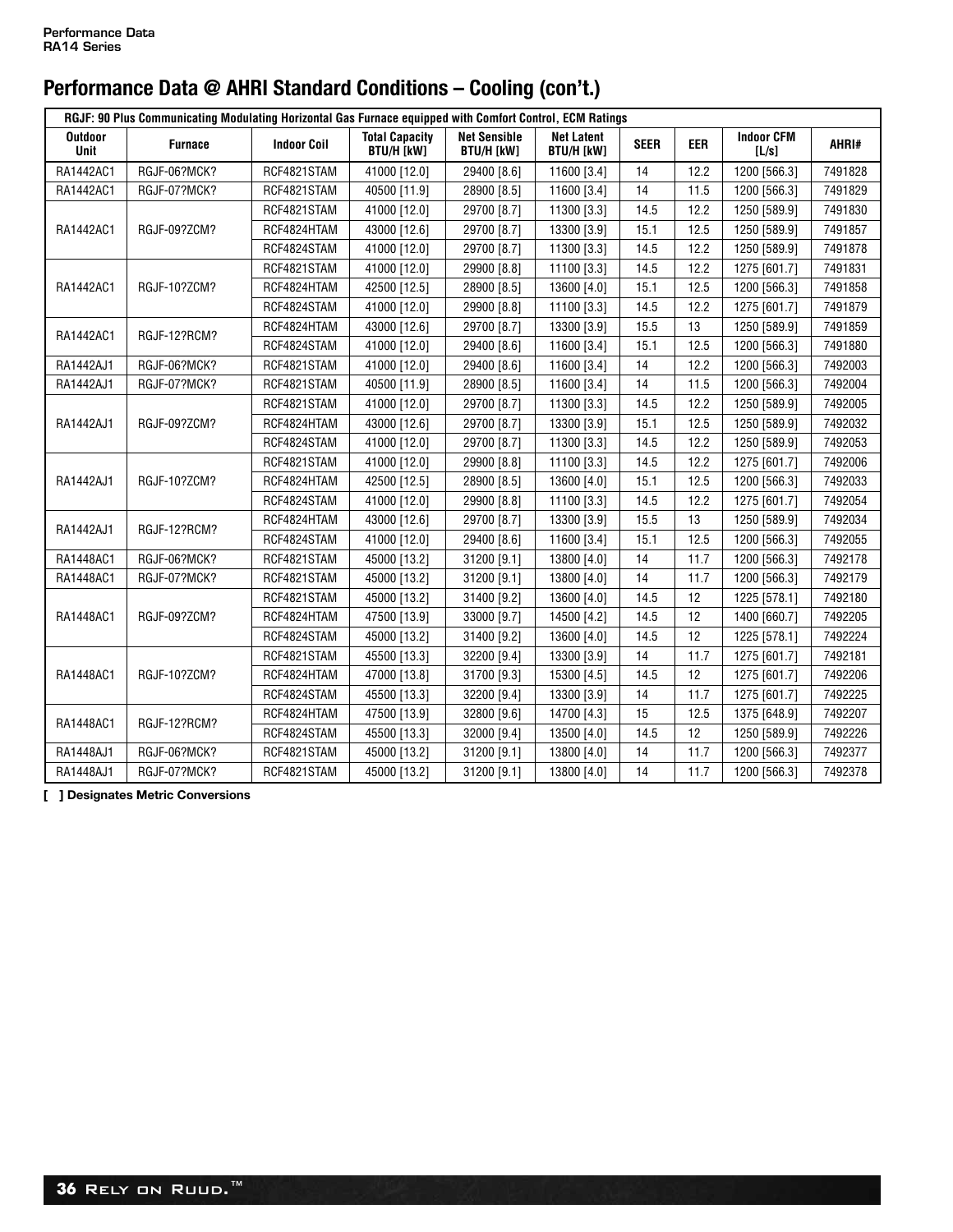| RGJF: 90 Plus Communicating Modulating Horizontal Gas Furnace equipped with Comfort Control, ECM Ratings |                     |                    |                                            |                                          |                                        |             |            |                            |         |  |
|----------------------------------------------------------------------------------------------------------|---------------------|--------------------|--------------------------------------------|------------------------------------------|----------------------------------------|-------------|------------|----------------------------|---------|--|
| <b>Outdoor</b><br><b>Unit</b>                                                                            | <b>Furnace</b>      | <b>Indoor Coil</b> | <b>Total Capacity</b><br><b>BTU/H [kW]</b> | <b>Net Sensible</b><br><b>BTU/H [kW]</b> | <b>Net Latent</b><br><b>BTU/H [kW]</b> | <b>SEER</b> | <b>EER</b> | <b>Indoor CFM</b><br>[L/s] | AHRI#   |  |
| RA1442AC1                                                                                                | RGJF-06?MCK?        | RCF4821STAM        | 41000 [12.0]                               | 29400 [8.6]                              | 11600 [3.4]                            | 14          | 12.2       | 1200 [566.3]               | 7491828 |  |
| RA1442AC1                                                                                                | RGJF-07?MCK?        | RCF4821STAM        | 40500 [11.9]                               | 28900 [8.5]                              | 11600 [3.4]                            | 14          | 11.5       | 1200 [566.3]               | 7491829 |  |
|                                                                                                          |                     | RCF4821STAM        | 41000 [12.0]                               | 29700 [8.7]                              | 11300 [3.3]                            | 14.5        | 12.2       | 1250 [589.9]               | 7491830 |  |
| RA1442AC1                                                                                                | RGJF-09?ZCM?        | RCF4824HTAM        | 43000 [12.6]                               | 29700 [8.7]                              | 13300 [3.9]                            | 15.1        | 12.5       | 1250 [589.9]               | 7491857 |  |
|                                                                                                          |                     | RCF4824STAM        | 41000 [12.0]                               | 29700 [8.7]                              | 11300 [3.3]                            | 14.5        | 12.2       | 1250 [589.9]               | 7491878 |  |
|                                                                                                          |                     | RCF4821STAM        | 41000 [12.0]                               | 29900 [8.8]                              | 11100 [3.3]                            | 14.5        | 12.2       | 1275 [601.7]               | 7491831 |  |
| RA1442AC1                                                                                                | RGJF-10?ZCM?        | RCF4824HTAM        | 42500 [12.5]                               | 28900 [8.5]                              | 13600 [4.0]                            | 15.1        | 12.5       | 1200 [566.3]               | 7491858 |  |
|                                                                                                          |                     | RCF4824STAM        | 41000 [12.0]                               | 29900 [8.8]                              | 11100 [3.3]                            | 14.5        | 12.2       | 1275 [601.7]               | 7491879 |  |
|                                                                                                          |                     | RCF4824HTAM        | 43000 [12.6]                               | 29700 [8.7]                              | 13300 [3.9]                            | 15.5        | 13         | 1250 [589.9]               | 7491859 |  |
| RA1442AC1                                                                                                | RGJF-12?RCM?        | RCF4824STAM        | 41000 [12.0]                               | 29400 [8.6]                              | 11600 [3.4]                            | 15.1        | 12.5       | 1200 [566.3]               | 7491880 |  |
| RA1442AJ1                                                                                                | RGJF-06?MCK?        | RCF4821STAM        | 41000 [12.0]                               | 29400 [8.6]                              | 11600 [3.4]                            | 14          | 12.2       | 1200 [566.3]               | 7492003 |  |
| RA1442AJ1                                                                                                | <b>RGJF-07?MCK?</b> | RCF4821STAM        | 40500 [11.9]                               | 28900 [8.5]                              | 11600 [3.4]                            | 14          | 11.5       | 1200 [566.3]               | 7492004 |  |
|                                                                                                          | RGJF-09?ZCM?        | RCF4821STAM        | 41000 [12.0]                               | 29700 [8.7]                              | 11300 [3.3]                            | 14.5        | 12.2       | 1250 [589.9]               | 7492005 |  |
| RA1442AJ1                                                                                                |                     | RCF4824HTAM        | 43000 [12.6]                               | 29700 [8.7]                              | 13300 [3.9]                            | 15.1        | 12.5       | 1250 [589.9]               | 7492032 |  |
|                                                                                                          |                     | RCF4824STAM        | 41000 [12.0]                               | 29700 [8.7]                              | 11300 [3.3]                            | 14.5        | 12.2       | 1250 [589.9]               | 7492053 |  |
|                                                                                                          | RGJF-10?ZCM?        | RCF4821STAM        | 41000 [12.0]                               | 29900 [8.8]                              | 11100 [3.3]                            | 14.5        | 12.2       | 1275 [601.7]               | 7492006 |  |
| RA1442AJ1                                                                                                |                     | RCF4824HTAM        | 42500 [12.5]                               | 28900 [8.5]                              | 13600 [4.0]                            | 15.1        | 12.5       | 1200 [566.3]               | 7492033 |  |
|                                                                                                          |                     | RCF4824STAM        | 41000 [12.0]                               | 29900 [8.8]                              | 11100 [3.3]                            | 14.5        | 12.2       | 1275 [601.7]               | 7492054 |  |
|                                                                                                          | RGJF-12?RCM?        | RCF4824HTAM        | 43000 [12.6]                               | 29700 [8.7]                              | 13300 [3.9]                            | 15.5        | 13         | 1250 [589.9]               | 7492034 |  |
| RA1442AJ1                                                                                                |                     | RCF4824STAM        | 41000 [12.0]                               | 29400 [8.6]                              | 11600 [3.4]                            | 15.1        | 12.5       | 1200 [566.3]               | 7492055 |  |
| RA1448AC1                                                                                                | RGJF-06?MCK?        | RCF4821STAM        | 45000 [13.2]                               | 31200 [9.1]                              | 13800 [4.0]                            | 14          | 11.7       | 1200 [566.3]               | 7492178 |  |
| RA1448AC1                                                                                                | RGJF-07?MCK?        | RCF4821STAM        | 45000 [13.2]                               | 31200 [9.1]                              | 13800 [4.0]                            | 14          | 11.7       | 1200 [566.3]               | 7492179 |  |
| RA1448AC1                                                                                                | RGJF-09?ZCM?        | RCF4821STAM        | 45000 [13.2]                               | 31400 [9.2]                              | 13600 [4.0]                            | 14.5        | 12         | 1225 [578.1]               | 7492180 |  |
|                                                                                                          |                     | RCF4824HTAM        | 47500 [13.9]                               | 33000 [9.7]                              | 14500 [4.2]                            | 14.5        | 12         | 1400 [660.7]               | 7492205 |  |
|                                                                                                          |                     | RCF4824STAM        | 45000 [13.2]                               | 31400 [9.2]                              | 13600 [4.0]                            | 14.5        | 12         | 1225 [578.1]               | 7492224 |  |
|                                                                                                          |                     | RCF4821STAM        | 45500 [13.3]                               | 32200 [9.4]                              | 13300 [3.9]                            | 14          | 11.7       | 1275 [601.7]               | 7492181 |  |
| RA1448AC1                                                                                                | RGJF-10?ZCM?        | RCF4824HTAM        | 47000 [13.8]                               | 31700 [9.3]                              | 15300 [4.5]                            | 14.5        | 12         | 1275 [601.7]               | 7492206 |  |
|                                                                                                          |                     | RCF4824STAM        | 45500 [13.3]                               | 32200 [9.4]                              | 13300 [3.9]                            | 14          | 11.7       | 1275 [601.7]               | 7492225 |  |
| RA1448AC1                                                                                                |                     | RCF4824HTAM        | 47500 [13.9]                               | 32800 [9.6]                              | 14700 [4.3]                            | 15          | 12.5       | 1375 [648.9]               | 7492207 |  |
|                                                                                                          | RGJF-12?RCM?        | RCF4824STAM        | 45500 [13.3]                               | 32000 [9.4]                              | 13500 [4.0]                            | 14.5        | 12         | 1250 [589.9]               | 7492226 |  |
| RA1448AJ1                                                                                                | RGJF-06?MCK?        | RCF4821STAM        | 45000 [13.2]                               | 31200 [9.1]                              | 13800 [4.0]                            | 14          | 11.7       | 1200 [566.3]               | 7492377 |  |
| RA1448AJ1                                                                                                | RGJF-07?MCK?        | RCF4821STAM        | 45000 [13.2]                               | 31200 [9.1]                              | 13800 [4.0]                            | 14          | 11.7       | 1200 [566.3]               | 7492378 |  |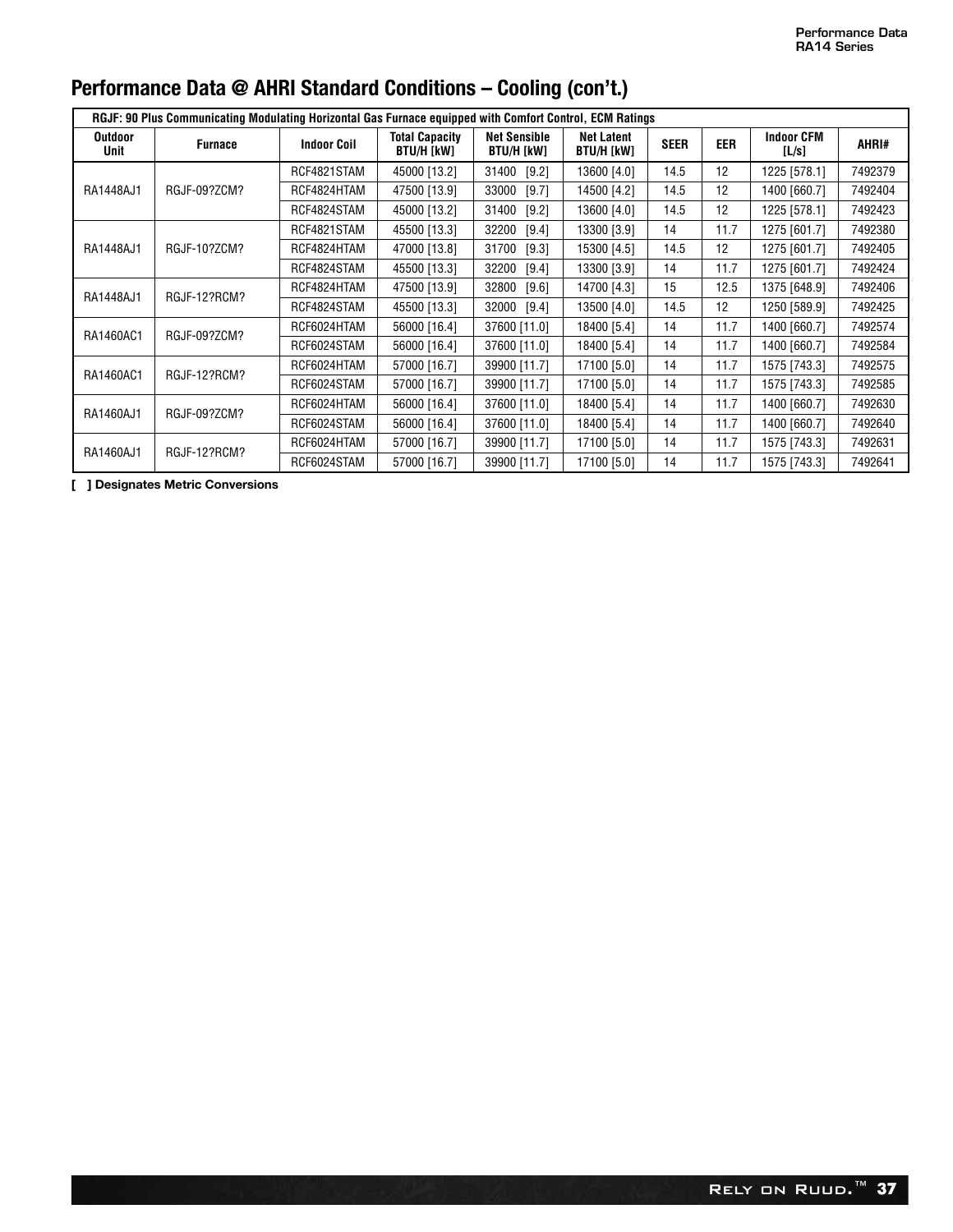| RGJF: 90 Plus Communicating Modulating Horizontal Gas Furnace equipped with Comfort Control, ECM Ratings |                |                    |                                     |                                   |                                        |             |                   |                            |         |  |
|----------------------------------------------------------------------------------------------------------|----------------|--------------------|-------------------------------------|-----------------------------------|----------------------------------------|-------------|-------------------|----------------------------|---------|--|
| <b>Outdoor</b><br>Unit                                                                                   | <b>Furnace</b> | <b>Indoor Coil</b> | <b>Total Capacity</b><br>BTU/H [kW] | <b>Net Sensible</b><br>BTU/H [kW] | <b>Net Latent</b><br><b>BTU/H [kW]</b> | <b>SEER</b> | <b>EER</b>        | <b>Indoor CFM</b><br>[L/s] | AHRI#   |  |
|                                                                                                          | RGJF-09?ZCM?   | RCF4821STAM        | 45000 [13.2]                        | 31400<br>[9.2]                    | 13600 [4.0]                            | 14.5        | 12                | 1225 [578.1]               | 7492379 |  |
| RA1448AJ1                                                                                                |                | RCF4824HTAM        | 47500 [13.9]                        | 33000<br>[9.7]                    | 14500 [4.2]                            | 14.5        | 12                | 1400 [660.7]               | 7492404 |  |
|                                                                                                          |                | RCF4824STAM        | 45000 [13.2]                        | 31400<br>[9.2]                    | 13600 [4.0]                            | 14.5        | 12                | 1225 [578.1]               | 7492423 |  |
|                                                                                                          |                | RCF4821STAM        | 45500 [13.3]                        | 32200<br>[9.4]                    | 13300 [3.9]                            | 14          | 11.7              | 1275 [601.7]               | 7492380 |  |
| RA1448AJ1                                                                                                | RGJF-10?ZCM?   | RCF4824HTAM        | 47000 [13.8]                        | 31700<br>[9.3]                    | 15300 [4.5]                            | 14.5        | 12                | 1275 [601.7]               | 7492405 |  |
|                                                                                                          |                | RCF4824STAM        | 45500 [13.3]                        | 32200<br>[9.4]                    | 13300 [3.9]                            | 14          | 11.7              | 1275 [601.7]               | 7492424 |  |
| RA1448AJ1                                                                                                | RGJF-12?RCM?   | RCF4824HTAM        | 47500 [13.9]                        | 32800<br>[9.6]                    | 14700 [4.3]                            | 15          | 12.5              | 1375 [648.9]               | 7492406 |  |
|                                                                                                          |                | RCF4824STAM        | 45500 [13.3]                        | 32000<br>[9.4]                    | 13500 [4.0]                            | 14.5        | $12 \overline{ }$ | 1250 [589.9]               | 7492425 |  |
| RA1460AC1                                                                                                | RGJF-09?ZCM?   | RCF6024HTAM        | 56000 [16.4]                        | 37600 [11.0]                      | 18400 [5.4]                            | 14          | 11.7              | 1400 [660.7]               | 7492574 |  |
|                                                                                                          |                | RCF6024STAM        | 56000 [16.4]                        | 37600 [11.0]                      | 18400 [5.4]                            | 14          | 11.7              | 1400 [660.7]               | 7492584 |  |
|                                                                                                          | RGJF-12?RCM?   | RCF6024HTAM        | 57000 [16.7]                        | 39900 [11.7]                      | 17100 [5.0]                            | 14          | 11.7              | 1575 [743.3]               | 7492575 |  |
| RA1460AC1                                                                                                |                | RCF6024STAM        | 57000 [16.7]                        | 39900 [11.7]                      | 17100 [5.0]                            | 14          | 11.7              | 1575 [743.3]               | 7492585 |  |
| RA1460AJ1                                                                                                | RGJF-09?ZCM?   | RCF6024HTAM        | 56000 [16.4]                        | 37600 [11.0]                      | 18400 [5.4]                            | 14          | 11.7              | 1400 [660.7]               | 7492630 |  |
|                                                                                                          |                | RCF6024STAM        | 56000 [16.4]                        | 37600 [11.0]                      | 18400 [5.4]                            | 14          | 11.7              | 1400 [660.7]               | 7492640 |  |
| RA1460AJ1                                                                                                | RGJF-12?RCM?   | RCF6024HTAM        | 57000 [16.7]                        | 39900 [11.7]                      | 17100 [5.0]                            | 14          | 11.7              | 1575 [743.3]               | 7492631 |  |
|                                                                                                          |                | RCF6024STAM        | 57000 [16.7]                        | 39900 [11.7]                      | 17100 [5.0]                            | 14          | 11.7              | 1575 [743.3]               | 7492641 |  |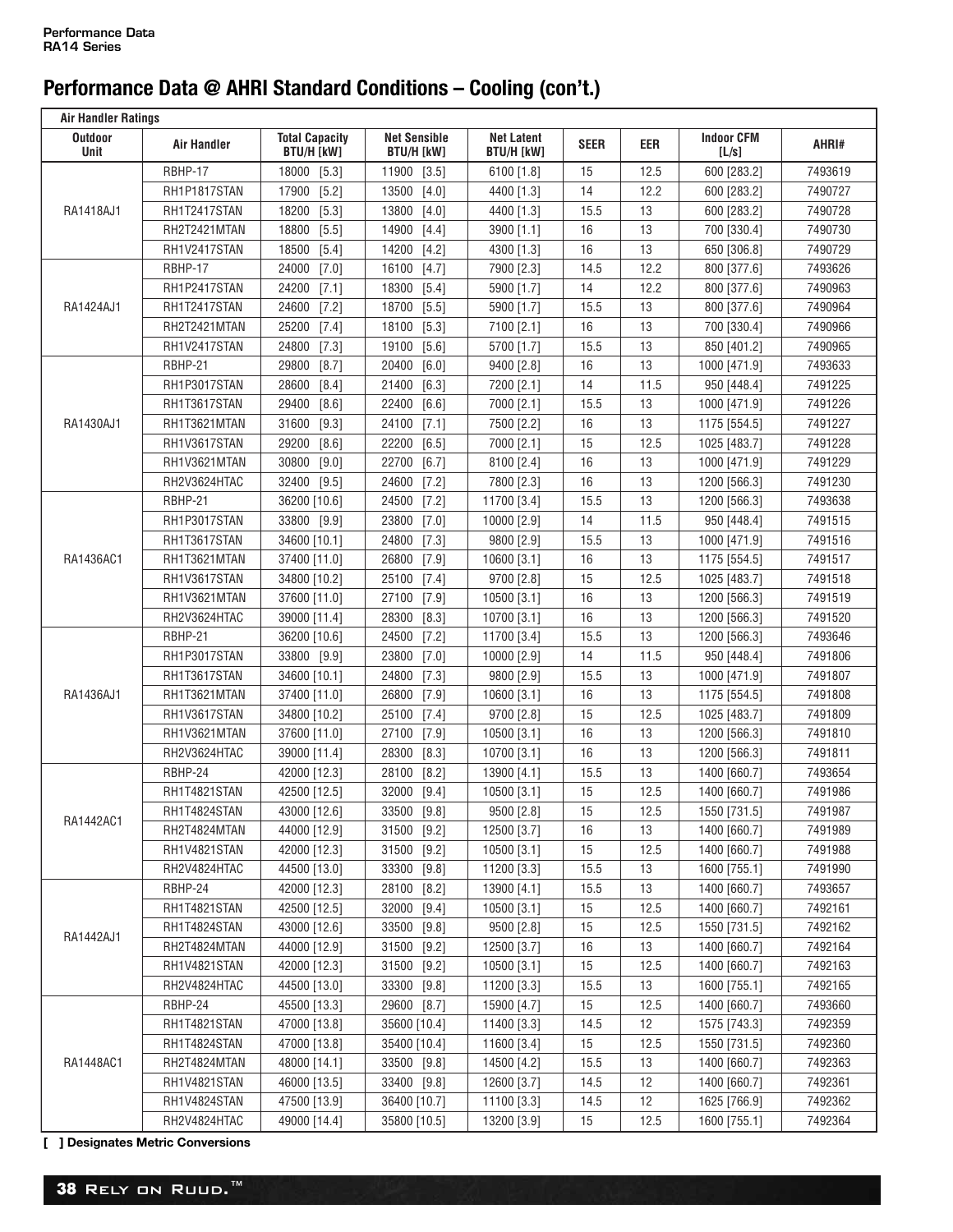| <b>Air Handler Ratings</b> |                    |                                            |                                          |                                        |             |      |                            |         |  |
|----------------------------|--------------------|--------------------------------------------|------------------------------------------|----------------------------------------|-------------|------|----------------------------|---------|--|
| <b>Outdoor</b><br>Unit     | <b>Air Handler</b> | <b>Total Capacity</b><br><b>BTU/H [kW]</b> | <b>Net Sensible</b><br><b>BTU/H [kW]</b> | <b>Net Latent</b><br><b>BTU/H [kW]</b> | <b>SEER</b> | EER  | <b>Indoor CFM</b><br>[L/s] | AHRI#   |  |
|                            | RBHP-17            | 18000<br>$[5.3]$                           | 11900 [3.5]                              | 6100 [1.8]                             | 15          | 12.5 | 600 [283.2]                | 7493619 |  |
| RA1418AJ1                  | RH1P1817STAN       | 17900<br>[5.2]                             | 13500<br>$[4.0]$                         | 4400 [1.3]                             | 14          | 12.2 | 600 [283.2]                | 7490727 |  |
|                            | RH1T2417STAN       | 18200<br>$[5.3]$                           | 13800<br>$[4.0]$                         | 4400 [1.3]                             | 15.5        | 13   | 600 [283.2]                | 7490728 |  |
|                            | RH2T2421MTAN       | 18800<br>$[5.5]$                           | 14900<br>$[4.4]$                         | 3900 [1.1]                             | 16          | 13   | 700 [330.4]                | 7490730 |  |
|                            | RH1V2417STAN       | 18500<br>$[5.4]$                           | 14200<br>$[4.2]$                         | 4300 [1.3]                             | 16          | 13   | 650 [306.8]                | 7490729 |  |
|                            | RBHP-17            | 24000<br>[7.0]                             | 16100<br>[4.7]                           | 7900 [2.3]                             | 14.5        | 12.2 | 800 [377.6]                | 7493626 |  |
|                            | RH1P2417STAN       | 24200<br>[7.1]                             | 18300 [5.4]                              | 5900 [1.7]                             | 14          | 12.2 | 800 [377.6]                | 7490963 |  |
| RA1424AJ1                  | RH1T2417STAN       | 24600<br>[7.2]                             | 18700 [5.5]                              | 5900 [1.7]                             | 15.5        | 13   | 800 [377.6]                | 7490964 |  |
|                            | RH2T2421MTAN       | 25200<br>[7.4]                             | 18100 [5.3]                              | 7100 [2.1]                             | 16          | 13   | 700 [330.4]                | 7490966 |  |
|                            | RH1V2417STAN       | 24800<br>[7.3]                             | 19100<br>$[5.6]$                         | 5700 [1.7]                             | 15.5        | 13   | 850 [401.2]                | 7490965 |  |
|                            | RBHP-21            | 29800<br>[8.7]                             | 20400<br>$[6.0]$                         | 9400 [2.8]                             | 16          | 13   | 1000 [471.9]               | 7493633 |  |
|                            | RH1P3017STAN       | 28600<br>[8.4]                             | 21400<br>$[6.3]$                         | 7200 [2.1]                             | 14          | 11.5 | 950 [448.4]                | 7491225 |  |
|                            | RH1T3617STAN       | 29400<br>[8.6]                             | 22400<br>[6.6]                           | 7000 [2.1]                             | 15.5        | 13   | 1000 [471.9]               | 7491226 |  |
| RA1430AJ1                  | RH1T3621MTAN       | 31600<br>[9.3]                             | 24100 [7.1]                              | 7500 [2.2]                             | 16          | 13   | 1175 [554.5]               | 7491227 |  |
|                            | RH1V3617STAN       | 29200<br>[8.6]                             | 22200<br>$[6.5]$                         | 7000 [2.1]                             | 15          | 12.5 | 1025 [483.7]               | 7491228 |  |
|                            | RH1V3621MTAN       | 30800<br>$[9.0]$                           | 22700<br>$[6.7]$                         | 8100 [2.4]                             | 16          | 13   | 1000 [471.9]               | 7491229 |  |
|                            | RH2V3624HTAC       | 32400<br>$[9.5]$                           | 24600<br>[7.2]                           | 7800 [2.3]                             | 16          | 13   | 1200 [566.3]               | 7491230 |  |
|                            | RBHP-21            | 36200 [10.6]                               | 24500<br>[7.2]                           | 11700 [3.4]                            | 15.5        | 13   | 1200 [566.3]               | 7493638 |  |
|                            | RH1P3017STAN       | 33800 [9.9]                                | 23800<br>$[7.0]$                         | 10000 [2.9]                            | 14          | 11.5 | 950 [448.4]                | 7491515 |  |
|                            | RH1T3617STAN       | 34600 [10.1]                               | 24800<br>[7.3]                           | 9800 [2.9]                             | 15.5        | 13   | 1000 [471.9]               | 7491516 |  |
| RA1436AC1                  | RH1T3621MTAN       | 37400 [11.0]                               | 26800<br>$[7.9]$                         | 10600 [3.1]                            | 16          | 13   | 1175 [554.5]               | 7491517 |  |
|                            | RH1V3617STAN       | 34800 [10.2]                               | 25100 [7.4]                              | 9700 [2.8]                             | 15          | 12.5 | 1025 [483.7]               | 7491518 |  |
|                            | RH1V3621MTAN       | 37600 [11.0]                               | 27100<br>$[7.9]$                         | 10500 [3.1]                            | 16          | 13   | 1200 [566.3]               | 7491519 |  |
|                            | RH2V3624HTAC       | 39000 [11.4]                               | 28300<br>$[8.3]$                         | 10700 [3.1]                            | 16          | 13   | 1200 [566.3]               | 7491520 |  |
|                            | RBHP-21            | 36200 [10.6]                               | 24500<br>[7.2]                           | 11700 [3.4]                            | 15.5        | 13   | 1200 [566.3]               | 7493646 |  |
|                            | RH1P3017STAN       | 33800 [9.9]                                | 23800<br>$[7.0]$                         | 10000 [2.9]                            | 14          | 11.5 | 950 [448.4]                | 7491806 |  |
|                            | RH1T3617STAN       | 34600 [10.1]                               | 24800<br>$[7.3]$                         | 9800 [2.9]                             | 15.5        | 13   | 1000 [471.9]               | 7491807 |  |
| RA1436AJ1                  | RH1T3621MTAN       | 37400 [11.0]                               | 26800<br>$[7.9]$                         | 10600 [3.1]                            | 16          | 13   | 1175 [554.5]               | 7491808 |  |
|                            | RH1V3617STAN       | 34800 [10.2]                               | 25100<br>$[7.4]$                         | 9700 [2.8]                             | 15          | 12.5 | 1025 [483.7]               | 7491809 |  |
|                            | RH1V3621MTAN       | 37600 [11.0]                               | 27100<br>$[7.9]$                         | 10500 [3.1]                            | 16          | 13   | 1200 [566.3]               | 7491810 |  |
|                            | RH2V3624HTAC       | 39000 [11.4]                               | 28300<br>[8.3]                           | 10700 [3.1]                            | 16          | 13   | 1200 [566.3]               | 7491811 |  |
|                            | RBHP-24            | 42000 [12.3]                               | 28100<br>$[8.2]$                         | 13900 [4.1]                            | 15.5        | 13   | 1400 [660.7]               | 7493654 |  |
|                            | RH1T4821STAN       | 42500 [12.5]                               | 32000 [9.4]                              | 10500 [3.1]                            | 15          | 12.5 | 1400 [660.7]               | 7491986 |  |
|                            | RH1T4824STAN       | 43000 [12.6]                               | 33500 [9.8]                              | 9500 [2.8]                             | 15          | 12.5 | 1550 [731.5]               | 7491987 |  |
| RA1442AC1                  | RH2T4824MTAN       | 44000 [12.9]                               | 31500 [9.2]                              | 12500 [3.7]                            | 16          | 13   | 1400 [660.7]               | 7491989 |  |
|                            | RH1V4821STAN       | 42000 [12.3]                               | 31500 [9.2]                              | 10500 [3.1]                            | 15          | 12.5 | 1400 [660.7]               | 7491988 |  |
|                            | RH2V4824HTAC       | 44500 [13.0]                               | 33300 [9.8]                              | 11200 [3.3]                            | 15.5        | 13   | 1600 [755.1]               | 7491990 |  |
|                            | RBHP-24            | 42000 [12.3]                               | 28100 [8.2]                              | 13900 [4.1]                            | 15.5        | 13   | 1400 [660.7]               | 7493657 |  |
|                            | RH1T4821STAN       | 42500 [12.5]                               | 32000 [9.4]                              | 10500 [3.1]                            | 15          | 12.5 | 1400 [660.7]               | 7492161 |  |
| RA1442AJ1                  | RH1T4824STAN       | 43000 [12.6]                               | 33500 [9.8]                              | 9500 [2.8]                             | 15          | 12.5 | 1550 [731.5]               | 7492162 |  |
|                            | RH2T4824MTAN       | 44000 [12.9]                               | 31500 [9.2]                              | 12500 [3.7]                            | 16          | 13   | 1400 [660.7]               | 7492164 |  |
|                            | RH1V4821STAN       | 42000 [12.3]                               | 31500 [9.2]                              | 10500 [3.1]                            | 15          | 12.5 | 1400 [660.7]               | 7492163 |  |
|                            | RH2V4824HTAC       | 44500 [13.0]                               | 33300 [9.8]                              | 11200 [3.3]                            | 15.5        | 13   | 1600 [755.1]               | 7492165 |  |
|                            | RBHP-24            | 45500 [13.3]                               | 29600 [8.7]                              | 15900 [4.7]                            | 15          | 12.5 | 1400 [660.7]               | 7493660 |  |
|                            | RH1T4821STAN       | 47000 [13.8]                               | 35600 [10.4]                             | 11400 [3.3]                            | 14.5        | 12   | 1575 [743.3]               | 7492359 |  |
|                            | RH1T4824STAN       | 47000 [13.8]                               | 35400 [10.4]                             | 11600 [3.4]                            | 15          | 12.5 | 1550 [731.5]               | 7492360 |  |
| RA1448AC1                  | RH2T4824MTAN       | 48000 [14.1]                               | 33500 [9.8]                              | 14500 [4.2]                            | 15.5        | 13   | 1400 [660.7]               | 7492363 |  |
|                            | RH1V4821STAN       | 46000 [13.5]                               | 33400 [9.8]                              | 12600 [3.7]                            | 14.5        | 12   | 1400 [660.7]               | 7492361 |  |
|                            | RH1V4824STAN       | 47500 [13.9]                               | 36400 [10.7]                             | 11100 [3.3]                            | 14.5        | 12   | 1625 [766.9]               | 7492362 |  |
|                            | RH2V4824HTAC       | 49000 [14.4]                               | 35800 [10.5]                             | 13200 [3.9]                            | 15          | 12.5 | 1600 [755.1]               | 7492364 |  |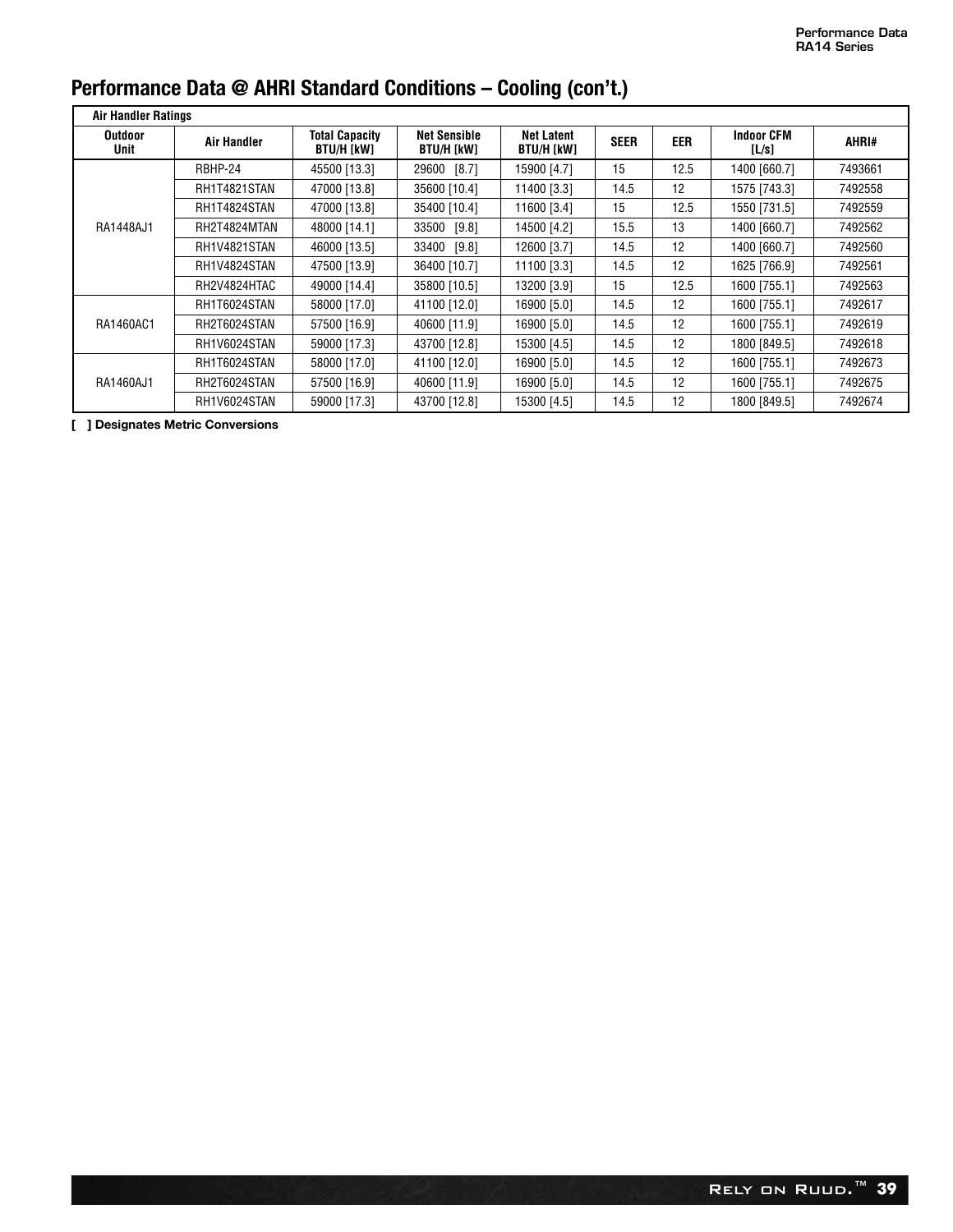| <b>Air Handler Ratings</b> |                    |                                            |                                   |                                 |             |      |                            |         |  |  |
|----------------------------|--------------------|--------------------------------------------|-----------------------------------|---------------------------------|-------------|------|----------------------------|---------|--|--|
| <b>Outdoor</b><br>Unit     | <b>Air Handler</b> | <b>Total Capacity</b><br><b>BTU/H [kW]</b> | <b>Net Sensible</b><br>BTU/H [kW] | <b>Net Latent</b><br>BTU/H [kW] | <b>SEER</b> | EER  | <b>Indoor CFM</b><br>[L/s] | AHRI#   |  |  |
|                            | RBHP-24            | 45500 [13.3]                               | $[8.7]$<br>29600                  | 15900 [4.7]                     | 15          | 12.5 | 1400 [660.7]               | 7493661 |  |  |
|                            | RH1T4821STAN       | 47000 [13.8]                               | 35600 [10.4]                      | 11400 [3.3]                     | 14.5        | 12   | 1575 [743.3]               | 7492558 |  |  |
|                            | RH1T4824STAN       | 47000 [13.8]                               | 35400 [10.4]                      | 11600 [3.4]                     | 15          | 12.5 | 1550 [731.5]               | 7492559 |  |  |
| RA1448AJ1                  | RH2T4824MTAN       | 48000 [14.1]                               | 33500 [9.8]                       | 14500 [4.2]                     | 15.5        | 13   | 1400 [660.7]               | 7492562 |  |  |
|                            | RH1V4821STAN       | 46000 [13.5]                               | 33400 [9.8]                       | 12600 [3.7]                     | 14.5        | 12   | 1400 [660.7]               | 7492560 |  |  |
|                            | RH1V4824STAN       | 47500 [13.9]                               | 36400 [10.7]                      | 11100 [3.3]                     | 14.5        | 12   | 1625 [766.9]               | 7492561 |  |  |
|                            | RH2V4824HTAC       | 49000 [14.4]                               | 35800 [10.5]                      | 13200 [3.9]                     | 15          | 12.5 | 1600 [755.1]               | 7492563 |  |  |
| RA1460AC1                  | RH1T6024STAN       | 58000 [17.0]                               | 41100 [12.0]                      | 16900 [5.0]                     | 14.5        | 12   | 1600 [755.1]               | 7492617 |  |  |
|                            | RH2T6024STAN       | 57500 [16.9]                               | 40600 [11.9]                      | 16900 [5.0]                     | 14.5        | 12   | 1600 [755.1]               | 7492619 |  |  |
|                            | RH1V6024STAN       | 59000 [17.3]                               | 43700 [12.8]                      | 15300 [4.5]                     | 14.5        | 12   | 1800 [849.5]               | 7492618 |  |  |
|                            | RH1T6024STAN       | 58000 [17.0]                               | 41100 [12.0]                      | 16900 [5.0]                     | 14.5        | 12   | 1600 [755.1]               | 7492673 |  |  |
| RA1460AJ1                  | RH2T6024STAN       | 57500 [16.9]                               | 40600 [11.9]                      | 16900 [5.0]                     | 14.5        | 12   | 1600 [755.1]               | 7492675 |  |  |
|                            | RH1V6024STAN       | 59000 [17.3]                               | 43700 [12.8]                      | 15300 [4.5]                     | 14.5        | 12   | 1800 [849.5]               | 7492674 |  |  |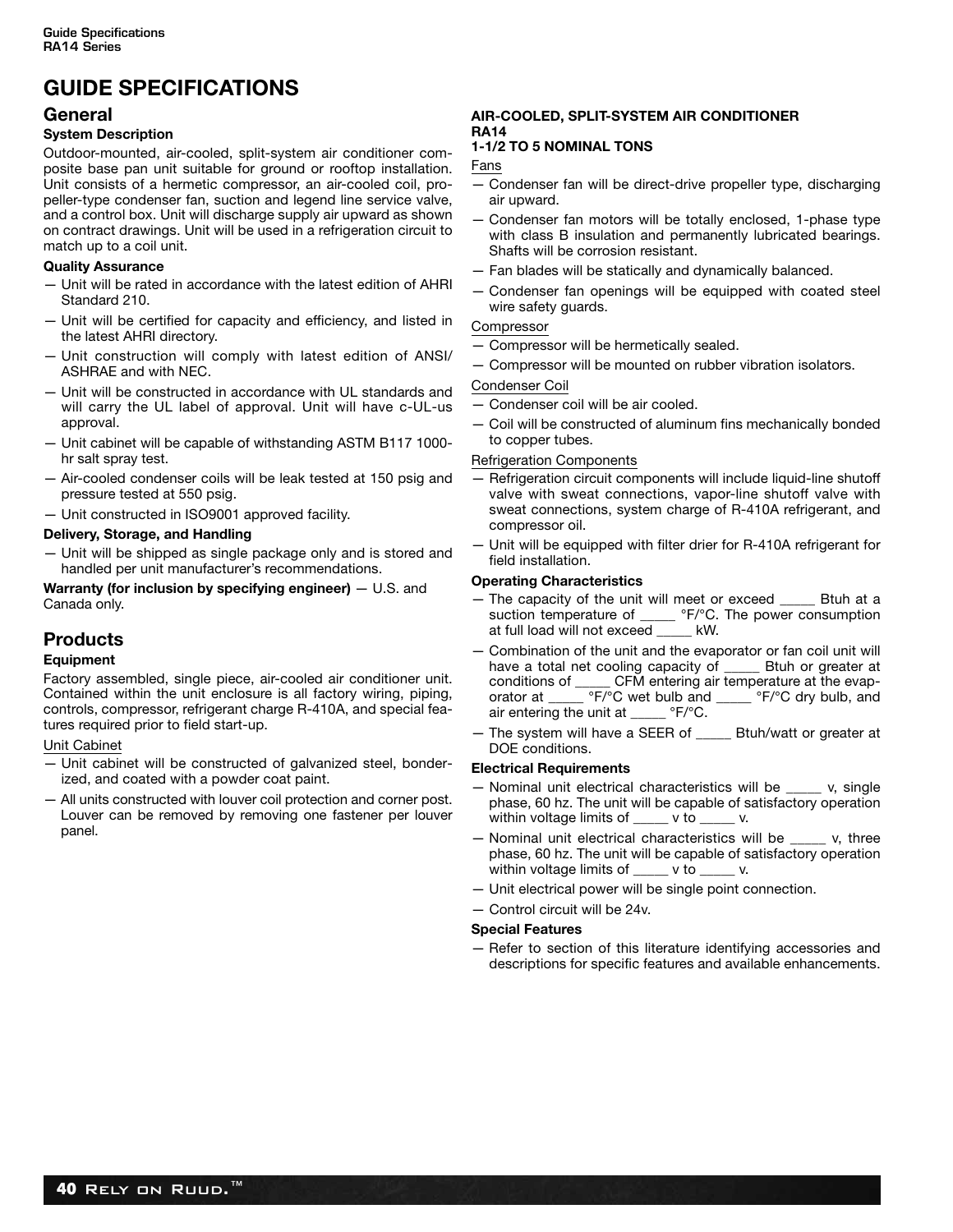## **GUIDE SPECIFICATIONS**

#### **General**

#### **System Description**

Outdoor-mounted, air-cooled, split-system air conditioner composite base pan unit suitable for ground or rooftop installation. Unit consists of a hermetic compressor, an air-cooled coil, propeller-type condenser fan, suction and legend line service valve, and a control box. Unit will discharge supply air upward as shown on contract drawings. Unit will be used in a refrigeration circuit to match up to a coil unit.

#### **Quality Assurance**

- Unit will be rated in accordance with the latest edition of AHRI Standard 210.
- Unit will be certified for capacity and efficiency, and listed in the latest AHRI directory.
- Unit construction will comply with latest edition of ANSI/ ASHRAE and with NEC.
- Unit will be constructed in accordance with UL standards and will carry the UL label of approval. Unit will have c-UL-us approval.
- Unit cabinet will be capable of withstanding ASTM B117 1000 hr salt spray test.
- Air-cooled condenser coils will be leak tested at 150 psig and pressure tested at 550 psig.
- Unit constructed in ISO9001 approved facility.

#### **Delivery, Storage, and Handling**

— Unit will be shipped as single package only and is stored and handled per unit manufacturer's recommendations.

**Warranty (for inclusion by specifying engineer)**  $-$  U.S. and Canada only.

#### **Products**

#### **Equipment**

Factory assembled, single piece, air-cooled air conditioner unit. Contained within the unit enclosure is all factory wiring, piping, controls, compressor, refrigerant charge R-410A, and special features required prior to field start-up.

Unit Cabinet

- Unit cabinet will be constructed of galvanized steel, bonderized, and coated with a powder coat paint.
- All units constructed with louver coil protection and corner post. Louver can be removed by removing one fastener per louver panel.

#### **AIR-COOLED, SPLIT-SYSTEM AIR CONDITIONER RA14**

#### **1-1/2 TO 5 NOMINAL TONS**

Fans

- Condenser fan will be direct-drive propeller type, discharging air upward.
- Condenser fan motors will be totally enclosed, 1-phase type with class B insulation and permanently lubricated bearings. Shafts will be corrosion resistant.
- Fan blades will be statically and dynamically balanced.
- Condenser fan openings will be equipped with coated steel wire safety guards.

#### Compressor

- Compressor will be hermetically sealed.
- Compressor will be mounted on rubber vibration isolators.

Condenser Coil

- Condenser coil will be air cooled.
- Coil will be constructed of aluminum fins mechanically bonded to copper tubes.

#### Refrigeration Components

- Refrigeration circuit components will include liquid-line shutoff valve with sweat connections, vapor-line shutoff valve with sweat connections, system charge of R-410A refrigerant, and compressor oil.
- Unit will be equipped with filter drier for R-410A refrigerant for field installation.

#### **Operating Characteristics**

- The capacity of the unit will meet or exceed \_\_\_\_\_ Btuh at a suction temperature of \_\_\_\_\_ °F/°C. The power consumption at full load will not exceed \_\_\_\_\_ kW.
- Combination of the unit and the evaporator or fan coil unit will have a total net cooling capacity of \_\_\_\_ Btuh or greater at conditions of \_\_\_\_ CFM entering air temperature at the evap-CFM entering air temperature at the evaporator at \_\_\_\_\_\_ °F/°C wet bulb and \_\_\_\_\_ °F/°C dry bulb, and air entering the unit at \_\_\_\_\_ °F/°C.
- The system will have a SEER of \_\_\_\_\_ Btuh/watt or greater at DOE conditions.

#### **Electrical Requirements**

- Nominal unit electrical characteristics will be \_\_\_\_\_ v, single phase, 60 hz. The unit will be capable of satisfactory operation within voltage limits of vio v.
- Nominal unit electrical characteristics will be \_\_\_\_\_ v, three phase, 60 hz. The unit will be capable of satisfactory operation within voltage limits of \_\_\_\_\_ v to \_\_\_\_\_ v.
- Unit electrical power will be single point connection.
- Control circuit will be 24v.

#### **Special Features**

— Refer to section of this literature identifying accessories and descriptions for specific features and available enhancements.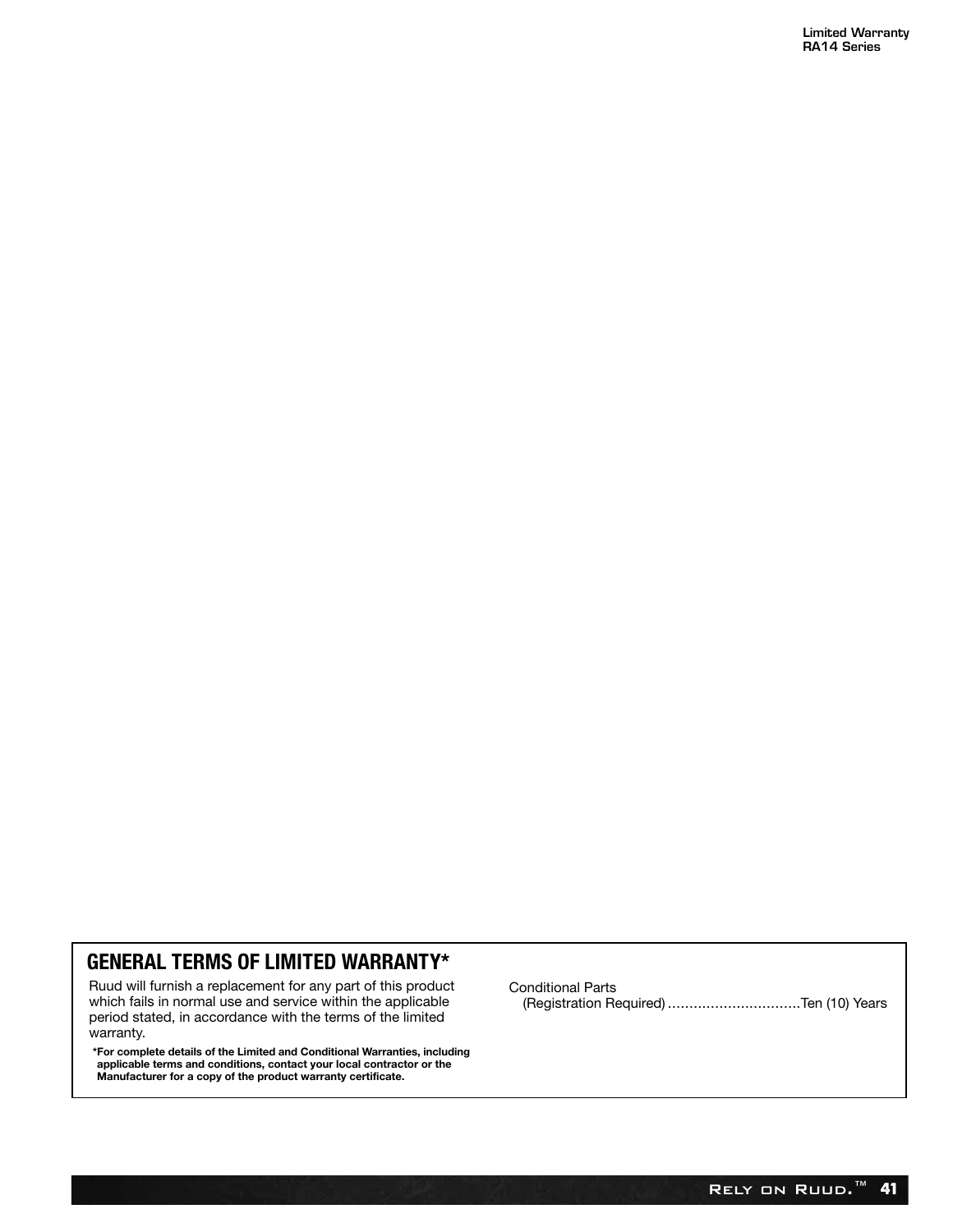#### **GENERAL TERMS OF LIMITED WARRANTY\***

Ruud will furnish a replacement for any part of this product which fails in normal use and service within the applicable period stated, in accordance with the terms of the limited warranty.

**\*For complete details of the Limited and Conditional Warranties, including applicable terms and conditions, contact your local contractor or the Manufacturer for a copy of the product warranty certificate.**

Conditional Parts (Registration Required) ...............................Ten (10) Years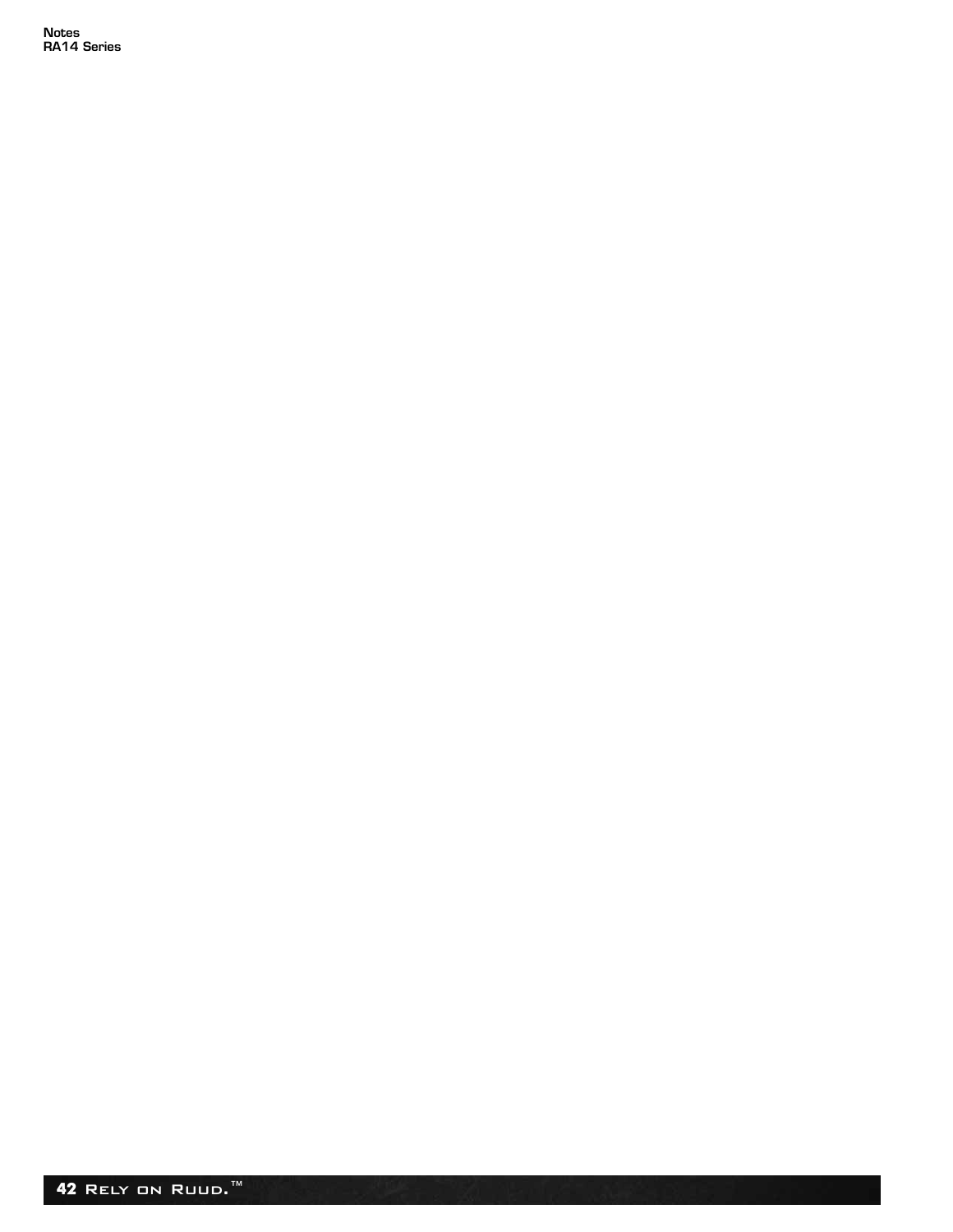**Notes RA14 Series**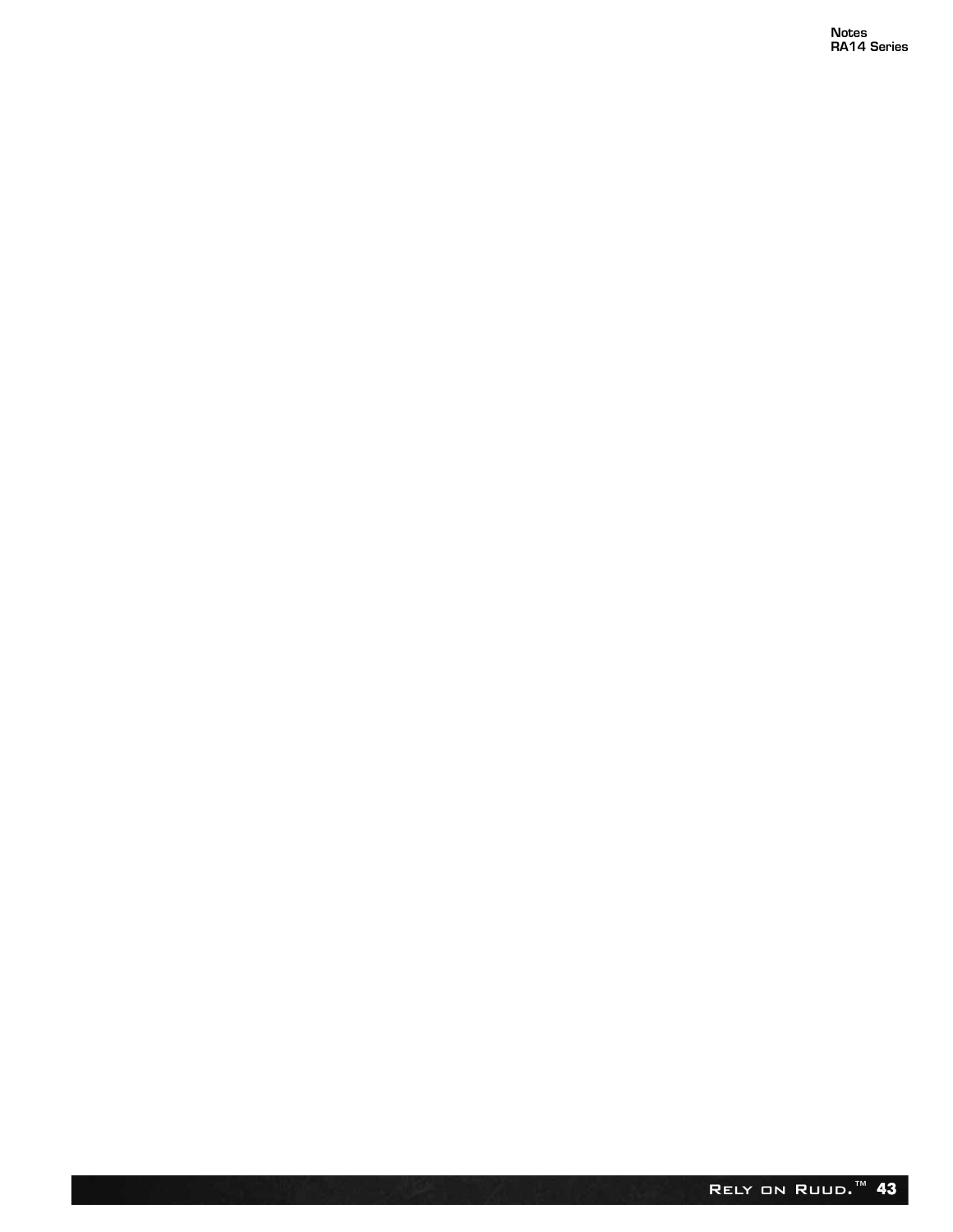**Notes RA14 Series**